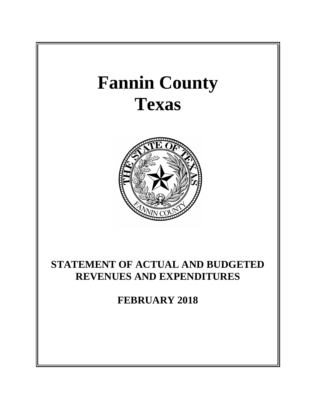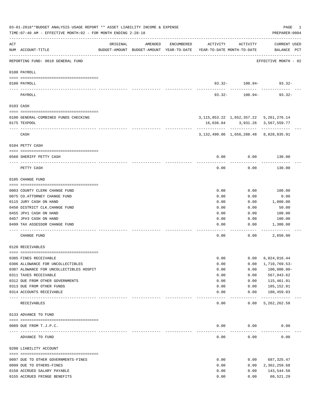|       | 03-01-2018**BUDGET ANALYSIS USAGE REPORT ** ASSET LIABILITY INCOME & EXPENSE<br>TIME: 07:40 AM - EFFECTIVE MONTH: 02 - FOR MONTH ENDING 2-28-18 |          |                                                     |            |                                        |               | PAGE<br>PREPARER: 0004                          | $\overline{\phantom{1}}$ |
|-------|-------------------------------------------------------------------------------------------------------------------------------------------------|----------|-----------------------------------------------------|------------|----------------------------------------|---------------|-------------------------------------------------|--------------------------|
| ACT   | NUM ACCOUNT-TITLE                                                                                                                               | ORIGINAL | AMENDED<br>BUDGET-AMOUNT BUDGET-AMOUNT YEAR-TO-DATE | ENCUMBERED | ACTIVITY<br>YEAR-TO-DATE MONTH-TO-DATE | ACTIVITY      | CURRENT USED<br>BALANCE PCT                     |                          |
|       | REPORTING FUND: 0010 GENERAL FUND                                                                                                               |          |                                                     |            |                                        |               | EFFECTIVE MONTH - 02                            |                          |
|       | 0100 PAYROLL                                                                                                                                    |          |                                                     |            |                                        |               |                                                 |                          |
|       | 0100 PAYROLL                                                                                                                                    |          |                                                     |            |                                        |               | $93.32 - 100.94 - 93.32 -$                      |                          |
|       | PAYROLL                                                                                                                                         |          |                                                     |            | $93.32 -$                              | 100.94-       | $93.32 -$                                       |                          |
|       | 0103 CASH                                                                                                                                       |          |                                                     |            |                                        |               |                                                 |                          |
|       | 0100 GENERAL-COMBINED FUNDS CHECKING                                                                                                            |          |                                                     |            |                                        |               | 3, 115, 853. 22 1, 652, 357. 22 5, 261, 276. 14 |                          |
|       | 0175 TEXPOOL                                                                                                                                    |          |                                                     |            |                                        |               | 16,636.84 3,931.26 3,567,559.77                 |                          |
|       |                                                                                                                                                 |          |                                                     |            |                                        |               |                                                 |                          |
|       | CASH                                                                                                                                            |          |                                                     |            |                                        |               | 3, 132, 490.06 1, 656, 288.48 8, 828, 835.91    |                          |
|       | 0104 PETTY CASH                                                                                                                                 |          |                                                     |            |                                        |               |                                                 |                          |
|       | 0560 SHERIFF PETTY CASH                                                                                                                         |          |                                                     |            | 0.00                                   | 0.00          | 130.00                                          |                          |
|       | PETTY CASH                                                                                                                                      |          |                                                     |            | 0.00                                   | 0.00          | . <u>.</u> .<br>130.00                          |                          |
|       | 0105 CHANGE FUND                                                                                                                                |          |                                                     |            |                                        |               |                                                 |                          |
|       |                                                                                                                                                 |          |                                                     |            |                                        |               |                                                 |                          |
|       | 0003 COUNTY CLERK CHANGE FUND                                                                                                                   |          |                                                     |            | 0.00                                   | 0.00          | 100.00                                          |                          |
|       | 0075 CO. ATTORNEY CHANGE FUND<br>0115 JURY CASH ON HAND                                                                                         |          |                                                     |            | 0.00<br>0.00                           | 0.00<br>0.00  | 0.00<br>1,000.00                                |                          |
|       | 0450 DISTRICT CLK. CHANGE FUND                                                                                                                  |          |                                                     |            | 0.00                                   | 0.00          | 50.00                                           |                          |
|       | 0455 JP#1 CASH ON HAND                                                                                                                          |          |                                                     |            | 0.00                                   | 0.00          | 100.00                                          |                          |
|       | 0457 JP#3 CASH ON HAND                                                                                                                          |          |                                                     |            | 0.00                                   | 0.00          | 100.00                                          |                          |
|       | 0499 TAX ASSESSOR CHANGE FUND<br>--------------                                                                                                 |          |                                                     |            | 0.00                                   | 0.00          | 1,300.00                                        |                          |
|       | CHANGE FUND                                                                                                                                     |          |                                                     |            | 0.00                                   | 0.00          | 2,650.00                                        |                          |
|       | 0120 RECEIVABLES                                                                                                                                |          |                                                     |            |                                        |               |                                                 |                          |
|       | 0305 FINES RECEIVABLE                                                                                                                           |          |                                                     |            | 0.00                                   | 0.00          | 6,024,016.44                                    |                          |
|       | 0306 ALLOWANCE FOR UNCOLLECTIBLES                                                                                                               |          |                                                     |            | 0.00                                   | 0.00          | 1,710,769.53-                                   |                          |
|       | 0307 ALOWANCE FOR UNCOLLECTIBLES HOSPIT                                                                                                         |          |                                                     |            | 0.00                                   | 0.00          | $100,000.00 -$                                  |                          |
|       | 0311 TAXES RECEIVABLE                                                                                                                           |          |                                                     |            | 0.00                                   | 0.00          | 567,943.62                                      |                          |
|       | 0312 DUE FROM OTHER GOVERNMENTS                                                                                                                 |          |                                                     |            | 0.00                                   | 0.00          | 115,461.01                                      |                          |
|       | 0313 DUE FROM OTHER FUNDS                                                                                                                       |          |                                                     |            | 0.00                                   | 0.00          | 185,152.01                                      |                          |
| $---$ | 0314 ACCOUNTS RECEIVABLE<br>---------------------------                                                                                         |          |                                                     |            | 0.00                                   | 0.00<br>----- | 180,459.03<br>-------------                     |                          |
|       | RECEIVABLES                                                                                                                                     |          |                                                     |            | 0.00                                   | 0.00          | 5,262,262.58                                    |                          |
|       | 0133 ADVANCE TO FUND                                                                                                                            |          |                                                     |            |                                        |               |                                                 |                          |
|       | 0089 DUE FROM T.J.P.C.                                                                                                                          |          |                                                     |            | 0.00                                   | 0.00          | 0.00                                            |                          |
|       | ADVANCE TO FUND                                                                                                                                 |          |                                                     |            | ---------<br>0.00                      | .<br>0.00     | 0.00                                            |                          |
|       | 0200 LIABILITY ACCOUNT                                                                                                                          |          |                                                     |            |                                        |               |                                                 |                          |
|       | 0097 DUE TO OTHER GOVERNMENTS-FINES                                                                                                             |          |                                                     |            | 0.00                                   | 0.00          | 687,325.47                                      |                          |
|       | 0099 DUE TO OTHERS-FINES                                                                                                                        |          |                                                     |            | 0.00                                   | 0.00          | 2,362,259.68                                    |                          |
|       | 0150 ACCRUED SALARY PAYABLE                                                                                                                     |          |                                                     |            | 0.00                                   | 0.00          | 143,544.58                                      |                          |
|       | 0155 ACCRUED FRINGE BENEFITS                                                                                                                    |          |                                                     |            | 0.00                                   | 0.00          | 60,521.29                                       |                          |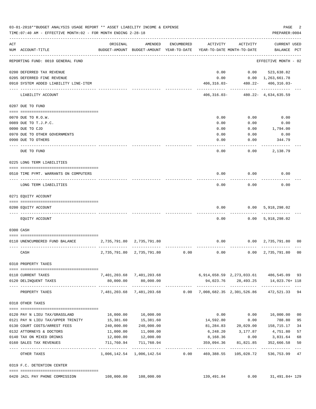|     | 03-01-2018**BUDGET ANALYSIS USAGE REPORT ** ASSET LIABILITY INCOME & EXPENSE<br>TIME: 07:40 AM - EFFECTIVE MONTH: 02 - FOR MONTH ENDING 2-28-18 |              |                                                     |            |                                         |                     | PAGE<br>PREPARER: 0004             | 2              |
|-----|-------------------------------------------------------------------------------------------------------------------------------------------------|--------------|-----------------------------------------------------|------------|-----------------------------------------|---------------------|------------------------------------|----------------|
| ACT | NUM ACCOUNT-TITLE                                                                                                                               | ORIGINAL     | AMENDED<br>BUDGET-AMOUNT BUDGET-AMOUNT YEAR-TO-DATE | ENCUMBERED | ACTIVITY<br>YEAR-TO-DATE MONTH-TO-DATE  | ACTIVITY            | <b>CURRENT USED</b><br>BALANCE PCT |                |
|     | REPORTING FUND: 0010 GENERAL FUND                                                                                                               |              |                                                     |            |                                         |                     | EFFECTIVE MONTH - 02               |                |
|     | 0200 DEFERRED TAX REVENUE                                                                                                                       |              |                                                     |            | 0.00                                    | 0.00                | 523,638.82                         |                |
|     | 0205 DEFERRED FINE REVENUE                                                                                                                      |              |                                                     |            | 0.00                                    |                     | $0.00 \quad 1,263,661.78$          |                |
|     | 0910 SYSTEM ADDED LIABILITY LINE-ITEM                                                                                                           |              |                                                     |            | $406, 316.03 -$                         | .                   | 480.22- 406,316.03-<br>---------   |                |
|     | LIABILITY ACCOUNT                                                                                                                               |              |                                                     |            | 406,316.03-                             |                     | $480.22 - 4,634,635.59$            |                |
|     | 0207 DUE TO FUND                                                                                                                                |              |                                                     |            |                                         |                     |                                    |                |
|     | 0070 DUE TO R.O.W.                                                                                                                              |              |                                                     |            | 0.00                                    | 0.00                | 0.00                               |                |
|     | 0089 DUE TO T.J.P.C.                                                                                                                            |              |                                                     |            | 0.00                                    | 0.00                | 0.00                               |                |
|     | 0090 DUE TO CJD                                                                                                                                 |              |                                                     |            | 0.00                                    | 0.00                | 1,794.00                           |                |
|     | 0970 DUE TO OTHER GOVERNMENTS                                                                                                                   |              |                                                     |            | 0.00                                    | 0.00                | 0.00                               |                |
|     | 0990 DUE TO OTHERS                                                                                                                              |              |                                                     |            | 0.00                                    | 0.00                | 344.79                             |                |
|     | DUE TO FUND                                                                                                                                     |              |                                                     |            | 0.00                                    | 0.00                | 2,138.79                           |                |
|     | 0225 LONG TERM LIABILITIES                                                                                                                      |              |                                                     |            |                                         |                     |                                    |                |
|     | 0510 TIME PYMT. WARRANTS ON COMPUTERS                                                                                                           |              |                                                     |            | 0.00                                    | 0.00                | 0.00                               |                |
|     | LONG TERM LIABILITIES                                                                                                                           |              |                                                     |            | 0.00                                    | 0.00                | 0.00                               |                |
|     | 0271 EQUITY ACCOUNT                                                                                                                             |              |                                                     |            |                                         |                     |                                    |                |
|     |                                                                                                                                                 |              |                                                     |            |                                         |                     |                                    |                |
|     | 0200 EQUITY ACCOUNT                                                                                                                             |              |                                                     |            | 0.00                                    | 0.00                | 5,918,298.02                       |                |
|     | EQUITY ACCOUNT                                                                                                                                  |              |                                                     |            | 0.00                                    |                     | 0.00 5,918,298.02                  |                |
|     | 0300 CASH                                                                                                                                       |              |                                                     |            |                                         |                     |                                    |                |
|     | 0110 UNENCUMBERED FUND BALANCE                                                                                                                  | 2,735,791.80 | 2,735,791.80                                        |            | 0.00                                    |                     | $0.00 \quad 2,735,791.80$          | 00             |
|     | CASH                                                                                                                                            | 2,735,791.80 | 2,735,791.80                                        | 0.00       | 0.00                                    | 0.00                | 2,735,791.80                       | 0 <sub>0</sub> |
|     | 0310 PROPERTY TAXES                                                                                                                             |              |                                                     |            |                                         |                     |                                    |                |
|     |                                                                                                                                                 |              |                                                     |            |                                         |                     |                                    |                |
|     | 0110 CURRENT TAXES                                                                                                                              |              | 7,401,203.68 7,401,203.68                           |            | 6,914,658.59 2,273,033.61 486,545.09 93 |                     |                                    |                |
|     | 0120 DELINQUENT TAXES                                                                                                                           | 80,000.00    | 80,000.00<br>-------------                          |            |                                         | 94,023.76 28,493.25 | 14,023.76+ 118                     |                |
|     | PROPERTY TAXES                                                                                                                                  |              | 7,481,203.68 7,481,203.68                           |            | 0.00 7,008,682.35 2,301,526.86          |                     | 472,521.33                         | 94             |
|     | 0318 OTHER TAXES                                                                                                                                |              |                                                     |            |                                         |                     |                                    |                |
|     | 0120 PAY N LIEU TAX/GRASSLAND                                                                                                                   |              | 16,000.00   16,000.00                               |            | 0.00                                    | 0.00                | 16,000.00                          | 0 <sub>0</sub> |
|     | 0121 PAY N LIEU TAX/UPPER TRINITY                                                                                                               | 15,381.60    | 15,381.60                                           |            | 14,592.80                               | 0.00                | 788.80                             | 95             |
|     | 0130 COURT COSTS/ARREST FEES                                                                                                                    |              | 240,000.00 240,000.00                               |            |                                         |                     | 81,284.83 20,029.00 158,715.17     | 34             |
|     | 0132 ATTORNEYS & DOCTORS                                                                                                                        | 11,000.00    | 11,000.00                                           |            |                                         | 6,248.20 3,177.87   | 4,751.80                           | 57             |
|     | 0140 TAX ON MIXED DRINKS                                                                                                                        | 12,000.00    | 12,000.00                                           |            | 8,168.36                                | 0.00                | 3,831.64                           | 68             |
|     | 0160 SALES TAX REVENUES                                                                                                                         | 711,760.94   | 711,760.94                                          |            | 359,094.36                              | 81,821.85           | 352,666.58                         | 50             |
|     | OTHER TAXES                                                                                                                                     |              | 1,006,142.54 1,006,142.54                           | 0.00       | 469,388.55                              | 105,028.72          | 536,753.99                         | $- - -$<br>47  |
|     | 0319 F.C. DETENTION CENTER                                                                                                                      |              |                                                     |            |                                         |                     |                                    |                |
|     |                                                                                                                                                 |              |                                                     |            |                                         |                     |                                    |                |
|     | 0420 JAIL PAY PHONE COMMISSION                                                                                                                  |              | 108,000.00 108,000.00                               |            | 139,491.84                              |                     | $0.00$ $31,491.84+129$             |                |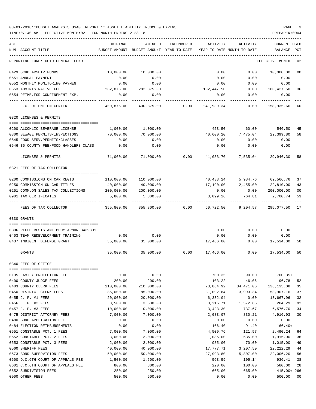| ACT                                     | ORIGINAL   | AMENDED                                  | ENCUMBERED | ACTIVITY   | ACTIVITY                   | CURRENT USED                 |     |
|-----------------------------------------|------------|------------------------------------------|------------|------------|----------------------------|------------------------------|-----|
| NUM ACCOUNT-TITLE                       |            | BUDGET-AMOUNT BUDGET-AMOUNT YEAR-TO-DATE |            |            | YEAR-TO-DATE MONTH-TO-DATE | BALANCE                      | PCT |
| REPORTING FUND: 0010 GENERAL FUND       |            |                                          |            |            |                            | EFFECTIVE MONTH - 02         |     |
| 0429 SCHOLARSHIP FUNDS                  | 10,000.00  | 10,000.00                                |            | 0.00       | 0.00                       | 10,000.00                    | 00  |
| 0551 ANNUAL PAYMENT                     | 0.00       | 0.00                                     |            | 0.00       | 0.00                       | 0.00                         |     |
| 0552 MONTHLY MONITORING PAYMEN          | 0.00       | 0.00                                     |            | 0.00       | 0.00                       | 0.00                         |     |
| 0553 ADMINISTRATIVE FEE                 | 282,875.00 | 282,875.00                               |            | 102,447.50 | 0.00                       | 180,427.50                   | 36  |
| 0554 REIMB.FOR CONFINEMENT EXP.         | 0.00       | 0.00                                     |            | 0.00       | 0.00                       | 0.00                         |     |
| F.C. DETENTION CENTER                   |            | 400,875.00 400,875.00                    | 0.00       | 241,939.34 | 0.00                       | 158,935.66 60                |     |
| 0320 LICENSES & PERMITS                 |            |                                          |            |            |                            |                              |     |
| 0200 ALCOHLIC BEVERAGE LICENSE          | 1,000.00   | 1,000.00                                 |            | 453.50     | 60.00                      | 546.50                       | 45  |
| 0300 SEWAGE PERMITS/INSPECTIONS         | 70,000.00  | 70,000.00                                |            | 40,600.20  | 7,475.04                   | 29,399.80                    | 58  |
| 0545 FOOD SERV.PERMITS/CLASSES          | 0.00       | 0.00                                     |            | 0.00       | 0.00                       | 0.00                         |     |
| 0546 \$5 COUNTY FEE/FOOD HANDLERS CLASS | 0.00       | 0.00                                     |            | 0.00       | 0.00                       | 0.00                         |     |
| LICENSES & PERMITS                      | 71,000.00  | 71,000.00                                | 0.00       | 41,053.70  | 7,535.04                   | 29,946.30                    | 58  |
| 0321 FEES OF TAX COLLECTOR              |            |                                          |            |            |                            |                              |     |
|                                         |            |                                          |            |            |                            |                              |     |
| 0200 COMMISSIONS ON CAR REGIST          | 110,000.00 | 110,000.00                               |            |            |                            | 40,433.24 5,984.76 69,566.76 | 37  |
| 0250 COMMISSION ON CAR TITLES           | 40,000.00  | 40,000.00                                |            | 17,190.00  | 2,455.00                   | 22,810.00                    | 43  |
| 0251 COMM.ON SALES TAX COLLECTIONS      | 200,000.00 | 200,000.00                               |            | 0.00       | 0.00                       | 200,000.00                   | 00  |
| 0901 TAX CERTIFICATES                   | 5,800.00   | 5,800.00                                 |            | 3,099.26   | 764.81                     | 2,700.74                     | 53  |
| FEES OF TAX COLLECTOR                   | 355,800.00 | 355,800.00                               | 0.00       | 60,722.50  | 9,204.57                   | 295,077.50 17                |     |
| 0330 GRANTS                             |            |                                          |            |            |                            |                              |     |
| 0396 RIFLE RESISTANT BODY ARMOR 3439801 |            |                                          |            | 0.00       | 0.00                       | 0.00                         |     |
| 0403 TEAM REDEVELOPMENT TRAINING        | 0.00       | 0.00                                     |            | 0.00       | 0.00                       | 0.00                         |     |
| 0437 INDIGENT DEFENSE GRANT             | 35,000.00  | 35,000.00                                |            | 17,466.00  | 0.00                       | 17,534.00                    | 50  |
| GRANTS                                  | 35,000.00  | 35,000.00                                | 0.00       | 17,466.00  | 0.00                       | 17,534.00                    | 50  |
| 0340 FEES OF OFFICE                     |            |                                          |            |            |                            |                              |     |
|                                         |            |                                          |            |            |                            |                              |     |
| 0135 FAMILY PROTECTION FEE              | 0.00       | 0.00                                     |            | 700.35     | 90.00                      | $700.35+$                    |     |
| 0400 COUNTY JUDGE FEES                  | 200.00     | 200.00                                   |            | 103.22     | 46.06                      | 96.78                        | 52  |
| 0403 COUNTY CLERK FEES                  | 210,000.00 | 210,000.00                               |            | 73,864.92  | 34,471.06                  | 136, 135.08                  | 35  |
| 0450 DISTRICT CLERK FEES                | 85,000.00  | 85,000.00                                |            | 31,092.84  | 3,993.34                   | 53,907.16                    | 37  |
| 0455 J. P. #1 FEES                      | 20,000.00  | 20,000.00                                |            | 6,332.04   | 0.00                       | 13,667.96                    | 32  |
| 0456 J. P. #2 FEES                      | 3,500.00   | 3,500.00                                 |            | 3,215.71   | 1,572.85                   | 284.29                       | 92  |
| 0457 J. P. #3 FEES                      | 10,000.00  | 10,000.00                                |            | 3,423.30   | 737.67                     | 6,576.70                     | 34  |
| 0475 DISTRICT ATTORNEY FEES             | 7,000.00   | 7,000.00                                 |            | 2,083.07   | 830.21                     | 4,916.93                     | 30  |
| 0480 BOND APPLICATION FEE               | 0.00       | 0.00                                     |            | 0.00       | 0.00                       | 0.00                         |     |
| 0484 ELECTION REIMBURSEMENTS            | 0.00       | 0.00                                     |            | 166.40     | 91.40                      | $166.40+$                    |     |
| 0551 CONSTABLE PCT. 1 FEES              | 7,000.00   | 7,000.00                                 |            | 4,509.76   | 121.57                     | 2,490.24                     | 64  |
| 0552 CONSTABLE PCT. 2 FEES              | 3,000.00   | 3,000.00                                 |            | 1,085.00   | 535.00                     | 1,915.00                     | 36  |
| 0553 CONSTABLE PCT. 3 FEES              | 2,000.00   | 2,000.00                                 |            | 985.00     | 70.00                      | 1,015.00                     | 49  |
| 0560 SHERIFF FEES                       | 40,000.00  | 40,000.00                                |            | 17,777.71  | 3,207.50                   | 22, 222. 29                  | 44  |
| 0573 BOND SUPERVISION FEES              | 50,000.00  | 50,000.00                                |            | 27,993.80  | 5,807.00                   | 22,006.20                    | 56  |
| 0600 D.C.6TH COURT OF APPEALS FEE       | 1,500.00   | 1,500.00                                 |            | 563.59     | 105.14                     | 936.41                       | 38  |
| 0601 C.C.6TH COURT OF APPEALS FEE       | 800.00     | 800.00                                   |            | 220.00     | 100.00                     | 580.00                       | 28  |
| 0652 SUBDIVISION FEES                   | 250.00     | 250.00                                   |            | 665.00     | 665.00                     | 415.00+ 266                  |     |
| 0900 OTHER FEES                         | 500.00     | 500.00                                   |            | 0.00       | 0.00                       | 500.00                       | 00  |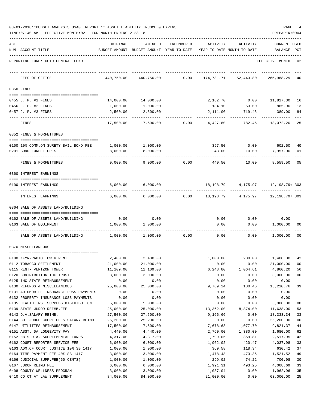| 03-01-2018**BUDGET ANALYSIS USAGE REPORT ** ASSET LIABILITY INCOME & EXPENSE |  |  | PAGE |  |
|------------------------------------------------------------------------------|--|--|------|--|
|                                                                              |  |  |      |  |

|     | TIME: 07:40 AM - EFFECTIVE MONTH: 02 - FOR MONTH ENDING 2-28-18 |            |                                                     |            |            |                                        | PREPARER: 0004                        |                |
|-----|-----------------------------------------------------------------|------------|-----------------------------------------------------|------------|------------|----------------------------------------|---------------------------------------|----------------|
| ACT | NUM ACCOUNT-TITLE                                               | ORIGINAL   | AMENDED<br>BUDGET-AMOUNT BUDGET-AMOUNT YEAR-TO-DATE | ENCUMBERED | ACTIVITY   | ACTIVITY<br>YEAR-TO-DATE MONTH-TO-DATE | <b>CURRENT USED</b><br><b>BALANCE</b> | PCT            |
|     | REPORTING FUND: 0010 GENERAL FUND                               |            |                                                     |            |            |                                        | EFFECTIVE MONTH - 02                  |                |
|     |                                                                 |            |                                                     |            |            |                                        |                                       |                |
|     | FEES OF OFFICE                                                  | 440,750.00 | 440,750.00                                          | 0.00       | 174,781.71 | 52,443.80                              | 265,968.29                            | 40             |
|     | 0350 FINES                                                      |            |                                                     |            |            |                                        |                                       |                |
|     | 0455 J. P. #1 FINES                                             | 14,000.00  | 14,000.00                                           |            | 2,182.70   |                                        | $0.00$ 11,817.30                      | 16             |
|     | 0456 J. P. #2 FINES                                             | 1,000.00   | 1,000.00                                            |            | 134.10     | 63.00                                  | 865.90                                | 13             |
|     | 0457 J. P. #3 FINES                                             | 2,500.00   | 2,500.00                                            |            | 2,111.00   | 719.45                                 | 389.00                                | 84             |
|     | FINES                                                           | 17,500.00  | 17,500.00                                           | 0.00       | 4,427.80   | 782.45                                 | 13,072.20                             | 25             |
|     | 0352 FINES & FORFEITURES                                        |            |                                                     |            |            |                                        |                                       |                |
|     |                                                                 |            |                                                     |            |            |                                        |                                       |                |
|     | 0100 10% COMM.ON SURETY BAIL BOND FEE                           | 1,000.00   | 1,000.00                                            |            | 397.50     | 0.00                                   | 602.50                                | 40             |
|     | 0201 BOND FORFEITURES                                           | 8,000.00   | 8,000.00                                            |            | 43.00      | 10.00                                  | 7,957.00                              | 01             |
|     | FINES & FORFEITURES                                             | 9,000.00   | 9,000.00                                            | 0.00       | 440.50     | 10.00                                  | 8,559.50                              | 05             |
|     | 0360 INTEREST EARNINGS                                          |            |                                                     |            |            |                                        |                                       |                |
|     | 0100 INTEREST EARNINGS                                          | 6,000.00   | 6,000.00                                            |            | 18,198.79  |                                        | 4, 175.97    12, 198.79 + 303         |                |
|     | INTEREST EARNINGS                                               | 6,000.00   | 6,000.00                                            | 0.00       | 18,198.79  | 4,175.97                               | 12,198.79+ 303                        |                |
|     | 0364 SALE OF ASSETS LAND/BUILDING                               |            |                                                     |            |            |                                        |                                       |                |
|     |                                                                 |            |                                                     |            |            |                                        |                                       |                |
|     | 0162 SALE OF ASSETS LAND/BUILDING                               | 0.00       | 0.00                                                |            | 0.00       | 0.00                                   | 0.00                                  |                |
|     | 0163 SALE OF EQUIPMENT                                          | 1,000.00   | 1,000.00                                            |            | 0.00       | 0.00                                   | 1,000.00                              | 00             |
|     | SALE OF ASSETS LAND/BUILDING                                    | 1,000.00   | 1,000.00                                            | 0.00       | 0.00       | 0.00                                   | 1,000.00                              | 00             |
|     | 0370 MISCELLANEOUS                                              |            |                                                     |            |            |                                        |                                       |                |
|     | 0100 KFYN-RADIO TOWER RENT                                      |            | 2,400.00 2,400.00                                   |            | 1,000.00   |                                        | 200.00 1,400.00 42                    |                |
|     | 0112 TOBACCO SETTLEMENT                                         | 21,000.00  | 21,000.00                                           |            | 0.00       | 0.00                                   | 21,000.00                             | 00             |
|     | 0115 RENT- VERIZON TOWER                                        | 11,109.00  | 11,109.00                                           |            | 6,248.80   | 1,064.61                               | 4,860.20                              | 56             |
|     | 0120 CONTRIBUTION IHC TRUST                                     | 3,000.00   | 3,000.00                                            |            | 0.00       | 0.00                                   | 3,000.00                              | 0 <sub>0</sub> |
|     | 0125 IHC STATE REIMBURSEMENT                                    | 0.00       | 0.00                                                |            | 0.00       | 0.00                                   | 0.00                                  |                |
|     | 0130 REFUNDS & MISCELLANEOUS                                    | 25,000.00  | 25,000.00                                           |            | 9,789.24   | 180.46                                 | 15,210.76                             | 39             |
|     | 0131 AUTOMOBILE INSURANCE LOSS PAYMENTS                         | 0.00       | 0.00                                                |            | 0.00       | 0.00                                   | 0.00                                  |                |
|     | 0132 PROPERTY INSURANCE LOSS PAYMENTS                           | 0.00       | 0.00                                                |            | 0.00       | 0.00                                   | 0.00                                  |                |
|     | 0135 HEALTH INS. SURPLUS DISTRIBUTION                           | 5,000.00   | 5,000.00                                            |            | 0.00       | 0.00                                   | 5,000.00                              | 00             |
|     | 0139 STATE JUROR REIMB.FEE                                      | 25,000.00  | 25,000.00                                           |            | 13,362.00  | 8,874.00                               | 11,638.00                             | 53             |
|     | 0143 D.A.SALARY REIMB.                                          | 27,500.00  | 27,500.00                                           |            | 9,166.66   | 0.00                                   | 18, 333.34                            | 33             |
|     | 0144 CO. JUDGE COURT FEES SALARY REIMB.                         | 25,200.00  | 25,200.00                                           |            | 0.00       | 0.00                                   | 25,200.00                             | 0 <sub>0</sub> |
|     | 0147 UTILITIES REIMBURSEMENT                                    | 17,500.00  | 17,500.00                                           |            | 7,678.63   | 1,077.70                               | 9,821.37                              | 44             |
|     | 0151 ASST. DA LONGEVITY PAY                                     | 4,440.00   | 4,440.00                                            |            | 2,760.00   | 1,380.00                               | 1,680.00                              | 62             |
|     | 0152 HB 9 D.A. SUPPLEMENTAL FUNDS                               | 4,317.00   | 4,317.00                                            |            | 1,799.05   | 359.81                                 | 2,517.95                              | 42             |
|     | 0162 COURT REPORTER SERVICE FEE                                 | 6,000.00   | 6,000.00                                            |            | 1,962.02   | 420.47                                 | 4,037.98                              | 33             |
|     | 0163 ADM.OF COURT JUSTICE 10% SB 1417                           | 1,000.00   | 1,000.00                                            |            | 369.58     | 118.34                                 | 630.42                                | 37             |
|     | 0164 TIME PAYMENT FEE 40% SB 1417                               | 3,000.00   | 3,000.00                                            |            | 1,478.48   | 473.35                                 | 1,521.52                              | 49             |
|     | 0166 JUDICIAL SUPP.FEE(60 CENTS)                                | 1,000.00   | 1,000.00                                            |            | 299.02     | 74.22                                  | 700.98                                | 30             |
|     | 0167 JUROR REIMB.FEE                                            | 6,000.00   | 6,000.00                                            |            | 1,991.31   | 493.25                                 | 4,008.69                              | 33<br>35       |
|     | 0408 COUNTY WELLNESS PROGRAM                                    | 3,000.00   | 3,000.00                                            |            | 1,037.04   | 0.00                                   | 1,962.96                              |                |

0410 CO CT AT LAW SUPPLEMENT  $84,000.00$   $84,000.00$   $84,000.00$   $25,000.00$   $25,000.00$   $63,000.00$   $25,000.00$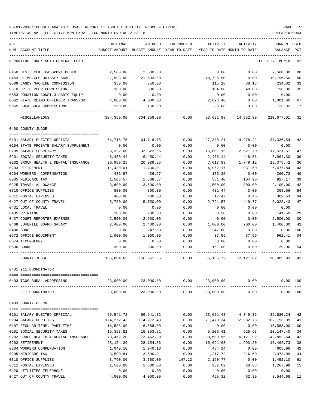| ACT<br>NUM ACCOUNT-TITLE             | ORIGINAL   | AMENDED<br>BUDGET-AMOUNT BUDGET-AMOUNT YEAR-TO-DATE | ENCUMBERED | ACTIVITY<br>YEAR-TO-DATE MONTH-TO-DATE | ACTIVITY       | <b>CURRENT USED</b><br>BALANCE | PCT |
|--------------------------------------|------------|-----------------------------------------------------|------------|----------------------------------------|----------------|--------------------------------|-----|
| REPORTING FUND: 0010 GENERAL FUND    |            |                                                     |            |                                        |                | EFFECTIVE MONTH - 02           |     |
| 0450 DIST. CLK. PASSPORT PHOTO       | 2,500.00   | 2,500.00                                            |            | 0.00                                   | 0.00           | 2,500.00                       | 00  |
| 0453 REIMB.CEC ODYSSEY SAAS          | 21,593.00  | 21,593.00                                           |            | 10,796.50                              | 0.00           | 10,796.50                      | 50  |
| 0509 CANDY MACHINE COMMISSION        | 350.00     | 350.00                                              |            | 115.18                                 | 88.18          | 234.82                         | 33  |
| 0510 DR. PEPPER COMMISSION           | 300.00     | 300.00                                              |            | 104.00                                 | 48.00          | 196.00                         | 35  |
| 0553 DONATION CONST.3 RADIO EQUIP.   | 0.00       | 0.00                                                |            | 0.00                                   | 0.00           | 0.00                           |     |
| 0562 STATE REIMB.OFFENDER TRANSPORT  | 4,000.00   | 4,000.00                                            |            | 2,698.40                               | 0.00           | 1,301.60                       | 67  |
| 0565 COCA-COLA COMMISSIONS           | 150.00     | 150.00                                              |            | 26.08                                  | 0.00           | 123.92                         | 17  |
| MISCELLANEOUS                        | 304,359.00 | 304,359.00                                          | 0.00       | 93,681.99                              | 14,852.39      | 210,677.01                     | 31  |
| 0400 COUNTY JUDGE                    |            |                                                     |            |                                        |                |                                |     |
| 0101 SALARY ELECTED OFFICIAL         | 64,716.75  | 64,716.75                                           | 0.00       | 27,380.21                              | 4,978.22       | 37,336.54                      | 42  |
| 0104 STATE PROBATE SALARY SUPPLEMENT | 0.00       | 0.00                                                | 0.00       | 0.00                                   | 0.00           | 0.00                           |     |
| 0105 SALARY SECRETARY                | 33, 322.66 | 33, 322.66                                          | 0.00       | 15,801.15                              | 2,921.70       | 17,521.51                      | 47  |
| 0201 SOCIAL SECURITY TAXES           | 6,450.44   | 6,450.44                                            | 0.00       | 2,486.14                               | 448.56         | 3,964.30                       | 39  |
| 0202 GROUP HEALTH & DENTAL INSURANCE | 20,989.25  | 20,989.25                                           | 0.00       | 7,613.83                               | 1,749.12       | 13, 375. 42                    | 36  |
| 0203 RETIREMENT                      | 11,430.01  | 11,430.01                                           | 0.00       | 4,952.17                               | 931.50         | 6,477.84                       | 43  |
| 0204 WORKERS' COMPENSATION           | 436.97     | 436.97                                              | 0.00       | 176.25                                 | 0.00           | 260.72                         | 40  |
| 0205 MEDICARE TAX                    | 1,508.57   | 1,508.57                                            | 0.00       | 581.40                                 | 104.90         | 927.17                         | 39  |
| 0225 TRAVEL ALLOWANCE                | 3,600.00   | 3,600.00                                            | 0.00       | 1,500.00                               | 300.00         | 2,100.00                       | 42  |
| 0310 OFFICE SUPPLIES                 | 800.00     | 800.00                                              | 0.00       | 431.44                                 | 0.00           | 368.56                         | 54  |
| 0311 POSTAL EXPENSES                 | 400.00     | 400.00                                              | 0.00       | 17.47                                  | 0.46           | 382.53                         | 04  |
| 0427 OUT OF COUNTY TRAVEL            | 5,750.00   | 5,750.00                                            | 0.00       | 2,721.57                               | 449.77         | 3,028.43                       | 47  |
| 0431 LOCAL TRAVEL                    | 0.00       | 0.00                                                | 0.00       | 0.00                                   | 0.00           | 0.00                           |     |
| 0435 PRINTING                        | 200.00     | 200.00                                              | 0.00       | 58.50                                  | 0.00           | 141.50                         | 29  |
| 0437 COURT REPORTER EXPENSE          | 2,500.00   | 2,500.00                                            | 0.00       | 0.00                                   | 0.00           | 2,500.00                       | 00  |
| 0468 JUVENILE BOARD SALARY           | 2,400.00   | 2,400.00                                            | 0.00       | 1,000.00                               | 200.00         | 1,400.00                       | 42  |
| 0480 BOND                            | 0.00       | 247.00                                              | 0.00       | 247.00                                 | 0.00           | 0.00                           | 100 |
| 0572 OFFICE EQUIPMENT                | 1,000.00   | 1,000.00                                            | 0.00       | 37.59                                  | 37.59          | 962.41                         | 04  |
| 0574 TECHNOLOGY                      | 0.00       | 0.00                                                | 0.00       | 0.00                                   | 0.00           | 0.00                           |     |
| 0590 BOOKS                           | 300.00     | 300.00                                              | 0.00       | 161.00                                 | 0.00           | 139.00                         | 54  |
| COUNTY JUDGE                         | 155,804.65 | 156,051.65                                          | 0.00       | 65,165.72                              | 12,121.82      | 90,885.93                      | 42  |
| 0401 911 COORDINATOR                 |            |                                                     |            |                                        |                |                                |     |
| 0403 TCOG RURAL ADDRESSING           |            | 23,000.00 23,000.00                                 | 0.00       |                                        | 23,000.00 0.00 | 0.00 100                       |     |
| 911 COORDINATOR                      | 23,000.00  | 23,000.00                                           | 0.00       | 23,000.00                              | 0.00           | 0.00 100                       |     |
| 0403 COUNTY CLERK                    |            |                                                     |            |                                        |                |                                |     |
| 0101 SALARY ELECTED OFFICIAL         | 56,541.72  | 56,541.72                                           | 0.00       | 23,921.48                              | 4,349.36       | 32,620.24                      | 42  |
| 0104 SALARY DEPUTIES                 | 174,272.43 | 174,272.43                                          | 0.00       | 71,479.34                              | 12,982.78      | 102,793.09                     | 41  |
| 0107 REGULAR-TEMP. PART-TIME         | 16,588.00  | 16,588.00                                           | 0.00       | 0.00                                   | 0.00           | 16,588.00                      | 00  |
| 0201 SOCIAL SECURITY TAXES           | 15,353.81  | 15,353.81                                           | 0.00       | 5,206.41                               | 925.68         | 10,147.40                      | 34  |
| 0202 GROUP HEALTH & DENTAL INSURANCE | 73,462.20  | 73,462.20                                           | 0.00       | 30,609.56                              | 6,121.92       | 42,852.64                      | 42  |
| 0203 RETIREMENT                      | 28, 154.36 | 28, 154.36                                          | 0.00       | 10,691.63                              | 1,993.20       | 17,462.73                      | 38  |
| 0204 WORKERS COMPENSATION            | 1,040.10   | 1,040.10                                            | 0.00       | 434.14                                 | 0.00           | 605.96                         | 42  |
| 0205 MEDICARE TAX                    | 3,590.81   | 3,590.81                                            | 0.00       | 1,217.72                               | 216.50         | 2,373.09                       | 34  |
| 0310 OFFICE SUPPLIES                 | 3,760.00   | 3,760.00                                            | 147.13     | 2,160.77                               | 0.00           | 1,452.10                       | 61  |
| 0311 POSTAL EXPENSES                 | 1,500.00   | 1,500.00                                            | 0.00       | 232.02                                 | 28.63          | 1,267.98                       | 15  |
| 0420 UTILITIES TELEPHONE             | 0.00       | 0.00                                                | 0.00       | 0.00                                   | 0.00           | 0.00                           |     |
| 0427 OUT OF COUNTY TRAVEL            | 4,000.00   | 4,000.00                                            | 0.00       | 455.32                                 | 62.39          | 3,544.68                       | 11  |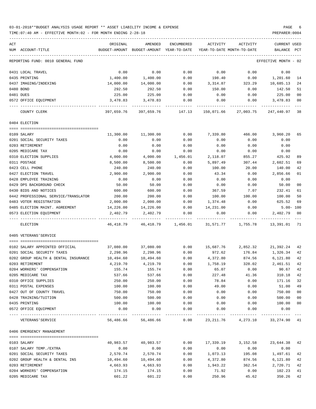### 03-01-2018\*\*BUDGET ANALYSIS USAGE REPORT \*\* ASSET LIABILITY INCOME & EXPENSE PAGE 6 TIME:07:40 AM - EFFECTIVE MONTH:02 - FOR MONTH ENDING 2-28-18 PREPARER:0004

| ACT                                            | ORIGINAL         | AMENDED                                                             | ENCUMBERED   | ACTIVITY      | ACTIVITY                                     | <b>CURRENT USED</b>  |          |
|------------------------------------------------|------------------|---------------------------------------------------------------------|--------------|---------------|----------------------------------------------|----------------------|----------|
| NUM ACCOUNT-TITLE                              |                  | BUDGET-AMOUNT BUDGET-AMOUNT YEAR-TO-DATE YEAR-TO-DATE MONTH-TO-DATE |              |               |                                              | BALANCE              | PCT      |
| REPORTING FUND: 0010 GENERAL FUND              |                  |                                                                     |              |               |                                              | EFFECTIVE MONTH - 02 |          |
| 0431 LOCAL TRAVEL                              | 0.00             | 0.00                                                                | 0.00         | 0.00          | 0.00                                         | 0.00                 |          |
| 0435 PRINTING                                  | 1,400.00         | 1,400.00                                                            | 0.00         | 198.40        | 0.00                                         | 1,201.60             | 14       |
| 0437 IMAGING/INDEXING                          | 14,000.00        | 14,000.00                                                           | 0.00         | 3,314.87      | 323.29                                       | 10,685.13            | 24       |
| 0480 BOND                                      | 292.50           | 292.50                                                              | 0.00         | 150.00        | 0.00                                         | 142.50               | 51       |
| 0481 DUES                                      | 225.00           | 225.00                                                              | 0.00         | 0.00          | 0.00                                         | 225.00               | 00       |
| 0572 OFFICE EQUIPMENT                          | 3,478.83         | 3,478.83                                                            | 0.00         | 0.00          | 0.00                                         | 3,478.83             | 00       |
| COUNTY CLERK                                   |                  | 397,659.76 397,659.76 147.13 150,071.66 27,003.75 247,440.97 38     |              |               |                                              |                      |          |
| 0404 ELECTION                                  |                  |                                                                     |              |               |                                              |                      |          |
| 0109 SALARY                                    | 11,300.00        | 11,300.00                                                           | 0.00         | 7,339.80      | 466.00                                       | 3,960.20             | 65       |
| 0201 SOCIAL SECURITY TAXES                     | 0.00             | 0.00                                                                | 0.00         | 0.00          | 0.00                                         | 0.00                 |          |
| 0203 RETIREMENT                                | 0.00             | 0.00                                                                | 0.00         | 0.00          | 0.00                                         | 0.00                 |          |
| 0205 MEDICARE TAX                              | 0.00             | 0.00                                                                | 0.00         | 0.00          | 0.00                                         | 0.00                 |          |
| 0310 ELECTION SUPPLIES                         | 4,000.00         | 4,000.00                                                            | 1,456.01     | 2,118.07      | 855.27                                       | 425.92               | 89       |
| 0311 POSTAGE                                   | 8,500.00         | 8,500.00                                                            | 0.00         | 5,897.49      | 307.44                                       | 2,602.51             | 69       |
| 0423 CELL PHONE                                | 240.00           | 240.00                                                              | 0.00         | 100.00        | 20.00                                        | 140.00               | 42       |
| 0427 ELECTION TRAVEL<br>0428 EMPLOYEE TRAINING | 2,900.00<br>0.00 | 2,900.00<br>0.00                                                    | 0.00<br>0.00 | 43.34<br>0.00 | 0.00<br>0.00                                 | 2,856.66<br>0.00     | 01       |
| 0429 DPS BACKGROUND CHECK                      | 50.00            | 50.00                                                               | 0.00         | 0.00          | 0.00                                         | 50.00                | 00       |
| 0430 BIDS AND NOTICES                          | 600.00           | 600.00                                                              | 0.00         | 367.59        | 7.07                                         | 232.41               | 61       |
| 0442 PROFESSIONAL SERVICE/TRANSLATOR           | 200.00           | 200.00                                                              | 0.00         | 100.00        | 100.00                                       | 100.00               | 50       |
| 0483 VOTER REGISTRATION                        | 2,000.00         | 2,000.00                                                            | 0.00         | 1,374.48      | 0.00                                         | 625.52               | 69       |
| 0485 ELECTION MAINT. AGREEMENT                 | 14,226.00        | 14,226.00                                                           | 0.00         | 14,231.00     | 0.00                                         | $5.00 - 100$         |          |
| 0573 ELECTION EQUIPMENT                        | 2,402.79         | 2,402.79                                                            | 0.00         | 0.00          | 0.00                                         | 2,402.79             | 00       |
| ELECTION                                       | 46,418.79        |                                                                     |              |               |                                              | 13,391.01 71         |          |
| 0405 VETERANS'SERVICE                          |                  |                                                                     |              |               |                                              |                      |          |
| 0102 SALARY APPOINTED OFFICIAL                 | 37,080.00        | 37,080.00                                                           | 0.00         | 15,687.76     | 2,852.32                                     | 21,392.24 42         |          |
| 0201 SOCIAL SECURITY TAXES                     | 2,298.96         | 2,298.96                                                            | 0.00         | 972.62        | 176.84                                       | 1,326.34             | 42       |
| 0202 GROUP HEALTH & DENTAL INSURANCE           | 10,494.60        | 10,494.60                                                           | 0.00         | 4,372.80      | 874.56                                       | 6,121.80             | 42       |
| 0203 RETIREMENT                                | 4,219.70         | 4,219.70                                                            | 0.00         | 1,758.19      | 328.02                                       | 2,461.51             | 42       |
| 0204 WORKERS' COMPENSATION                     | 155.74           | 155.74                                                              | 0.00         | 65.07         | 0.00                                         | 90.67 42             |          |
| 0205 MEDICARE TAX                              | 537.66           | 537.66                                                              | 0.00         | 227.48        | 41.36                                        | 310.18               | 42       |
| 0310 OFFICE SUPPLIES                           | 250.00           | 250.00                                                              | 0.00         | 78.84         | 0.00                                         | 171.16               | 32       |
| 0311 POSTAL EXPENSES                           | 100.00           | 100.00                                                              | 0.00         | 49.00         | 0.00                                         | 51.00                | 49       |
| 0427 OUT OF COUNTY TRAVEL                      | 750.00<br>500.00 | 750.00                                                              | 0.00<br>0.00 | 0.00          | 0.00<br>0.00                                 | 750.00<br>500.00     | $00\,$   |
| 0428 TRAINING/TUITION<br>0435 PRINTING         | 100.00           | 500.00<br>100.00                                                    | 0.00         | 0.00<br>0.00  | 0.00                                         | 100.00               | 00<br>00 |
| 0572 OFFICE EQUIPMENT                          | 0.00             | 0.00                                                                | 0.00         | 0.00          | 0.00                                         | 0.00                 |          |
| VETERANS ' SERVICE                             |                  | 56,486.66 56,486.66                                                 |              |               | $0.00$ 23, 211.76 $4$ , 273.10 33, 274.90 41 |                      |          |
| 0406 EMERGENCY MANAGEMENT                      |                  |                                                                     |              |               |                                              |                      |          |
| 0103 SALARY                                    | 40,983.57        | 40,983.57                                                           | 0.00         | 17,339.19     | 3,152.58                                     | 23,644.38 42         |          |
| 0107 SALARY TEMP./EXTRA                        | 0.00             | 0.00                                                                | 0.00         | 0.00          | 0.00                                         | 0.00                 |          |
| 0201 SOCIAL SECURITY TAXES                     | 2,570.74         | 2,570.74                                                            | 0.00         | 1,073.13      | 195.08                                       | 1,497.61             | 42       |
| 0202 GROUP HEALTH & DENTAL INS                 | 10,494.60        | 10,494.60                                                           | 0.00         | 4,372.80      | 874.56                                       | 6,121.80             | 42       |
| 0203 RETIREMENT                                | 4,663.93         | 4,663.93                                                            | 0.00         | 1,943.22      | 362.54                                       | 2,720.71             | 42       |
| 0204 WORKERS' COMPENSATION                     | 174.15           | 174.15                                                              | 0.00         | 71.92         | 0.00                                         | 102.23               | 41       |
| 0205 MEDICARE TAX                              | 601.22           | 601.22                                                              | 0.00         | 250.96        | 45.62                                        | 350.26               | 42       |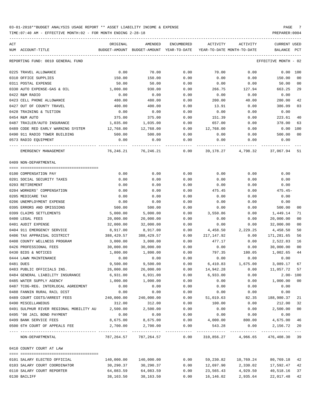TIME:07:40 AM - EFFECTIVE MONTH:02 - FOR MONTH ENDING 2-28-18 PREPARER:0004

ACT ORIGINAL AMENDED ENCUMBERED ACTIVITY ACTIVITY CURRENT USED NUM ACCOUNT-TITLE BUDGET-AMOUNT BUDGET-AMOUNT YEAR-TO-DATE YEAR-TO-DATE MONTH-TO-DATE BALANCE PCT ----------------------------------------------------------------------------------------------------------------------------------- REPORTING FUND: 0010 GENERAL FUND EFFECTIVE MONTH - 02 0225 TRAVEL ALLOWANCE 0.00 70.00 0.00 70.00 0.00 0.00 100 0310 OFFICE SUPPLIES 150.00 150.00 0.00 0.00 0.00 150.00 00 0311 POSTAL EXPENSE 50.00 50.00 0.00 0.00 0.00 50.00 00 0330 AUTO EXPENSE-GAS & OIL 1,000.00 930.00 0.00 266.75 127.94 663.25 29 0422 R&M RADIO 0.00 0.00 0.00 0.00 0.00 0.00 0423 CELL PHONE ALLOWANCE 480.00 480.00 0.00 200.00 40.00 280.00 42 0427 OUT OF COUNTY TRAVEL 400.00 400.00 0.00 13.91 0.00 386.09 03 0428 TRAINING & TUITION 0.00 0.00 0.00 0.00 0.00 0.00 0454 R&M AUTO 375.00 375.00 0.00 151.39 0.00 223.61 40 0487 TRAILER/AUTO INSURANCE 1,035.00 1,035.00 0.00 657.00 0.00 378.00 63 0489 CODE RED EARLY WARNING SYSTEM 12.768.00 12.768.00 0.00 12.768.00 0.00 0.00 0.00 100 0490 911 RADIO TOWER BUILDING 500.00 500.00 0.00 0.00 0.00 500.00 00 0573 RADIO EQUIPMENT 0.00 0.00 0.00 0.00 0.00 0.00 ---- ---------------------------------- ------------- ------------- ------------ ------------- ------------ ------------- --- EMERGENCY MANAGEMENT 76,246.21 76,246.21 0.00 39,178.27 4,798.32 37,067.94 51 0409 NON-DEPARTMENTAL ==== =================================== 0100 COMPENSATION PAY 0.00 0.00 0.00 0.00 0.00 0.00 0201 SOCIAL SECURITY TAXES 0.00 0.00 0.00 0.00 0.00 0.00 0203 RETIREMENT 0.00 0.00 0.00 0.00 0.00 0.00 0204 WORKERS' COMPENSATION 0.00 0.00 0.00 475.45 0.00 475.45- 0205 MEDICARE TAX 0.00 0.00 0.00 0.00 0.00 0.00 0206 UNEMPLOYMENT EXPENSE 0.00 0.00 0.00 0.00 0.00 0.00 0395 ERRORS AND OMISSIONS 500.00 500.00 0.00 0.00 0.00 500.00 00 0399 CLAIMS SETTLEMENTS 5,000.00 5,000.00 0.00 3,550.86 0.00 1,449.14 71 0400 LEGAL FEES 20,000.00 20,000.00 0.00 0.00 0.00 20,000.00 00 0401 AUDIT EXPENSE 32,000.00 32,000.00 0.00 0.00 0.00 32,000.00 00 0404 911 EMERGENCY SERVICE  $\begin{array}{ccccccccc}\n 8,917.00 & 8,917.00 & 0.00 & 4,458.50 & 2,229.25 & 4,458.50 & 50\n\end{array}$ 0406 TAX APPRAISAL DISTRICT 388,429.57 388,429.57 0.00 217,147.92 0.00 171,281.65 56 0408 COUNTY WELLNESS PROGRAM 3,000.00 3,000.00 0.00 477.17 0.00 2,522.83 16 0426 PROFESSIONAL FEES 30,000.00 30,000.00 0.00 0.00 0.00 30,000.00 00 0430 BIDS & NOTICES 1,800.00 1,800.00 0.00 797.35 180.05 1,002.65 44 0444 LAWN MAINTENANCE 0.00 0.00 0.00 0.00 0.00 0.00 0481 DUES 9,500.00 9,500.00 0.00 6,410.83 1,675.00 3,089.17 67 0483 PUBLIC OFFICIALS INS. 26,000.00 26,000.00 0.00 14,942.28 0.00 11,057.72 57 0484 GENERAL LIABILITY INSURANCE 6,931.00 6,931.00 0.00 6,933.00 0.00 2.00- 100 0485 WATER SUPPLY AGENCY 1,000.00 1,000.00 0.00 0.00 0.00 1,000.00 00 0487 TCOG-REG. INTERLOCAL AGREEMENT  $0.00$  0.00 0.00 0.00 0.00 0.00 0.00 0488 FANNIN RURAL RAIL DIST 0.00 0.00 0.00 0.00 0.00 0.00 0489 COURT COSTS/ARREST FEES 240,000.00 240,000.00 0.00 51,019.63 82.35 188,980.37 21 0490 MISCELLANEOUS 312.00 312.00 0.00 100.00 0.00 212.00 32 0491 SULPHUR RIVER REGIONAL MOBILITY AU 2,500.00 2,500.00 0.00 0.00 0.00 2,500.00 00 0495 '98 JAIL BOND PAYMENT 0.00 0.00 0.00 0.00 0.00 0.00 0499 BANK SERVICE FEES 6 8,675.00 8,675.00 8,675.00 0.00 4,000.00 800.00 4,675.00 46 0500 6TH COURT OF APPEALS FEE 2,700.00 2,700.00 0.00 543.28 0.00 2,156.72 20 ---- ---------------------------------- ------------- ------------- ------------ ------------- ------------ ------------- --- NON-DEPARTMENTAL 787,264.57 787,264.57 0.00 310,856.27 4,966.65 476,408.30 39 0410 COUNTY COURT AT LAW ==== =================================== 0101 SALARY ELECTED OFFICIAL 140,000.00 140,000.00 0.00 59,230.82 10,769.24 80,769.18 42 0103 SALARY COURT COORDINATOR 30,290.37 30,290.37 0.00 12,697.90 2,330.02 17,592.47 42 0110 SALARY COURT REPORTER 64,083.59 64,083.59 0.00 23,565.43 4,929.50 40,518.16 37

0130 BAILIFF 38,163.50 38,163.50 0.00 16,146.02 2,935.64 22,017.48 42

-----------------------------------------------------------------------------------------------------------------------------------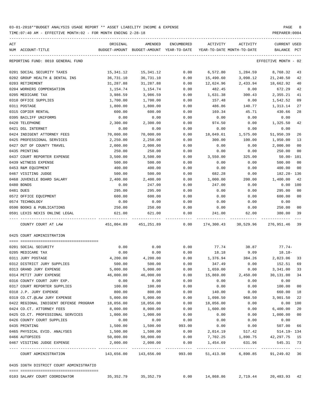TIME:07:40 AM - EFFECTIVE MONTH:02 - FOR MONTH ENDING 2-28-18

| ACT<br>NUM ACCOUNT-TITLE                                   | ORIGINAL                                | AMENDED<br>BUDGET-AMOUNT BUDGET-AMOUNT YEAR-TO-DATE | ENCUMBERED   |                          | ACTIVITY ACTIVITY<br>YEAR-TO-DATE MONTH-TO-DATE | CURRENT USED<br>BALANCE PCT |                      |
|------------------------------------------------------------|-----------------------------------------|-----------------------------------------------------|--------------|--------------------------|-------------------------------------------------|-----------------------------|----------------------|
| REPORTING FUND: 0010 GENERAL FUND                          |                                         |                                                     |              |                          |                                                 | EFFECTIVE MONTH - 02        |                      |
| 0201 SOCIAL SECURITY TAXES                                 | 15,341.12                               | 15,341.12                                           | 0.00         | 6,572.80                 |                                                 | 1,284.59 8,768.32           | 43                   |
| 0202 GROUP HEALTH & DENTAL INS                             | 36,731.10                               | 36,731.10                                           | 0.00         | 15,490.60                |                                                 | 3,098.12 21,240.50          | 42                   |
| 0203 RETIREMENT                                            | 31,287.88                               | 31,287.88                                           | 0.00         | 12,624.96                | 2,433.94                                        | 18,662.92                   | 40                   |
| 0204 WORKERS COMPENSATION                                  | 1,154.74                                | 1,154.74                                            | 0.00         | 482.45                   | 0.00                                            | 672.29                      | 42                   |
| 0205 MEDICARE TAX                                          | 3,986.59                                | 3,986.59                                            | 0.00         | 1,631.38                 | 300.43                                          | 2,355.21                    | 41                   |
| 0310 OFFICE SUPPLIES                                       | 1,700.00                                | 1,700.00                                            | 0.00         | 157.48                   | 0.00                                            | 1,542.52                    | 09                   |
| 0311 POSTAGE                                               | 1,800.00                                | 1,800.00                                            | 0.00         | 486.86                   | 140.77                                          | 1,313.14                    | 27                   |
| 0315 COPIER RENTAL                                         | 600.00                                  | 600.00                                              | 0.00         | 169.34                   | 45.71                                           | 430.66                      | 28                   |
| 0395 BAILIFF UNIFORMS                                      | 0.00                                    | 0.00                                                | 0.00         | 0.00                     | 0.00                                            | 0.00                        |                      |
| 0420 TELEPHONE                                             | 2,300.00                                | 2,300.00                                            | 0.00         | 974.50                   | 0.00                                            | 1,325.50                    | 42                   |
| 0421 DSL INTERNET                                          | 0.00                                    | 0.00                                                | 0.00         | 0.00                     | 0.00                                            | 0.00                        |                      |
| 0424 INDIGENT ATTORNEY FEES                                | 70,000.00                               | 70,000.00                                           | 0.00         | 18,049.61                | 1,575.00                                        | 51,950.39                   | 26                   |
| 0425 PROFESSIONAL SERVICES                                 | 2,250.00                                | 2,250.00                                            | 0.00         | 300.00                   | 100.00                                          | 1,950.00                    | 13                   |
| 0427 OUT OF COUNTY TRAVEL                                  | 2,000.00                                | 2,000.00                                            | 0.00         | 0.00                     | 0.00                                            | 2,000.00                    | 0 <sub>0</sub>       |
| 0435 PRINTING                                              | 250.00                                  | 250.00                                              | 0.00         | 0.00                     | 0.00                                            | 250.00                      | 0 <sub>0</sub>       |
| 0437 COURT REPORTER EXPENSE                                | 3,500.00                                | 3,500.00                                            | 0.00         | 3,550.00                 | 325.00                                          | 50.00- 101                  |                      |
| 0439 WITNESS EXPENSE                                       | 500.00                                  | 500.00                                              | 0.00         | 0.00                     | 0.00                                            | 500.00                      | 0 <sub>0</sub>       |
| 0453 R&M EQUIPMENT                                         | 400.00                                  | 400.00                                              | 0.00         | 0.00                     | 0.00                                            | 400.00                      | 0 <sub>0</sub>       |
| 0467 VISITING JUDGE                                        | 500.00                                  | 500.00                                              | 0.00         | 682.28                   | 0.00                                            | 182.28-136                  |                      |
| 0468 JUVENILE BOARD SALARY                                 | 2,400.00                                | 2,400.00                                            | 0.00         | 1,000.00                 | 200.00                                          | 1,400.00                    | 42                   |
| 0480 BONDS                                                 | 0.00                                    | 247.00                                              | 0.00         | 247.00                   | 0.00                                            | $0.00$ 100                  |                      |
| 0481 DUES                                                  | 295.00                                  | 295.00                                              | 0.00         | 0.00                     | 0.00                                            | 295.00                      | 0 <sub>0</sub>       |
| 0572 OFFICE EQUIPMENT                                      | 600.00                                  | 600.00                                              | 0.00         | 0.00                     | 0.00                                            | 600.00                      | 0 <sub>0</sub>       |
|                                                            |                                         | 0.00                                                |              |                          |                                                 | 0.00                        |                      |
| 0574 TECHNOLOGY                                            | 0.00                                    |                                                     | 0.00         | 0.00                     | 0.00                                            |                             |                      |
| 0590 BOOKS & PUBLICATIONS<br>0591 LEXIS NEXIS ONLINE LEGAL | 250.00<br>621.00                        | 250.00<br>621.00                                    | 0.00<br>0.00 | 0.00<br>241.00           | 0.00<br>62.00                                   | 250.00<br>380.00            | 0 <sub>0</sub><br>39 |
|                                                            |                                         |                                                     |              |                          |                                                 |                             |                      |
| COUNTY COURT AT LAW                                        |                                         | 451,004.89  451,251.89  0.00                        |              |                          | 174,300.43 30,529.96 276,951.46                 |                             | 39                   |
| 0425 COURT ADMINISTRATION                                  |                                         |                                                     |              |                          |                                                 |                             |                      |
|                                                            |                                         |                                                     |              |                          |                                                 |                             |                      |
| 0201 SOCIAL SECURITY                                       | 0.00                                    | 0.00                                                | 0.00         | 77.74                    | 38.87                                           | $77.74-$                    |                      |
| 0205 MEDICARE TAX                                          | 0.00                                    | 0.00                                                | 0.00         | 18.18                    | 9.09                                            | $18.18-$                    |                      |
| 0311 JURY POSTAGE                                          | 4,200.00                                | 4,200.00                                            | 0.00         |                          | 1,376.94 384.26                                 | 2,823.06                    | 33                   |
| 0312 DISTRICT JURY SUPPLIES                                | 500.00                                  | 500.00                                              | 0.00         | 347.49                   | 0.00                                            | 152.51                      | 69                   |
| 0313 GRAND JURY EXPENSE                                    | 5,000.00                                | 5,000.00                                            | 0.00         | 1,659.00                 | 0.00                                            | 3, 341.00 33                |                      |
| 0314 PETIT JURY EXPENSE                                    | 46,000.00                               | 46,000.00                                           | 0.00         | 15,869.00                | 2,450.00                                        | 30,131.00                   | 34                   |
| 0316 COUNTY COURT JURY EXP.                                | 0.00                                    | 0.00                                                | 0.00         | 0.00                     | 0.00                                            | 0.00                        |                      |
| 0317 COURT REPORTER SUPPLIES                               | 100.00                                  | 100.00                                              | 0.00         | 0.00                     | 0.00                                            | 100.00                      | 0 <sub>0</sub>       |
| 0318 J.P. JURY EXPENSE                                     | 800.00                                  | 800.00                                              | 0.00         | 140.00                   | 0.00                                            | 660.00                      | 18                   |
| 0319 CO.CT.@LAW JURY EXPENSE                               | 5,000.00                                | 5,000.00                                            | 0.00         | 1,098.50                 | 968.50                                          | 3,901.50                    | 22                   |
| 0422 REGIONAL INDIGENT DEFENSE PROGRAM                     | 18,056.00                               | 18,056.00                                           | 0.00         | 18,056.00                | 0.00                                            | 0.00 100                    |                      |
| 0424 CO.CT. ATTORNEY FEES                                  | 8,000.00                                | 8,000.00                                            | 0.00         | 1,600.00                 | 0.00                                            | 6,400.00                    | 20                   |
| 0425 CO.CT. PROFESSIONAL SERVICES                          | 1,000.00                                | 1,000.00                                            | 0.00         | 0.00                     | 0.00                                            | 1,000.00                    | 0 <sub>0</sub>       |
| 0426 COUNTY COURT SUPPLIES                                 | 0.00                                    | 0.00                                                | 0.00         | 0.00                     | 0.00                                            | 0.00                        |                      |
| 0435 PRINTING                                              | 1,500.00                                | 1,500.00                                            | 993.00       | 0.00                     | 0.00                                            | 507.00                      | 66                   |
| 0465 PHYSICAL EVID. ANALYSES                               | 1,500.00                                | 1,500.00                                            | 0.00         | 2,014.19                 | 517.42                                          | 514.19- 134                 |                      |
| 0466 AUTOPSIES                                             | 50,000.00                               | 50,000.00                                           | 0.00         |                          | 7,702.25 1,890.75                               | 42,297.75                   | 15                   |
| 0467 VISITING JUDGE EXPENSE                                | 2,000.00<br>------------- ------------- | 2,000.00                                            | 0.00         | 1,454.69<br>------------ | 631.96<br>------------                          | 545.31                      | 73<br>$---$          |
| COURT ADMINISTRATION                                       |                                         | 143,656.00 143,656.00                               | 993.00       |                          | 51,413.98 6,890.85                              | 91,249.02 36                |                      |
| 0435 336TH DISTRICT COURT ADMINISTRATIO                    |                                         |                                                     |              |                          |                                                 |                             |                      |
|                                                            |                                         |                                                     |              |                          |                                                 |                             |                      |

0103 SALARY COURT COORDINATOR 35,352.79 35,352.79 0.00 14,868.86 2,719.44 20,483.93 42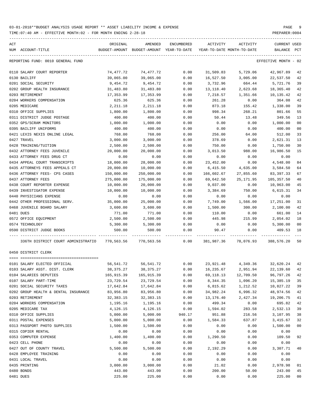TIME:07:40 AM - EFFECTIVE MONTH:02 - FOR MONTH ENDING 2-28-18 PREPARER:0004

| ACT                                                                                           | ORIGINAL         | AMENDED                                                             | ENCUMBERED   | ACTIVITY           | ACTIVITY                                  | <b>CURRENT USED</b>  |                |
|-----------------------------------------------------------------------------------------------|------------------|---------------------------------------------------------------------|--------------|--------------------|-------------------------------------------|----------------------|----------------|
| NUM ACCOUNT-TITLE                                                                             |                  | BUDGET-AMOUNT BUDGET-AMOUNT YEAR-TO-DATE YEAR-TO-DATE MONTH-TO-DATE |              |                    |                                           | BALANCE PCT          |                |
| REPORTING FUND: 0010 GENERAL FUND                                                             |                  |                                                                     |              |                    |                                           | EFFECTIVE MONTH - 02 |                |
| 0110 SALARY COURT REPORTER                                                                    | 74,477.72        | 74,477.72                                                           | 0.00         | 31,509.83          | 5,729.06                                  | 42,967.89            | 42             |
| 0130 BAILIFF                                                                                  | 39,065.00        | 39,065.00                                                           | 0.00         | 16,527.50          | 3,005.00                                  | 22,537.50            | 42             |
| 0201 SOCIAL SECURITY                                                                          | 9,454.72         | 9,454.72                                                            | 0.00         | 3,732.96           | 664.44                                    | 5,721.76             | 39             |
| 0202 GROUP HEALTH INSURANCE                                                                   | 31,483.80        | 31,483.80                                                           | 0.00         | 13,118.40          | 2,623.68                                  | 18,365.40            | 42             |
| 0203 RETIREMENT                                                                               | 17,353.99        | 17,353.99                                                           | 0.00         | 7,218.57           | 1,351.66                                  | 10,135.42            | 42             |
| 0204 WORKERS COMPENSATION                                                                     | 625.36           | 625.36                                                              | 0.00         | 261.28             | 0.00                                      | 364.08               | 42             |
| 0205 MEDICARE                                                                                 | 2,211.18         | 2,211.18                                                            | 0.00         | 873.18             | 155.42                                    | 1,338.00             | 39             |
| 0310 OFFICE SUPPLIES                                                                          | 1,800.00         | 1,800.00                                                            | 0.00         | 998.34             | 268.21                                    | 801.66               | 55             |
| 0311 DISTRICT JUDGE POSTAGE                                                                   | 400.00           | 400.00                                                              | 0.00         | 50.44              | 13.48                                     | 349.56               | 13             |
| 0352 GPS/SCRAM MONITORS                                                                       | 1,000.00         | 1,000.00                                                            | 0.00         | 0.00               | 0.00                                      | 1,000.00             | 0 <sub>0</sub> |
| 0395 BAILIFF UNIFORMS                                                                         | 400.00           | 400.00                                                              | 0.00         | 0.00               | 0.00                                      | 400.00               | 0 <sub>0</sub> |
| 0421 LEXIS NEXIS ONLINE LEGAL                                                                 | 768.00           | 768.00                                                              | 0.00         | 256.00             | 64.00                                     | 512.00               | 33             |
| 0427 TRAVEL                                                                                   | 3,000.00         | 3,000.00                                                            | 0.00         | 378.69             | 0.00                                      | 2,621.31             | 13             |
| 0428 TRAINING/TUITION                                                                         | 2,500.00         | 2,500.00                                                            | 0.00         | 750.00             | 0.00                                      | 1,750.00             | 30             |
| 0432 ATTORNEY FEES JUVENILE                                                                   | 20,000.00        | 20,000.00                                                           | 0.00         | 3,013.50           | 988.00                                    | 16,986.50            | 15             |
| 0433 ATTORNEY FEES DRUG CT                                                                    | 0.00             | 0.00                                                                | 0.00         | 0.00               | 0.00                                      | 0.00                 |                |
| 0434 APPEAL COURT TRANSCRIPTS                                                                 | 18,000.00        | 28,000.00                                                           | 0.00         | 23,452.00          | 0.00                                      | 4,548.00             | 84             |
| 0435 ATTORNEYS FEES APPEALS CT                                                                | 20,000.00        | 10,000.00                                                           | 0.00         | 6,415.50           | 4,635.00                                  | 3,584.50             | 64             |
| 0436 ATTORNEY FEES- CPS CASES                                                                 | 150,000.00       | 250,000.00                                                          | 0.00         | 166,602.67         | 27,855.60                                 | 83,397.33            | 67             |
| 0437 ATTORNEY FEES                                                                            | 275,000.00       | 175,000.00                                                          | 0.00         | 69,642.50          | 25,171.95                                 | 105,357.50           | 40             |
| 0438 COURT REPORTER EXPENSE                                                                   | 10,000.00        | 20,000.00                                                           | 0.00         | 9,037.00           | 0.00                                      | 10,963.00            | 45             |
| 0439 INVESTIGATOR EXPENSE                                                                     | 10,000.00        | 10,000.00                                                           | 0.00         | 3,384.69           | 750.00                                    | 6,615.31             | 34             |
| 0440 PHYSICIANS EXPENSE                                                                       | 0.00             | 0.00                                                                | 0.00         | 0.00               | 0.00                                      | 0.00                 |                |
| 0442 OTHER PROFESSIONAL SERV.                                                                 | 35,000.00        | 25,000.00                                                           | 0.00         | 7,749.00           | 1,566.00                                  | 17,251.00            | 31             |
| 0468 JUVENILE BOARD SALARY                                                                    | 3,600.00         | 3,600.00                                                            | 0.00         | 1,500.00           | 300.00                                    | 2,100.00             | 42             |
| 0481 DUES                                                                                     | 771.00           | 771.00                                                              | 0.00         | 110.00             | 0.00                                      | 661.00               | 14             |
| 0572 OFFICE EQUIPMENT                                                                         | 2,500.00         | 2,500.00                                                            | 0.00         | 445.98             | 215.99                                    | 2,054.02             | 18             |
| 0574 TECHNOLOGY                                                                               | 5,300.00         | 5,300.00                                                            | 0.00         | 0.00               | 0.00                                      | 5,300.00             | 00             |
| 0590 DISTRICT JUDGE BOOKS                                                                     | 500.00           | 500.00                                                              | 0.00         | 90.47              | 0.00                                      | 409.53               | 18             |
| 336TH DISTRICT COURT ADMINISTRATIO 770,563.56 770,563.56 0.00 381,987.36 78,076.93 388,576.20 |                  |                                                                     |              |                    | .                                         |                      | 50             |
| 0450 DISTRICT CLERK                                                                           |                  |                                                                     |              |                    |                                           |                      |                |
| 0101 SALARY ELECTED OFFICIAL                                                                  |                  | 56, 541. 72 56, 541. 72                                             |              |                    | $0.00$ $23,921.48$ $4,349.36$ $32,620.24$ |                      | 42             |
| 0103 SALARY ASST. DIST. CLERK                                                                 | 38,375.27        | 38, 375. 27                                                         | 0.00         | 16,235.67          | 2,951.94                                  | 22,139.60            | 42             |
| 0104 SALARIES DEPUTIES                                                                        | 165,915.39       | 165,915.39                                                          | 0.00         | 69,118.13          | 12,709.50                                 | 96,797.26            | 42             |
| 0107 SALARY PART-TIME                                                                         | 23,729.54        | 23,729.54                                                           | 0.00         | 8,344.35           | 1,096.20                                  | 15,385.19            | 35             |
| 0201 SOCIAL SECURITY TAXES                                                                    | 17,642.84        | 17,642.84                                                           | 0.00         | 6,815.62           | 1,212.52                                  | 10,827.22            | 39             |
| 0202 GROUP HEALTH & DENTAL INSURANCE                                                          | 83,956.80        | 83,956.80                                                           | 0.00         | 34,982.24          | 6,996.32                                  | 48,974.56            | 42             |
| 0203 RETIREMENT                                                                               | 32, 383. 15      | 32, 383. 15                                                         | 0.00         | 13,176.40          | 2,427.34                                  | 19,206.75            | 41             |
| 0204 WORKERS COMPENSATION                                                                     | 1,195.16         | 1,195.16                                                            | 0.00         | 499.34             | 0.00                                      | 695.82               | 42             |
| 0205 MEDICARE TAX                                                                             | 4,126.15         | 4,126.15                                                            | 0.00         | 1,594.02           | 283.58                                    | 2,532.13             | 39             |
|                                                                                               | 5,000.00         |                                                                     | 940.17       |                    |                                           |                      | 38             |
| 0310 OFFICE SUPPLIES<br>0311 POSTAL EXPENSES                                                  | 5,000.00         | 5,000.00<br>5,000.00                                                | 0.00         | 951.88<br>1,584.33 | 216.56<br>637.87                          | 3,107.95<br>3,415.67 | 32             |
|                                                                                               |                  |                                                                     |              |                    |                                           |                      |                |
| 0313 PASSPORT PHOTO SUPPLIES<br>0315 COPIER RENTAL                                            | 1,500.00         | 1,500.00                                                            | 0.00         | 0.00               | 0.00                                      | 1,500.00             | 0 <sub>0</sub> |
| 0353 COMPUTER EXPENSE                                                                         | 0.00<br>1,400.00 | 0.00<br>1,400.00                                                    | 0.00<br>0.00 | 0.00<br>1,290.50   | 0.00                                      | 0.00<br>109.50       | 92             |
|                                                                                               |                  |                                                                     |              |                    | 0.00                                      |                      |                |
| 0423 CELL PHONE                                                                               | 0.00             | 0.00                                                                | 0.00         | 0.00               | 0.00                                      | 0.00                 |                |
| 0427 OUT OF COUNTY TRAVEL                                                                     | 5,500.00         | 5,500.00                                                            | 0.00         | 2,192.29           | 0.00                                      | 3,307.71             | 40             |
| 0428 EMPLOYEE TRAINING                                                                        | 0.00             | 0.00                                                                | 0.00         | 0.00               | 0.00                                      | 0.00                 |                |
| 0431 LOCAL TRAVEL                                                                             | 0.00             | 0.00                                                                | 0.00         | 0.00               | 0.00                                      | 0.00                 |                |
| 0435 PRINTING                                                                                 | 3,000.00         | 3,000.00                                                            | 0.00         | 21.02              | 0.00                                      | 2,978.98             | 01             |
| 0480 BONDS                                                                                    | 443.00           | 443.00                                                              | 0.00         | 200.00             | 50.00                                     | 243.00               | 45             |

0481 DUES 225.00 225.00 0.00 0.00 0.00 225.00 00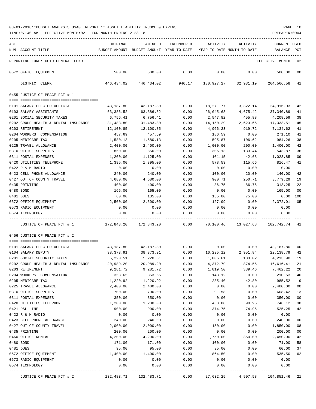| ACT |                                      | ORIGINAL   | AMENDED                                  | <b>ENCUMBERED</b> | ACTIVITY                   | ACTIVITY  | <b>CURRENT USED</b>  |        |
|-----|--------------------------------------|------------|------------------------------------------|-------------------|----------------------------|-----------|----------------------|--------|
|     | NUM ACCOUNT-TITLE                    |            | BUDGET-AMOUNT BUDGET-AMOUNT YEAR-TO-DATE |                   | YEAR-TO-DATE MONTH-TO-DATE |           | BALANCE              | PCT    |
|     | REPORTING FUND: 0010 GENERAL FUND    |            |                                          |                   |                            |           | EFFECTIVE MONTH - 02 |        |
|     | 0572 OFFICE EQUIPMENT                | 500.00     | 500.00                                   | 0.00              | 0.00                       | 0.00      | 500.00               | 00     |
|     | DISTRICT CLERK                       | 446,434.02 | 446,434.02                               | 940.17            | 180,927.27                 | 32,931.19 | 264,566.58           | 41     |
|     | 0455 JUSTICE OF PEACE PCT # 1        |            |                                          |                   |                            |           |                      |        |
|     | 0101 SALARY ELECTED OFFICIAL         | 43,187.80  | 43,187.80                                | 0.00              | 18,271.77                  | 3,322.14  | 24,916.03            | 42     |
|     | 0103 SALARY ASSISTANTS               | 63,386.52  | 63,386.52                                | 0.00              | 26,045.63                  | 4,675.42  | 37,340.89            | 41     |
|     | 0201 SOCIAL SECURITY TAXES           | 6,756.41   | 6,756.41                                 | 0.00              | 2,547.82                   | 455.88    | 4,208.59             | 38     |
|     | 0202 GROUP HEALTH & DENTAL INSURANCE | 31,483.80  | 31,483.80                                | 0.00              | 14,150.29                  | 2,623.66  | 17,333.51            | 45     |
|     | 0203 RETIREMENT                      | 12,100.85  | 12,100.85                                | 0.00              | 4,966.23                   | 919.72    | 7,134.62             | 41     |
|     | 0204 WORKERS' COMPENSATION           | 457.69     | 457.69                                   | 0.00              | 186.59                     | 0.00      | 271.10               | 41     |
|     | 0205 MEDICARE TAX                    | 1,580.13   | 1,580.13                                 | 0.00              | 595.87                     | 106.62    | 984.26               | 38     |
|     | 0225 TRAVEL ALLOWANCE                | 2,400.00   | 2,400.00                                 | 0.00              | 1,000.00                   | 200.00    | 1,400.00             | 42     |
|     | 0310 OFFICE SUPPLIES                 | 850.00     | 850.00                                   | 0.00              | 306.13                     | 133.44    | 543.87               | 36     |
|     | 0311 POSTAL EXPENSES                 | 1,200.00   | 1,125.00                                 | 0.00              | 101.15                     | 42.68     | 1,023.85             | 09     |
|     | 0420 UTILITIES TELEPHONE             | 1,395.00   | 1,395.00                                 | 0.00              | 578.53                     | 115.66    | 816.47               | 41     |
|     | 0422 R & M RADIO                     | 0.00       | 0.00                                     | 0.00              | 0.00                       | 0.00      | 0.00                 |        |
|     | 0423 CELL PHONE ALLOWANCE            | 240.00     | 240.00                                   | 0.00              | 100.00                     | 20.00     | 140.00               | 42     |
|     | 0427 OUT OF COUNTY TRAVEL            | 4,680.00   | 4,680.00                                 | 0.00              | 900.71                     | 250.71    | 3,779.29             | 19     |
|     | 0435 PRINTING                        | 400.00     | 400.00                                   | 0.00              | 86.75                      | 86.75     | 313.25               | 22     |
|     | 0480 BOND                            | 165.00     | 165.00                                   | 0.00              | 0.00                       | 0.00      | 165.00               | 00     |
|     | 0481 DUES                            | 60.00      | 135.00                                   | 0.00              | 135.00                     | 75.00     | 0.00                 | 100    |
|     | 0572 OFFICE EQUIPMENT                | 2,500.00   | 2,500.00                                 | 0.00              | 127.99                     | 0.00      | 2,372.01             | 05     |
|     | 0573 RADIO EQUIPMENT                 | 0.00       | 0.00                                     | 0.00              | 0.00                       | 0.00      | 0.00                 |        |
|     | 0574 TECHNOLOGY                      | 0.00       | 0.00                                     | 0.00              | 0.00                       | 0.00      | 0.00                 |        |
|     | JUSTICE OF PEACE PCT # 1             | 172,843.20 | 172,843.20                               | 0.00              | 70,100.46                  | 13,027.68 | 102,742.74 41        |        |
|     | 0456 JUSTICE OF PEACE PCT # 2        |            |                                          |                   |                            |           |                      |        |
|     |                                      |            |                                          |                   |                            |           |                      |        |
|     | 0101 SALARY ELECTED OFFICIAL         | 43,187.80  | 43,187.80                                | 0.00              | 0.00                       | 0.00      | 43,187.80            | 00     |
|     | 0104 SALARY DEPUTY                   | 38,373.91  | 38,373.91                                | 0.00              | 16,235.12                  | 2,951.84  | 22,138.79            | 42     |
|     | 0201 SOCIAL SECURITY TAXES           | 5,220.51   | 5,220.51                                 | 0.00              | 1,006.61                   | 183.02    | 4,213.90             | 19     |
|     | 0202 GROUP HEALTH & DENTAL INSURANCE | 20,989.20  | 20,989.20                                | 0.00              | 4,372.79                   | 874.55    | 16,616.41            | 21     |
|     | 0203 RETIREMENT                      | 9,281.72   | 9,281.72                                 | 0.00              | 1,819.50                   | 339.46    | 7,462.22             | 20     |
|     | 0204 WORKERS' COMPENSATION           | 353.65     | 353.65                                   | 0.00              | 143.12                     | 0.00      | 210.53               | 40     |
|     | 0205 MEDICARE TAX                    | 1,220.92   | 1,220.92                                 | 0.00              | 235.40                     | 42.80     | 985.52               | 19     |
|     | 0225 TRAVEL ALLOWANCE                | 2,400.00   | 2,400.00                                 | 0.00              | 0.00                       | 0.00      | 2,400.00             | $00\,$ |
|     | 0310 OFFICE SUPPLIES                 | 700.00     | 700.00                                   | 0.00              | 91.58                      | 0.00      | 608.42               | 13     |
|     | 0311 POSTAL EXPENSES                 | 350.00     | 350.00                                   | 0.00              | 0.00                       | 0.00      | 350.00               | 00     |
|     | 0420 UTILITIES TELEPHONE             | 1,200.00   | 1,200.00                                 | 0.00              | 453.88                     | 90.96     | 746.12               | 38     |
|     | 0421 DSL LINE                        | 900.00     | 900.00                                   | 0.00              | 374.75                     | 74.95     | 525.25               | 42     |
|     | 0422 R & M RADIO                     | 0.00       | 0.00                                     | 0.00              | 0.00                       | 0.00      | 0.00                 |        |
|     | 0423 CELL PHONE ALLOWANCE            | 240.00     | 240.00                                   | 0.00              | 0.00                       | 0.00      | 240.00               | 00     |
|     | 0427 OUT OF COUNTY TRAVEL            | 2,000.00   | 2,000.00                                 | 0.00              | 150.00                     | 0.00      | 1,850.00             | 08     |
|     | 0435 PRINTING                        | 200.00     | 200.00                                   | 0.00              | 0.00                       | 0.00      | 200.00               | 00     |
|     | 0460 OFFICE RENTAL                   | 4,200.00   | 4,200.00                                 | 0.00              | 1,750.00                   | 350.00    | 2,450.00             | 42     |
|     | 0480 BOND                            | 171.00     | 171.00                                   | 0.00              | 100.00                     | 0.00      | 71.00                | 58     |
|     | 0481 DUES                            | 95.00      | 95.00                                    | 0.00              | 35.00                      | 0.00      | 60.00                | 37     |
|     | 0572 OFFICE EQUIPMENT                | 1,400.00   | 1,400.00                                 | 0.00              | 864.50                     | 0.00      | 535.50               | 62     |
|     | 0573 RADIO EQUIPMENT                 | 0.00       | 0.00                                     | 0.00              | 0.00                       | 0.00      | 0.00                 |        |
|     | 0574 TECHNOLOGY                      | 0.00       | 0.00                                     | 0.00              | 0.00                       | 0.00      | 0.00                 |        |
|     | JUSTICE OF PEACE PCT # 2             | 132,483.71 | 132,483.71                               | 0.00              | 27,632.25                  | 4,907.58  | 104,851.46           | 21     |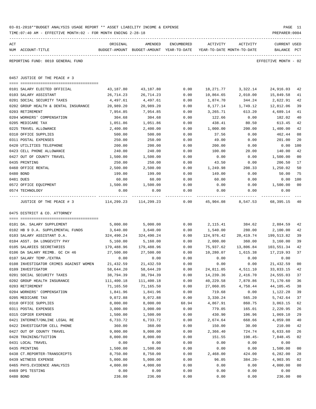|     | 03-01-2018**BUDGET ANALYSIS USAGE REPORT ** ASSET LIABILITY INCOME & EXPENSE<br>TIME: 07:40 AM - EFFECTIVE MONTH: 02 - FOR MONTH ENDING 2-28-18 |                        |                                                     |                     |                        |                                        | PREPARER: 0004                 | PAGE 11        |
|-----|-------------------------------------------------------------------------------------------------------------------------------------------------|------------------------|-----------------------------------------------------|---------------------|------------------------|----------------------------------------|--------------------------------|----------------|
| ACT | NUM ACCOUNT-TITLE                                                                                                                               | ORIGINAL               | AMENDED<br>BUDGET-AMOUNT BUDGET-AMOUNT YEAR-TO-DATE | ENCUMBERED          | ACTIVITY               | ACTIVITY<br>YEAR-TO-DATE MONTH-TO-DATE | <b>CURRENT USED</b><br>BALANCE | PCT            |
|     | REPORTING FUND: 0010 GENERAL FUND                                                                                                               |                        |                                                     |                     |                        |                                        | EFFECTIVE MONTH - 02           |                |
|     | 0457 JUSTICE OF THE PEACE # 3                                                                                                                   |                        |                                                     |                     |                        |                                        |                                |                |
|     |                                                                                                                                                 |                        |                                                     |                     |                        |                                        |                                |                |
|     | 0101 SALARY ELECTED OFFICIAL<br>0103 SALARY ASSISTANT                                                                                           | 43,187.80<br>26,714.23 | 43,187.80<br>26,714.23                              | 0.00<br>0.00        | 18,271.77<br>10,864.65 | 3,322.14<br>2,010.00                   | 24,916.03<br>15,849.58         | - 42<br>41     |
|     | 0201 SOCIAL SECURITY TAXES                                                                                                                      | 4,497.61               | 4,497.61                                            | 0.00                | 1,874.70               | 344.24                                 | 2,622.91                       | 42             |
|     | 0202 GROUP HEALTH & DENTAL INSURANCE                                                                                                            | 20,989.20              | 20,989.20                                           | 0.00                | 8,177.14               | 1,749.12                               | 12,812.06                      | 39             |
|     | 0203 RETIREMENT                                                                                                                                 | 7,954.85               | 7,954.85                                            | 0.00                | 3,265.71               | 613.20                                 | 4,689.14                       | 41             |
|     | 0204 WORKERS' COMPENSATION                                                                                                                      | 304.68                 | 304.68                                              | 0.00                | 122.66                 | 0.00                                   | 182.02                         | 40             |
|     | 0205 MEDICARE TAX                                                                                                                               | 1,051.86               | 1,051.86                                            | 0.00                | 438.41                 | 80.50                                  | 613.45                         | 42             |
|     | 0225 TRAVEL ALLOWANCE                                                                                                                           | 2,400.00               | 2,400.00                                            | 0.00                | 1,000.00               | 200.00                                 | 1,400.00                       | 42             |
|     | 0310 OFFICE SUPPLIES                                                                                                                            | 500.00                 | 500.00                                              | 0.00                | 37.56                  | 0.00                                   | 462.44                         | 08             |
|     | 0311 POSTAL EXPENSES                                                                                                                            | 250.00                 | 250.00                                              | 0.00                | 49.00                  | 0.00                                   | 201.00                         | 20             |
|     | 0420 UTILITIES TELEPHONE                                                                                                                        | 200.00                 | 200.00                                              | 0.00                | 200.00                 | 0.00                                   | 0.00                           | 100            |
|     | 0423 CELL PHONE ALLOWANCE                                                                                                                       | 240.00                 | 240.00                                              | 0.00                | 100.00                 | 20.00                                  | 140.00                         | 42             |
|     | 0427 OUT OF COUNTY TRAVEL                                                                                                                       | 1,500.00               | 1,500.00                                            | 0.00                | 0.00                   | 0.00                                   | 1,500.00                       | 00             |
|     | 0435 PRINTING                                                                                                                                   | 250.00                 | 250.00                                              | 0.00                | 43.50                  | 0.00                                   | 206.50                         | 17             |
|     | 0460 OFFICE RENTAL                                                                                                                              | 2,500.00               | 2,500.00                                            | 0.00                | 1,249.98               | 208.33                                 | 1,250.02                       | 50             |
|     | 0480 BOND                                                                                                                                       | 199.00                 | 199.00                                              | 0.00                | 149.00                 | 0.00                                   | 50.00                          | 75             |
|     | 0481 DUES                                                                                                                                       | 60.00                  | 60.00                                               | 0.00                | 60.00                  | 0.00                                   | 0.00                           | 100            |
|     | 0572 OFFICE EQUIPMENT                                                                                                                           | 1,500.00               | 1,500.00                                            | 0.00                | 0.00                   | 0.00                                   | 1,500.00                       | 00             |
|     | 0574 TECHNOLOGY                                                                                                                                 | 0.00                   | 0.00                                                | 0.00                | 0.00                   | 0.00                                   | 0.00                           |                |
|     | JUSTICE OF THE PEACE # 3                                                                                                                        | 114,299.23 114,299.23  |                                                     | -----------<br>0.00 |                        | 45,904.08 8,547.53 68,395.15 40        | _____________                  |                |
|     | 0475 DISTRICT & CO. ATTORNEY                                                                                                                    |                        |                                                     |                     |                        |                                        |                                |                |
|     |                                                                                                                                                 |                        |                                                     |                     |                        |                                        |                                |                |
|     | 0101 DA. SALARY SUPPLEMENT                                                                                                                      | 5,000.00               | 5,000.00                                            | 0.00                | 2,115.41               | 384.62                                 | 2,884.59                       | 42             |
|     | 0102 HB 9 D.A. SUPPLEMENTAL FUNDS                                                                                                               | 3,640.00               | 3,640.00                                            | 0.00                | 1,540.00               | 280.00                                 | 2,100.00                       | 42             |
|     | 0103 SALARY ASSISTANT D.A.                                                                                                                      | 324,490.24             | 324,490.24                                          | 0.00                |                        | 124,976.42 20,419.74                   | 199,513.82                     | 39             |
|     | 0104 ASST. DA LONGEVITY PAY                                                                                                                     | 5,160.00               | 5,160.00                                            | 0.00                | 2,000.00               | 360.00                                 | 3,160.00                       | 39             |
|     | 0105 SALARIES SECRETARIES                                                                                                                       | 179,488.96             | 179,488.96                                          | 0.00                | 75,937.62              | 13,806.84                              | 103,551.34                     | 42             |
|     | 0106 DA SALARY REIMB. GC CH 46                                                                                                                  | 27,500.00              | 27,500.00                                           | 0.00                | 10,280.07              | 1,615.38                               | 17,219.93                      | 37             |
|     | 0107 SALARY TEMP./EXTRA                                                                                                                         | 0.00                   | 0.00                                                | 0.00                | 0.00                   | 0.00                                   | 0.00                           |                |
|     | 0108 INVESTIGATOR CRIMES AGAINST WOMEN                                                                                                          | 21,432.59              | 21,432.59                                           | 0.00                | 0.00                   | 0.00                                   | 21,432.59                      | 00             |
|     | 0109 INVESTIGATOR                                                                                                                               | 58,644.20              | 58,644.20                                           | 0.00                | 24,811.05              | 4,511.10                               | 33,833.15                      | 42             |
|     | 0201 SOCIAL SECURITY TAXES                                                                                                                      | 38,794.39              | 38,794.39                                           | 0.00                | 14,239.36              | 2,416.70                               | 24,555.03                      | 37             |
|     | 0202 GROUP HEALTH INSURANCE                                                                                                                     | 111,400.18             | 111,400.18                                          | 0.00                | 40,229.58              | 7,870.86                               | 71,170.60                      | 36             |
|     | 0203 RETIREMENT                                                                                                                                 | 71,165.50              | 71,165.50                                           | 0.00                | 27,060.05              | 4,758.44                               | 44,105.45<br>1,122.28          | 38             |
|     | 0204 WORKERS' COMPENSATION<br>0205 MEDICARE TAX                                                                                                 | 1,841.96<br>9,072.88   | 1,841.96<br>9,072.88                                | 0.00<br>0.00        | 719.68<br>3,330.24     | 0.00<br>565.20                         | 5,742.64                       | 39<br>37       |
|     | 0310 OFFICE SUPPLIES                                                                                                                            | 8,000.00               | 8,000.00                                            | 68.94               | 4,867.91               | 860.75                                 | 3,063.15                       | 62             |
|     | 0311 POSTAL EXPENSES                                                                                                                            | 3,000.00               | 3,000.00                                            | 0.00                | 779.05                 | 165.01                                 | 2,220.95                       | 26             |
|     | 0315 COPIER EXPENSE                                                                                                                             | 1,500.00               | 1,500.00                                            | 0.00                | 430.90                 | 106.96                                 | 1,069.10                       | 29             |
|     | 0421 INTERNET/ONLINE LEGAL RE                                                                                                                   | 6,733.72               | 6,733.72                                            | 0.00                | 2,674.64               | 668.66                                 | 4,059.08                       | 40             |
|     | 0422 INVESTIGATOR CELL PHONE                                                                                                                    | 360.00                 | 360.00                                              | 0.00                | 150.00                 | 30.00                                  | 210.00                         | 42             |
|     | 0427 OUT OF COUNTY TRAVEL                                                                                                                       | 9,000.00               | 9,000.00                                            | 0.00                | 2,366.40               | 724.74                                 | 6,633.60                       | 26             |
|     | 0428 TRAINING/TUITION                                                                                                                           | 8,000.00               | 8,000.00                                            | 0.00                | 151.55                 | 198.45-                                | 7,848.45                       | 02             |
|     | 0431 LOCAL TRAVEL                                                                                                                               | 0.00                   | 0.00                                                | 0.00                | 0.00                   | 0.00                                   | 0.00                           |                |
|     | 0435 PRINTING                                                                                                                                   | 1,500.00               | 1,500.00                                            | 0.00                | 0.00                   | 0.00                                   | 1,500.00                       | 00             |
|     | 0438 CT.REPORTER-TRANSCRIPTS                                                                                                                    | 8,750.00               | 8,750.00                                            | 0.00                | 2,468.00               | 424.00                                 | 6,282.00                       | 28             |
|     | 0439 WITNESS EXPENSE                                                                                                                            | 5,000.00               | 5,000.00                                            | 0.00                | 96.05                  | $384.20 -$                             | 4,903.95                       | 02             |
|     | 0465 PHYS. EVIDENCE ANALYSIS                                                                                                                    | 4,000.00               | 4,000.00                                            | 0.00                | 0.00                   | 0.00                                   | 4,000.00                       | 0 <sub>0</sub> |
|     | 0469 DPS TESTING                                                                                                                                | 0.00                   | 0.00                                                | 0.00                | 0.00                   | 0.00                                   | 0.00                           |                |
|     | 0480 BOND                                                                                                                                       | 236.00                 | 236.00                                              | 0.00                | 0.00                   | 0.00                                   | 236.00                         | 00             |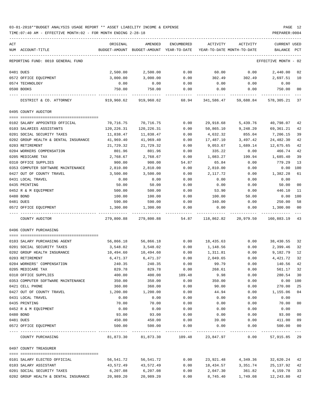| ACT | NUM ACCOUNT-TITLE                                       | ORIGINAL              | AMENDED<br>BUDGET-AMOUNT BUDGET-AMOUNT YEAR-TO-DATE | ENCUMBERED    | ACTIVITY<br>YEAR-TO-DATE MONTH-TO-DATE | ACTIVITY       | CURRENT USED<br>BALANCE | PCT            |
|-----|---------------------------------------------------------|-----------------------|-----------------------------------------------------|---------------|----------------------------------------|----------------|-------------------------|----------------|
|     | REPORTING FUND: 0010 GENERAL FUND                       |                       |                                                     |               |                                        |                | EFFECTIVE MONTH - 02    |                |
|     | 0481 DUES                                               | 2,500.00              | 2,500.00                                            | 0.00          | 60.00                                  | 0.00           | 2,440.00                | 02             |
|     | 0572 OFFICE EQUIPMENT                                   | 3,000.00              | 3,000.00                                            | 0.00          | 302.49                                 | 302.49         | 2,697.51                | 10             |
|     | 0574 TECHNOLOGY                                         | 0.00                  | 0.00                                                | 0.00          | 0.00                                   | 0.00           | 0.00                    |                |
|     | 0590 BOOKS                                              | 750.00                | 750.00                                              | 0.00          | 0.00                                   | 0.00           | 750.00                  | 00             |
|     | DISTRICT & CO. ATTORNEY                                 | 919,960.62            | 919,960.62                                          | 68.94         | 341,586.47                             | 59,688.84      | 578,305.21              | 37             |
|     | 0495 COUNTY AUDITOR                                     |                       |                                                     |               |                                        |                |                         |                |
|     |                                                         |                       |                                                     |               |                                        |                |                         |                |
|     | 0102 SALARY APPOINTED OFFICIAL                          | 70,716.75             | 70,716.75                                           | 0.00          | 29,918.68                              | 5,439.76       | 40,798.07               | 42             |
|     | 0103 SALARIES ASSISTANTS                                | 120,226.31            | 120,226.31                                          | 0.00          | 50,865.10                              | 9,248.20       | 69,361.21               | 42             |
|     | 0201 SOCIAL SECURITY TAXES                              | 11,838.47             | 11,838.47                                           | 0.00          | 4,632.32                               | 855.04         | 7,206.15                | 39             |
|     | 0202 GROUP HEALTH & DENTAL INSURANCE<br>0203 RETIREMENT | 41,969.40             | 41,969.40                                           | 0.00          | 17,487.10                              | 3,497.42       | 24,482.30               | 42             |
|     | 0204 WORKERS COMPENSATION                               | 21,729.32             | 21,729.32                                           | 0.00          | 9,053.67                               | 1,689.14       | 12,675.65<br>466.74     | 42<br>42       |
|     | 0205 MEDICARE TAX                                       | 801.96<br>2,768.67    | 801.96<br>2,768.67                                  | 0.00          | 335.22<br>1,083.27                     | 0.00<br>199.94 | 1,685.40                | 39             |
|     | 0310 OFFICE SUPPLIES                                    | 900.00                | 900.00                                              | 0.00          | 65.84                                  |                | 779.29                  | 13             |
|     | 0353 COMPUTER SOFTWARE MAINTENANCE                      | 2,810.00              | 2,810.00                                            | 54.87<br>0.00 | 2,810.00                               | 0.00<br>0.00   | 0.00                    | 100            |
|     | 0427 OUT OF COUNTY TRAVEL                               | 3,500.00              | 3,500.00                                            | 0.00          | 2,117.72                               | 0.00           | 1,382.28                | 61             |
|     | 0431 LOCAL TRAVEL                                       | 0.00                  | 0.00                                                | 0.00          | 0.00                                   | 0.00           | 0.00                    |                |
|     | 0435 PRINTING                                           | 50.00                 | 50.00                                               | 0.00          | 0.00                                   | 0.00           | 50.00                   | 0 <sub>0</sub> |
|     | 0452 R & M EQUIPMENT                                    | 500.00                | 500.00                                              | 0.00          | 53.90                                  | 0.00           | 446.10                  | 11             |
|     | 0480 BOND                                               | 100.00                | 100.00                                              | 0.00          | 100.00                                 | 50.00          | 0.00                    | 100            |
|     | 0481 DUES                                               | 590.00                | 590.00                                              | 0.00          | 340.00                                 | 0.00           | 250.00                  | 58             |
|     | 0572 OFFICE EQUIPMENT                                   | 1,300.00              | 1,300.00                                            | 0.00          | 0.00                                   | 0.00           | 1,300.00                | 00             |
|     | COUNTY AUDITOR                                          | 279,800.88            | 279,800.88                                          | 54.87         | 118,862.82                             | 20,979.50      | 160,883.19              | 43             |
|     | 0496 COUNTY PURCHASING                                  |                       |                                                     |               |                                        |                |                         |                |
|     | 0103 SALARY PURCHASING AGENT                            | 56,866.18             | 56,866.18                                           |               |                                        |                | 38,430.55               |                |
|     |                                                         |                       |                                                     | 0.00          | 18,435.63                              | 0.00           |                         | 32             |
|     | 0201 SOCIAL SECURITY TAXES                              | 3,548.02              | 3,548.02                                            | 0.00          | 1,148.56                               | 0.00           | 2,399.46                | 32             |
|     | 0202 GROUP HEALTH INSURANCE<br>0203 RETIREMENT          | 10,494.60<br>6,471.37 | 10,494.60<br>6,471.37                               | 0.00<br>0.00  | 1,311.81<br>2,049.65                   | 0.00<br>0.00   | 9,182.79<br>4,421.72    | 12<br>32       |
|     | 0204 WORKERS' COMPENSATION                              | 240.35                | 240.35                                              | 0.00          | 99.79                                  | 0.00           | 140.56                  | 42             |
|     | 0205 MEDICARE TAX                                       | 829.78                | 829.78                                              | 0.00          | 268.61                                 | 0.00           | 561.17                  | 32             |
|     | 0310 OFFICE SUPPLIES                                    | 400.00                | 400.00                                              | 109.48        | 9.98                                   | 0.00           | 280.54                  | 30             |
|     | 0353 COMPUTER SOFTWARE MAINTENANCE                      | 350.00                | 350.00                                              | 0.00          | 350.00                                 | 0.00           | $0.00$ 100              |                |
|     | 0421 CELL PHONE                                         | 360.00                | 360.00                                              | 0.00          | 90.00                                  | 0.00           | 270.00                  | 25             |
|     | 0427 OUT OF COUNTY TRAVEL                               | 1,200.00              | 1,200.00                                            | 0.00          | 44.94                                  | 0.00           | 1,155.06                | 04             |
|     | 0431 LOCAL TRAVEL                                       | 0.00                  | 0.00                                                | 0.00          | 0.00                                   | 0.00           | 0.00                    |                |
|     | 0435 PRINTING                                           | 70.00                 | 70.00                                               | 0.00          | 0.00                                   | 0.00           | 70.00                   | 00             |
|     | 0452 R & M EQUIPMENT                                    | 0.00                  | 0.00                                                | 0.00          | 0.00                                   | 0.00           | 0.00                    |                |
|     | 0480 BOND                                               | 93.00                 | 93.00                                               | 0.00          | 0.00                                   | 0.00           | 93.00                   | 00             |
|     | 0481 DUES                                               | 450.00                | 450.00                                              | 0.00          | 39.00                                  | 0.00           | 411.00                  | 09             |
|     | 0572 OFFICE EQUIPMENT                                   | 500.00                | 500.00                                              | 0.00          | 0.00                                   | 0.00           | 500.00                  | 00             |
|     | COUNTY PURCHASING                                       | 81,873.30             |                                                     |               |                                        | 0.00           | 57,915.85 29            |                |
|     | 0497 COUNTY TREASURER                                   |                       |                                                     |               |                                        |                |                         |                |
|     |                                                         |                       |                                                     |               |                                        |                |                         |                |
|     | 0101 SALARY ELECTED OFFICIAL                            | 56,541.72             | 56,541.72                                           | 0.00          | 23,921.48                              | 4,349.36       | 32,620.24               | 42             |
|     | 0103 SALARY ASSISTANT                                   | 43,572.49             | 43,572.49                                           | 0.00          | 18,434.57                              | 3,351.74       | 25,137.92               | 42             |
|     | 0201 SOCIAL SECURITY TAXES                              | 6,207.08              | 6,207.08                                            | 0.00          | 2,047.30                               | 361.82         | 4,159.78                | 33             |
|     | 0202 GROUP HEALTH & DENTAL INSURANCE                    | 20,989.20             | 20,989.20                                           | 0.00          | 8,745.40                               | 1,749.08       | 12,243.80               | 42             |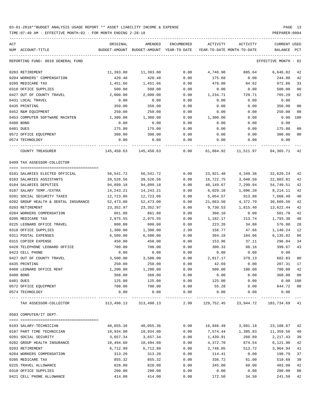TIME:07:40 AM - EFFECTIVE MONTH:02 - FOR MONTH ENDING 2-28-18 PREPARER:0004

| ACT                                     | ORIGINAL      | AMENDED                    | ENCUMBERED | ACTIVITY   | ACTIVITY                   | <b>CURRENT USED</b>  |                |
|-----------------------------------------|---------------|----------------------------|------------|------------|----------------------------|----------------------|----------------|
| NUM ACCOUNT-TITLE                       | BUDGET-AMOUNT | BUDGET-AMOUNT YEAR-TO-DATE |            |            | YEAR-TO-DATE MONTH-TO-DATE | BALANCE              | PCT            |
| REPORTING FUND: 0010 GENERAL FUND       |               |                            |            |            |                            | EFFECTIVE MONTH - 02 |                |
| 0203 RETIREMENT                         | 11,393.00     | 11,393.00                  | 0.00       | 4,746.98   | 885.64                     | 6,646.02             | 42             |
| 0204 WORKERS' COMPENSATION              | 420.48        | 420.48                     | 0.00       | 175.68     | 0.00                       | 244.80               | 42             |
| 0205 MEDICARE TAX                       | 1,451.66      | 1,451.66                   | 0.00       | 478.80     | 84.62                      | 972.86               | 33             |
| 0310 OFFICE SUPPLIES                    | 500.00        | 500.00                     | 0.00       | 0.00       | 0.00                       | 500.00               | 00             |
| 0427 OUT OF COUNTY TRAVEL               | 2,000.00      | 2,000.00                   | 0.00       | 1,234.71   | 729.71                     | 765.29               | 62             |
| 0431 LOCAL TRAVEL                       | 0.00          | 0.00                       | 0.00       | 0.00       | 0.00                       | 0.00                 |                |
| 0435 PRINTING                           | 350.00        | 350.00                     | 0.00       | 0.00       | 0.00                       | 350.00               | 0 <sub>0</sub> |
| 0452 R&M EQUIPMENT                      | 250.00        | 250.00                     | 0.00       | 0.00       | 0.00                       | 250.00               | 00             |
| 0453 COMPUTER SOFTWARE MAINTEN          | 1,300.00      | 1,300.00                   | 0.00       | 1,300.00   | 0.00                       | 0.00                 | 100            |
| 0480 BOND                               | 0.00          | 0.00                       | 0.00       | 0.00       | 0.00                       | 0.00                 |                |
| 0481 DUES                               | 175.00        | 175.00                     | 0.00       | 0.00       | 0.00                       | 175.00               | 0 <sub>0</sub> |
| 0572 OFFICE EQUIPMENT                   | 300.00        | 300.00                     | 0.00       | 0.00       | 0.00                       | 300.00               | 0 <sub>0</sub> |
| 0574 TECHNOLOGY                         | 0.00          | 0.00                       | 0.00       | 0.00       | 0.00                       | 0.00                 |                |
| ---- --------------<br>COUNTY TREASURER | 145,450.63    | --------<br>145,450.63     | 0.00       | 61,084.92  | 11,511.97                  | 84,365.71            | 42             |
| 0499 TAX ASSESSOR-COLLECTOR             |               |                            |            |            |                            |                      |                |
| 0101 SALARIES ELECTED OFFICIAL          | 56,541.72     | 56,541.72                  | 0.00       | 23,921.48  | 4,349.36                   | 32,620.24            | 42             |
| 0103 SALARIES ASSISTANTS                | 39,526.56     | 39,526.56                  | 0.00       | 16,722.75  | 3,040.50                   | 22,803.81            | 42             |
| 0104 SALARIES DEPUTIES                  | 94,899.18     | 94,899.18                  | 0.00       | 40,149.67  | 7,299.94                   | 54,749.51            | 42             |
| 0107 SALARY TEMP./EXTRA                 | 14,243.21     | 14,243.21                  | 0.00       | 6,029.10   | 1,096.20                   | 8,214.11             | 42             |
| 0201 SOCIAL SECURITY TAXES              | 12,723.06     | 12,723.06                  | 0.00       | 5,054.57   | 913.88                     | 7,668.49             | 40             |
| 0202 GROUP HEALTH & DENTAL INSURANCE    | 52,473.00     | 52,473.00                  | 0.00       | 21,863.50  | 4,372.70                   | 30,609.50            | 42             |
| 0203 RETIREMENT                         | 23,352.97     | 23,352.97                  | 0.00       | 9,730.53   | 1,815.40                   | 13,622.44            | 42             |
| 0204 WORKERS COMPENSATION               | 861.88        | 861.88                     | 0.00       | 360.10     | 0.00                       | 501.78               | 42             |
| 0205 MEDICARE TAX                       | 2,975.55      | 2,975.55                   | 0.00       | 1,182.17   | 213.74                     | 1,793.38             | 40             |
| 0225 LEONARD OFFICE TRAVEL              | 800.00        | 800.00                     | 0.00       | 223.20     | 34.88                      | 576.80               | 28             |
| 0310 OFFICE SUPPLIES                    | 1,300.00      | 1,300.00                   | 2.99       | 156.77     | 47.66                      | 1,140.24             | 12             |
| 0311 POSTAL EXPENSES                    | 6,500.00      | 6,500.00                   | 0.00       | 364.18     | 184.06                     | 6,135.82             | 06             |
| 0315 COPIER EXPENSE                     | 450.00        | 450.00                     | 0.00       | 153.96     | 37.11                      | 296.04               | 34             |
| 0420 TELEPHONE LEONARD OFFICE           | 700.00        | 700.00                     | 0.00       | 300.33     | 60.16                      | 399.67               | 43             |
| 0423 CELL PHONE                         | 0.00          | 0.00                       | 0.00       | 0.00       | 0.00                       | 0.00                 |                |
| 0427 OUT OF COUNTY TRAVEL               | 3,500.00      | 3,500.00                   | 0.00       | 2,817.17   | 379.13                     | 682.83               | 80             |
| 0435 PRINTING                           | 250.00        | 250.00                     | 0.00       | 42.69      | 0.00                       | 207.31               | 17             |
| 0460 LEONARD OFFICE RENT                | 1,200.00      | 1,200.00                   | 0.00       | 500.00     | 100.00                     | 700.00               | 42             |
| 0480 BOND                               | 368.00        | 368.00                     | 0.00       | 0.00       | 0.00                       | 368.00               | 0 <sub>0</sub> |
| 0481 DUES                               | 125.00        | 125.00                     | 0.00       | 125.00     | 0.00                       | 0.00 100             |                |
| 0572 OFFICE EQUIPMENT                   | 700.00        | 700.00                     | 0.00       | 55.28      | 0.00                       | 644.72               | 08             |
| 0574 TECHNOLOGY                         | 0.00          | 0.00                       | 0.00       | 0.00       | 0.00                       | 0.00                 |                |
| TAX ASSESSOR-COLLECTOR                  | 313,490.13    | -----------<br>313,490.13  | 2.99       | 129,752.45 | --------<br>23,944.72      | 183,734.69           | 41             |
| 0503 COMPUTER/IT DEPT.                  |               |                            |            |            |                            |                      |                |
|                                         |               |                            |            |            |                            |                      |                |
| 0103 SALARY-TECHNICIAN                  | 40,055.36     | 40,055.36                  | 0.00       | 16,946.49  | 3,081.18                   | 23,108.87            | 42             |
| 0107 PART TIME TECHNICIAN               | 18,934.00     | 18,934.00                  | 0.00       | 7,574.44   | 1,385.93                   | 11,359.56            | 40             |
| 0201 SOCIAL SECURITY                    | 3,657.34      | 3,657.34                   | 0.00       | 1,439.91   | 260.89                     | 2,217.43             | 39             |
| 0202 GROUP HEALTH INSURANCE             | 10,494.60     | 10,494.60                  | 0.00       | 4,372.70   | 874.54                     | 6,121.90             | 42             |
| 0203 RETIREMENT                         | 6,712.99      | 6,712.99                   | 0.00       | 2,748.05   | 513.72                     | 3,964.94             | 41             |
| 0204 WORKERS COMPENSATION               | 313.20        | 313.20                     | 0.00       | 114.41     | 0.00                       | 198.79               | 37             |
| 0205 MEDICARE TAX                       | 855.32        | 855.32                     | 0.00       | 336.72     | 61.00                      | 518.60               | 39             |
| 0225 TRAVEL ALLOWANCE                   | 828.00        | 828.00                     | 0.00       | 345.00     | 69.00                      | 483.00               | 42             |
| 0310 OFFICE SUPPLIES                    | 200.00        | 200.00                     | 0.00       | 0.00       | 0.00                       | 200.00               | 0 <sub>0</sub> |

0421 CELL PHONE ALLOWANCE 414.00 414.00 0.00 172.50 34.50 241.50 42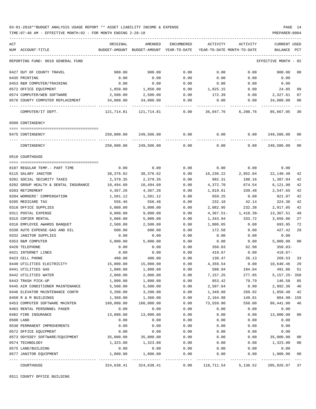TIME:07:40 AM - EFFECTIVE MONTH:02 - FOR MONTH ENDING 2-28-18 PREPARER:0004

| ACT |                                                         | ORIGINAL              | AMENDED                                  | <b>ENCUMBERED</b> | ACTIVITY                   | <b>ACTIVITY</b>    | <b>CURRENT USED</b>  |          |
|-----|---------------------------------------------------------|-----------------------|------------------------------------------|-------------------|----------------------------|--------------------|----------------------|----------|
|     | NUM ACCOUNT-TITLE                                       |                       | BUDGET-AMOUNT BUDGET-AMOUNT YEAR-TO-DATE |                   | YEAR-TO-DATE MONTH-TO-DATE |                    | BALANCE              | PCT      |
|     | REPORTING FUND: 0010 GENERAL FUND                       |                       |                                          |                   |                            |                    | EFFECTIVE MONTH - 02 |          |
|     | 0427 OUT OF COUNTY TRAVEL                               | 900.00                | 900.00                                   | 0.00              | 0.00                       | 0.00               | 900.00               | 00       |
|     | 0435 PRINTING                                           | 0.00                  | 0.00                                     | 0.00              | 0.00                       | 0.00               | 0.00                 |          |
|     | 0453 R&M COMPUTER/TRAINING                              | 0.00                  | 0.00                                     | 0.00              | 0.00                       | 0.00               | 0.00                 |          |
|     | 0572 OFFICE EQUIPMENT                                   | 1,850.00              | 1,850.00                                 | 0.00              | 1,825.15                   | 0.00               | 24.85                | 99       |
|     | 0574 COMPUTER/WEB SOFTWARE                              | 2,500.00              | 2,500.00                                 | 0.00              | 172.39                     | 0.00               | 2,327.61             | 07       |
|     | 0576 COUNTY COMPUTER REPLACEMENT                        | 34,000.00             | 34,000.00                                | 0.00              | 0.00                       | 0.00               | 34,000.00            | 00       |
|     | COMPUTER/IT DEPT.                                       | 121,714.81            | 121,714.81                               | 0.00              | 36,047.76                  | 6,280.76           | 85,667.05            | 30       |
|     | 0509 CONTINGENCY                                        |                       |                                          |                   |                            |                    |                      |          |
|     |                                                         |                       |                                          |                   |                            |                    |                      |          |
|     | 0475 CONTINGENCY                                        | 250,000.00            | 249,506.00                               | 0.00              | 0.00                       | 0.00               | 249,506.00           | -00      |
|     | CONTINGENCY                                             | 250,000.00            | 249,506.00                               | 0.00              | 0.00                       | 0.00               | 249,506.00           | 00       |
|     | 0510 COURTHOUSE                                         |                       |                                          |                   |                            |                    |                      |          |
|     |                                                         |                       |                                          |                   |                            |                    |                      |          |
|     | 0107 REGULAR TEMP. - PART TIME                          | 0.00                  | 0.00                                     | 0.00              | 0.00                       | 0.00               | 0.00                 |          |
|     | 0115 SALARY JANITOR<br>0201 SOCIAL SECURITY TAXES       | 38,376.62<br>2,379.35 | 38,376.62<br>2,379.35                    | 0.00<br>0.00      | 16,236.22<br>992.31        | 2,952.04<br>180.16 | 22,140.40            | 42<br>42 |
|     |                                                         |                       |                                          |                   |                            | 874.54             | 1,387.04<br>6,121.90 | 42       |
|     | 0202 GROUP HEALTH & DENTAL INSURANCE<br>0203 RETIREMENT | 10,494.60<br>4,367.26 | 10,494.60<br>4,367.26                    | 0.00<br>0.00      | 4,372.70<br>1,819.61       | 339.48             | 2,547.65             | 42       |
|     | 0204 WORKERS' COMPENSATION                              | 1,581.12              | 1,581.12                                 | 0.00              | 659.25                     | 0.00               | 921.87               | 42       |
|     | 0205 MEDICARE TAX                                       | 556.46                | 556.46                                   | 0.00              | 232.10                     | 42.14              | 324.36               | 42       |
|     | 0310 OFFICE SUPPLIES                                    | 5,000.00              | 5,000.00                                 | 0.00              | 2,082.95                   | 232.38             | 2,917.05             | 42       |
|     | 0311 POSTAL EXPENSE                                     | 9,000.00              | 9,000.00                                 | 0.00              | $4,367.51-$                | 1,418.38-          | 13,367.51            | 49       |
|     | 0315 COPIER RENTAL                                      | 5,000.00              | 5,000.00                                 | 0.00              | 1,343.94                   | 333.72             | 3,656.06             | 27       |
|     | 0316 EMPLOYEE AWARDS BANQUET                            | 2,500.00              | 2,500.00                                 | 0.00              | 1,806.05                   | 0.00               | 693.95               | 72       |
|     | 0330 AUTO EXPENSE-GAS AND OIL                           | 600.00                | 600.00                                   | 0.00              | 172.58                     | 0.00               | 427.42               | 29       |
|     | 0332 JANITOR SUPPLIES                                   | 0.00                  | 0.00                                     | 0.00              | 0.00                       | 0.00               | 0.00                 |          |
|     | 0353 R&M COMPUTER                                       | 5,000.00              | 5,000.00                                 | 0.00              | 0.00                       | 0.00               | 5,000.00             | 00       |
|     | 0420 TELEPHONE                                          | 0.00                  | 0.00                                     | 0.00              | 350.83                     | 62.90              | $350.83-$            |          |
|     | 0421 INTERNET LINES                                     | 0.00                  | 0.00                                     | 0.00              | 419.67                     | 0.00               | 419.67-              |          |
|     | 0423 CELL PHONE                                         | 400.00                | 400.00                                   | 0.00              | 130.47                     | 26.13              | 269.53               | 33       |
|     | 0440 UTILITIES ELECTRICITY                              | 15,000.00             | 15,000.00                                | 0.00              | 4,359.54                   | 0.00               | 10,640.46            | 29       |
|     | 0441 UTILITIES GAS                                      | 1,000.00              | 1,000.00                                 | 0.00              | 508.94                     | 184.04             | 491.06               | 51       |
|     | 0442 UTILITIES WATER                                    | 2,000.00              | 2,000.00                                 | 0.00              | 7,157.25                   | 277.85             | 5, 157. 25 - 358     |          |
|     | 0443 TRASH PICK-UP                                      | 1,000.00              | 1,000.00                                 | 0.00              | 853.42                     | 79.79              | 146.58               | 85       |
|     | 0445 AIR CONDITIONER MAINTENANCE                        | 5,500.00              | 5,500.00                                 | 0.00              | 2,507.64                   | 0.00               | 2,992.36             | 46       |
|     | 0446 ELEVATOR MAINTENANCE CONTR                         | 3,200.00              | 3,200.00                                 | 0.00              | 1,349.60                   | 269.92             | 1,850.40             | 42       |
|     | 0450 R & M BUILDINGS                                    | 1,360.00              | 1,360.00                                 | 0.00              | 2,164.98                   | 149.81             | $804.98 - 159$       |          |
|     | 0453 COMPUTER SOFTWARE MAINTEN                          | 160,000.00            | 160,000.00                               | 0.00              | 73,559.00                  | 550.00             | 86,441.00            | 46       |
|     | 0463 RENTAL PERSONNEL PAGER                             | 0.00                  | 0.00                                     | 0.00              | 0.00                       | 0.00               | 0.00                 |          |
|     | 0482 FIRE INSURANCE                                     | 13,000.00             | 13,000.00                                | 0.00              | 0.00                       | 0.00               | 13,000.00            | 00       |
|     | 0500 LAND                                               | 0.00                  | 0.00                                     | 0.00              | 0.00                       | 0.00               | 0.00                 |          |
|     | 0530 PERMANENT IMPROVEMENTS                             | 0.00                  | 0.00                                     | 0.00              | 0.00                       | 0.00               | 0.00                 |          |
|     | 0572 OFFICE EQUIPMENT                                   | 0.00                  | 0.00                                     | 0.00              | 0.00                       | 0.00               | 0.00                 |          |
|     | 0573 ODYSSEY SOFTWARE/EQUIPMENT                         | 35,000.00             | 35,000.00                                | 0.00              | 0.00                       | 0.00               | 35,000.00            | 00       |
|     | 0574 TECHNOLOGY                                         | 1,323.00              | 1,323.00                                 | 0.00              | 0.00                       | 0.00               | 1,323.00             | $00\,$   |
|     | 0575 LAND/BUILDING                                      | 0.00                  | 0.00                                     | 0.00              | 0.00                       | 0.00               | 0.00                 |          |
|     | 0577 JANITOR EQUIPMENT                                  | 1,000.00              | 1,000.00                                 | 0.00              | 0.00                       | 0.00               | 1,000.00             | 00       |
|     | COURTHOUSE                                              | 324,638.41            | 324,638.41                               | 0.00              | 118,711.54                 | 5,136.52           | 205,926.87           | 37       |

0511 COUNTY OFFICE BUILDING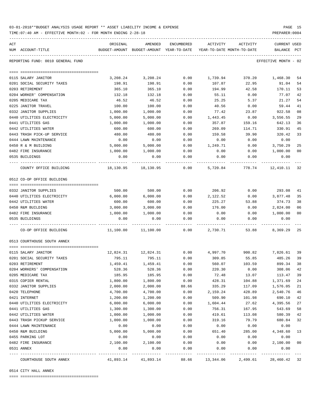| 03-01-2018**BUDGET ANALYSIS USAGE REPORT ** ASSET LIABILITY INCOME & EXPENSE |  |  |  |  | PAGE |  |
|------------------------------------------------------------------------------|--|--|--|--|------|--|
|                                                                              |  |  |  |  |      |  |

TIME:07:40 AM - EFFECTIVE MONTH:02 - FOR MONTH ENDING 2-28-18 PREPARER:0004

| ACT<br>NUM ACCOUNT-TITLE          | ORIGINAL  | AMENDED<br>BUDGET-AMOUNT BUDGET-AMOUNT YEAR-TO-DATE | <b>ENCUMBERED</b> | ACTIVITY<br>YEAR-TO-DATE MONTH-TO-DATE | ACTIVITY | <b>CURRENT USED</b><br><b>BALANCE</b> | PCT |
|-----------------------------------|-----------|-----------------------------------------------------|-------------------|----------------------------------------|----------|---------------------------------------|-----|
|                                   |           |                                                     |                   |                                        |          |                                       |     |
| REPORTING FUND: 0010 GENERAL FUND |           |                                                     |                   |                                        |          | EFFECTIVE MONTH - 02                  |     |
|                                   |           |                                                     |                   |                                        |          |                                       |     |
| 0115 SALARY JANITOR               | 3,208.24  | 3,208.24                                            | 0.00              | 1,739.94                               | 370.20   | 1,468.30                              | 54  |
| 0201 SOCIAL SECURITY TAXES        | 198.91    | 198.91                                              | 0.00              | 107.87                                 | 22.95    | 91.04                                 | 54  |
| 0203 RETIREMENT                   | 365.10    | 365.10                                              | 0.00              | 194.99                                 | 42.58    | 170.11                                | 53  |
| 0204 WORKER' COMPENSATION         | 132.18    | 132.18                                              | 0.00              | 55.11                                  | 0.00     | 77.07                                 | 42  |
| 0205 MEDICARE TAX                 | 46.52     | 46.52                                               | 0.00              | 25.25                                  | 5.37     | 21.27                                 | 54  |
| 0225 JANITOR TRAVEL               | 100.00    | 100.00                                              | 0.00              | 40.56                                  | 0.00     | 59.44                                 | 41  |
| 0332 JANITOR SUPPLIES             | 1,000.00  | 1,000.00                                            | 0.00              | 77.42                                  | 23.87    | 922.58                                | 08  |
| 0440 UTILITIES ELECTRICITY        | 5,000.00  | 5,000.00                                            | 0.00              | 1,443.45                               | 0.00     | 3,556.55                              | 29  |
| 0441 UTILITIES GAS                | 1,000.00  | 1,000.00                                            | 0.00              | 357.87                                 | 159.16   | 642.13                                | 36  |
| 0442 UTILITIES WATER              | 600.00    | 600.00                                              | 0.00              | 269.09                                 | 114.71   | 330.91                                | 45  |
| 0443 TRASH PICK-UP SERVICE        | 480.00    | 480.00                                              | 0.00              | 159.58                                 | 39.90    | 320.42                                | 33  |
| 0444 LAWN MAINTENANCE             | 0.00      | 0.00                                                | 0.00              | 0.00                                   | 0.00     | 0.00                                  |     |
| 0450 R & M BUILDING               | 5,000.00  | 5,000.00                                            | 0.00              | 1,249.71                               | 0.00     | 3,750.29                              | 25  |
| 0482 FIRE INSURANCE               | 1,000.00  | 1,000.00                                            | 0.00              | 0.00                                   | 0.00     | 1,000.00                              | 00  |
| 0535 BUILDINGS                    | 0.00      | 0.00                                                | 0.00              | 0.00                                   | 0.00     | 0.00                                  |     |
| COUNTY OFFICE BUILDING            | 18,130.95 | 18,130.95                                           | 0.00              | 5,720.84                               | 778.74   | 12,410.11                             | 32  |
| 0512 CO-OP OFFICE BUILDING        |           |                                                     |                   |                                        |          |                                       |     |
| 0332 JANITOR SUPPLIES             | 500.00    | 500.00                                              | 0.00              | 206.92                                 | 0.00     | 293.08                                | 41  |
| 0440 UTILITIES ELECTRICITY        | 6,000.00  | 6,000.00                                            | 0.00              | 2,122.52                               | 0.00     | 3,877.48                              | 35  |
| 0442 UTILITIES WATER              | 600.00    | 600.00                                              | 0.00              | 225.27                                 | 53.88    | 374.73                                | 38  |
| 0450 R&M BUILDING                 | 3,000.00  | 3,000.00                                            | 0.00              | 176.00                                 | 0.00     | 2,824.00                              | 06  |
| 0482 FIRE INSURANCE               | 1,000.00  | 1,000.00                                            | 0.00              | 0.00                                   | 0.00     | 1,000.00                              | 00  |
| 0535 BUILDINGS                    | 0.00      | 0.00                                                | 0.00              | 0.00                                   | 0.00     | 0.00                                  |     |
| CO-OP OFFICE BUILDING             | 11,100.00 | 11,100.00                                           | 0.00              | 2,730.71                               | 53.88    | 8,369.29                              | 25  |
| 0513 COURTHOUSE SOUTH ANNEX       |           |                                                     |                   |                                        |          |                                       |     |
| 0115 SALARY JANITOR               | 12,824.31 | 12,824.31                                           | 0.00              | 4,997.70                               | 900.82   | 7,826.61                              | 39  |
| 0201 SOCIAL SECURITY TAXES        | 795.11    | 795.11                                              | 0.00              | 309.85                                 | 55.85    | 485.26                                | 39  |
| 0203 RETIREMENT                   | 1,459.41  | 1,459.41                                            | 0.00              | 560.07                                 | 103.59   | 899.34                                | 38  |
| 0204 WORKERS' COMPENSATION        | 528.36    | 528.36                                              | 0.00              | 220.30                                 | 0.00     | 308.06                                | 42  |
| 0205 MEDICARE TAX                 | 185.95    | 185.95                                              | 0.00              | 72.48                                  | 13.07    | 113.47                                | 39  |
| 0315 COPIER RENTAL                | 1,800.00  | 1,800.00                                            | 0.00              | 428.31                                 | 104.88   | 1,371.69                              | 24  |
| 0332 JANITOR SUPPLIES             | 2,000.00  | 2,000.00                                            | 88.66             | 335.29                                 | 117.09   | 1,576.05                              | 21  |
| 0420 TELEPHONE                    | 4,700.00  | 4,700.00                                            | 0.00              | 2,159.24                               | 428.89   | 2,540.76                              | 46  |
| 0421 INTERNET                     | 1,200.00  | 1,200.00                                            | 0.00              | 509.90                                 | 101.98   | 690.10                                | 42  |
| 0440 UTILITIES ELECTRICITY        | 6,000.00  | 6,000.00                                            | 0.00              | 1,604.44                               | 27.62    | 4,395.56                              | 27  |
| 0441 UTILITIES GAS                | 1,300.00  | 1,300.00                                            | 0.00              | 756.31                                 | 167.95   | 543.69                                | 58  |
| 0442 UTILITIES WATER              | 1,000.00  | 1,000.00                                            | 0.00              | 419.61                                 | 113.08   | 580.39                                | 42  |
| 0443 TRASH PICKUP SERVICE         | 1,000.00  | 1,000.00                                            | 0.00              | 319.16                                 | 79.79    | 680.84                                | 32  |
| 0444 LAWN MAINTENANCE             | 0.00      | 0.00                                                | 0.00              | 0.00                                   | 0.00     | 0.00                                  |     |
| 0450 R&M BUILDING                 | 5,000.00  | 5,000.00                                            | 0.00              | 651.40                                 | 285.00   | 4,348.60                              | 13  |
| 0455 PARKING LOT                  | 0.00      | 0.00                                                | 0.00              | 0.00                                   | 0.00     | 0.00                                  |     |
| 0482 FIRE INSURANCE               | 2,100.00  | 2,100.00                                            | 0.00              | 0.00                                   | 0.00     | 2,100.00                              | 00  |
| 0531 ANNEX<br>---- -----------    | 0.00      | 0.00                                                | 0.00              | 0.00                                   | 0.00     | 0.00                                  |     |
| COURTHOUSE SOUTH ANNEX            | 41,893.14 | 41,893.14                                           | 88.66             | 13,344.06                              | 2,499.61 | 28,460.42                             | 32  |

0514 CITY HALL ANNEX

==== ===================================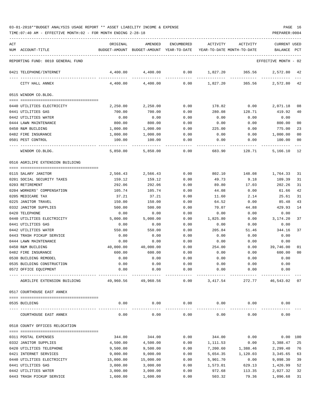TIME:07:40 AM - EFFECTIVE MONTH:02 - FOR MONTH ENDING 2-28-18 PREPARER:0004

| ACT | NUM ACCOUNT-TITLE                                  | ORIGINAL             | AMENDED<br>BUDGET-AMOUNT BUDGET-AMOUNT YEAR-TO-DATE YEAR-TO-DATE MONTH-TO-DATE | ENCUMBERED         | ACTIVITY             | ACTIVITY             | <b>CURRENT USED</b><br>BALANCE PCT |                |
|-----|----------------------------------------------------|----------------------|--------------------------------------------------------------------------------|--------------------|----------------------|----------------------|------------------------------------|----------------|
|     | REPORTING FUND: 0010 GENERAL FUND                  |                      |                                                                                |                    |                      |                      | EFFECTIVE MONTH - 02               |                |
|     | 0421 TELEPHONE/INTERNET                            | 4,400.00             | 4,400.00                                                                       | 0.00               | 1,827.20             | 365.56               | 2,572.80 42                        |                |
|     | CITY HALL ANNEX                                    | 4,400.00             | 4,400.00                                                                       | 0.00               | 1,827.20             |                      | 365.56 2,572.80                    | 42             |
|     | 0515 WINDOM CO.BLDG.                               |                      |                                                                                |                    |                      |                      |                                    |                |
|     | 0440 UTILITIES ELECTRICITY                         | 2,250.00             | 2,250.00                                                                       | 0.00               | 178.82               | 0.00                 | 2,071.18                           | 08             |
|     | 0441 UTILITIES GAS                                 | 700.00               | 700.00                                                                         | 0.00               | 280.08               | 128.71               | 419.92                             | 40             |
|     | 0442 UTILITIES WATER                               | 0.00                 | 0.00                                                                           | 0.00               | 0.00                 | 0.00                 | 0.00                               |                |
|     | 0444 LAWN MAINTENANCE                              | 800.00               | 800.00                                                                         | 0.00               | 0.00                 | 0.00                 | 800.00                             | 00             |
|     | 0450 R&M BUILDING                                  | 1,000.00             | 1,000.00                                                                       | 0.00               | 225.00               | 0.00                 | 775.00                             | 23             |
|     | 0482 FIRE INSURANCE                                | 1,000.00             | 1,000.00                                                                       | 0.00               | 0.00                 | 0.00                 | 1,000.00                           | 00             |
|     | 0501 PEST CONTROL                                  | 100.00               | 100.00                                                                         | 0.00               | 0.00                 | 0.00                 | 100.00                             | 00             |
|     | WINDOM CO.BLDG.                                    | 5,850.00             | 5,850.00                                                                       | 0.00               | 683.90               | 128.71               | 5,166.10                           | - 12           |
|     | 0516 AGRILIFE EXTENSION BUILDING                   |                      |                                                                                |                    |                      |                      |                                    |                |
|     | 0115 SALARY JANITOR                                | 2,566.43             | 2,566.43                                                                       | 0.00               | 802.10               | 148.08               | 1,764.33                           | 31             |
|     | 0201 SOCIAL SECURITY TAXES                         | 159.12               | 159.12                                                                         | 0.00               | 49.73                | 9.18                 | 109.39                             | 31             |
|     | 0203 RETIREMENT                                    | 292.06               | 292.06                                                                         | 0.00               | 89.80                | 17.03                | 202.26                             | 31             |
|     | 0204 WORKERS' COMPENSATION                         | 105.74               | 105.74                                                                         | 0.00               | 44.08                | 0.00                 | 61.66                              | 42             |
|     | 0205 MEDICARE TAX                                  | 37.21                | 37.21                                                                          | 0.00               | 11.60                | 2.14                 | 25.61                              | 31             |
|     | 0225 JANITOR TRAVEL                                | 150.00               | 150.00                                                                         | 0.00               | 64.52                | 0.00                 | 85.48                              | 43             |
|     | 0332 JANITOR SUPPLIES                              | 500.00               | 500.00                                                                         | 0.00               | 70.07                | 44.88                | 429.93                             | 14             |
|     | 0420 TELEPHONE                                     | 0.00                 | 0.00                                                                           | 0.00               | 0.00                 | 0.00                 | 0.00                               |                |
|     | 0440 UTILITIES ELECTRICITY                         | 5,000.00             | 5,000.00                                                                       | 0.00               | 1,825.80             | 0.00                 | 3,174.20                           | 37             |
|     | 0441 UTILITIES GAS                                 | 0.00                 | 0.00                                                                           | 0.00               | 0.00                 | 0.00                 | 0.00                               |                |
|     | 0442 UTILITIES WATER                               | 550.00               | 550.00                                                                         | 0.00               | 205.84               | 51.46                | 344.16                             | 37             |
|     | 0443 TRASH PICKUP SERVICE<br>0444 LAWN MAINTENANCE | 0.00                 | 0.00<br>0.00                                                                   | 0.00<br>0.00       | 0.00                 | 0.00                 | 0.00<br>0.00                       |                |
|     | 0450 R&M BUILDING                                  | 0.00<br>40,000.00    | 40,000.00                                                                      | 0.00               | 0.00<br>254.00       | 0.00<br>0.00         | 39,746.00                          | 01             |
|     | 0482 FIRE INSURANCE                                | 600.00               | 600.00                                                                         | 0.00               | 0.00                 | 0.00                 | 600.00                             | 0 <sub>0</sub> |
|     | 0530 BUILDING REMODEL                              | 0.00                 | 0.00                                                                           | 0.00               | 0.00                 | 0.00                 | 0.00                               |                |
|     | 0535 BUILDING CONSTRUCTION                         | 0.00                 | 0.00                                                                           | 0.00               | 0.00                 | 0.00                 | 0.00                               |                |
|     | 0572 OFFICE EQUIPMENT                              | 0.00                 | 0.00                                                                           | 0.00               | 0.00                 | 0.00                 | 0.00                               |                |
|     | AGRILIFE EXTENSION BUILDING                        |                      | 49,960.56 49,960.56                                                            | 0.00               | 3,417.54             |                      | 272.77 46,543.02 07                |                |
|     | 0517 COURTHOUSE EAST ANNEX                         |                      |                                                                                |                    |                      |                      |                                    |                |
|     | 0535 BUILDING                                      | 0.00                 | 0.00                                                                           | 0.00               | 0.00                 | 0.00                 | 0.00                               |                |
|     | COURTHOUSE EAST ANNEX                              | 0.00                 | 0.00                                                                           | ----------<br>0.00 | -----------<br>0.00  | -----------<br>0.00  | 0.00                               |                |
|     | 0518 COUNTY OFFICES RELOCATION                     |                      |                                                                                |                    |                      |                      |                                    |                |
|     |                                                    |                      |                                                                                |                    |                      |                      |                                    |                |
|     | 0311 POSTAL EXPENSES                               | 344.00               | 344.00                                                                         | 0.00               | 344.00               | 0.00                 |                                    | 0.00 100       |
|     | 0332 JANITOR SUPPLIES                              | 4,500.00             | 4,500.00                                                                       | 0.00               | 1,111.53             | 0.00                 | 3,388.47                           | 25             |
|     | 0420 UTILITIES TELEPHONE<br>0421 INTERNET SERVICES | 9,500.00<br>9,000.00 | 9,500.00<br>9,000.00                                                           | 0.00<br>0.00       | 7,200.60<br>5,654.35 | 1,388.46<br>1,120.03 | 2,299.40<br>3,345.65               | 76<br>63       |
|     | 0440 UTILITIES ELECTRICITY                         | 15,000.00            | 15,000.00                                                                      | 0.00               | 5,901.70             | 0.00                 | 9,098.30                           | 39             |
|     | 0441 UTILITIES GAS                                 | 3,000.00             | 3,000.00                                                                       | 0.00               | 1,573.01             | 629.13               | 1,426.99                           | 52             |
|     | 0442 UTILITIES WATER                               | 3,000.00             | 3,000.00                                                                       | 0.00               | 972.68               | 113.35               | 2,027.32                           | 32             |

0443 TRASH PICKUP SERVICE 1,600.00 1,600.00 0.00 503.32 79.36 1,096.68 31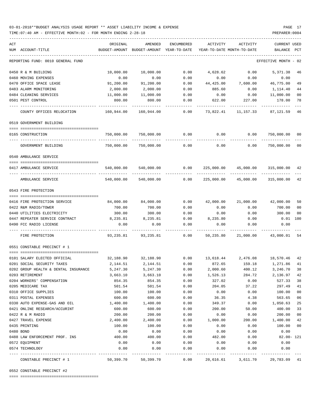### 03-01-2018\*\*BUDGET ANALYSIS USAGE REPORT \*\* ASSET LIABILITY INCOME & EXPENSE PAGE 17 TIME:07:40 AM - EFFECTIVE MONTH:02 - FOR MONTH ENDING 2-28-18 PREPARER:0004

| ACT |                                      | ORIGINAL      | AMENDED                                                           | ENCUMBERED   | ACTIVITY           | ACTIVITY                      | <b>CURRENT USED</b>  |                |
|-----|--------------------------------------|---------------|-------------------------------------------------------------------|--------------|--------------------|-------------------------------|----------------------|----------------|
|     | NUM ACCOUNT-TITLE                    | BUDGET-AMOUNT | BUDGET-AMOUNT YEAR-TO-DATE                                        |              |                    | YEAR-TO-DATE MONTH-TO-DATE    | BALANCE              | PCT            |
|     | REPORTING FUND: 0010 GENERAL FUND    |               |                                                                   |              |                    |                               | EFFECTIVE MONTH - 02 |                |
|     | 0450 R & M BUILDING                  | 10,000.00     | 10,000.00                                                         | 0.00         | 4,628.62           | 0.00                          | 5,371.38             | 46             |
|     | 0460 MOVING EXPENSES                 | 0.00          | 0.00                                                              | 0.00         | 0.00               | 0.00                          | 0.00                 |                |
|     | 0470 OFFICE SPACE LEASE              | 91,200.00     | 91,200.00                                                         |              | $0.00$ $44,425.00$ | 7,600.00                      | 46,775.00            | 49             |
|     | 0483 ALARM MONITORING                | 2,000.00      | 2,000.00                                                          | 0.00         | 885.60             | 0.00                          | 1,114.40             | 44             |
|     | 0484 CLEANING SERVICES               | 11,000.00     | 11,000.00                                                         | 0.00         | 0.00               | 0.00                          | 11,000.00            | 0 <sub>0</sub> |
|     | 0501 PEST CONTROL                    | 800.00        | 800.00                                                            |              |                    | $0.00$ 622.00 227.00          | 178.00               | 78             |
|     | COUNTY OFFICES RELOCATION            | 160,944.00    | 160,944.00                                                        | 0.00         | 73,822.41          | ----------<br>11,157.33       | 87,121.59            | 46             |
|     | 0519 GOVERNMENT BUILDING             |               |                                                                   |              |                    |                               |                      |                |
|     |                                      |               |                                                                   |              |                    |                               |                      |                |
|     | 0165 CONSTRUCTION                    | 750,000.00    | 750,000.00                                                        | $0.00$ 0.00  |                    | 0.00                          | 750,000.00           | 00             |
|     | GOVERNMENT BUILDING                  | 750,000.00    | 750,000.00                                                        | 0.00         | 0.00               | 0.00                          | 750,000.00           | 0 <sub>0</sub> |
|     | 0540 AMBULANCE SERVICE               |               |                                                                   |              |                    |                               |                      |                |
|     | 0417 AMBULANCE SERVICE               | 540,000.00    | 540,000.00                                                        | 0.00         | 225,000.00         |                               | 45,000.00 315,000.00 | 42             |
|     |                                      |               |                                                                   |              |                    |                               |                      |                |
|     | AMBULANCE SERVICE                    | 540,000.00    | 540,000.00                                                        | 0.00         | 225,000.00         | 45,000.00                     | 315,000.00           | 42             |
|     | 0543 FIRE PROTECTION                 |               |                                                                   |              |                    |                               |                      |                |
|     |                                      |               |                                                                   |              |                    |                               |                      |                |
|     | 0416 FIRE PROTECTION SERVICE         | 84,000.00     | 84,000.00                                                         | 0.00         |                    | 42,000.00 21,000.00 42,000.00 |                      | 50             |
|     | 0422 R&M RADIO/TOWER                 | 700.00        | 700.00                                                            | 0.00         | 0.00               | 0.00                          | 700.00               | 0 <sub>0</sub> |
|     | 0440 UTILITIES ELECTRICITY           | 300.00        | 300.00                                                            | 0.00         | 0.00               | 0.00                          | 300.00               | 0 <sub>0</sub> |
|     | 0447 REPEATER SERVICE CONTRACT       | 8,235.81      | 8,235.81                                                          |              | $0.00$ $8,235.80$  | 0.00                          | $0.01$ 100           |                |
|     | 0490 FCC RADIO LICENSE               | 0.00          | 0.00                                                              | 0.00         | 0.00               | 0.00                          | 0.00                 |                |
|     | FIRE PROTECTION                      |               | 93,235.81 93,235.81                                               | 0.00         | 50,235.80          | 21,000.00                     | 43,000.01            | 54             |
|     | 0551 CONSTABLE PRECINCT # 1          |               |                                                                   |              |                    |                               |                      |                |
|     |                                      |               |                                                                   |              |                    |                               |                      |                |
|     | 0101 SALARY ELECTED OFFICIAL         |               | $32,188.90$ $32,188.90$ $0.00$ $13,618.44$ $2,476.08$ $18,570.46$ |              |                    |                               |                      | 42             |
|     | 0201 SOCIAL SECURITY TAXES           | 2,144.51      | 2,144.51                                                          | 0.00         | 872.65             | 159.18                        | 1,271.86             | 41             |
|     | 0202 GROUP HEALTH & DENTAL INSURANCE | 5,247.30      | 5,247.30                                                          | 0.00         | 2,000.60           | 400.12                        | 3,246.70             | 38             |
|     | 0203 RETIREMENT                      | 3,663.10      | 3,663.10                                                          | 0.00         | 1,526.13           | 284.72                        | 2,136.97             | 42             |
|     | 0204 WORKERS' COMPENSATION           | 854.35        | 854.35                                                            | 0.00         | 327.02             | 0.00                          | 527.33               | 38             |
|     | 0205 MEDICARE TAX                    | 501.54        | 501.54                                                            | 0.00         | 204.05             | 37.22                         | 297.49               | 41             |
|     | 0310 OFFICE SUPPLIES                 | 100.00        | 100.00                                                            | 0.00         | 0.00               | 0.00                          | 100.00               | 0 <sub>0</sub> |
|     | 0311 POSTAL EXPENSES                 | 600.00        | 600.00                                                            | 0.00         | 36.35              | 4.38                          | 563.65               | 06             |
|     | 0330 AUTO EXPENSE-GAS AND OIL        | 1,400.00      | 1,400.00                                                          | 0.00         | 349.37             | 0.00                          | 1,050.63             | 25             |
|     | 0421 ONLINE RESEARCH/ACCURINT        | 600.00        | 600.00                                                            | 0.00         | 200.00             | 50.00                         | 400.00               | 33             |
|     | 0422 R & M RADIO                     | 200.00        | 200.00                                                            | 0.00         | 0.00               | 0.00                          | 200.00               | 0 <sub>0</sub> |
|     | 0427 TRAVEL EXPENSE                  | 2,400.00      | 2,400.00                                                          | 0.00         | 1,000.00           | 200.00                        | 1,400.00             | 42             |
|     | 0435 PRINTING                        | 100.00        | 100.00                                                            | 0.00         | 0.00               | 0.00                          | 100.00               | 0 <sub>0</sub> |
|     | 0480 BOND                            | 0.00          | 0.00                                                              | 0.00         | 0.00               | 0.00                          | 0.00                 |                |
|     | 0488 LAW ENFORCEMENT PROF. INS       | 400.00        | 400.00                                                            | 0.00         | 482.00             | 0.00                          | $82.00 - 121$        |                |
|     | 0572 EQUIPMENT<br>0574 TECHNOLOGY    | 0.00<br>0.00  | 0.00<br>0.00                                                      | 0.00<br>0.00 | 0.00<br>0.00       | 0.00<br>0.00                  | 0.00<br>0.00         |                |
|     |                                      |               |                                                                   | -----        |                    |                               |                      |                |
|     | CONSTABLE PRECINCT # 1               | 50,399.70     | 50,399.70                                                         | 0.00         | 20,616.61          | 3,611.70                      | 29,783.09            | 41             |

0552 CONSTABLE PRECINCT #2

==== ===================================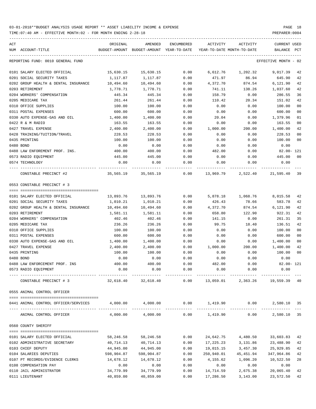| ACT | NUM ACCOUNT-TITLE                                                                                        | ORIGINAL   | AMENDED<br>BUDGET-AMOUNT BUDGET-AMOUNT YEAR-TO-DATE | ENCUMBERED | ACTIVITY<br>YEAR-TO-DATE MONTH-TO-DATE | ACTIVITY                                       | CURRENT USED<br>BALANCE | PCT |
|-----|----------------------------------------------------------------------------------------------------------|------------|-----------------------------------------------------|------------|----------------------------------------|------------------------------------------------|-------------------------|-----|
|     | REPORTING FUND: 0010 GENERAL FUND                                                                        |            |                                                     |            |                                        |                                                | EFFECTIVE MONTH - 02    |     |
|     |                                                                                                          |            |                                                     |            |                                        |                                                |                         |     |
|     | 0101 SALARY ELECTED OFFICIAL                                                                             | 15,630.15  | 15,630.15                                           | 0.00       |                                        | 6,612.76 1,202.32                              | 9,017.39                | 42  |
|     | 0201 SOCIAL SECURITY TAXES                                                                               | 1,117.87   | 1,117.87                                            | 0.00       | 471.97                                 | 86.94                                          | 645.90                  | 42  |
|     | 0202 GROUP HEALTH & DENTAL INSURANCE                                                                     | 10,494.60  | 10,494.60                                           | 0.00       | 4,372.70                               | 874.54                                         | 6,121.90                | 42  |
|     | 0203 RETIREMENT                                                                                          | 1,778.71   | 1,778.71                                            | 0.00       | 741.11                                 | 138.26                                         | 1,037.60                | 42  |
|     | 0204 WORKERS' COMPENSATION                                                                               | 445.34     | 445.34                                              | 0.00       | 158.79                                 | 0.00                                           | 286.55                  | 36  |
|     | 0205 MEDICARE TAX                                                                                        | 261.44     | 261.44                                              | 0.00       | 110.42                                 | 20.34                                          | 151.02                  | 42  |
|     | 0310 OFFICE SUPPLIES                                                                                     | 100.00     | 100.00                                              | 0.00       | 0.00                                   | 0.00                                           | 100.00                  | 00  |
|     | 0311 POSTAL EXPENSES                                                                                     | 600.00     | 600.00                                              | 0.00       | 0.00                                   | 0.00                                           | 600.00                  | 00  |
|     | 0330 AUTO EXPENSE-GAS AND OIL                                                                            | 1,400.00   | 1,400.00                                            | 0.00       | 20.04                                  | 0.00                                           | 1,379.96                | 01  |
|     | 0422 R & M RADIO                                                                                         | 163.55     | 163.55                                              | 0.00       | 0.00                                   | 0.00                                           | 163.55                  | 00  |
|     | 0427 TRAVEL EXPENSE                                                                                      | 2,400.00   | 2,400.00                                            | 0.00       | 1,000.00                               | 200.00                                         | 1,400.00                | 42  |
|     | 0428 TRAINING/TUITION/TRAVEL                                                                             | 228.53     | 228.53                                              | 0.00       | 0.00                                   | 0.00                                           | 228.53                  | 00  |
|     | 0435 PRINTING                                                                                            | 100.00     | 100.00                                              | 0.00       | 0.00                                   | 0.00                                           | 100.00                  | 00  |
|     | 0480 BOND                                                                                                | 0.00       | 0.00                                                | 0.00       | 0.00                                   | 0.00                                           | 0.00                    |     |
|     | 0488 LAW ENFOREMENT PROF. INS.                                                                           | 400.00     | 400.00                                              | 0.00       | 482.00                                 | 0.00                                           | 82.00- 121              |     |
|     | 0573 RADIO EQUIPMENT                                                                                     | 445.00     | 445.00                                              | 0.00       | 0.00                                   | 0.00                                           | 445.00                  | 00  |
|     | 0574 TECHNOLOGY                                                                                          | 0.00       | 0.00                                                | 0.00       | 0.00                                   | 0.00                                           | 0.00                    |     |
|     | CONSTABLE PRECINCT #2                                                                                    |            | 35,565.19 35,565.19                                 |            |                                        | $0.00$ $13,969.79$ $2,522.40$ $21,595.40$ $39$ |                         |     |
|     | 0553 CONSTABLE PRECINCT # 3                                                                              |            |                                                     |            |                                        |                                                |                         |     |
|     | 0101 SALARY ELECTED OFFICIAL                                                                             | 13,893.76  | 13,893.76                                           | 0.00       |                                        | 5,878.18 1,068.76                              | 8,015.58                | 42  |
|     | 0201 SOCIAL SECURITY TAXES                                                                               | 1,010.21   | 1,010.21                                            | 0.00       | 426.43                                 | 78.66                                          | 583.78                  | 42  |
|     | 0202 GROUP HEALTH & DENTAL INSURANCE                                                                     | 10,494.60  | 10,494.60                                           | 0.00       | 4,372.70                               | 874.54                                         | 6,121.90                | 42  |
|     | 0203 RETIREMENT                                                                                          | 1,581.11   | 1,581.11                                            | 0.00       | 658.80                                 | 122.90                                         | 922.31                  | 42  |
|     | 0204 WORKERS' COMPENSATION                                                                               | 402.46     | 402.46                                              | 0.00       | 141.15                                 | 0.00                                           | 261.31                  | 35  |
|     | 0205 MEDICARE TAX                                                                                        | 236.26     | 236.26                                              | 0.00       | 99.75                                  | 18.40                                          | 136.51                  | 42  |
|     | 0310 OFFICE SUPPLIES                                                                                     | 100.00     | 100.00                                              | 0.00       | 0.00                                   | 0.00                                           | 100.00                  | 00  |
|     | 0311 POSTAL EXPENSES                                                                                     |            |                                                     |            |                                        |                                                |                         | 00  |
|     |                                                                                                          | 600.00     | 600.00                                              | 0.00       | 0.00                                   | 0.00                                           | 600.00                  |     |
|     | 0330 AUTO EXPENSE-GAS AND OIL                                                                            | 1,400.00   | 1,400.00                                            | 0.00       | 0.00                                   | 0.00                                           | 1,400.00                | 00  |
|     | 0427 TRAVEL EXPENSE                                                                                      | 2,400.00   | 2,400.00                                            | 0.00       | 1,000.00                               | 200.00                                         | 1,400.00                | 42  |
|     | 0435 PRINTING                                                                                            | 100.00     | 100.00                                              | 0.00       | 0.00                                   | 0.00                                           | 100.00                  | 00  |
|     | 0480 BOND                                                                                                | 0.00       | 0.00                                                | 0.00       | 0.00                                   | 0.00                                           | 0.00                    |     |
|     | 0488 LAW ENFORCEMENT PROF. INS                                                                           | 400.00     | 400.00                                              | 0.00       | 482.00                                 | 0.00                                           | 82.00- 121              |     |
|     | 0573 RADIO EQUIPMENT                                                                                     | 0.00       | 0.00                                                | 0.00       | 0.00                                   | 0.00                                           | 0.00                    |     |
|     | CONSTABLE PRECINCT # 3                                                                                   |            | 32,618.40 32,618.40                                 | 0.00       |                                        | 13,059.01 2,363.26 19,559.39 40                |                         |     |
|     | 0555 ANIMAL CONTROL OFFICER                                                                              |            |                                                     |            |                                        |                                                |                         |     |
|     | 0441 ANIMAL CONTROL OFFICER/SERVICES $4,000.00$ $4,000.00$ $0.00$ $1,419.90$ $0.00$ $0.00$ $2,580.10$ 35 |            |                                                     |            |                                        |                                                |                         |     |
|     | ANIMAL CONTROL OFFICER                                                                                   |            | $4,000.00$ $4,000.00$ $0.00$ $1,419.90$             |            |                                        |                                                | $0.00$ 2,580.10 35      |     |
|     | 0560 COUNTY SHERIFF                                                                                      |            |                                                     |            |                                        |                                                |                         |     |
|     | 0101 SALARY ELECTED OFFICIAL                                                                             | 58,246.58  | 58,246.58                                           | 0.00       | 24,642.75                              | 4,480.50                                       | 33,603.83               | 42  |
|     | 0102 ADMINISTRATIVE SECRETARY                                                                            | 40,714.13  | 40,714.13                                           | 0.00       | 17,225.23                              | 3,131.86                                       | 23,488.90               | 42  |
|     | 0103 CHIEF DEPUTY                                                                                        | 44,945.00  | 44,945.00                                           | 0.00       | 19,015.15                              | 3,457.30                                       | 25,929.85               | 42  |
|     | 0104 SALARIES DEPUTIES                                                                                   | 598,904.87 | 598,904.87                                          | 0.00       | 250,940.01                             | 45,451.94                                      | 347,964.86              | 42  |
|     | 0107 PT RECORDS/EVIDENCE CLERKS                                                                          | 14,678.12  | 14,678.12                                           | 0.00       | 4,155.62                               | 1,096.20                                       | 10,522.50               | 28  |
|     | 0108 COMPENSATION PAY                                                                                    | 0.00       | 0.00                                                | 0.00       | 0.00                                   | 0.00                                           | 0.00                    |     |
|     | 0110 JAIL ADMINISTRATOR                                                                                  | 34,779.99  | 34,779.99                                           | 0.00       | 14,714.59                              | 2,675.38                                       | 20,065.40               | 42  |
|     | 0111 LIEUTENANT                                                                                          | 40,859.00  | 40,859.00                                           | 0.00       | 17,286.50                              | 3,143.00                                       | 23,572.50               | 42  |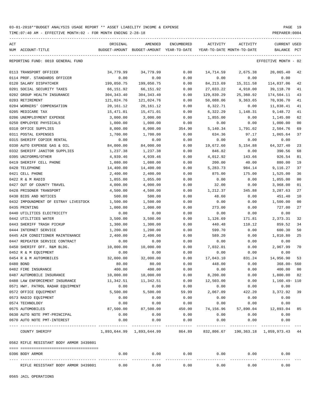TIME:07:40 AM - EFFECTIVE MONTH:02 - FOR MONTH ENDING 2-28-18 PREPARER:0004

----------------------------------------------------------------------------------------------------------------------------------- ACT ORIGINAL AMENDED ENCUMBERED ACTIVITY ACTIVITY CURRENT USED NUM ACCOUNT-TITLE BUDGET-AMOUNT BUDGET-AMOUNT YEAR-TO-DATE YEAR-TO-DATE MONTH-TO-DATE BALANCE PCT ----------------------------------------------------------------------------------------------------------------------------------- REPORTING FUND: 0010 GENERAL FUND EFFECTIVE MONTH - 02

| RIFLE RESISTANT BODY ARMOR 3439801      | 0.00        | 0.00                      | 0.00   | 0.00                                 | 0.00       | 0.00                    |                |
|-----------------------------------------|-------------|---------------------------|--------|--------------------------------------|------------|-------------------------|----------------|
| 0396 BODY ARMOR                         | 0.00        | 0.00                      | 0.00   | 0.00                                 | 0.00       | 0.00                    |                |
| 0562 RIFLE RESISTANT BODY ARMOR 3439801 |             |                           |        |                                      |            |                         |                |
| COUNTY SHERIFF                          |             | 1,893,644.99 1,893,644.99 | 864.89 | 832,806.67                           |            | 190,363.18 1,059,973.43 | 44             |
| 0670 AUTO NOTE PMT-INTEREST             | 0.00        | 0.00                      | 0.00   | 0.00                                 | 0.00       | 0.00                    |                |
| 0630 AUTO NOTE PMT-PRINCIPAL            | 0.00        | 0.00                      | 0.00   | 0.00                                 | 0.00       | 0.00                    |                |
| 0575 AUTOMOBILES                        | 87,500.00   | 87,500.00                 |        | 450.00 74,156.96 57,890.04 12,893.04 |            |                         | 85             |
| 0574 TECHNOLOGY                         | 0.00        | 0.00                      | 0.00   | 0.00                                 | 0.00       | 0.00                    |                |
| 0573 RADIO EQUIPMENT                    | 0.00        | 0.00                      | 0.00   | 0.00                                 | 0.00       | 0.00                    |                |
| 0572 OFFICE EQUIPMENT                   | 5,500.00    | 5,500.00                  | 59.99  | 2,067.09                             | 422.20     | 3,372.92                | 39             |
| 0571 HWY. PATROL RADAR EQUIPMENT        | 0.00        | 0.00                      | 0.00   | 0.00                                 | 0.00       | 0.00                    |                |
| 0488 LAW ENFORCEMENT INSURANCE          | 11,342.51   | 11,342.51                 | 0.00   | 12,503.00                            | 0.00       | 1,160.49-110            |                |
| 0487 AUTOMOBILE INSURANCE               | 10,000.00   | 10,000.00                 | 0.00   | 8,200.00                             | 0.00       | 1,800.00                | 82             |
| 0482 FIRE INSURANCE                     | 400.00      | 400.00                    | 0.00   | 0.00                                 | 0.00       | 400.00                  | 0 <sub>0</sub> |
| 0480 BOND                               | 80.00       | 80.00                     | 0.00   | 448.00                               | 0.00       | $368.00 - 560$          |                |
| 0454 R & M AUTOMOBILES                  | 32,000.00   | 32,000.00                 | 0.00   | 17,043.10                            | 831.24     | 14,956.90               | 53             |
| 0452 R & M EQUIPMENT                    | 0.00        | 0.00                      | 0.00   | 0.00                                 | 0.00       | 0.00                    |                |
| 0450 SHERIFF OFF. R&M BLDG.             | 10,000.00   | 10,000.00                 | 0.00   | 7,032.01                             | 0.00       | 2,967.99                | 70             |
| 0447 REPEATER SERVICE CONTRACT          | 0.00        | 0.00                      | 0.00   | 0.00                                 | 0.00       | 0.00                    |                |
| 0445 AIR CONDITIONER MAINTENANCE        | 2,400.00    | 2,400.00                  | 0.00   | 589.20                               | 0.00       | 1,810.80                | 25             |
| 0444 INTERNET SERVICE                   | 1,200.00    | 1,200.00                  | 0.00   | 599.70                               | 0.00       | 600.30                  | 50             |
| 0443 SHERIFF TRASH PICKUP               | 1,300.00    | 1,300.00                  | 0.00   | 440.48                               | 110.12     | 859.52                  | 34             |
| 0442 UTILITIES WATER                    | 3,500.00    | 3,500.00                  | 0.00   | 1,126.69                             | 171.81     | 2,373.31                | 32             |
| 0440 UTILITIES ELECTRICITY              | 0.00        | 0.00                      | 0.00   | 0.00                                 | 0.00       | 0.00                    |                |
| 0435 PRINTING                           | 1,000.00    | 1,000.00                  | 0.00   | 273.00                               | 0.00       | 727.00                  | 27             |
| 0432 IMPOUNDMENT OF ESTRAY LIVESTOCK    | 1,500.00    | 1,500.00                  | 0.00   | 0.00                                 | 0.00       | 1,500.00                | 0 <sub>0</sub> |
| 0430 BIDS AND NOTICES                   | 500.00      | 500.00                    | 0.00   | 48.60                                | 0.00       | 451.40                  | 10             |
| 0428 PRISONER TRANSPORT                 | 4,500.00    | 4,500.00                  | 0.00   | 1,212.37                             | 345.88     | 3,287.63                | 27             |
| 0427 OUT OF COUNTY TRAVEL               | 4,000.00    | 4,000.00                  | 0.00   | 32.00                                | 0.00       | 3,968.00                | 01             |
| 0422 R & M RADIO                        | 1,055.00    | 1,055.00                  | 0.00   | 0.00                                 | 0.00       | 1,055.00                | 0 <sub>0</sub> |
| 0421 CELL PHONE                         | 2,400.00    | 2,400.00                  | 0.00   | 875.00                               | 175.00     | 1,525.00                | 36             |
| 0420 TELEPHONE                          | 14,400.00   | 14,400.00                 | 0.00   | 5,283.73                             | 984.14     | 9,116.27                | 37             |
| 0419 SHERIFF CELL PHONE                 | 1,080.00    | 1,080.00                  | 0.00   | 200.00                               | 40.00      | 880.00                  | 19             |
| 0395 UNIFORMS/OTHER                     | 4,939.46    | 4,939.46                  | 0.00   | 4,012.92                             | 143.66     | 926.54                  | 81             |
| 0332 SHERIFF JANITOR SUPPLIES           | 1,237.38    | 1,237.38                  | 0.00   | 846.82                               | 0.00       | 390.56                  | 68             |
| 0330 AUTO EXPENSE GAS & OIL             | 84,000.00   | 84,000.00                 | 0.00   | 19,672.60                            | 5,154.88   | 64, 327.40              | 23             |
| 0315 SHERIFF COPIER RENTAL              | 0.00        | 0.00                      | 0.00   | 0.00                                 | 0.00       | 0.00                    |                |
| 0311 POSTAL EXPENSES                    | 1,700.00    | 1,700.00                  | 0.00   | 634.36                               | 97.17      | 1,065.64                | 37             |
| 0310 OFFICE SUPPLIES                    | 8,000.00    | 8,000.00                  | 354.90 | 5,140.34                             | 1,791.02   | 2,504.76                | 69             |
| 0250 EMPLOYEE PHYSICALS                 | 1,000.00    | 1,000.00                  | 0.00   | 0.00                                 | 0.00       | 1,000.00                | 0 <sub>0</sub> |
| 0206 UNEMPLOYMENT EXPENSE               | 3,000.00    | 3,000.00                  | 0.00   | 1,855.00                             | 0.00       | 1,145.00                | 62             |
| 0205 MEDICARE TAX                       | 15,471.01   | 15,471.01                 | 0.00   | 6,322.29                             | 1,148.31   | 9,148.72                | 41             |
| 0204 WORKERS' COMPENSATION              | 20,161.12   | 20,161.12                 | 0.00   | 8,322.71                             | 0.00       | 11,838.41               | 41             |
| 0203 RETIREMENT                         | 121,024.76  | 121,024.76                | 0.00   | 50,088.06                            | 9,363.65   | 70,936.70               | 41             |
| 0202 GROUP HEALTH INSURANCE             | 304, 343.40 | 304, 343.40               | 0.00   | 129,839.29                           | 25,360.92  | 174,504.11              | 43             |
| 0201 SOCIAL SECURITY TAXES              | 66,151.92   | 66,151.92                 | 0.00   | 27,033.22                            | 4,910.00   | 39,118.70               | 41             |
| 0120 SALARY DISPATCHER                  | 199,050.75  | 199,050.75                | 0.00   | 84, 213.69                           | 15, 311.58 | 114,837.06              | 42             |
| 0114 PROF. STANDARDS OFFICER            | 0.00        | 0.00                      | 0.00   | 0.00                                 | 0.00       | 0.00                    |                |
| 0113 TRANSPORT OFFICER                  | 34,779.99   | 34,779.99                 | 0.00   | 14,714.59                            | 2,675.38   | 20,065.40               | 42             |
|                                         |             |                           |        |                                      |            |                         |                |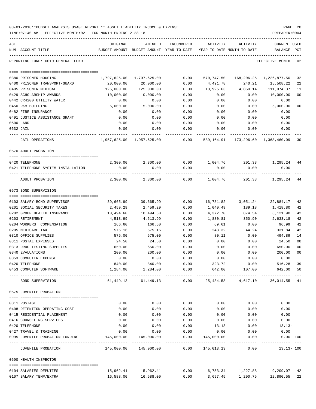| 03-01-2018**BUDGET ANALYSIS USAGE REPORT ** ASSET LIABILITY INCOME & EXPENSE | PAGE 20        |
|------------------------------------------------------------------------------|----------------|
| TIME:07:40 AM - EFFECTIVE MONTH:02 - FOR MONTH ENDING 2-28-18                | PREPARER: 0004 |

| ACT | NUM ACCOUNT-TITLE                          | ORIGINAL<br>BUDGET-AMOUNT | AMENDED<br>BUDGET-AMOUNT YEAR-TO-DATE | ENCUMBERED          | ACTIVITY<br>YEAR-TO-DATE MONTH-TO-DATE | ACTIVITY          | <b>CURRENT USED</b><br>BALANCE                                         | PCT |
|-----|--------------------------------------------|---------------------------|---------------------------------------|---------------------|----------------------------------------|-------------------|------------------------------------------------------------------------|-----|
|     |                                            |                           |                                       |                     |                                        |                   |                                                                        |     |
|     | REPORTING FUND: 0010 GENERAL FUND          |                           |                                       |                     |                                        |                   | EFFECTIVE MONTH - 02                                                   |     |
|     | 0380 PRISONER HOUSING                      | 1,797,625.00              | 1,797,625.00                          | 0.00                | 570,747.50                             |                   | 168, 206. 25 1, 226, 877. 50                                           | 32  |
|     | 0400 PRISONER TRANSPORT/GUARD              | 20,000.00                 | 20,000.00                             | 0.00                | 4,491.78                               | 240.21            | 15,508.22                                                              | 22  |
|     | 0405 PRISONER MEDICAL                      | 125,000.00                | 125,000.00                            | 0.00                | 13,925.63                              |                   | 4,850.14 111,074.37                                                    | 11  |
|     | 0429 SCHOLARSHIP AWARDS                    | 10,000.00                 | 10,000.00                             | 0.00                | 0.00                                   | 0.00              | 10,000.00                                                              | 00  |
|     | 0442 CR4200 UTILITY WATER                  | 0.00                      | 0.00                                  | 0.00                | 0.00                                   | 0.00              | 0.00                                                                   |     |
|     | 0450 R&M BUILDING                          | 5,000.00                  | 5,000.00                              | 0.00                | 0.00                                   | 0.00              | 5,000.00                                                               | 00  |
|     | 0482 FIRE INSURANCE                        | 0.00                      | 0.00                                  | 0.00                | 0.00                                   | 0.00              | 0.00                                                                   |     |
|     | 0491 JUSTICE ASSISTANCE GRANT              | 0.00                      | 0.00                                  | 0.00                | 0.00                                   | 0.00              | 0.00                                                                   |     |
|     | 0500 LAND                                  | 0.00                      | 0.00                                  | 0.00                | 0.00                                   | 0.00              | 0.00                                                                   |     |
|     | 0532 JAIL                                  | 0.00                      | 0.00                                  | 0.00                | 0.00                                   | 0.00              | 0.00                                                                   |     |
|     | <b>JAIL OPERATIONS</b>                     |                           | 1,957,625.00 1,957,625.00             | 0.00                | 589,164.91                             |                   | 173,296.60 1,368,460.09                                                | 30  |
|     | 0570 ADULT PROBATION                       |                           |                                       |                     |                                        |                   |                                                                        |     |
|     | 0420 TELEPHONE                             | 2,300.00                  | 2,300.00                              |                     |                                        |                   | $0.00$ 1,004.76 201.33 1,295.24 44                                     |     |
|     | 0421 TELEPHONE SYSTEM INSTALLATION         | 0.00                      | 0.00                                  | 0.00                | 0.00                                   | 0.00              | 0.00                                                                   |     |
|     | ADULT PROBATION                            | 2,300.00                  | 2,300.00                              | 0.00                |                                        |                   | 1,004.76 201.33 1,295.24                                               | 44  |
|     | 0573 BOND SUPERVISION                      |                           |                                       |                     |                                        |                   |                                                                        |     |
|     | 0103 SALARY-BOND SUPERVISOR                | 39,665.99                 | 39,665.99                             | 0.00                | 16,781.82                              | 3,051.24          | 22,884.17                                                              | 42  |
|     | 0201 SOCIAL SECURITY TAXES                 | 2,459.29                  | 2,459.29                              | 0.00                | 1,040.49                               | 189.18            | 1,418.80                                                               | 42  |
|     | 0202 GROUP HEALTH INSURANCE                | 10,494.60                 | 10,494.60                             | 0.00                | 4,372.70                               | 874.54            | 6,121.90                                                               | 42  |
|     | 0203 RETIREMENT                            | 4,513.99                  | 4,513.99                              | 0.00                | 1,880.81                               | 350.90            | 2,633.18                                                               | 42  |
|     | 0204 WORKERS' COMPENSATION                 | 166.60                    | 166.60                                | 0.00                | 69.61                                  | 0.00              | 96.99                                                                  | 42  |
|     | 0205 MEDICARE TAX                          | 575.16                    | 575.16                                | 0.00                | 243.32                                 | 44.24             | 331.84                                                                 | 42  |
|     | 0310 OFFICE SUPPLIES                       | 575.00                    | 575.00                                | 0.00                | 80.11                                  | 0.00              | 494.89                                                                 | 14  |
|     | 0311 POSTAL EXPENSES                       | 24.50                     | 24.50                                 | 0.00                | 0.00                                   | 0.00              | 24.50                                                                  | 00  |
|     | 0313 DRUG TESTING SUPPLIES                 | 650.00                    | 650.00                                | 0.00                | 0.00                                   | 0.00              | 650.00                                                                 | 00  |
|     | 0340 EVALUATIONS                           | 200.00                    | 200.00                                | 0.00                | 0.00                                   | 0.00              | 200.00                                                                 | 00  |
|     | 0353 COMPUTER EXPENSE                      | 0.00                      | 0.00                                  | 0.00                | 0.00                                   | 0.00              | 0.00                                                                   |     |
|     | 0420 TELEPHONE                             | 840.00                    | 840.00                                | 0.00                | 323.72                                 | 0.00              | 516.28                                                                 | 39  |
|     | 0453 COMPUTER SOFTWARE                     | 1,284.00                  | 1,284.00                              | 0.00                |                                        | 642.00 107.00     | 642.00 50                                                              |     |
|     | BOND SUPERVISION                           |                           |                                       |                     |                                        |                   | $61,449.13$ $61,449.13$ $0.00$ $25,434.58$ $4,617.10$ $36,014.55$ $41$ |     |
|     | 0575 JUVENILE PROBATION                    |                           |                                       |                     |                                        |                   |                                                                        |     |
|     |                                            |                           |                                       |                     |                                        |                   |                                                                        |     |
|     | 0311 POSTAGE                               | 0.00                      | 0.00                                  | 0.00                | 0.00                                   | 0.00              | 0.00                                                                   |     |
|     | 0408 DETENTION OPERATING COST              | 0.00                      | 0.00                                  | 0.00                | 0.00                                   | 0.00              | 0.00                                                                   |     |
|     | 0415 RESIDENTIAL PLACEMENT                 | 0.00                      | 0.00                                  | 0.00                | 0.00                                   | 0.00              | 0.00                                                                   |     |
|     | 0416 COUNSELING SERVICES                   | 0.00                      | 0.00                                  | 0.00                | 0.00                                   | 0.00              | 0.00                                                                   |     |
|     | 0420 TELEPHONE                             | 0.00                      | 0.00                                  | 0.00                | 13.13                                  | 0.00              | $13.13-$                                                               |     |
|     | 0427 TRAVEL & TRAINING                     | 0.00                      | 0.00                                  | 0.00                | 0.00                                   | 0.00              | 0.00                                                                   |     |
|     | 0995 JUVENILE PROBATION FUNDING 145,000.00 |                           | 145,000.00                            | 0.00<br>----------- | 145,000.00<br>-----------              | 0.00<br>.         | $0.00$ $100$<br>----------                                             |     |
|     | JUVENILE PROBATION                         |                           |                                       |                     | $0.00 \qquad 145,013.13$               | 0.00              | $13.13 - 100$                                                          |     |
|     | 0590 HEALTH INSPECTOR                      |                           |                                       |                     |                                        |                   |                                                                        |     |
|     | 0104 SALARIES DEPUTIES                     |                           | 15,962.41   15,962.41                 | 0.00                |                                        | 6,753.34 1,227.88 | 9,209.07 42                                                            |     |
|     | 0107 SALARY TEMP/EXTRA                     |                           | 16,588.00    16,588.00                | 0.00                |                                        |                   | 3,697.45 1,290.75 12,890.55 22                                         |     |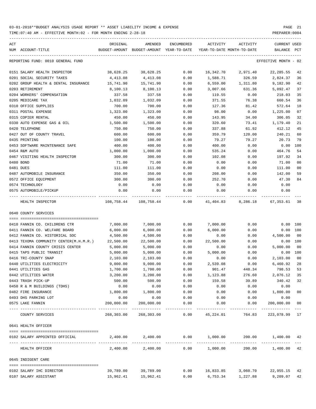| ACT                                    | ORIGINAL   | AMENDED<br>BUDGET-AMOUNT BUDGET-AMOUNT | ENCUMBERED   | ACTIVITY        | ACTIVITY                   | CURRENT USED         | PCT    |
|----------------------------------------|------------|----------------------------------------|--------------|-----------------|----------------------------|----------------------|--------|
| NUM ACCOUNT-TITLE                      |            |                                        | YEAR-TO-DATE |                 | YEAR-TO-DATE MONTH-TO-DATE | BALANCE              |        |
| REPORTING FUND: 0010 GENERAL FUND      |            |                                        |              |                 |                            | EFFECTIVE MONTH - 02 |        |
| 0151 SALARY HEALTH INSPECTOR           | 38,628.25  | 38,628.25                              | 0.00         | 16,342.70       | 2,971.40                   | 22, 285.55           | 42     |
| 0201 SOCIAL SECURITY TAXES             | 4,413.08   | 4,413.08                               | 0.00         | 1,588.71        | 326.59                     | 2,824.37             | 36     |
| 0202 GROUP HEALTH & DENTAL INSURANCE   | 15,741.90  | 15,741.90                              | 0.00         | 6,559.00        | 1,311.80                   | 9,182.90             | 42     |
| 0203 RETIREMENT                        | 8,100.13   | 8,100.13                               | 0.00         | 3,007.66        | 631.36                     | 5,092.47             | 37     |
| 0204 WORKERS' COMPENSATION             | 337.58     | 337.58                                 | 0.00         | 119.55          | 0.00                       | 218.03               | 35     |
| 0205 MEDICARE TAX                      | 1,032.09   | 1,032.09                               | 0.00         | 371.55          | 76.38                      | 660.54               | 36     |
| 0310 OFFICE SUPPLIES                   | 700.00     | 700.00                                 | 0.00         | 127.36          | 81.42                      | 572.64               | 18     |
| 0311 POSTAL EXPENSE                    | 1,323.00   | 1,323.00                               | 0.00         | 98.00           | 0.00                       | 1,225.00             | 07     |
| 0315 COPIER RENTAL                     | 450.00     | 450.00                                 | 0.00         | 143.95          | 34.00                      | 306.05               | 32     |
| 0330 AUTO EXPENSE GAS & OIL            | 1,500.00   | 1,500.00                               | 0.00         | 320.60          | 73.41                      | 1,179.40             | 21     |
| 0420 TELEPHONE                         | 750.00     | 750.00                                 | 0.00         | 337.88          | 61.92                      | 412.12               | 45     |
| 0427 OUT OF COUNTY TRAVEL              | 600.00     | 600.00                                 | 0.00         | 359.79          | 120.00                     | 240.21               | 60     |
| 0435 PRINTING                          | 100.00     | 100.00                                 | 0.00         | 79.27           | 79.27                      | 20.73                | 79     |
| 0453 SOFTWARE MAINTENANCE SAFE         | 400.00     | 400.00                                 | 0.00         | 400.00          | 0.00                       | 0.00                 | 100    |
| 0454 R&M AUTO                          | 1,000.00   | 1,000.00                               | 0.00         | 535.24          | 0.00                       | 464.76               | 54     |
| 0467 VISITING HEALTH INSPECTOR         | 300.00     | 300.00                                 | 0.00         | 102.08          | 0.00                       | 197.92               | 34     |
| 0480 BOND                              | 71.00      | 71.00                                  | 0.00         | 0.00            | 0.00                       | 71.00                | 00     |
| 0481 DUES                              | 111.00     | 111.00                                 | 0.00         | 0.00            | 0.00                       | 111.00               | 00     |
| 0487 AUTOMOBILE INSURANCE              | 350.00     | 350.00                                 | 0.00         | 208.00          | 0.00                       | 142.00               | 59     |
| 0572 OFFICE EQUIPMENT                  | 300.00     | 300.00                                 | 0.00         | 252.70          | 0.00                       | 47.30                | 84     |
| 0574 TECHNOLOGY                        | 0.00       | 0.00                                   | 0.00         | 0.00            | 0.00                       | 0.00                 |        |
| 0575 AUTOMOBILE/PICKUP                 | 0.00       | 0.00                                   | 0.00         | 0.00            | 0.00                       | 0.00                 |        |
| ---- -------------<br>HEALTH INSPECTOR |            | 108,758.44 108,758.44                  | 0.00         |                 | 41,404.83 8,286.18         | 67, 353.61 38        |        |
| 0640 COUNTY SERVICES                   |            |                                        |              |                 |                            |                      |        |
|                                        |            |                                        |              |                 |                            |                      |        |
| 0410 FANNIN CO. CHILDRENS CTR          | 7,000.00   | 7,000.00                               | 0.00         | 7,000.00        | 0.00                       | 0.00 100             |        |
| 0411 FANNIN CO. WELFARE BOARD          | 6,000.00   | 6,000.00                               | 0.00         | 6,000.00        | 0.00                       | 0.00 100             |        |
| 0412 FANNIN CO. HISTORICAL SOC         | 4,500.00   | 4,500.00                               | 0.00         | 0.00            | 0.00                       | 4,500.00             | 00     |
| 0413 TEXOMA COMMUNITY CENTER(M.H.M.R.) | 22,500.00  | 22,500.00                              | 0.00         | 22,500.00       | 0.00                       | 0.00 100             |        |
| 0414 FANNIN COUNTY CRISIS CENTER       | 5,000.00   | 5,000.00                               | 0.00         | 0.00            | 0.00                       | 5,000.00             | 00     |
| 0415 TAPS PUBLIC TRANSIT               | 5,000.00   | 5,000.00                               | 0.00         | 5,000.00        | 0.00                       | 0.00 100             |        |
| 0416 TRI-COUNTY SNAP                   | 2,103.00   | 2,103.00                               | 0.00         | 0.00            | 0.00                       | 2,103.00             | $00\,$ |
| 0440 UTILITIES ELECTRICITY             | 9,000.00   | 9,000.00                               | 0.00         | 2,539.08        | 0.00                       | 6,460.92             | 28     |
| 0441 UTILITIES GAS                     | 1,700.00   | 1,700.00                               | 0.00         | 901.47          | 448.34                     | 798.53 53            |        |
| 0442 UTILITIES WATER                   | 3,200.00   | 3,200.00                               | 0.00         | 1,123.88        | 276.60                     | 2,076.12             | 35     |
| 0443 TRASH PICK-UP                     | 500.00     | 500.00                                 | 0.00         | 159.58          | 39.89                      | 340.42               | 32     |
| 0450 R & M BUILDINGS (TDHS)            | 0.00       | 0.00                                   | 0.00         | 0.00            | 0.00                       | 0.00                 |        |
| 0482 FIRE INSURANCE                    | 1,800.00   | 1,800.00                               | 0.00         | 0.00            | 0.00                       | 1,800.00             | $00\,$ |
| 0493 DHS PARKING LOT                   | 0.00       | 0.00                                   | 0.00         | 0.00            | 0.00                       | 0.00                 |        |
| 0575 LAKE FANNIN                       | 200,000.00 | 200,000.00                             | 0.00         | 0.00            | 0.00                       | 200,000.00           | 00     |
| COUNTY SERVICES                        |            | 268,303.00 268,303.00                  | 0.00         | 45,224.01       | 764.83                     | 223,078.99 17        |        |
| 0641 HEALTH OFFICER                    |            |                                        |              |                 |                            |                      |        |
| 0102 SALARY APPOINTED OFFICIAL         |            | 2,400.00 2,400.00                      |              | 0.00 1,000.00   |                            | 200.00 1,400.00 42   |        |
| HEALTH OFFICER                         | 2,400.00   | 2,400.00                               |              | $0.00$ 1,000.00 |                            | 200.00 1,400.00 42   |        |
| 0645 INDIGENT CARE                     |            |                                        |              |                 |                            |                      |        |
| 0102 SALARY IHC DIRECTOR               | 39,789.00  | 39,789.00                              | 0.00         | 16,833.85       | 3,060.70                   | 22,955.15 42         |        |
| 0107 SALARY ASSISTANT                  | 15,962.41  | 15,962.41                              | 0.00         |                 | 6,753.34 1,227.88          | 9,209.07 42          |        |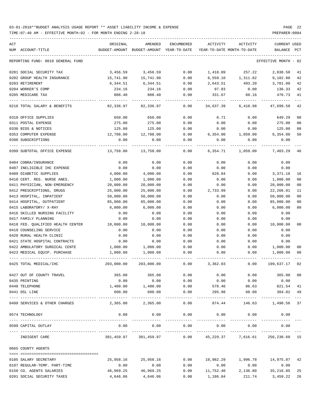| ACT<br>NUM ACCOUNT-TITLE                                             | ORIGINAL       | AMENDED<br>BUDGET-AMOUNT BUDGET-AMOUNT YEAR-TO-DATE | ENCUMBERED           | ACTIVITY              | ACTIVITY<br>YEAR-TO-DATE MONTH-TO-DATE              | CURRENT USED<br>BALANCE                 | PCT  |
|----------------------------------------------------------------------|----------------|-----------------------------------------------------|----------------------|-----------------------|-----------------------------------------------------|-----------------------------------------|------|
|                                                                      |                |                                                     |                      |                       |                                                     |                                         |      |
| REPORTING FUND: 0010 GENERAL FUND                                    |                |                                                     |                      |                       |                                                     | EFFECTIVE MONTH                         | - 02 |
| 0201 SOCIAL SECURITY TAX                                             | 3,456.59       | 3,456.59                                            | 0.00                 | 1,418.09              | 257.22                                              | 2,038.50                                | 41   |
| 0202 GROUP HEALTH INSURANCE                                          | 15,741.90      | 15,741.90                                           | 0.00                 | 6,559.10              | 1,311.82                                            | 9,182.80                                | 42   |
| 0203 RETIREMENT                                                      | 6,344.51       | 6,344.51                                            | 0.00                 | 2,643.51              | 493.20                                              | 3,701.00                                | 42   |
| 0204 WORKER'S COMP                                                   | 234.16         | 234.16                                              | 0.00                 | 97.83                 | 0.00                                                | 136.33                                  | 42   |
| 0205 MEDICARE TAX                                                    | 808.40         | 808.40                                              | 0.00                 | 331.67                | 60.16                                               | 476.73                                  | 41   |
| 0210 TOTAL SALARY & BENEFITS                                         | 82,336.97      | 82,336.97                                           | 0.00                 | 34,637.39             | 6,410.98                                            | 47,699.58                               | 42   |
| 0310 OFFICE SUPPLIES                                                 | 650.00         | 650.00                                              | 0.00                 | 0.71                  | 0.00                                                | 649.29                                  | 00   |
| 0311 POSTAL EXPENSE                                                  | 275.00         | 275.00                                              | 0.00                 | 0.00                  | 0.00                                                | 275.00                                  | 00   |
| 0330 BIDS & NOTICES                                                  | 125.00         | 125.00                                              | 0.00                 | 0.00                  | 0.00                                                | 125.00                                  | 00   |
| 0353 COMPUTER EXPENSE                                                | 12,708.00      | 12,708.00                                           | 0.00                 | 6,354.00              | 1,059.00                                            | 6,354.00                                | 50   |
| 0390 SUBSCRIPTIONS                                                   | 0.00           | 0.00                                                | 0.00                 | 0.00                  | 0.00                                                | 0.00                                    |      |
| 0399 SUBTOTAL OFFICE EXPENSE                                         | 13,758.00      | 13,758.00                                           | 0.00                 | 6,354.71              | 1,059.00                                            | 7,403.29                                | 46   |
| 0404 COBRA/INSURANCE                                                 | 0.00           | 0.00                                                | 0.00                 | 0.00                  | 0.00                                                | 0.00                                    |      |
| 0407 INELIGIBLE IHC EXPENSE                                          | 0.00           | 0.00                                                | 0.00                 | 0.00                  | 0.00                                                | 0.00                                    |      |
| 0409 DIABETIC SUPPLIES                                               | 4,000.00       | 4,000.00                                            | 0.00                 | 628.84                | 0.00                                                | 3,371.16                                | 16   |
| 0410 CERT. REG. NURSE ANES.                                          | 1,000.00       | 1,000.00                                            | 0.00                 | 0.00                  | 0.00                                                | 1,000.00                                | 00   |
| 0411 PHYSICIAN, NON-EMERGENCY                                        | 20,000.00      | 20,000.00                                           | 0.00                 | 0.00                  | 0.00                                                | 20,000.00                               | 00   |
| 0412 PRESCRIPTIONS, DRUGS                                            | 25,000.00      | 25,000.00                                           | 0.00                 | 2,733.99              | 0.00                                                | 22,266.01                               | 11   |
| 0413 HOSPITAL, INPATIENT                                             | 50,000.00      | 50,000.00                                           | 0.00                 | 0.00                  | 0.00                                                | 50,000.00                               | 00   |
| 0414 HOSPITAL, OUTPATIENT                                            | 85,000.00      | 85,000.00                                           | 0.00                 | 0.00                  | 0.00                                                | 85,000.00                               | 00   |
| 0415 LABORATORY/ X-RAY                                               | 6,000.00       | 6,000.00                                            | 0.00                 | 0.00                  | 0.00                                                | 6,000.00                                | 00   |
| 0416 SKILLED NURSING FACILITY                                        | 0.00           | 0.00                                                | 0.00                 | 0.00                  | 0.00                                                | 0.00                                    |      |
| 0417 FAMILY PLANNING                                                 | 0.00           | 0.00                                                | 0.00                 | 0.00                  | 0.00                                                | 0.00                                    |      |
| 0418 FED. QUALIFIED HEALTH CENTER                                    | 10,000.00      | 10,000.00                                           | 0.00                 | 0.00                  | 0.00                                                | 10,000.00                               | 00   |
| 0419 COUNSELING SERVICE                                              | 0.00           | 0.00                                                | 0.00                 | 0.00                  | 0.00                                                | 0.00                                    |      |
| 0420 RURAL HEALTH CLINIC                                             | 0.00           | 0.00                                                | 0.00                 | 0.00                  | 0.00                                                | 0.00                                    |      |
| 0421 STATE HOSPITAL CONTRACTS                                        | 0.00           | 0.00                                                | 0.00                 | 0.00                  | 0.00                                                | 0.00                                    |      |
| 0422 AMBULATORY SURGICAL CENTE                                       | 1,000.00       | 1,000.00                                            | 0.00                 | 0.00                  | 0.00                                                | 1,000.00                                | 00   |
| 0423 MEDICAL EQUIP. PURCHASE                                         | 1,000.00       | 1,000.00                                            | 0.00                 | 0.00                  | 0.00                                                | 1,000.00                                | 00   |
| 0425 TOTAL MEDICAL/IHC                                               | 203,000.00     | 203,000.00                                          | 0.00                 | 3,362.83              | 0.00                                                | 199,637.17                              | 02   |
| 0427 OUT OF COUNTY TRAVEL                                            | 365.00         | 365.00                                              | 0.00                 | 0.00                  | 0.00                                                | 365.00 00                               |      |
| 0435 PRINTING                                                        | 0.00           | 0.00                                                | 0.00                 | 0.00                  | 0.00                                                | 0.00                                    |      |
| 0440 TELEPHONE                                                       | 1,400.00       | 1,400.00                                            | 0.00                 |                       | 578.46 86.63 821.54                                 |                                         | 41   |
| 0441 DSL LINE                                                        | 600.00         | 600.00                                              | 0.00                 | 295.98                | 60.00                                               | 304.02                                  | 49   |
| -----------------------------------<br>0499 SERVICES & OTHER CHARGES | -------------- | -------------<br>2,365.00 2,365.00                  | ------------<br>0.00 | -----------<br>874.44 |                                                     | ------------- ---<br>146.63 1,490.56 37 |      |
| 0574 TECHNOLOGY                                                      | 0.00           | 0.00                                                | 0.00                 | 0.00                  | 0.00                                                | 0.00                                    |      |
| 0599 CAPITAL OUTLAY                                                  | 0.00           | 0.00                                                | ---------<br>0.00    | 0.00                  | 0.00                                                | 0.00                                    |      |
| INDIGENT CARE                                                        |                | -----------<br>301,459.97 301,459.97                | 0.00                 |                       | ------------<br>45, 229.37 7, 616.61 256, 230.60 15 |                                         |      |
| 0665 COUNTY AGENTS                                                   |                |                                                     |                      |                       |                                                     |                                         |      |
|                                                                      |                |                                                     |                      |                       |                                                     |                                         |      |
| 0105 SALARY SECRETARY                                                | 25,958.16      | 25,958.16                                           | 0.00                 | 10,982.29             | 1,996.78                                            | 14,975.87 42                            |      |
| 0107 REGULAR-TEMP. PART-TIME                                         | 0.00           | 0.00                                                | 0.00                 | 0.00                  | 0.00                                                | 0.00                                    |      |
| 0150 CO. AGENTS SALARIES                                             | 46,969.25      | 46,969.25                                           | 0.00                 | 11,752.40             | 2,136.80                                            | 35,216.85                               | 25   |
| 0201 SOCIAL SECURITY TAXES                                           | 4,646.06       | 4,646.06                                            | 0.00                 | 1,186.84              | 211.74                                              | 3,459.22                                | 26   |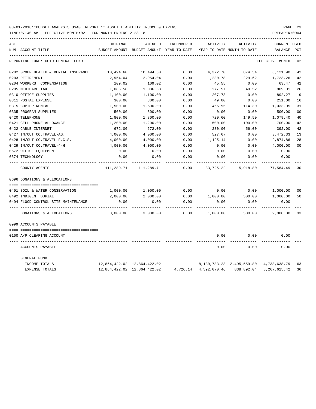| ACT |                                      | ORIGINAL   | AMENDED                                  | ENCUMBERED | ACTIVITY  | ACTIVITY                         | <b>CURRENT USED</b>  |                |
|-----|--------------------------------------|------------|------------------------------------------|------------|-----------|----------------------------------|----------------------|----------------|
|     | NUM ACCOUNT-TITLE                    |            | BUDGET-AMOUNT BUDGET-AMOUNT YEAR-TO-DATE |            |           | YEAR-TO-DATE MONTH-TO-DATE       | BALANCE              | PCT            |
|     | REPORTING FUND: 0010 GENERAL FUND    |            |                                          |            |           |                                  | EFFECTIVE MONTH - 02 |                |
|     | 0202 GROUP HEALTH & DENTAL INSURANCE | 10,494.60  | 10,494.60                                | 0.00       | 4,372.70  | 874.54                           | 6,121.90             | 42             |
|     | 0203 RETIREMENT                      | 2,954.04   | 2,954.04                                 | 0.00       | 1,230.78  | 229.62                           | 1,723.26             | 42             |
|     | 0204 WORKERS' COMPENSATION           | 109.02     | 109.02                                   | 0.00       | 45.55     | 0.00                             | 63.47                | 42             |
|     | 0205 MEDICARE TAX                    | 1,086.58   | 1,086.58                                 | 0.00       | 277.57    | 49.52                            | 809.01               | 26             |
|     | 0310 OFFICE SUPPLIES                 | 1,100.00   | 1,100.00                                 | 0.00       | 207.73    | 0.00                             | 892.27               | 19             |
|     | 0311 POSTAL EXPENSE                  | 300.00     | 300.00                                   | 0.00       | 49.00     | 0.00                             | 251.00               | 16             |
|     | 0315 COPIER RENTAL                   | 1,500.00   | 1,500.00                                 | 0.00       | 466.95    | 114.30                           | 1,033.05             | 31             |
|     | 0335 PROGRAM SUPPLIES                | 500.00     | 500.00                                   | 0.00       | 0.00      | 0.00                             | 500.00               | 0 <sub>0</sub> |
|     | 0420 TELEPHONE                       | 1,800.00   | 1,800.00                                 | 0.00       | 720.60    | 149.50                           | 1,079.40             | 40             |
|     | 0421 CELL PHONE ALLOWANCE            | 1,200.00   | 1,200.00                                 | 0.00       | 500.00    | 100.00                           | 700.00               | 42             |
|     | 0422 CABLE INTERNET                  | 672.00     | 672.00                                   | 0.00       | 280.00    | 56.00                            | 392.00               | 42             |
|     | 0427 IN/OUT CO.TRAVEL-AG.            | 4,000.00   | 4,000.00                                 | 0.00       | 527.67    | 0.00                             | 3,472.33             | 13             |
|     | 0428 IN/OUT CO.TRAVEL-F.C.S.         | 4,000.00   | 4,000.00                                 | 0.00       | 1,125.14  | 0.00                             | 2,874.86             | 28             |
|     | 0429 IN/OUT CO.TRAVEL-4-H            | 4,000.00   | 4,000.00                                 | 0.00       | 0.00      | 0.00                             | 4,000.00             | 0 <sub>0</sub> |
|     | 0572 OFFICE EQUIPMENT                | 0.00       | 0.00                                     | 0.00       | 0.00      | 0.00                             | 0.00                 |                |
|     | 0574 TECHNOLOGY                      | 0.00       | 0.00                                     | 0.00       | 0.00      | 0.00                             | 0.00                 |                |
|     | COUNTY AGENTS                        | 111,289.71 | 111,289.71                               | 0.00       | 33,725.22 | 5,918.80                         | 77,564.49            | 30             |
|     | 0696 DONATIONS & ALLOCATIONS         |            |                                          |            |           |                                  |                      |                |
|     |                                      |            |                                          |            |           |                                  |                      |                |
|     | 0491 SOIL & WATER CONSERVATION       | 1,000.00   | 1,000.00                                 | 0.00       | 0.00      | 0.00                             | 1,000.00             | 0 <sub>0</sub> |
|     | 0492 INDIGENT BURIAL                 | 2,000.00   | 2,000.00                                 | 0.00       | 1,000.00  | 500.00                           | 1,000.00             | 50             |
|     | 0494 FLOOD CONTROL SITE MAINTENANCE  | 0.00       | 0.00                                     | 0.00       | 0.00      | 0.00                             | 0.00                 |                |
|     | DONATIONS & ALLOCATIONS              | 3,000.00   | 3,000.00                                 | 0.00       | 1,000.00  | 500.00                           | 2,000.00             | 33             |
|     | 0999 ACCOUNTS PAYABLE                |            |                                          |            |           |                                  |                      |                |
|     |                                      |            |                                          |            |           |                                  |                      |                |
|     | 0100 A/P CLEARING ACCOUNT            |            |                                          |            | 0.00      | 0.00                             | 0.00                 |                |
|     | ACCOUNTS PAYABLE                     |            |                                          |            | 0.00      | 0.00                             | 0.00                 |                |
|     | GENERAL FUND                         |            |                                          |            |           |                                  |                      |                |
|     | INCOME TOTALS                        |            | 12,864,422.02 12,864,422.02              |            |           | 8, 130, 783. 23 2, 495, 559. 80  | 4,733,638.79         | 63             |
|     | <b>EXPENSE TOTALS</b>                |            | 12,864,422.02 12,864,422.02              |            |           | 4,726.14 4,592,070.46 838,892.04 | 8, 267, 625.42       | 36             |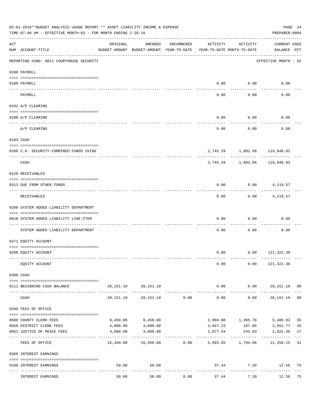|     | 03-01-2018**BUDGET ANALYSIS USAGE REPORT ** ASSET LIABILITY INCOME & EXPENSE<br>TIME: 07:40 AM - EFFECTIVE MONTH: 02 - FOR MONTH ENDING 2-28-18 |           |                                                                  |            |                                        |                        | PREPARER: 0004                     | PAGE 24        |
|-----|-------------------------------------------------------------------------------------------------------------------------------------------------|-----------|------------------------------------------------------------------|------------|----------------------------------------|------------------------|------------------------------------|----------------|
| ACT | NUM ACCOUNT-TITLE                                                                                                                               | ORIGINAL  | AMENDED<br>BUDGET-AMOUNT BUDGET-AMOUNT YEAR-TO-DATE              | ENCUMBERED | ACTIVITY<br>YEAR-TO-DATE MONTH-TO-DATE | ACTIVITY               | <b>CURRENT USED</b><br>BALANCE PCT |                |
|     | REPORTING FUND: 0011 COURTHOUSE SECURITY                                                                                                        |           |                                                                  |            |                                        |                        | EFFECTIVE MONTH - 02               |                |
|     | 0100 PAYROLL                                                                                                                                    |           |                                                                  |            |                                        |                        |                                    |                |
|     | 0100 PAYROLL                                                                                                                                    |           |                                                                  |            | 0.00                                   | 0.00                   | 0.00                               |                |
|     | ---- ----<br>PAYROLL                                                                                                                            |           |                                                                  |            | 0.00                                   | -------<br>0.00        | 0.00                               |                |
|     | 0102 A/P CLEARING                                                                                                                               |           |                                                                  |            |                                        |                        |                                    |                |
|     | 0100 A/P CLEARING                                                                                                                               |           |                                                                  |            | 0.00                                   | 0.00                   | 0.00                               |                |
|     | A/P CLEARING                                                                                                                                    |           |                                                                  |            | 0.00                                   | 0.00                   | 0.00                               |                |
|     | 0103 CASH                                                                                                                                       |           |                                                                  |            |                                        |                        |                                    |                |
|     | 0100 C.H. SECURITY-COMBINED FUNDS CKING                                                                                                         |           |                                                                  |            |                                        |                        | 2,745.29 1,802.06 119,948.02       |                |
|     | CASH                                                                                                                                            |           |                                                                  |            | 2,745.29                               | ----------<br>1,802.06 | ---------<br>119,948.02            |                |
|     | 0120 RECEIVABLES                                                                                                                                |           |                                                                  |            |                                        |                        |                                    |                |
|     | 0313 DUE FROM OTHER FUNDS                                                                                                                       |           |                                                                  |            | 0.00                                   |                        | $0.00$ 4, 119.57                   |                |
|     | RECEIVABLES                                                                                                                                     |           |                                                                  |            | 0.00                                   | ---------              | $0.00$ 4, 119.57                   |                |
|     | 0200 SYSTEM ADDED LIABILITY DEPARTMENT                                                                                                          |           |                                                                  |            |                                        |                        |                                    |                |
|     | 0910 SYSTEM ADDED LIABILITY LINE-ITEM                                                                                                           |           |                                                                  |            | 0.00                                   | 0.00                   | 0.00                               |                |
|     | SYSTEM ADDED LIABILITY DEPARTMENT                                                                                                               |           |                                                                  |            | 0.00                                   | 0.00                   | 0.00                               |                |
|     | 0271 EQUITY ACCOUNT                                                                                                                             |           |                                                                  |            |                                        |                        |                                    |                |
|     | 0200 EQUITY ACCOUNT                                                                                                                             |           |                                                                  |            |                                        |                        | $0.00$ $0.00$ $121,322.30$         |                |
|     | EQUITY ACCOUNT                                                                                                                                  |           |                                                                  |            | 0.00                                   |                        | $0.00$ 121,322.30                  |                |
|     | 0300 CASH                                                                                                                                       |           |                                                                  |            |                                        |                        |                                    |                |
|     | 0111 BEGINNING CASH BALANCE                                                                                                                     |           | 28, 151. 10 28, 151. 10                                          |            |                                        |                        | $0.00$ $0.00$ $28,151.10$ 00       |                |
|     | CASH                                                                                                                                            | 28,151.10 | 28,151.10                                                        | 0.00       | -------------<br>0.00                  | -----------<br>0.00    | .<br>28,151.10                     | 0 <sub>0</sub> |
|     | 0340 FEES OF OFFICE                                                                                                                             |           |                                                                  |            |                                        |                        |                                    |                |
|     | 0600 COUNTY CLERK FEES                                                                                                                          | 8,450.00  | 8,450.00                                                         |            |                                        | 2,969.08 1,365.78      | 5,480.92                           | 35             |
|     | 0650 DISTRICT CLERK FEES                                                                                                                        | 4,000.00  | 4,000.00                                                         |            | 1,047.23                               |                        | 187.05 2,952.77                    | 26             |
|     | 0651 JUSTICE OF PEACE FEES                                                                                                                      | 4,000.00  | 4,000.00<br>-------------                                        |            | 1,077.54                               | 242.03                 | 2,922.46                           | 27             |
|     | FEES OF OFFICE                                                                                                                                  |           | $16,450.00$ $16,450.00$ $0.00$ $5,093.85$ $1,794.86$ $11,356.15$ |            |                                        |                        |                                    | 31             |
|     | 0360 INTEREST EARNINGS                                                                                                                          |           |                                                                  |            |                                        |                        |                                    |                |
|     | 0100 INTEREST EARNINGS                                                                                                                          | 50.00     | 50.00                                                            |            |                                        | ------------           | 37.44 7.20 12.56 75                |                |
|     | INTEREST EARNINGS                                                                                                                               | 50.00     | 50.00                                                            | 0.00       | 37.44                                  | 7.20                   | 12.56 75                           |                |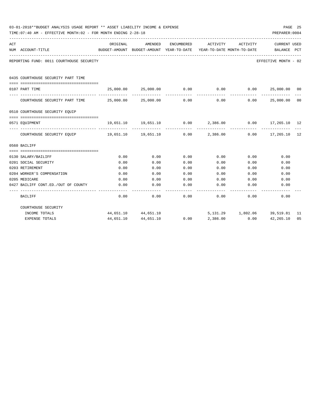|     | 03-01-2018**BUDGET ANALYSIS USAGE REPORT ** ASSET LIABILITY INCOME & EXPENSE<br>TIME: 07:40 AM - EFFECTIVE MONTH: 02 - FOR MONTH ENDING 2-28-18 |                                                      |                                                                   |            |                                        |                                            | PREPARER: 0004              | PAGE 25 |
|-----|-------------------------------------------------------------------------------------------------------------------------------------------------|------------------------------------------------------|-------------------------------------------------------------------|------------|----------------------------------------|--------------------------------------------|-----------------------------|---------|
| ACT | NUM ACCOUNT-TITLE<br>--------------------------------------                                                                                     | ORIGINAL<br>BUDGET-AMOUNT BUDGET-AMOUNT YEAR-TO-DATE | AMENDED                                                           | ENCUMBERED | ACTIVITY<br>YEAR-TO-DATE MONTH-TO-DATE | ACTIVITY                                   | CURRENT USED<br>BALANCE PCT |         |
|     | REPORTING FUND: 0011 COURTHOUSE SECURITY                                                                                                        |                                                      |                                                                   |            |                                        |                                            | EFFECTIVE MONTH - 02        |         |
|     | 0435 COURTHOUSE SECURITY PART TIME                                                                                                              |                                                      |                                                                   |            |                                        |                                            |                             |         |
|     | 0107 PART TIME                                                                                                                                  |                                                      | $25,000.00$ $25,000.00$ $0.00$ $0.00$ $0.00$ $25,000.00$ $00$     |            |                                        |                                            |                             |         |
|     | COURTHOUSE SECURITY PART TIME $25,000.00$ $25,000.00$ $0.00$ $0.00$ $0.00$ $25,000.00$ $00$                                                     |                                                      |                                                                   |            |                                        |                                            | _____________               |         |
|     | 0510 COURTHOUSE SECURITY EOUIP                                                                                                                  |                                                      |                                                                   |            |                                        |                                            |                             |         |
|     | --------------------------------------<br>0571 EOUIPMENT                                                                                        |                                                      | $19,651.10$ $19,651.10$ $0.00$ $2,386.00$ $0.00$ $17,265.10$ $12$ |            |                                        |                                            |                             |         |
|     | COURTHOUSE SECURITY EQUIP 19,651.10 19,651.10 19,651.10 0.00 2,386.00 0.00 17,265.10 12                                                         |                                                      |                                                                   |            |                                        | -----------                                |                             |         |
|     | 0560 BAILIFF                                                                                                                                    |                                                      |                                                                   |            |                                        |                                            |                             |         |
|     |                                                                                                                                                 |                                                      |                                                                   |            |                                        |                                            |                             |         |
|     | 0130 SALARY/BAILIFF                                                                                                                             | 0.00                                                 | 0.00                                                              | 0.00       | 0.00                                   | 0.00                                       | 0.00                        |         |
|     | 0201 SOCIAL SECURITY                                                                                                                            | 0.00                                                 | 0.00                                                              | 0.00       | 0.00                                   | 0.00                                       | 0.00                        |         |
|     | 0203 RETIREMENT                                                                                                                                 | 0.00                                                 | 0.00                                                              | 0.00       | 0.00                                   | 0.00                                       | 0.00                        |         |
|     | 0204 WORKER'S COMPENSATION                                                                                                                      | 0.00                                                 | 0.00                                                              | 0.00       | 0.00                                   | 0.00                                       | 0.00                        |         |
|     | 0205 MEDICARE                                                                                                                                   | 0.00                                                 | 0.00                                                              | 0.00       | 0.00                                   | 0.00                                       | 0.00                        |         |
|     | 0427 BAILIFF CONT.ED./OUT OF COUNTY                                                                                                             | 0.00                                                 | 0.00                                                              | 0.00       | 0.00                                   | 0.00                                       | 0.00                        |         |
|     | BAILIFF                                                                                                                                         | 0.00                                                 | 0.00                                                              | 0.00       |                                        | $0.00$ 0.00                                | 0.00                        |         |
|     | COURTHOUSE SECURITY                                                                                                                             |                                                      |                                                                   |            |                                        |                                            |                             |         |
|     | INCOME TOTALS                                                                                                                                   |                                                      | 44,651.10 44,651.10                                               |            |                                        | 5, 131. 29   1, 802. 06   39, 519. 81   11 |                             |         |
|     | <b>EXPENSE TOTALS</b>                                                                                                                           | 44,651.10                                            | 44,651.10                                                         | 0.00       | 2,386.00                               | 0.00                                       | 42,265.10                   | 0.5     |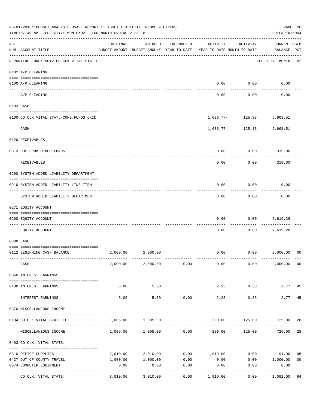|     | 03-01-2018**BUDGET ANALYSIS USAGE REPORT ** ASSET LIABILITY INCOME & EXPENSE<br>TIME: 07:40 AM - EFFECTIVE MONTH: 02 - FOR MONTH ENDING 2-28-18 |                     |                                                     |                      |                                        |                      | PAGE 26<br>PREPARER: 0004          |                |
|-----|-------------------------------------------------------------------------------------------------------------------------------------------------|---------------------|-----------------------------------------------------|----------------------|----------------------------------------|----------------------|------------------------------------|----------------|
| ACT | NUM ACCOUNT-TITLE                                                                                                                               | ORIGINAL            | AMENDED<br>BUDGET-AMOUNT BUDGET-AMOUNT YEAR-TO-DATE | ENCUMBERED           | ACTIVITY<br>YEAR-TO-DATE MONTH-TO-DATE | ACTIVITY             | <b>CURRENT USED</b><br>BALANCE PCT |                |
|     | REPORTING FUND: 0012 CO.CLK.VITAL STAT.FEE                                                                                                      |                     |                                                     |                      |                                        |                      | EFFECTIVE MONTH - 02               |                |
|     | 0102 A/P CLEARING                                                                                                                               |                     |                                                     |                      |                                        |                      |                                    |                |
|     | 0100 A/P CLEARING                                                                                                                               |                     |                                                     |                      | 0.00                                   | 0.00                 | 0.00                               |                |
|     | A/P CLEARING                                                                                                                                    |                     |                                                     |                      | 0.00                                   | 0.00                 | 0.00                               |                |
|     | 0103 CASH                                                                                                                                       |                     |                                                     |                      |                                        |                      |                                    |                |
|     | 0100 CO.CLK.VITAL STAT.-COMB.FUNDS CKIN                                                                                                         |                     |                                                     |                      |                                        | $1,636.77 - 125.33$  | 5,663.51                           |                |
|     | CASH                                                                                                                                            |                     |                                                     |                      |                                        | $1,636.77-125.33$    | 5,663.51                           |                |
|     | 0120 RECEIVABLES                                                                                                                                |                     |                                                     |                      |                                        |                      |                                    |                |
|     | 0313 DUE FROM OTHER FUNDS                                                                                                                       |                     |                                                     |                      | 0.00                                   | 0.00                 | 319.00                             |                |
|     | RECEIVABLES                                                                                                                                     |                     |                                                     |                      | 0.00                                   | 0.00                 | 319.00                             |                |
|     | 0200 SYSTEM ADDED LIABILITY DEPARTMENT                                                                                                          |                     |                                                     |                      |                                        |                      |                                    |                |
|     |                                                                                                                                                 |                     |                                                     |                      |                                        |                      |                                    |                |
|     | 0910 SYSTEM ADDED LIABILITY LINE-ITEM                                                                                                           |                     |                                                     |                      | 0.00                                   | 0.00                 | 0.00                               |                |
|     | SYSTEM ADDED LIABILITY DEPARTMENT                                                                                                               |                     |                                                     |                      | 0.00                                   | 0.00                 | 0.00                               |                |
|     | 0271 EQUITY ACCOUNT                                                                                                                             |                     |                                                     |                      |                                        |                      |                                    |                |
|     | 0200 EQUITY ACCOUNT                                                                                                                             |                     |                                                     |                      | 0.00                                   | 0.00                 | 7,619.28                           |                |
|     | EQUITY ACCOUNT                                                                                                                                  |                     |                                                     |                      | 0.00                                   | 0.00                 | 7,619.28                           |                |
|     | 0300 CASH                                                                                                                                       |                     |                                                     |                      |                                        |                      |                                    |                |
|     | 0112 BEGINNING CASH BALANCE                                                                                                                     | 2,000.00            | 2,000.00                                            |                      | 0.00                                   | 0.00 2,000.00        |                                    | 0 <sup>0</sup> |
|     | CASH                                                                                                                                            |                     | 2,000.00 2,000.00 0.00                              |                      | 0.00                                   | 0.00                 | 2,000.00 00                        |                |
|     | 0360 INTEREST EARNINGS                                                                                                                          |                     |                                                     |                      |                                        |                      |                                    |                |
|     | 0100 INTEREST EARNINGS                                                                                                                          | 5.00                | 5.00                                                |                      | 2.23                                   | 0.33                 | 2.77 45                            |                |
|     | INTEREST EARNINGS                                                                                                                               | -----------<br>5.00 | -----------<br>5.00                                 | 0.00                 | 2.23                                   | 0.33                 | 2.77                               | 45             |
|     | 0370 MISCELLANEOUS INCOME                                                                                                                       |                     |                                                     |                      |                                        |                      |                                    |                |
|     |                                                                                                                                                 | 1,005.00            | 1,005.00                                            |                      |                                        | 280.00 125.00 725.00 |                                    |                |
|     | 0134 CO. CLK. VITAL STAT. FEE                                                                                                                   |                     |                                                     |                      |                                        |                      |                                    | 28             |
|     | MISCELLANEOUS INCOME                                                                                                                            |                     | $1,005.00$ $1,005.00$ 0.00                          |                      | 280.00                                 | 125.00               | 725.00                             | 28             |
|     | 0403 CO.CLK. VITAL STATS.                                                                                                                       |                     |                                                     |                      |                                        |                      |                                    |                |
|     | 0310 OFFICE SUPPLIES                                                                                                                            | 2,010.00            | 2,010.00                                            |                      | $0.00$ 1,919.00                        |                      | $0.00$ 91.00                       | 95             |
|     | 0427 OUT OF COUNTY TRAVEL                                                                                                                       | 1,000.00            | 1,000.00                                            | 0.00                 | 0.00                                   |                      | $0.00$ 1,000.00                    | 0 <sub>0</sub> |
|     | 0574 COMPUTER EQUIPMENT<br>---- -----------------<br>--------------- --------------                                                             | 0.00                | 0.00                                                | 0.00<br>. <u>.</u> . | 0.00                                   | 0.00                 | 0.00<br>----------                 |                |
|     | CO.CLK. VITAL STATS.                                                                                                                            | 3,010.00            | 3,010.00                                            | 0.00                 | 1,919.00                               | 0.00                 | 1,091.00                           | 64             |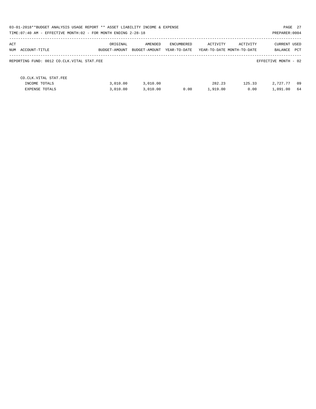| 03-01-2018**BUDGET ANALYSIS USAGE REPORT ** ASSET LIABILITY INCOME & EXPENSE<br>PAGE 27<br>TIME: 07:40 AM - EFFECTIVE MONTH: 02 - FOR MONTH ENDING 2-28-18<br>PREPARER: 0004 |                           |                          |                            |                    |                                        |                                    |  |
|------------------------------------------------------------------------------------------------------------------------------------------------------------------------------|---------------------------|--------------------------|----------------------------|--------------------|----------------------------------------|------------------------------------|--|
| ACT<br>NUM ACCOUNT-TITLE                                                                                                                                                     | ORIGINAL<br>BUDGET-AMOUNT | AMENDED<br>BUDGET-AMOUNT | ENCUMBERED<br>YEAR-TO-DATE | ACTIVITY           | ACTIVITY<br>YEAR-TO-DATE MONTH-TO-DATE | CURRENT USED<br>PCT<br>BALANCE     |  |
| REPORTING FUND: 0012 CO.CLK.VITAL STAT.FEE                                                                                                                                   |                           |                          |                            |                    |                                        | EFFECTIVE MONTH - 02               |  |
| CO. CLK. VITAL STAT. FEE<br>INCOME TOTALS<br><b>EXPENSE TOTALS</b>                                                                                                           | 3.010.00<br>3,010.00      | 3,010.00<br>3,010.00     | 0.00                       | 282.23<br>1,919.00 | 125.33<br>0.00                         | 2,727.77<br>- 09<br>1,091.00<br>64 |  |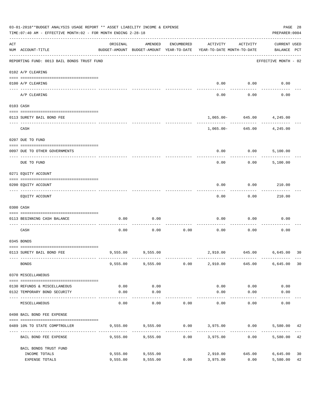|     | 03-01-2018**BUDGET ANALYSIS USAGE REPORT ** ASSET LIABILITY INCOME & EXPENSE<br>TIME: 07:40 AM - EFFECTIVE MONTH: 02 - FOR MONTH ENDING 2-28-18 |                                                      |                      |            |                                               |                                            | PREPARER: 0004                     | PAGE 28  |
|-----|-------------------------------------------------------------------------------------------------------------------------------------------------|------------------------------------------------------|----------------------|------------|-----------------------------------------------|--------------------------------------------|------------------------------------|----------|
| ACT | NUM ACCOUNT-TITLE                                                                                                                               | ORIGINAL<br>BUDGET-AMOUNT BUDGET-AMOUNT YEAR-TO-DATE | AMENDED              | ENCUMBERED | ACTIVITY<br>YEAR-TO-DATE MONTH-TO-DATE        | ACTIVITY                                   | <b>CURRENT USED</b><br>BALANCE PCT |          |
|     | REPORTING FUND: 0013 BAIL BONDS TRUST FUND                                                                                                      |                                                      |                      |            |                                               |                                            | EFFECTIVE MONTH - 02               |          |
|     | 0102 A/P CLEARING                                                                                                                               |                                                      |                      |            |                                               |                                            |                                    |          |
|     | 0100 A/P CLEARING<br>---- ----------<br>-------------------- -------                                                                            |                                                      |                      |            | 0.00                                          | 0.00                                       | 0.00                               |          |
|     | A/P CLEARING                                                                                                                                    |                                                      |                      |            | 0.00                                          | 0.00                                       | 0.00                               |          |
|     | 0103 CASH                                                                                                                                       |                                                      |                      |            |                                               |                                            |                                    |          |
|     | 0113 SURETY BAIL BOND FEE                                                                                                                       |                                                      |                      |            |                                               | 1,065.00 - 645.00 4,245.00                 |                                    |          |
|     | CASH                                                                                                                                            |                                                      |                      |            |                                               | ------------<br>1,065.00 - 645.00 4,245.00 |                                    |          |
|     |                                                                                                                                                 |                                                      |                      |            |                                               |                                            |                                    |          |
|     | 0207 DUE TO FUND                                                                                                                                |                                                      |                      |            |                                               |                                            |                                    |          |
|     | 0097 DUE TO OTHER GOVERNMENTS                                                                                                                   |                                                      |                      |            | 0.00                                          | 0.00                                       | 5,100.00                           |          |
|     | DUE TO FUND                                                                                                                                     |                                                      |                      |            | 0.00                                          | 0.00                                       | 5,100.00                           |          |
|     | 0271 EQUITY ACCOUNT                                                                                                                             |                                                      |                      |            |                                               |                                            |                                    |          |
|     | 0200 EQUITY ACCOUNT                                                                                                                             |                                                      |                      |            | 0.00                                          | 0.00                                       | 210.00                             |          |
|     | EQUITY ACCOUNT                                                                                                                                  |                                                      |                      |            | 0.00                                          | 0.00                                       | 210.00                             |          |
|     | 0300 CASH                                                                                                                                       |                                                      |                      |            |                                               |                                            |                                    |          |
|     | 0113 BEGINNING CASH BALANCE                                                                                                                     | 0.00                                                 | 0.00                 |            | 0.00                                          | 0.00                                       | 0.00                               |          |
|     | CASH                                                                                                                                            | 0.00                                                 | 0.00                 | 0.00       | 0.00                                          | 0.00                                       | 0.00                               |          |
|     | 0345 BONDS                                                                                                                                      |                                                      |                      |            |                                               |                                            |                                    |          |
|     | 0113 SURETY BAIL BOND FEE                                                                                                                       |                                                      | 9,555.00 9,555.00    |            |                                               | 2,910.00 645.00 6,645.00                   |                                    | 30       |
|     | <b>BONDS</b>                                                                                                                                    |                                                      | 9,555.00 9,555.00    | 0.00       | 2,910.00                                      | 645.00                                     | 6,645.00                           | 30       |
|     | 0370 MISCELLANEOUS                                                                                                                              |                                                      |                      |            |                                               |                                            |                                    |          |
|     | 0130 REFUNDS & MISCELLANEOUS                                                                                                                    | 0.00                                                 | 0.00                 |            | 0.00                                          | 0.00                                       | 0.00                               |          |
|     | 0132 TEMPORARY BOND SECURITY                                                                                                                    | 0.00                                                 | 0.00                 |            | 0.00                                          | 0.00                                       | 0.00                               |          |
|     | MISCELLANEOUS                                                                                                                                   | 0.00                                                 | ----------<br>0.00   | 0.00       | 0.00                                          | ---------<br>0.00                          | 0.00                               |          |
|     | 0498 BAIL BOND FEE EXPENSE                                                                                                                      |                                                      |                      |            |                                               |                                            |                                    |          |
|     | 0489 10% TO STATE COMPTROLLER                                                                                                                   |                                                      |                      |            | 9,555.00 9,555.00 0.00 3,975.00 0.00 5,580.00 |                                            |                                    | 42       |
|     | BAIL BOND FEE EXPENSE                                                                                                                           | 9,555.00                                             | 9,555.00             | 0.00       | 3,975.00                                      | 0.00                                       | 5,580.00                           | 42       |
|     | BAIL BONDS TRUST FUND                                                                                                                           |                                                      |                      |            |                                               |                                            |                                    |          |
|     | INCOME TOTALS<br>EXPENSE TOTALS                                                                                                                 | 9,555.00<br>9,555.00                                 | 9,555.00<br>9,555.00 | 0.00       | 2,910.00<br>3,975.00                          | 645.00<br>0.00                             | 6,645.00<br>5,580.00               | 30<br>42 |
|     |                                                                                                                                                 |                                                      |                      |            |                                               |                                            |                                    |          |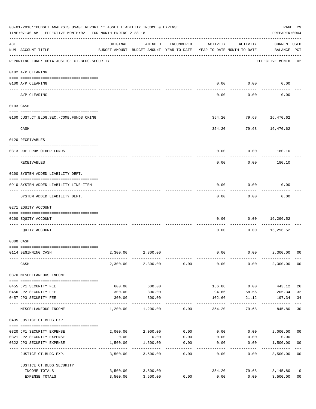|     | 03-01-2018**BUDGET ANALYSIS USAGE REPORT ** ASSET LIABILITY INCOME & EXPENSE<br>TIME: 07:40 AM - EFFECTIVE MONTH: 02 - FOR MONTH ENDING 2-28-18<br>PREPARER: 0004 |                  |                                                                                |                    |                   |                           |                                    |                |  |
|-----|-------------------------------------------------------------------------------------------------------------------------------------------------------------------|------------------|--------------------------------------------------------------------------------|--------------------|-------------------|---------------------------|------------------------------------|----------------|--|
| ACT | NUM ACCOUNT-TITLE                                                                                                                                                 | ORIGINAL         | AMENDED<br>BUDGET-AMOUNT BUDGET-AMOUNT YEAR-TO-DATE YEAR-TO-DATE MONTH-TO-DATE | ENCUMBERED         | ACTIVITY          | ACTIVITY                  | <b>CURRENT USED</b><br>BALANCE PCT |                |  |
|     | REPORTING FUND: 0014 JUSTICE CT. BLDG. SECURITY                                                                                                                   |                  |                                                                                |                    |                   |                           | EFFECTIVE MONTH - 02               |                |  |
|     | 0102 A/P CLEARING                                                                                                                                                 |                  |                                                                                |                    |                   |                           |                                    |                |  |
|     | 0100 A/P CLEARING                                                                                                                                                 |                  |                                                                                |                    | 0.00              | 0.00                      | 0.00                               |                |  |
|     | A/P CLEARING                                                                                                                                                      |                  |                                                                                |                    | 0.00              | 0.00                      | 0.00                               |                |  |
|     | 0103 CASH                                                                                                                                                         |                  |                                                                                |                    |                   |                           |                                    |                |  |
|     | 0100 JUST.CT.BLDG.SEC.-COMB.FUNDS CKING                                                                                                                           |                  |                                                                                |                    | 354.20            |                           | 79.68 16,470.62                    |                |  |
|     | ---------------------------------<br>CASH                                                                                                                         |                  |                                                                                |                    |                   | ---------<br>354.20 79.68 | 16,470.62                          |                |  |
|     | 0120 RECEIVABLES                                                                                                                                                  |                  |                                                                                |                    |                   |                           |                                    |                |  |
|     |                                                                                                                                                                   |                  |                                                                                |                    |                   |                           |                                    |                |  |
|     | 0313 DUE FROM OTHER FUNDS                                                                                                                                         |                  |                                                                                |                    | 0.00              | 0.00                      | 180.10                             |                |  |
|     | RECEIVABLES                                                                                                                                                       |                  |                                                                                |                    | 0.00              | 0.00                      | 180.10                             |                |  |
|     | 0200 SYSTEM ADDED LIABILITY DEPT.                                                                                                                                 |                  |                                                                                |                    |                   |                           |                                    |                |  |
|     | 0910 SYSTEM ADDED LIABILITY LINE-ITEM                                                                                                                             |                  |                                                                                |                    | 0.00              | 0.00                      | 0.00                               |                |  |
|     | SYSTEM ADDED LIABILITY DEPT.                                                                                                                                      |                  |                                                                                |                    | 0.00              | 0.00                      | 0.00                               |                |  |
|     | 0271 EQUITY ACCOUNT                                                                                                                                               |                  |                                                                                |                    |                   |                           |                                    |                |  |
|     | 0200 EQUITY ACCOUNT                                                                                                                                               |                  |                                                                                |                    | 0.00              | 0.00                      | 16,296.52                          |                |  |
|     | EOUITY ACCOUNT                                                                                                                                                    |                  |                                                                                |                    | 0.00              | 0.00                      | .<br>16,296.52                     |                |  |
|     |                                                                                                                                                                   |                  |                                                                                |                    |                   |                           |                                    |                |  |
|     | 0300 CASH                                                                                                                                                         |                  |                                                                                |                    |                   |                           |                                    |                |  |
|     | 0114 BEGINNING CASH                                                                                                                                               | 2,300.00         | 2,300.00                                                                       |                    | 0.00              |                           | $0.00$ 2,300.00                    | 00             |  |
|     | CASH                                                                                                                                                              |                  | 2,300.00 2,300.00                                                              | 0.00               | 0.00              | 0.00                      | 2,300.00                           | 0 <sub>0</sub> |  |
|     | 0370 MISCELLANEOUS INCOME                                                                                                                                         |                  |                                                                                |                    |                   |                           |                                    |                |  |
|     |                                                                                                                                                                   |                  |                                                                                |                    |                   |                           |                                    |                |  |
|     | 0455 JP1 SECURITY FEE<br>0456 JP2 SECURITY FEE                                                                                                                    | 600.00<br>300.00 | 600.00<br>300.00                                                               |                    | 156.88<br>94.66   | 0.00<br>58.56             | 443.12<br>205.34                   | 26<br>32       |  |
|     | 0457 JP3 SECURITY FEE                                                                                                                                             | 300.00           | 300.00                                                                         |                    | 102.66            | 21.12                     | 197.34                             | 34             |  |
|     | ---- --------------<br>MISCELLANEOUS INCOME                                                                                                                       | 1,200.00         | 1,200.00                                                                       | 0.00               | -------<br>354.20 | $- - - - - - -$<br>79.68  | ---------<br>845.80                | 30             |  |
|     | 0435 JUSTICE CT.BLDG.EXP.                                                                                                                                         |                  |                                                                                |                    |                   |                           |                                    |                |  |
|     | 0320 JP1 SECURITY EXPENSE                                                                                                                                         |                  | 2,000.00 2,000.00                                                              |                    | $0.00$ 0.00       |                           | $0.00$ 2,000.00                    | 0 <sub>0</sub> |  |
|     | 0321 JP2 SECURITY EXPENSE                                                                                                                                         | 0.00             | 0.00                                                                           | 0.00               | 0.00              | 0.00                      | 0.00                               |                |  |
|     | 0322 JP3 SECURITY EXPENSE                                                                                                                                         | 1,500.00<br>.    | 1,500.00<br>----------                                                         | 0.00<br>. <u>.</u> | 0.00              | 0.00                      | 1,500.00                           | 0 <sub>0</sub> |  |
|     | JUSTICE CT.BLDG.EXP.                                                                                                                                              | 3,500.00         | 3,500.00                                                                       | 0.00               | 0.00              | --------<br>0.00          | 3,500.00                           | 0 <sub>0</sub> |  |
|     | JUSTICE CT.BLDG.SECURITY                                                                                                                                          |                  |                                                                                |                    |                   |                           |                                    |                |  |
|     | INCOME TOTALS                                                                                                                                                     |                  | 3,500.00 3,500.00                                                              |                    | 354.20            | 79.68                     | 3,145.80                           | 10             |  |
|     | EXPENSE TOTALS                                                                                                                                                    | 3,500.00         | 3,500.00                                                                       | 0.00               | 0.00              | 0.00                      | 3,500.00                           | 0 <sub>0</sub> |  |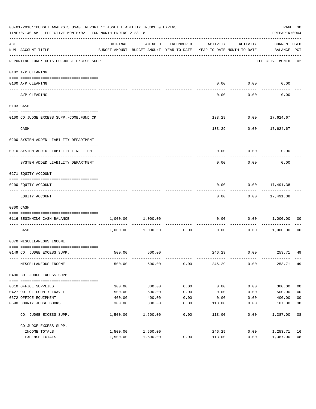|     | 03-01-2018**BUDGET ANALYSIS USAGE REPORT ** ASSET LIABILITY INCOME & EXPENSE<br>TIME: 07:40 AM - EFFECTIVE MONTH: 02 - FOR MONTH ENDING 2-28-18 |          |                                                     |               |                                        |          | PREPARER: 0004                     | PAGE 30                     |
|-----|-------------------------------------------------------------------------------------------------------------------------------------------------|----------|-----------------------------------------------------|---------------|----------------------------------------|----------|------------------------------------|-----------------------------|
| ACT | NUM ACCOUNT-TITLE                                                                                                                               | ORIGINAL | AMENDED<br>BUDGET-AMOUNT BUDGET-AMOUNT YEAR-TO-DATE | ENCUMBERED    | ACTIVITY<br>YEAR-TO-DATE MONTH-TO-DATE | ACTIVITY | <b>CURRENT USED</b><br>BALANCE PCT |                             |
|     | REPORTING FUND: 0016 CO.JUDGE EXCESS SUPP.                                                                                                      |          |                                                     |               |                                        |          | EFFECTIVE MONTH - 02               |                             |
|     | 0102 A/P CLEARING                                                                                                                               |          |                                                     |               |                                        |          |                                    |                             |
|     | 0100 A/P CLEARING                                                                                                                               |          |                                                     |               | 0.00                                   | 0.00     | 0.00                               |                             |
|     | ---- --------<br>A/P CLEARING                                                                                                                   |          |                                                     |               | 0.00                                   | 0.00     | 0.00                               |                             |
|     | 0103 CASH                                                                                                                                       |          |                                                     |               |                                        |          |                                    |                             |
|     | 0100 CO.JUDGE EXCESS SUPP.-COMB.FUND CK                                                                                                         |          |                                                     |               | 133.29                                 | 0.00     | 17,624.67                          |                             |
|     |                                                                                                                                                 |          |                                                     |               |                                        |          |                                    |                             |
|     | CASH                                                                                                                                            |          |                                                     |               | 133.29                                 | 0.00     | 17,624.67                          |                             |
|     | 0200 SYSTEM ADDED LIABILITY DEPARTMENT                                                                                                          |          |                                                     |               |                                        |          |                                    |                             |
|     | 0910 SYSTEM ADDED LIABILITY LINE-ITEM                                                                                                           |          |                                                     |               | 0.00                                   | 0.00     | 0.00                               |                             |
|     | SYSTEM ADDED LIABILITY DEPARTMENT                                                                                                               |          |                                                     |               | 0.00                                   | 0.00     | 0.00                               |                             |
|     | 0271 EQUITY ACCOUNT                                                                                                                             |          |                                                     |               |                                        |          |                                    |                             |
|     | 0200 EQUITY ACCOUNT                                                                                                                             |          |                                                     |               | 0.00                                   |          | $0.00$ 17,491.38                   |                             |
|     | EQUITY ACCOUNT                                                                                                                                  |          |                                                     |               | 0.00                                   |          | $0.00$ 17,491.38                   |                             |
|     | 0300 CASH                                                                                                                                       |          |                                                     |               |                                        |          |                                    |                             |
|     | 0116 BEGINNING CASH BALANCE                                                                                                                     | 1,000.00 | 1,000.00                                            |               | 0.00<br>------------ -------------     | 0.00     | 1,000.00                           | 00                          |
|     | CASH                                                                                                                                            | 1,000.00 | 1,000.00                                            | 0.00          | 0.00                                   | 0.00     | 1,000.00                           | 0 <sub>0</sub>              |
|     | 0370 MISCELLANEOUS INCOME                                                                                                                       |          |                                                     |               |                                        |          |                                    |                             |
|     | 0149 CO. JUDGE EXCESS SUPP.                                                                                                                     |          | 500.00 500.00                                       |               |                                        |          | 246.29 0.00 253.71 49              |                             |
|     | MISCELLANEOUS INCOME                                                                                                                            | 500.00   | 500.00                                              | 0.00          | 246.29                                 | 0.00     | 253.71 49                          |                             |
|     | 0400 CO. JUDGE EXCESS SUPP.                                                                                                                     |          |                                                     |               |                                        |          |                                    |                             |
|     | 0310 OFFICE SUPPLIES                                                                                                                            | 300.00   | 300.00                                              | 0.00          | 0.00                                   | 0.00     | 300.00                             | 0 <sub>0</sub>              |
|     | 0427 OUT OF COUNTY TRAVEL                                                                                                                       | 500.00   | 500.00                                              | 0.00          | 0.00                                   | 0.00     | 500.00                             | 0 <sub>0</sub>              |
|     | 0572 OFFICE EQUIPMENT                                                                                                                           | 400.00   | 400.00                                              | 0.00          | 0.00                                   | 0.00     | 400.00                             | 0 <sub>0</sub>              |
|     | 0590 COUNTY JUDGE BOOKS                                                                                                                         | 300.00   | 300.00<br>----------                                | 0.00<br>----- | 113.00                                 | 0.00     | 187.00<br>---------                | 38                          |
|     | CO. JUDGE EXCESS SUPP.                                                                                                                          | 1,500.00 | 1,500.00                                            | 0.00          | 113.00                                 | 0.00     | 1,387.00                           | $\overline{\phantom{0}}$ 08 |
|     | CO.JUDGE EXCESS SUPP.                                                                                                                           |          |                                                     |               |                                        |          |                                    |                             |
|     | INCOME TOTALS                                                                                                                                   | 1,500.00 | 1,500.00                                            |               | 246.29                                 | 0.00     | 1,253.71                           | 16                          |
|     | EXPENSE TOTALS                                                                                                                                  | 1,500.00 | 1,500.00                                            | 0.00          | 113.00                                 | 0.00     | 1,387.00                           | 08                          |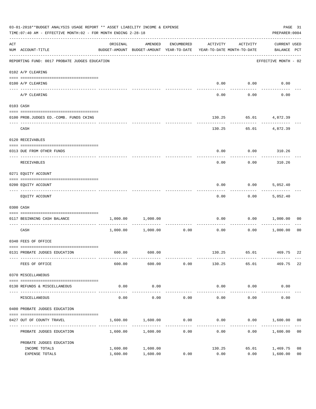|     | 03-01-2018**BUDGET ANALYSIS USAGE REPORT ** ASSET LIABILITY INCOME & EXPENSE<br>TIME: 07:40 AM - EFFECTIVE MONTH: 02 - FOR MONTH ENDING 2-28-18 |                                                                                 |                     |                      |                        |                     |                                    |                |
|-----|-------------------------------------------------------------------------------------------------------------------------------------------------|---------------------------------------------------------------------------------|---------------------|----------------------|------------------------|---------------------|------------------------------------|----------------|
| ACT | NUM ACCOUNT-TITLE                                                                                                                               | ORIGINAL<br>BUDGET-AMOUNT BUDGET-AMOUNT YEAR-TO-DATE YEAR-TO-DATE MONTH-TO-DATE | AMENDED             | ENCUMBERED           | ACTIVITY               | ACTIVITY            | <b>CURRENT USED</b><br>BALANCE PCT |                |
|     | REPORTING FUND: 0017 PROBATE JUDGES EDUCATION                                                                                                   |                                                                                 |                     |                      |                        |                     | EFFECTIVE MONTH - 02               |                |
|     | 0102 A/P CLEARING                                                                                                                               |                                                                                 |                     |                      |                        |                     |                                    |                |
|     | 0100 A/P CLEARING                                                                                                                               |                                                                                 |                     |                      | 0.00                   | 0.00                | 0.00                               |                |
|     | ---- --------<br>A/P CLEARING                                                                                                                   |                                                                                 |                     |                      | 0.00                   | 0.00                | 0.00                               |                |
|     | 0103 CASH                                                                                                                                       |                                                                                 |                     |                      |                        |                     |                                    |                |
|     | 0100 PROB.JUDGES ED.-COMB. FUNDS CKING                                                                                                          |                                                                                 |                     |                      | 130.25                 |                     | 65.01 4,872.39                     |                |
|     | CASH                                                                                                                                            |                                                                                 |                     |                      | 130.25                 | -----------         | 65.01 4,872.39                     |                |
|     | 0120 RECEIVABLES                                                                                                                                |                                                                                 |                     |                      |                        |                     |                                    |                |
|     | 0313 DUE FROM OTHER FUNDS                                                                                                                       |                                                                                 |                     |                      | 0.00                   | 0.00                | 310.26                             |                |
|     | RECEIVABLES                                                                                                                                     |                                                                                 |                     |                      | 0.00                   | 0.00                | 310.26                             |                |
|     | 0271 EQUITY ACCOUNT                                                                                                                             |                                                                                 |                     |                      |                        |                     |                                    |                |
|     | 0200 EQUITY ACCOUNT                                                                                                                             |                                                                                 |                     |                      | 0.00                   | 0.00                | 5,052.40                           |                |
|     | EQUITY ACCOUNT                                                                                                                                  |                                                                                 |                     |                      | 0.00                   | 0.00                | 5,052.40                           |                |
|     | 0300 CASH                                                                                                                                       |                                                                                 |                     |                      |                        |                     |                                    |                |
|     | 0117 BEGINNING CASH BALANCE                                                                                                                     |                                                                                 | 1,000.00 1,000.00   |                      | 0.00                   | 0.00                | 1,000.00                           | 00             |
|     | CASH                                                                                                                                            |                                                                                 | 1,000.00 1,000.00   | ------------<br>0.00 | 0.00                   | ---------<br>0.00   | 1,000.00                           | 00             |
|     | 0340 FEES OF OFFICE                                                                                                                             |                                                                                 |                     |                      |                        |                     |                                    |                |
|     | 0131 PROBATE JUDGES EDUCATION                                                                                                                   |                                                                                 | 600.00 600.00       |                      |                        |                     | 130.25 65.01 469.75                | 22             |
|     | FEES OF OFFICE                                                                                                                                  | 600.00                                                                          | 600.00              | 0.00                 | 130.25                 | 65.01               | 469.75                             | 22             |
|     | 0370 MISCELLANEOUS                                                                                                                              |                                                                                 |                     |                      |                        |                     |                                    |                |
|     | 0130 REFUNDS & MISCELLANEOUS                                                                                                                    | 0.00                                                                            | 0.00                |                      | 0.00                   | 0.00                | 0.00                               |                |
|     | MISCELLANEOUS                                                                                                                                   | 0.00                                                                            | -----------<br>0.00 | 0.00                 | --------------<br>0.00 | -----------<br>0.00 | 0.00                               |                |
|     | 0400 PROBATE JUDGES EDUCATION                                                                                                                   |                                                                                 |                     |                      |                        |                     |                                    |                |
|     | 0427 OUT OF COUNTY TRAVEL                                                                                                                       | 1,600.00                                                                        | 1,600.00            | 0.00                 | 0.00                   |                     | $0.00$ 1,600.00 00                 |                |
|     | PROBATE JUDGES EDUCATION                                                                                                                        |                                                                                 | 1,600.00 1,600.00   | -----------<br>0.00  | 0.00                   |                     | 0.00<br>1,600.00                   | 0 <sub>0</sub> |
|     | PROBATE JUDGES EDUCATION                                                                                                                        |                                                                                 |                     |                      |                        |                     |                                    |                |
|     | INCOME TOTALS                                                                                                                                   | 1,600.00                                                                        | 1,600.00            |                      | 130.25                 | 65.01               | 1,469.75                           | 08             |
|     | EXPENSE TOTALS                                                                                                                                  | 1,600.00                                                                        | 1,600.00            | 0.00                 | 0.00                   | 0.00                | 1,600.00                           | 0 <sub>0</sub> |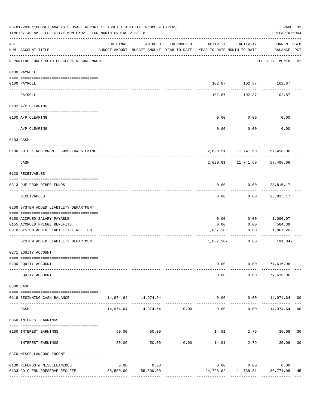|     | 03-01-2018**BUDGET ANALYSIS USAGE REPORT ** ASSET LIABILITY INCOME & EXPENSE<br>TIME: 07:40 AM - EFFECTIVE MONTH: 02 - FOR MONTH ENDING 2-28-18 |           |                                |               |                                                                                 |                                                | PAGE 32<br>PREPARER: 0004   |    |
|-----|-------------------------------------------------------------------------------------------------------------------------------------------------|-----------|--------------------------------|---------------|---------------------------------------------------------------------------------|------------------------------------------------|-----------------------------|----|
| ACT | NUM ACCOUNT-TITLE                                                                                                                               | ORIGINAL  | AMENDED                        | ENCUMBERED    | ACTIVITY<br>BUDGET-AMOUNT BUDGET-AMOUNT YEAR-TO-DATE YEAR-TO-DATE MONTH-TO-DATE | ACTIVITY                                       | CURRENT USED<br>BALANCE PCT |    |
|     | REPORTING FUND: 0018 CO.CLERK RECORD MNGMT.                                                                                                     |           |                                |               |                                                                                 |                                                | EFFECTIVE MONTH - 02        |    |
|     | 0100 PAYROLL                                                                                                                                    |           |                                |               |                                                                                 |                                                |                             |    |
|     | 0100 PAYROLL<br>$\frac{1}{2}$                                                                                                                   |           |                                |               |                                                                                 | 102.87    102.87    102.87                     |                             |    |
|     | PAYROLL                                                                                                                                         |           |                                |               | 102.87                                                                          | ------------<br>102.87                         | 102.87                      |    |
|     | 0102 A/P CLEARING                                                                                                                               |           |                                |               |                                                                                 |                                                |                             |    |
|     | 0100 A/P CLEARING                                                                                                                               |           |                                |               | 0.00                                                                            | 0.00                                           | 0.00                        |    |
|     | A/P CLEARING                                                                                                                                    |           |                                |               | 0.00                                                                            | 0.00                                           | 0.00                        |    |
|     | 0103 CASH                                                                                                                                       |           |                                |               |                                                                                 |                                                |                             |    |
|     | 0100 CO.CLK.REC.MNGMT.-COMB.FUNDS CKING                                                                                                         |           |                                |               |                                                                                 | 2,020.91 11,741.60 57,498.06                   |                             |    |
|     | -----------------------------<br>CASH                                                                                                           |           |                                |               |                                                                                 | ------------<br>2,020.91  11,741.60  57,498.06 | -------                     |    |
|     | 0120 RECEIVABLES                                                                                                                                |           |                                |               |                                                                                 |                                                |                             |    |
|     | 0313 DUE FROM OTHER FUNDS                                                                                                                       |           |                                |               | 0.00                                                                            | $0.00$ 23,815.17                               |                             |    |
|     | RECEIVABLES                                                                                                                                     |           |                                |               | 0.00                                                                            |                                                | $0.00$ 23,815.17            |    |
|     | 0200 SYSTEM ADDED LIABILITY DEPARTMENT                                                                                                          |           |                                |               |                                                                                 |                                                |                             |    |
|     | 0150 ACCRUED SALARY PAYABLE                                                                                                                     |           |                                |               | 0.00                                                                            | 0.00                                           | 1,090.97                    |    |
|     | 0155 ACCRUED FRINGE BENEFITS                                                                                                                    |           |                                |               | 0.00                                                                            | 0.00                                           | 584.39                      |    |
|     | 0910 SYSTEM ADDED LIABILITY LINE-ITEM                                                                                                           |           |                                |               | 1,867.20-                                                                       | 0.00                                           | 1,867.20-                   |    |
|     | SYSTEM ADDED LIABILITY DEPARTMENT                                                                                                               |           |                                |               | $1,867.20-$                                                                     | ---------- -------------<br>0.00               | 191.84-                     |    |
|     | 0271 EQUITY ACCOUNT                                                                                                                             |           |                                |               |                                                                                 |                                                |                             |    |
|     | 0200 EQUITY ACCOUNT                                                                                                                             |           |                                |               | 0.00                                                                            |                                                | $0.00$ 77,616.96            |    |
|     | EQUITY ACCOUNT                                                                                                                                  |           |                                |               | 0.00                                                                            | 0.00                                           | 77,616.96                   |    |
|     | 0300 CASH                                                                                                                                       |           |                                |               |                                                                                 |                                                |                             |    |
|     | 0118 BEGINNING CASH BALANCE                                                                                                                     |           | 14,974.64 14,974.64            | ------------- | $- - - - - -$                                                                   | $0.00$ $0.00$ $14,974.64$ 00<br>-----------    | ------------                |    |
|     | CASH                                                                                                                                            |           | 14,974.64    14,974.64    0.00 |               | 0.00                                                                            |                                                | $0.00$ 14,974.64 00         |    |
|     | 0360 INTEREST EARNINGS                                                                                                                          |           |                                |               |                                                                                 |                                                |                             |    |
|     | 0100 INTEREST EARNINGS                                                                                                                          | 50.00     | 50.00                          |               | -------------                                                                   | 14.91 2.79 35.09 30                            |                             |    |
|     | INTEREST EARNINGS                                                                                                                               | 50.00     | 50.00                          | 0.00          | 14.91                                                                           | 2.79                                           | 35.09                       | 30 |
|     | 0370 MISCELLANEOUS INCOME                                                                                                                       |           |                                |               |                                                                                 |                                                |                             |    |
|     | 0130 REFUNDS & MISCELLANEOUS                                                                                                                    | 0.00      | 0.00                           |               |                                                                                 | $0.00$ $0.00$                                  | 0.00                        |    |
|     | 0133 CO.CLERK PRESERVE REC FEE                                                                                                                  | 55,500.00 | 55,500.00                      |               |                                                                                 | 24,728.92   11,738.81   30,771.08              |                             | 45 |
|     |                                                                                                                                                 |           |                                |               |                                                                                 |                                                |                             |    |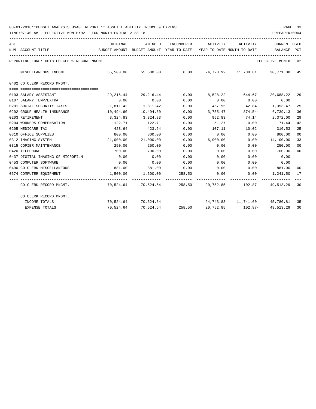| ACT |                                             | ORIGINAL  | AMENDED                                  | ENCUMBERED | ACTIVITY                                                  | ACTIVITY                          | <b>CURRENT USED</b>  |                |
|-----|---------------------------------------------|-----------|------------------------------------------|------------|-----------------------------------------------------------|-----------------------------------|----------------------|----------------|
|     | NUM ACCOUNT-TITLE                           |           | BUDGET-AMOUNT BUDGET-AMOUNT YEAR-TO-DATE |            | YEAR-TO-DATE MONTH-TO-DATE                                |                                   | BALANCE PCT          |                |
|     | REPORTING FUND: 0018 CO.CLERK RECORD MNGMT. |           |                                          |            |                                                           |                                   | EFFECTIVE MONTH - 02 |                |
|     | MISCELLANEOUS INCOME                        |           | 55,500.00 55,500.00                      |            | $0.00$ $24,728.92$ $11,738.81$ $30,771.08$ $45$           |                                   |                      |                |
|     | 0402 CO.CLERK RECORD MNGMT.                 |           |                                          |            |                                                           |                                   |                      |                |
|     |                                             |           |                                          |            |                                                           |                                   |                      |                |
|     | 0103 SALARY ASSISTANT                       | 29,216.44 | 29,216.44                                | 0.00       | 8,528.22 644.67 20,688.22                                 |                                   |                      | 29             |
|     | 0107 SALARY TEMP/EXTRA                      | 0.00      | 0.00                                     | 0.00       | 0.00                                                      | 0.00                              | 0.00                 |                |
|     | 0201 SOCIAL SECURITY TAXES                  | 1,811.42  | 1,811.42                                 | 0.00       | 457.95                                                    |                                   | 42.84 1,353.47       | 25             |
|     | 0202 GROUP HEALTH INSURANCE                 | 10,494.60 | 10,494.60                                | 0.00       | 3,755.47                                                  | $874.54-$                         | 6,739.13             | 36             |
|     | 0203 RETIREMENT                             |           | 3,324.83 3,324.83                        | 0.00       | 952.83                                                    | 74.14                             | 2,372.00             | 29             |
|     | 0204 WORKERS COMPENSATION                   | 122.71    | 122.71                                   | 0.00       | 51.27                                                     | 0.00                              | 71.44                | 42             |
|     | 0205 MEDICARE TAX                           | 423.64    | 423.64                                   | 0.00       | 107.11                                                    | 10.02                             | 316.53               | 25             |
|     | 0310 OFFICE SUPPLIES                        | 800.00    | 800.00                                   | 0.00       | 0.00                                                      | 0.00                              | 800.00               | 0 <sup>0</sup> |
|     | 0312 IMAGING SYSTEM                         |           | 21,000.00 21,000.00                      | 0.00       |                                                           | $6,900.00$ 0.00                   | 14,100.00            | 33             |
|     | 0315 COPIER MAINTENANCE                     | 250.00    | 250.00                                   | 0.00       | 0.00                                                      | 0.00                              | 250.00               | 0 <sup>0</sup> |
|     | 0420 TELEPHONE                              | 700.00    | 700.00                                   | 0.00       | 0.00                                                      | 0.00                              | 700.00               | $00\,$         |
|     | 0437 DIGITAL IMAGING OF MICROFILM           | 0.00      | 0.00                                     | 0.00       | 0.00                                                      | 0.00                              | 0.00                 |                |
|     | 0453 COMPUTER SOFTWARE                      | 0.00      | 0.00                                     | 0.00       | 0.00                                                      | 0.00                              | 0.00                 |                |
|     | 0490 CO. CLERK MISCELLANEOUS                |           | 881.00 881.00                            | 0.00       |                                                           | $0.00$ $0.00$ $881.00$            |                      | 00             |
|     | 0574 COMPUTER EQUIPMENT                     |           | 1,500.00 1,500.00                        | 258.50     | 0.00                                                      | $0.00$ 1, 241.50                  |                      | 17             |
|     | CO.CLERK RECORD MNGMT.                      |           |                                          |            | 70,524.64 70,524.64 258.50 20,752.85 102.87- 49,513.29 30 |                                   |                      |                |
|     | CO.CLERK RECORD MNGMT.                      |           |                                          |            |                                                           |                                   |                      |                |
|     | INCOME TOTALS                               |           | 70,524.64 70,524.64                      |            |                                                           | 24,743.83 11,741.60 45,780.81 35  |                      |                |
|     | <b>EXPENSE TOTALS</b>                       |           | 70,524.64 70,524.64 258.50               |            |                                                           | 20,752.85    102.87-    49,513.29 |                      | 30             |
|     |                                             |           |                                          |            |                                                           |                                   |                      |                |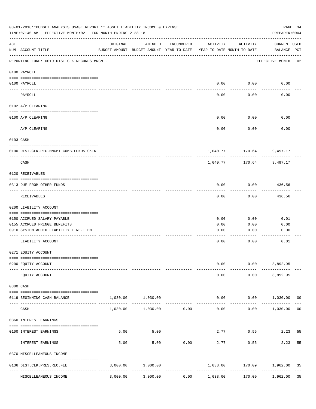|     | 03-01-2018**BUDGET ANALYSIS USAGE REPORT ** ASSET LIABILITY INCOME & EXPENSE<br>TIME: 07:40 AM - EFFECTIVE MONTH: 02 - FOR MONTH ENDING 2-28-18 |                                          |                                                     |            |                                          |                          | PAGE 34<br>PREPARER: 0004   |                |
|-----|-------------------------------------------------------------------------------------------------------------------------------------------------|------------------------------------------|-----------------------------------------------------|------------|------------------------------------------|--------------------------|-----------------------------|----------------|
| ACT | NUM ACCOUNT-TITLE                                                                                                                               | ORIGINAL                                 | AMENDED<br>BUDGET-AMOUNT BUDGET-AMOUNT YEAR-TO-DATE | ENCUMBERED | ACTIVITY<br>YEAR-TO-DATE MONTH-TO-DATE   | ACTIVITY                 | CURRENT USED<br>BALANCE PCT |                |
|     | REPORTING FUND: 0019 DIST.CLK.RECORDS MNGMT.                                                                                                    |                                          |                                                     |            |                                          |                          | EFFECTIVE MONTH - 02        |                |
|     | 0100 PAYROLL                                                                                                                                    |                                          |                                                     |            |                                          |                          |                             |                |
|     | 0100 PAYROLL<br>----- -------                                                                                                                   |                                          |                                                     |            | 0.00                                     | 0.00                     | 0.00                        |                |
|     | PAYROLL                                                                                                                                         |                                          |                                                     |            | 0.00                                     | 0.00                     | 0.00                        |                |
|     | 0102 A/P CLEARING                                                                                                                               |                                          |                                                     |            |                                          |                          |                             |                |
|     | 0100 A/P CLEARING                                                                                                                               |                                          |                                                     |            | 0.00                                     | 0.00                     | 0.00                        |                |
|     | A/P CLEARING                                                                                                                                    |                                          |                                                     |            | 0.00                                     | 0.00                     | 0.00                        |                |
|     | 0103 CASH                                                                                                                                       |                                          |                                                     |            |                                          |                          |                             |                |
|     | 0100 DIST.CLK.REC.MNGMT-COMB.FUNDS CKIN                                                                                                         |                                          |                                                     |            |                                          | 1,040.77 170.64 9,497.17 |                             |                |
|     | CASH                                                                                                                                            |                                          |                                                     |            | 1,040.77                                 | ----------<br>170.64     | 9,497.17                    |                |
|     | 0120 RECEIVABLES                                                                                                                                |                                          |                                                     |            |                                          |                          |                             |                |
|     | 0313 DUE FROM OTHER FUNDS                                                                                                                       |                                          |                                                     |            | 0.00                                     | 0.00                     | 436.56                      |                |
|     | RECEIVABLES                                                                                                                                     |                                          |                                                     |            | 0.00                                     | 0.00                     | ---------<br>436.56         |                |
|     | 0200 LIABILITY ACCOUNT                                                                                                                          |                                          |                                                     |            |                                          |                          |                             |                |
|     | 0150 ACCRUED SALARY PAYABLE                                                                                                                     |                                          |                                                     |            | 0.00                                     | 0.00                     | 0.01                        |                |
|     | 0155 ACCRUED FRINGE BENEFITS                                                                                                                    |                                          |                                                     |            | 0.00                                     | 0.00                     | 0.00                        |                |
|     | 0910 SYSTEM ADDED LIABILITY LINE-ITEM                                                                                                           |                                          |                                                     |            | 0.00                                     | 0.00                     | 0.00                        |                |
|     | LIABILITY ACCOUNT                                                                                                                               |                                          |                                                     |            | 0.00                                     | 0.00                     | 0.01                        |                |
|     | 0271 EQUITY ACCOUNT                                                                                                                             |                                          |                                                     |            |                                          |                          |                             |                |
|     |                                                                                                                                                 |                                          |                                                     |            |                                          |                          |                             |                |
|     | 0200 EQUITY ACCOUNT                                                                                                                             |                                          |                                                     |            | 0.00                                     |                          | $0.00$ 8,892.95             |                |
|     | EQUITY ACCOUNT                                                                                                                                  |                                          |                                                     |            | 0.00                                     |                          | $0.00$ $8,892.95$           |                |
|     | 0300 CASH                                                                                                                                       |                                          |                                                     |            |                                          |                          |                             |                |
|     | 0119 BEGINNING CASH BALANCE                                                                                                                     |                                          | 1,030.00 1,030.00                                   |            |                                          | 0.00                     | $0.00$ 1,030.00 00          |                |
|     | CASH                                                                                                                                            | 1,030.00                                 | $1,030.00$ 0.00                                     |            | 0.00                                     | 0.00                     | 1,030.00                    | 0 <sub>0</sub> |
|     | 0360 INTEREST EARNINGS                                                                                                                          |                                          |                                                     |            |                                          |                          |                             |                |
|     | 0100 INTEREST EARNINGS                                                                                                                          | 5.00                                     | 5.00                                                |            |                                          | 2.77 0.55                | 2.23                        | 55             |
|     | INTEREST EARNINGS                                                                                                                               | 5.00                                     | 5.00                                                | 0.00       | 2.77                                     | 0.55                     | 2.23                        | 55             |
|     | 0370 MISCELLEANEOUS INCOME                                                                                                                      |                                          |                                                     |            |                                          |                          |                             |                |
|     | 0136 DIST.CLK.PRES.REC.FEE                                                                                                                      |                                          | 3,000.00 3,000.00                                   |            |                                          |                          | 1,038.00 170.09 1,962.00    | 35             |
|     | ----------------<br>MISCELLEANEOUS INCOME                                                                                                       | ------------- --------------<br>3,000.00 | 3,000.00                                            | 0.00       | ----------------------------<br>1,038.00 | ------------<br>170.09   | 1,962.00                    | 35             |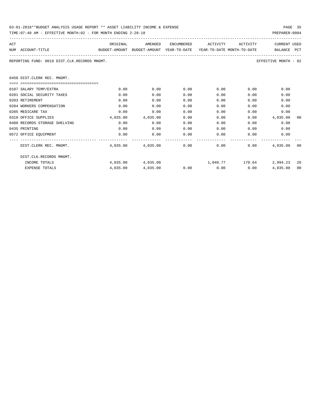| 03-01-2018**BUDGET ANALYSIS USAGE REPORT ** ASSET LIABILITY INCOME & EXPENSE | PAGE 35        |
|------------------------------------------------------------------------------|----------------|
| TIME:07:40 AM - EFFECTIVE MONTH:02 - FOR MONTH ENDING 2-28-18                | PREPARER: 0004 |

| ACT                                                                  |                                                                                          |      | ORIGINAL AMENDED                           |      | ENCUMBERED ACTIVITY ACTIVITY |              | <b>CURRENT USED</b>                                       |    |
|----------------------------------------------------------------------|------------------------------------------------------------------------------------------|------|--------------------------------------------|------|------------------------------|--------------|-----------------------------------------------------------|----|
|                                                                      | BUDGET-AMOUNT BUDGET-AMOUNT YEAR-TO-DATE YEAR-TO-DATE MONTH-TO-DATE<br>NUM ACCOUNT-TITLE |      |                                            |      |                              |              | BALANCE PCT                                               |    |
| REPORTING FUND: 0019 DIST.CLK.RECORDS MNGMT.<br>EFFECTIVE MONTH - 02 |                                                                                          |      |                                            |      |                              |              |                                                           |    |
|                                                                      | 0450 DIST.CLERK REC. MNGMT.                                                              |      |                                            |      |                              |              |                                                           |    |
|                                                                      |                                                                                          |      |                                            |      |                              |              |                                                           |    |
|                                                                      | 0107 SALARY TEMP/EXTRA                                                                   | 0.00 | 0.00                                       | 0.00 | $0.00$ 0.00                  |              | 0.00                                                      |    |
|                                                                      | 0201 SOCIAL SECURITY TAXES                                                               | 0.00 | 0.00                                       | 0.00 |                              | 0.00<br>0.00 | 0.00                                                      |    |
|                                                                      | 0203 RETIREMENT                                                                          | 0.00 | 0.00                                       | 0.00 | 0.00                         | 0.00         | 0.00                                                      |    |
|                                                                      | 0204 WORKERS COMPENSATION                                                                | 0.00 | 0.00                                       | 0.00 | 0.00                         | 0.00         | 0.00                                                      |    |
|                                                                      | 0205 MEDICARE TAX                                                                        | 0.00 | 0.00                                       | 0.00 | 0.00                         | 0.00         | 0.00                                                      |    |
|                                                                      | 0310 OFFICE SUPPLIES                                                                     |      | 4,035.00 4,035.00                          | 0.00 |                              | 0.00         | $0.00$ 4,035.00                                           | 00 |
|                                                                      | 0400 RECORDS STORAGE SHELVING                                                            | 0.00 | 0.00                                       | 0.00 |                              | 0.00         | 0.00<br>0.00                                              |    |
|                                                                      | 0435 PRINTING                                                                            | 0.00 | 0.00                                       | 0.00 |                              | 0.00         | 0.00<br>0.00                                              |    |
|                                                                      | 0572 OFFICE EQUIPMENT                                                                    | 0.00 | 0.00                                       |      | $0.00$ $0.00$ $0.00$ $0.00$  |              | 0.00                                                      |    |
|                                                                      | DIST.CLERK REC. MNGMT.                                                                   |      | $4,035.00$ $4,035.00$ $0.00$ $0.00$ $0.00$ |      |                              |              | 4,035,00 00                                               |    |
|                                                                      | DIST.CLK.RECORDS MNGMT.                                                                  |      |                                            |      |                              |              |                                                           |    |
|                                                                      | INCOME TOTALS                                                                            |      |                                            |      |                              |              | $4,035.00$ $4,035.00$ $1,040.77$ $170.64$ $2,994.23$ $26$ |    |
|                                                                      | <b>EXPENSE TOTALS</b>                                                                    |      | 4,035.00 4,035.00                          |      | $0.00$ $0.00$ $0.00$ $0.00$  |              | 4,035.00 00                                               |    |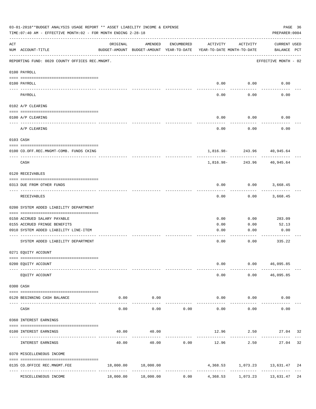|     | 03-01-2018**BUDGET ANALYSIS USAGE REPORT ** ASSET LIABILITY INCOME & EXPENSE<br>TIME:07:40 AM - EFFECTIVE MONTH:02 - FOR MONTH ENDING 2-28-18 |           |                                                     |            |                                        |                        | PAGE 36<br>PREPARER: 0004          |  |
|-----|-----------------------------------------------------------------------------------------------------------------------------------------------|-----------|-----------------------------------------------------|------------|----------------------------------------|------------------------|------------------------------------|--|
| ACT | NUM ACCOUNT-TITLE                                                                                                                             | ORIGINAL  | AMENDED<br>BUDGET-AMOUNT BUDGET-AMOUNT YEAR-TO-DATE | ENCUMBERED | ACTIVITY<br>YEAR-TO-DATE MONTH-TO-DATE | ACTIVITY               | <b>CURRENT USED</b><br>BALANCE PCT |  |
|     | REPORTING FUND: 0020 COUNTY OFFICES REC.MNGMT.                                                                                                |           |                                                     |            |                                        |                        | EFFECTIVE MONTH - 02               |  |
|     | 0100 PAYROLL                                                                                                                                  |           |                                                     |            |                                        |                        |                                    |  |
|     | 0100 PAYROLL                                                                                                                                  |           |                                                     |            | 0.00                                   |                        | 0.00<br>0.00                       |  |
|     | PAYROLL                                                                                                                                       |           |                                                     |            | 0.00                                   | 0.00                   | 0.00                               |  |
|     | 0102 A/P CLEARING                                                                                                                             |           |                                                     |            |                                        |                        |                                    |  |
|     | 0100 A/P CLEARING                                                                                                                             |           |                                                     |            | 0.00                                   | 0.00                   | 0.00                               |  |
|     | A/P CLEARING                                                                                                                                  |           |                                                     |            | 0.00                                   | 0.00                   | 0.00                               |  |
|     | 0103 CASH                                                                                                                                     |           |                                                     |            |                                        |                        |                                    |  |
|     | 0100 CO.OFF.REC.MNGMT-COMB. FUNDS CKING                                                                                                       |           |                                                     |            |                                        |                        | 1,816.98-243.96 40,945.64          |  |
|     | ----------------------------<br>CASH                                                                                                          |           |                                                     |            | 1,816.98-                              | . <u>.</u> .<br>243.96 | 40,945.64                          |  |
|     | 0120 RECEIVABLES                                                                                                                              |           |                                                     |            |                                        |                        |                                    |  |
|     | 0313 DUE FROM OTHER FUNDS                                                                                                                     |           |                                                     |            | 0.00                                   |                        | $0.00$ 3,668.45                    |  |
|     | RECEIVABLES                                                                                                                                   |           |                                                     |            | 0.00                                   | 0.00                   | 3,668.45                           |  |
|     | 0200 SYSTEM ADDED LIABILITY DEPARTMENT                                                                                                        |           |                                                     |            |                                        |                        |                                    |  |
|     | 0150 ACCRUED SALARY PAYABLE                                                                                                                   |           |                                                     |            | 0.00                                   | 0.00                   | 283.09                             |  |
|     | 0155 ACCRUED FRINGE BENEFITS                                                                                                                  |           |                                                     |            | 0.00                                   | 0.00                   | 52.13                              |  |
|     | 0910 SYSTEM ADDED LIABILITY LINE-ITEM                                                                                                         |           |                                                     |            | 0.00                                   | 0.00                   | 0.00                               |  |
|     | SYSTEM ADDED LIABILITY DEPARTMENT                                                                                                             |           |                                                     |            | 0.00                                   | 0.00                   | 335.22                             |  |
|     | 0271 EQUITY ACCOUNT                                                                                                                           |           |                                                     |            |                                        |                        |                                    |  |
|     | 0200 EQUITY ACCOUNT                                                                                                                           |           |                                                     |            | 0.00                                   |                        | $0.00$ 46,095.85                   |  |
|     | EQUITY ACCOUNT                                                                                                                                |           |                                                     |            | 0.00                                   |                        | $0.00$ 46,095.85                   |  |
|     | 0300 CASH                                                                                                                                     |           |                                                     |            |                                        |                        |                                    |  |
|     | 0120 BEGINNING CASH BALANCE                                                                                                                   |           | $0.00$ 0.00<br>-----------                          |            | $- - - - -$                            | 0.00<br>.              | 0.00<br>0.00                       |  |
|     | CASH                                                                                                                                          | 0.00      | 0.00                                                | 0.00       | 0.00                                   | 0.00                   | 0.00                               |  |
|     | 0360 INTEREST EARNINGS                                                                                                                        |           |                                                     |            |                                        |                        |                                    |  |
|     | 0100 INTEREST EARNINGS                                                                                                                        | 40.00     | 40.00                                               |            | --------------                         | 12.96 2.50             | 27.04 32                           |  |
|     | INTEREST EARNINGS                                                                                                                             | 40.00     | 40.00                                               | 0.00       | 12.96                                  | 2.50                   | 27.04 32                           |  |
|     | 0370 MISCELLENEOUS INCOME                                                                                                                     |           |                                                     |            |                                        |                        |                                    |  |
|     | 0135 CO.OFFICE REC.MNGMT.FEE                                                                                                                  |           | 18,000.00 18,000.00                                 |            | -----------------------------          |                        | 4,368.53 1,073.23 13,631.47 24     |  |
|     | MISCELLENEOUS INCOME                                                                                                                          | 18,000.00 | 18,000.00                                           | 0.00       | 4,368.53                               | 1,073.23               | 13,631.47 24                       |  |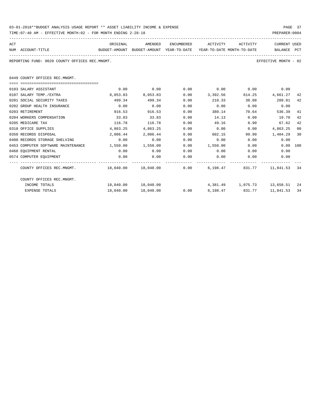| 03-01-2018**BUDGET ANALYSIS USAGE REPORT ** ASSET LIABILITY INCOME & EXPENSE | PAGE 37        |
|------------------------------------------------------------------------------|----------------|
| TIME:07:40 AM - EFFECTIVE MONTH:02 - FOR MONTH ENDING 2-28-18                | PREPARER: 0004 |

| ACT                  | ORIGINAL | AMENDED.                                                            | <b>ENCUMBERED</b> | ACTIVITY | ACTIVITY | CURRENT USED |
|----------------------|----------|---------------------------------------------------------------------|-------------------|----------|----------|--------------|
| ACCOUNT-TITLE<br>NUM |          | BUDGET-AMOUNT BUDGET-AMOUNT YEAR-TO-DATE YEAR-TO-DATE MONTH-TO-DATE |                   |          |          | BALANCE PCT  |
|                      |          |                                                                     |                   |          |          |              |

REPORTING FUND: 0020 COUNTY OFFICES REC.MNGMT. EFFECTIVE MONTH - 02

0449 COUNTY OFFICES REC.MNGMT.

| 0103 SALARY ASSISTANT                                       | 0.00                | 0.00      | 0.00 | 0.00     | 0.00                        | 0.00         |      |
|-------------------------------------------------------------|---------------------|-----------|------|----------|-----------------------------|--------------|------|
| 0107 SALARY TEMP./EXTRA                                     | 8,053.83            | 8,053.83  | 0.00 | 3,392.56 | 614.25                      | 4,661.27     | 42   |
| 0201 SOCIAL SECURITY TAXES                                  | 499.34              | 499.34    | 0.00 | 210.33   | 38.08                       | 289.01       | 42   |
| 0202 GROUP HEALTH INSURANCE                                 | 0.00                | 0.00      | 0.00 | 0.00     | 0.00                        | 0.00         |      |
| 0203 RETIREMENT                                             | 916.53              | 916.53    | 0.00 | 380.14   | 70.64                       | 536.39       | 41   |
| 0204 WORKERS COMPENSATION                                   | 33.83               | 33.83     | 0.00 | 14.13    | 0.00                        | 19.70        | 42   |
| 0205 MEDICARE TAX                                           | 116.78              | 116.78    | 0.00 | 49.16    | 8.90                        | 67.62        | 42   |
| 0310 OFFICE SUPPLIES                                        | 4,863.25            | 4,863.25  | 0.00 | 0.00     | 0.00                        | 4,863.25     | 00   |
| 0350 RECORDS DISPOSAL                                       | 2,006.44            | 2,006.44  | 0.00 | 602.15   | 99.90                       | 1,404.29     | 30   |
| 0400 RECORDS STORAGE SHELVING                               | 0.00                | 0.00      | 0.00 | 0.00     | 0.00                        | 0.00         |      |
| 0453 COMPUTER SOFTWARE MAINTENANCE                          | 1,550.00            | 1,550.00  | 0.00 | 1,550.00 | 0.00                        | 0.00 100     |      |
| 0460 EQUIPMENT RENTAL                                       | 0.00                | 0.00      | 0.00 | 0.00     | 0.00                        | 0.00         |      |
| 0574 COMPUTER EOUIPMENT                                     | 0.00                | 0.00      | 0.00 | 0.00     | 0.00                        | 0.00         |      |
| COUNTY OFFICES REC.MNGMT. 48,040.00 18,040.00 0.00 6,198.47 |                     |           |      |          | 831.77                      | 11,841.53    | - 34 |
| COUNTY OFFICES REC.MNGMT.                                   |                     |           |      |          |                             |              |      |
| INCOME TOTALS                                               | 18,040.00 18,040.00 |           |      |          | 4,381.49 1,075.73 13,658.51 |              | - 24 |
| EXPENSE TOTALS                                              | 18,040.00           | 18,040.00 | 0.00 | 6,198.47 | 831.77                      | 11,841.53 34 |      |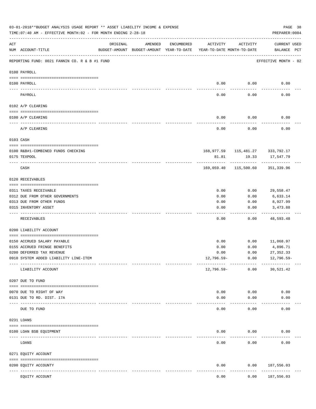|               | 03-01-2018**BUDGET ANALYSIS USAGE REPORT ** ASSET LIABILITY INCOME & EXPENSE<br>TIME:07:40 AM - EFFECTIVE MONTH:02 - FOR MONTH ENDING 2-28-18 |                            |                                                     |            |                                        |                     | PREPARER: 0004                                | PAGE 38 |
|---------------|-----------------------------------------------------------------------------------------------------------------------------------------------|----------------------------|-----------------------------------------------------|------------|----------------------------------------|---------------------|-----------------------------------------------|---------|
| ACT           | NUM ACCOUNT-TITLE                                                                                                                             | ORIGINAL                   | AMENDED<br>BUDGET-AMOUNT BUDGET-AMOUNT YEAR-TO-DATE | ENCUMBERED | ACTIVITY<br>YEAR-TO-DATE MONTH-TO-DATE | ACTIVITY            | <b>CURRENT USED</b><br>BALANCE PCT            |         |
|               | REPORTING FUND: 0021 FANNIN CO. R & B #1 FUND                                                                                                 |                            |                                                     |            |                                        |                     | EFFECTIVE MONTH - 02                          |         |
|               | 0100 PAYROLL                                                                                                                                  |                            |                                                     |            |                                        |                     |                                               |         |
|               | 0100 PAYROLL                                                                                                                                  |                            |                                                     |            | 0.00                                   | 0.00                | 0.00                                          |         |
| $\frac{1}{2}$ | PAYROLL                                                                                                                                       |                            |                                                     |            | 0.00                                   | 0.00                | 0.00                                          |         |
|               | 0102 A/P CLEARING                                                                                                                             |                            |                                                     |            |                                        |                     |                                               |         |
|               | 0100 A/P CLEARING                                                                                                                             |                            |                                                     |            | 0.00                                   | 0.00                | 0.00                                          |         |
|               | A/P CLEARING                                                                                                                                  |                            |                                                     |            | 0.00                                   | 0.00                | 0.00                                          |         |
|               | 0103 CASH                                                                                                                                     |                            |                                                     |            |                                        |                     |                                               |         |
|               |                                                                                                                                               |                            |                                                     |            |                                        |                     |                                               |         |
|               | 0100 R&B#1-COMBINED FUNDS CHECKING<br>0175 TEXPOOL                                                                                            |                            |                                                     |            | 81.81                                  | 19.33<br>---------- | 168,977.59 115,481.27 333,792.17<br>17,547.79 |         |
|               | CASH                                                                                                                                          |                            |                                                     |            |                                        |                     | 169,059.40 115,500.60 351,339.96              |         |
|               | 0120 RECEIVABLES                                                                                                                              |                            |                                                     |            |                                        |                     |                                               |         |
|               | 0311 TAXES RECEIVABLE                                                                                                                         |                            |                                                     |            | 0.00                                   | 0.00                | 29,558.47                                     |         |
|               | 0312 DUE FROM OTHER GOVERNMENTS                                                                                                               |                            |                                                     |            | 0.00                                   | 0.00                | 6,633.14                                      |         |
|               | 0313 DUE FROM OTHER FUNDS                                                                                                                     |                            |                                                     |            | 0.00                                   | 0.00                | 8,927.99                                      |         |
|               | 0315 INVENTORY ASSET                                                                                                                          |                            |                                                     |            | 0.00                                   | 0.00                | 3,473.88<br>----------                        |         |
|               | RECEIVABLES                                                                                                                                   |                            |                                                     |            | 0.00                                   | 0.00                | 48,593.48                                     |         |
|               | 0200 LIABILITY ACCOUNT                                                                                                                        |                            |                                                     |            |                                        |                     |                                               |         |
|               | 0150 ACCRUED SALARY PAYABLE                                                                                                                   |                            |                                                     |            | 0.00                                   | 0.00                | 11,068.97                                     |         |
|               | 0155 ACCRUED FRINGE BENEFITS                                                                                                                  |                            |                                                     |            | 0.00                                   | 0.00                | 4,896.71                                      |         |
|               | 0200 DEFERRED TAX REVENUE                                                                                                                     |                            |                                                     |            | 0.00                                   | 0.00                | 27, 352.33                                    |         |
|               | 0910 SYSTEM ADDED LIABILITY LINE-ITEM                                                                                                         |                            |                                                     |            | 12,796.59-                             | 0.00                | 12,796.59-                                    |         |
|               | LIABILITY ACCOUNT                                                                                                                             |                            |                                                     |            | 12,796.59-                             | 0.00                | 30,521.42                                     |         |
|               | 0207 DUE TO FUND                                                                                                                              |                            |                                                     |            |                                        |                     |                                               |         |
|               | 0070 DUE TO RIGHT OF WAY                                                                                                                      |                            |                                                     |            | 0.00                                   | 0.00                | 0.00                                          |         |
|               | 0131 DUE TO RD. DIST. 17A                                                                                                                     |                            |                                                     |            | 0.00                                   | 0.00                | 0.00                                          |         |
|               | DUE TO FUND                                                                                                                                   | ------------ ------------- |                                                     |            | 0.00                                   | 0.00                | 0.00                                          |         |
|               | 0231 LOANS                                                                                                                                    |                            |                                                     |            |                                        |                     |                                               |         |
|               |                                                                                                                                               |                            |                                                     |            |                                        |                     |                                               |         |
|               | 0100 LOAN BSB EQUIPMENT                                                                                                                       |                            |                                                     |            | 0.00                                   | 0.00                | 0.00                                          |         |
|               | LOANS                                                                                                                                         |                            |                                                     |            | 0.00                                   | 0.00                | 0.00                                          |         |
|               | 0271 EQUITY ACCOUNT                                                                                                                           |                            |                                                     |            |                                        |                     |                                               |         |
|               | 0200 EQUITY ACCOUNTY                                                                                                                          | ----- -------------        |                                                     |            | 0.00                                   | 0.00                | 187,556.03<br>---------                       |         |
|               | EQUITY ACCOUNT                                                                                                                                |                            |                                                     |            | 0.00                                   | 0.00                | 187,556.03                                    |         |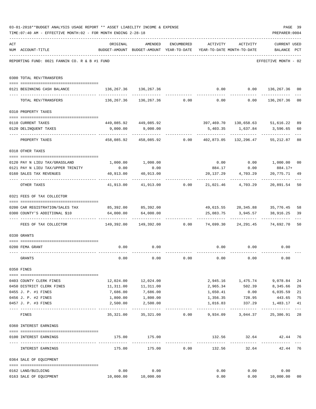|     | 03-01-2018**BUDGET ANALYSIS USAGE REPORT ** ASSET LIABILITY INCOME & EXPENSE |                         |                                                                        |              |             |                                 | PAGE 39                      |                |
|-----|------------------------------------------------------------------------------|-------------------------|------------------------------------------------------------------------|--------------|-------------|---------------------------------|------------------------------|----------------|
|     | TIME: 07:40 AM - EFFECTIVE MONTH: 02 - FOR MONTH ENDING 2-28-18              |                         |                                                                        |              |             |                                 | PREPARER: 0004               |                |
| ACT |                                                                              | ORIGINAL                | AMENDED                                                                | ENCUMBERED   |             | ACTIVITY ACTIVITY               | <b>CURRENT USED</b>          |                |
|     | NUM ACCOUNT-TITLE                                                            |                         | BUDGET-AMOUNT BUDGET-AMOUNT YEAR-TO-DATE YEAR-TO-DATE MONTH-TO-DATE    |              |             |                                 | BALANCE PCT                  |                |
|     | REPORTING FUND: 0021 FANNIN CO. R & B #1 FUND                                |                         |                                                                        |              |             |                                 | EFFECTIVE MONTH - 02         |                |
|     | 0300 TOTAL REV/TRANSFERS                                                     |                         |                                                                        |              |             |                                 |                              |                |
|     | 0121 BEGINNING CASH BALANCE                                                  | 136, 267.36 136, 267.36 |                                                                        |              |             | $0.00$ $0.00$ $136,267.36$      |                              | 00             |
|     | TOTAL REV/TRANSFERS                                                          |                         | $136, 267.36$ $136, 267.36$ 0.00 0.00 0.00 136,267.36                  |              |             |                                 |                              | 0 <sub>0</sub> |
|     | 0310 PROPERTY TAXES                                                          |                         |                                                                        |              |             |                                 |                              |                |
|     |                                                                              |                         |                                                                        |              |             |                                 |                              |                |
|     | 0110 CURRENT TAXES                                                           |                         | 449,085.92 449,085.92                                                  |              |             | 397,469.70 130,658.63 51,616.22 |                              | 89             |
|     | 0120 DELINQUENT TAXES                                                        |                         | 9,000.00 9,000.00                                                      |              |             | 5,403.35 1,637.84 3,596.65      |                              | 60             |
|     | PROPERTY TAXES                                                               |                         | $458,085.92$ $458,085.92$ $0.00$ $402,873.05$ $132,296.47$ $55,212.87$ |              | ----------- | -----------                     | ----------                   | 88             |
|     | 0318 OTHER TAXES                                                             |                         |                                                                        |              |             |                                 |                              |                |
|     | 0120 PAY N LIEU TAX/GRASSLAND                                                |                         | 1,000.00 1,000.00                                                      |              |             | $0.00$ $0.00$ $1,000.00$ $00$   |                              |                |
|     | 0121 PAY N LIEU TAX/UPPER TRINITY                                            | 0.00                    | 0.00                                                                   |              | 884.17      | 0.00                            | 884.17+                      |                |
|     | 0160 SALES TAX REVENUES                                                      | 40,913.00               | 40,913.00                                                              |              | 20,137.29   | 4,703.29                        | 20,775.71                    | -49            |
|     | OTHER TAXES                                                                  | ------------            | $41,913.00$ $41,913.00$ $0.00$ $21,021.46$ $4,703.29$                  |              |             |                                 | 20,891.54                    | 50             |
|     | 0321 FEES OF TAX COLLECTOR                                                   |                         |                                                                        |              |             |                                 |                              |                |
|     | 0200 CAR REGISTRATION/SALES TAX                                              |                         | 85,392.00 85,392.00                                                    |              |             | 49,615.55 20,345.88 35,776.45   |                              | 58             |
|     | 0300 COUNTY'S ADDITIONAL \$10                                                |                         | 64,000.00 64,000.00                                                    |              |             | 25,083.75 3,945.57 38,916.25    |                              | 39             |
|     | FEES OF TAX COLLECTOR                                                        | --------------          | 149,392.00 149,392.00 0.00 74,699.30 24,291.45 74,692.70               |              |             |                                 | ---------------------------- | 50             |
|     | 0330 GRANTS                                                                  |                         |                                                                        |              |             |                                 |                              |                |
|     | 0200 FEMA GRANT                                                              | 0.00                    | 0.00                                                                   |              |             | $0.00$ $0.00$                   | 0.00                         |                |
|     | GRANTS                                                                       | 0.00                    | 0.00                                                                   | 0.00         | 0.00        | 0.00                            | 0.00                         |                |
|     | 0350 FINES                                                                   |                         |                                                                        |              |             |                                 |                              |                |
|     | 0403 COUNTY CLERK FINES                                                      |                         | 12,024.00   12,024.00                                                  |              |             | 2,945.16 1,475.74 9,078.84      |                              | 24             |
|     | 0450 DISTRICT CLERK FINES                                                    |                         | 11,311.00   11,311.00                                                  |              |             | 2,965.34 502.39 8,345.66        |                              | 26             |
|     | 0455 J. P. #1 FINES                                                          | 7,686.00                | 7,686.00<br>1,800.00                                                   |              | 1,650.41    | 0.00                            | 6,035.59                     | 21             |
|     | 0456 J. P. #2 FINES                                                          | 1,800.00                |                                                                        |              | 1,356.35    | 728.95                          | 443.65                       | 75             |
|     | 0457 J. P. #3 FINES<br>-- -----------------------------------                | 2,500.00<br>----------- | 2,500.00<br>-------------                                              | ------------ | ----------- | 1,016.83 337.29 1,483.17        |                              | 41<br>$---$    |
|     | FINES                                                                        | 35,321.00               |                                                                        |              |             |                                 |                              | 28             |
|     | 0360 INTEREST EARNINGS                                                       |                         |                                                                        |              |             |                                 |                              |                |
|     | 0100 INTEREST EARNINGS                                                       |                         | 175.00 175.00                                                          |              |             | 132.56 32.64 42.44              |                              | 76             |
|     | INTEREST EARNINGS                                                            | 175.00                  |                                                                        | 175.00 0.00  |             | 132.56 32.64 42.44              |                              | 76             |
|     | 0364 SALE OF EQUIPMENT                                                       |                         |                                                                        |              |             |                                 |                              |                |
|     | 0162 LAND/BUILDING                                                           | 0.00                    | 0.00                                                                   |              | 0.00        |                                 | 0.00<br>0.00                 |                |
|     | 0163 SALE OF EQUIPMENT                                                       | 10,000.00  10,000.00    |                                                                        |              | 0.00        |                                 | 0.00 10,000.00               | 0 <sub>0</sub> |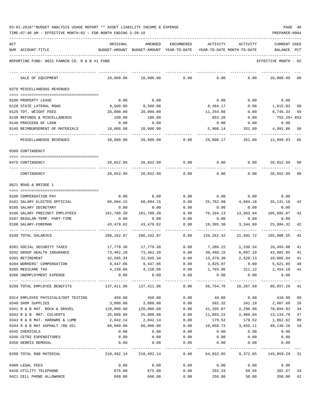| 03-01-2018**BUDGET ANALYSIS USAGE REPORT ** ASSET LIABILITY INCOME & EXPENSE |  |  |  |  |  | PAGE | -40 |
|------------------------------------------------------------------------------|--|--|--|--|--|------|-----|
|                                                                              |  |  |  |  |  |      |     |

| ACT |                                               | ORIGINAL                                                            | AMENDED               | <b>ENCUMBERED</b> | ACTIVITY   | ACTIVITY     | <b>CURRENT USED</b>                           |              |
|-----|-----------------------------------------------|---------------------------------------------------------------------|-----------------------|-------------------|------------|--------------|-----------------------------------------------|--------------|
|     | NUM ACCOUNT-TITLE                             | BUDGET-AMOUNT BUDGET-AMOUNT YEAR-TO-DATE YEAR-TO-DATE MONTH-TO-DATE |                       |                   |            |              | BALANCE                                       | $_{\rm PCT}$ |
|     | REPORTING FUND: 0021 FANNIN CO. R & B #1 FUND |                                                                     |                       |                   |            |              | EFFECTIVE MONTH - 02                          |              |
|     | SALE OF EQUIPMENT                             | 10,000.00                                                           | 10,000.00             | 0.00              | 0.00       | 0.00         | 10,000.00                                     | 00           |
|     | 0370 MISCELLANEOUS REVENUES                   |                                                                     |                       |                   |            |              |                                               |              |
|     | 0100 PROPERTY LEASE                           | 0.00                                                                | 0.00                  |                   | 0.00       | 0.00         | 0.00                                          |              |
|     | 0120 STATE LATERAL ROAD                       | 9,500.00                                                            | 9,500.00              |                   | 8,484.17   | 0.00         | 1,015.83                                      | 89           |
|     | 0125 TDT. WEIGHT FEES                         | 20,000.00                                                           | 20,000.00             |                   | 11,254.66  | 0.00         | 8,745.34                                      | 56           |
|     | 0130 REFUNDS & MISCELLANEOUS                  | 100.00                                                              | 100.00                |                   | 853.20     | 0.00         | 753.20+ 853                                   |              |
|     | 0140 PROCEEDS OF LOAN                         | 0.00                                                                | 0.00                  |                   | 0.00       | 0.00         | 0.00                                          |              |
|     | 0145 REIMBURSEMENT OF MATERIALS               | 10,000.00                                                           | 10,000.00             |                   | 5,008.14   | 351.60       | 4,991.86                                      | 50           |
|     | MISCELLANEOUS REVENUES                        | 39,600.00                                                           | 39,600.00             | 0.00              | 25,600.17  | 351.60       | 13,999.83                                     | 65           |
|     | 0509 CONTINGENCY                              |                                                                     |                       |                   |            |              |                                               |              |
|     | 0475 CONTINGENCY                              |                                                                     | 20,652.99 20,652.99   | 0.00              | 0.00       | 0.00         | 20,652.99                                     | 00           |
|     | CONTINGENCY                                   | 20,652.99                                                           | 20,652.99             | 0.00              | 0.00       | 0.00         | 20,652.99 00                                  |              |
|     | 0621 ROAD & BRIDGE 1                          |                                                                     |                       |                   |            |              |                                               |              |
|     | 0100 COMPENSATION PAY                         | 0.00                                                                | 0.00                  | 0.00              | 0.00       | 0.00         | 0.00                                          |              |
|     | 0101 SALARY ELECTED OFFICIAL                  | 60,894.15                                                           | 60,894.15             | 0.00              | 25,762.99  | 4,684.18     | 35,131.16                                     | 42           |
|     | 0105 SALARY SECRETARY                         | 0.00                                                                | 0.00                  | 0.00              | 0.00       | 0.00         | 0.00                                          |              |
|     | 0106 SALARY PRECINCT EMPLOYEES                | 181,789.20                                                          | 181,789.20            | 0.00              | 76,104.13  | 13,963.94    | 105,685.07                                    | 42           |
|     | 0107 REGULAR-TEMP. PART-TIME                  | 0.00                                                                | 0.00                  | 0.00              | 0.00       | 0.00         | 0.00                                          |              |
|     | 0108 SALARY-FOREMAN                           | 43,479.62                                                           | 43,479.62             | 0.00              | 18,395.30  | 3,344.60     | 25,084.32                                     | 42           |
|     | 0199 TOTAL SALARIES                           | 286,162.97                                                          | 286,162.97            | 0.00              | 120,262.42 | 21,992.72    | 165,900.55                                    | 42           |
|     | 0201 SOCIAL SECURITY TAXES                    | 17,779.30                                                           | 17,779.30             | 0.00              | 7,286.22   | 1,330.34     | 10,493.08                                     | 41           |
|     | 0202 GROUP HEALTH INSURANCE                   | 73,462.20                                                           | 73,462.20             | 0.00              | 30,460.15  | 6,097.10     | 43,002.05                                     | 41           |
|     | 0203 RETIREMENT                               | 32,565.34                                                           | 32,565.34             | 0.00              | 13,479.30  |              | 2,529.13 19,086.04                            | 41           |
|     | 0204 WORKERS' COMPENSATION                    | 9,447.06                                                            | 9,447.06              | 0.00              | 3,825.07   | 0.00         | 5,621.99                                      | 40           |
|     | 0205 MEDICARE TAX                             | 4,158.06                                                            | 4,158.06              | 0.00              | 1,703.96   |              | $311.12$ $2,454.10$ $41$                      |              |
|     | 0206 UNEMPLOYMENT EXPENSE                     | 0.00                                                                | 0.00                  | 0.00              | 0.00       | 0.00         | 0.00                                          |              |
|     | 0299 TOTAL EMPLOYEE BENEFITS                  | 137,411.96 137,411.96 0.00                                          |                       | -----------       | . <u>.</u> | ------------ | 56,754.70 10,267.69 80,657.26                 | 41           |
|     | 0314 EMPLOYEE PHYSICALS/DOT TESTING           | 450.00                                                              | 450.00                | 0.00              | 40.00      | 0.00         | 410.00 09                                     |              |
|     | 0340 SHOP SUPPLIES                            | 3,000.00                                                            | 3,000.00              | 0.00              |            |              | 592.32 341.10 2,407.68                        | 20           |
|     | 0341 R & B MAT. ROCK & GRAVEL 120,000.00      |                                                                     | 120,000.00            | 0.00              | 41,105.07  |              | 2,296.88 78,894.93                            | 34           |
|     | 0342 R & B MAT. CULVERTS                      | 25,000.00                                                           | 25,000.00             | 0.00              | 11,865.22  |              | 2,900.04 13,134.78                            | 47           |
|     | 0343 R & B MAT. HARDWRE & LUMB                | 2,042.14                                                            | 2,042.14              | 0.00              | 179.52     | 179.52       | 1,862.62                                      | 09           |
|     | 0344 R & B MAT ASPHALT /RD OIL                | 60,000.00                                                           | 60,000.00             | 0.00              | 10,850.72  | 3,655.11     | 49,149.28                                     | 18           |
|     | 0345 CHEMICALS                                | 0.00                                                                | 0.00                  | 0.00              | 0.00       | 0.00         | 0.00                                          |              |
|     | 0346 CETRZ EXPENDITURES                       | 0.00                                                                | 0.00                  | 0.00              | 0.00       | 0.00         | 0.00                                          |              |
|     | 0350 DEBRIS REMOVAL                           | 0.00                                                                | 0.00                  | 0.00              | 0.00       | 0.00         | 0.00                                          |              |
|     | 0399 TOTAL R&B MATERIAL                       |                                                                     | 210,492.14 210,492.14 |                   |            |              | $0.00$ $64,632.85$ $9,372.65$ $145,859.29$ 31 |              |
|     | 0400 LEGAL FEES                               | 0.00                                                                | 0.00                  | 0.00              |            | $0.00$ 0.00  | 0.00                                          |              |
|     | 0420 UTILITY TELEPHONE                        | 675.00                                                              | 675.00                |                   |            |              | $0.00$ 292.33 58.56 382.67                    | 43           |
|     | 0421 CELL PHONE ALLOWANCE                     | 600.00                                                              | 600.00                | 0.00              | 250.00     |              | 50.00 350.00                                  | 42           |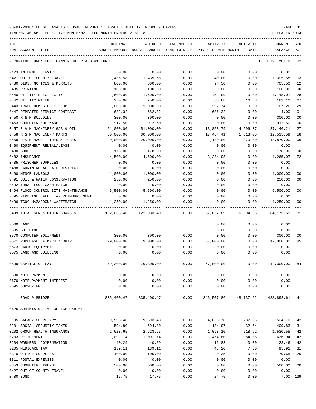TIME:07:40 AM - EFFECTIVE MONTH:02 - FOR MONTH ENDING 2-28-18 PREPARER:0004 ----------------------------------------------------------------------------------------------------------------------------------- ACT ORIGINAL AMENDED ENCUMBERED ACTIVITY ACTIVITY CURRENT USED

| NUM ACCOUNT-TITLE                                                      | BUDGET-AMOUNT          | BUDGET-AMOUNT YEAR-TO-DATE  |                      |            | YEAR-TO-DATE MONTH-TO-DATE | BALANCE PCT          |                |
|------------------------------------------------------------------------|------------------------|-----------------------------|----------------------|------------|----------------------------|----------------------|----------------|
| REPORTING FUND: 0021 FANNIN CO. R & B #1 FUND                          |                        |                             |                      |            |                            | EFFECTIVE MONTH - 02 |                |
| 0423 INTERNET SERVICE                                                  | 0.00                   | 0.00                        | 0.00                 | 0.00       | 0.00                       | 0.00                 |                |
| 0427 OUT OF COUNTY TRAVEL                                              | 1,435.58               | 1,435.58                    | 0.00                 | 40.00      | 0.00                       | 1,395.58             | 03             |
| 0430 BIDS, NOTICES & PERMITS                                           | 800.00                 | 800.00                      | 0.00                 | 94.50      | 0.00                       | 705.50               | 12             |
| 0435 PRINTING                                                          | 100.00                 | 100.00                      | 0.00                 | 0.00       | 0.00                       | 100.00               | 00             |
| 0440 UTILITY ELECTRICITY                                               | 1,600.00               | 1,600.00                    | 0.00                 | 451.99     | 0.00                       | 1,148.01             | 28             |
| 0442 UTILITY WATER                                                     | 250.00                 | 250.00                      | 0.00                 | 66.88      | 16.58                      | 183.12               | 27             |
| 0443 TRASH DUMPSTER PICKUP                                             | 1,000.00               | 1,000.00                    | 0.00                 | 292.74     | 0.00                       | 707.26               | 29             |
| 0447 REPEATER SERVICE CONTRACT                                         | 682.32                 | 682.32                      | 0.00                 | 686.32     | 0.00                       | $4.00 - 101$         |                |
| 0450 R & M BUILDING                                                    | 300.00                 | 300.00                      | 0.00                 | 0.00       | 0.00                       | 300.00               | 0 <sub>0</sub> |
| 0453 COMPUTER SOFTWARE                                                 | 912.50                 | 912.50                      | 0.00                 | 0.00       | 0.00                       | 912.50               | 00             |
| 0457 R & M MACHINERY GAS & OIL                                         | 51,000.00              | 51,000.00                   | 0.00                 | 13,853.79  | 4,596.37                   | 37, 146. 21          | 27             |
| 0458 R & M MACHINERY PARTS                                             | 30,000.00              | 30,000.00                   | 0.00                 | 17,464.41  | 1,513.05                   | 12,535.59            | 58             |
| 0459 R & M MACH. TIRES & TUBES                                         | 20,000.00              | 20,000.00                   | 0.00                 | 1,130.00   | 270.00                     | 18,870.00            | 06             |
| 0460 EQUIPMENT RENTAL/LEASE                                            | 0.00                   | 0.00                        | 0.00                 | 0.00       | 0.00                       | 0.00                 |                |
| 0480 BOND                                                              | 178.00                 | 178.00                      | 0.00                 | 0.00       | 0.00                       | 178.00               | 00             |
| 0482 INSURANCE                                                         | 4,500.00               | 4,500.00                    | 0.00                 | 3,234.93   | 0.00                       | 1,265.07             | 72             |
| 0485 PRISONER SUPPLIES                                                 | 0.00                   | 0.00                        | 0.00                 | 0.00       | 0.00                       | 0.00                 |                |
| 0488 FANNIN RURAL RAIL DISTRICT                                        | 0.00                   | 0.00                        | 0.00                 | 0.00       | 0.00                       | 0.00                 |                |
| 0490 MISCELLANEOUS                                                     | 1,000.00               | 1,000.00                    | 0.00                 | 0.00       | 0.00                       | 1,000.00             | 00             |
| 0491 SOIL & WATER CONSERVATION                                         | 250.00                 | 250.00                      | 0.00                 | 0.00       | 0.00                       | 250.00               | 00             |
| 0492 TDRA FLOOD CASH MATCH                                             | 0.00                   | 0.00                        | 0.00                 | 0.00       | 0.00                       | 0.00                 |                |
| 0494 FLOOD CONTROL SITE MAINTENANCE                                    | 5,500.00               | 5,500.00                    | 0.00                 | 0.00       | 0.00                       | 5,500.00             | 00             |
| 0495 PIPELINE SALES TAX REIMBURSEMENT                                  | 0.00                   | 0.00                        | 0.00                 | 0.00       | 0.00                       | 0.00                 |                |
| 0496 TCOG HAZARDOUS WASTEMATCH<br>------------------------------------ | 1,250.00<br>. <u>.</u> | 1,250.00<br>-------------   | 0.00                 | 0.00       | 0.00                       | 1,250.00             | 00             |
| 0499 TOTAL SER. & OTHER CHARGES                                        | 122,033.40             | 122,033.40                  | 0.00                 | 37,857.89  | 6,504.56                   | 84,175.51            | 31             |
| 0500 LAND                                                              |                        |                             |                      | 0.00       | 0.00                       | 0.00                 |                |
| 0535 BUILDING                                                          |                        |                             |                      | 0.00       | 0.00                       | 0.00                 |                |
| 0570 COMPUTER EQUIPMENT                                                | 300.00                 | 300.00                      | 0.00                 | 0.00       | 0.00                       | 300.00               | 00             |
| 0571 PURCHASE OF MACH./EQUIP.                                          | 79,000.00              | 79,000.00                   | 0.00                 | 67,000.00  | 0.00                       | 12,000.00            | 85             |
| 0573 RADIO EQUIPMENT                                                   | 0.00                   | 0.00                        | 0.00                 | 0.00       | 0.00                       | 0.00                 |                |
| 0575 LAND AND BUILDING                                                 | 0.00                   | 0.00                        | 0.00                 | 0.00       | 0.00                       | 0.00                 |                |
| 0599 CAPITAL OUTLAY                                                    | 79,300.00              | 79,300.00                   | 0.00                 | 67,000.00  | 0.00                       | 12,300.00            | 84             |
| 0630 NOTE PAYMENT                                                      | 0.00                   | 0.00                        | 0.00                 | 0.00       | 0.00                       | 0.00                 |                |
| 0670 NOTE PAYMENT-INTEREST                                             | 0.00                   | 0.00                        | 0.00                 | 0.00       | 0.00                       | 0.00                 |                |
| 0695 SURVEYING                                                         | 0.00                   | 0.00                        | 0.00                 | 0.00       | 0.00                       | 0.00                 |                |
| ROAD & BRIDGE 1                                                        | 835,400.47             | _____________<br>835,400.47 | ____________<br>0.00 | 346,507.86 | 48,137.62                  | 488,892.61 41        |                |
| 0625 ADMINISTRATIVE OFFICE R&B #1                                      |                        |                             |                      |            |                            |                      |                |
|                                                                        |                        |                             |                      |            |                            |                      |                |
| 0105 SALARY SECRETARY                                                  | 9,593.48               | 9,593.48                    | 0.00                 | 4,058.78   | 737.96                     | 5,534.70             | 42             |
| 0201 SOCIAL SECURITY TAXES                                             | 594.80                 | 594.80                      | 0.00                 | 184.97     | 32.54                      | 409.83               | 31             |
| 0202 GROUP HEALTH INSURANCE                                            | 2,623.65               | 2,623.65                    | 0.00                 | 1,093.10   | 218.62                     | 1,530.55             | 42             |
| 0203 RETIREMENT                                                        | 1,091.74               | 1,091.74                    | 0.00                 | 454.80     | 84.88                      | 636.94               | 42             |
| 0204 WORKERS' COMPENSATION                                             | 40.29                  | 40.29                       | 0.00                 | 16.83      | 0.00                       | 23.46                | 42             |
| 0205 MEDICARE TAX                                                      | 139.11                 | 139.11                      | 0.00                 | 43.20      | 7.60                       | 95.91                | 31             |
| 0310 OFFICE SUPPLIES                                                   | 100.00                 | 100.00                      | 0.00                 | 20.35      | 0.00                       | 79.65                | 20             |
| 0311 POSTAL EXPENSES                                                   | 0.00                   | 0.00                        | 0.00                 | 0.00       | 0.00                       | 0.00                 |                |
| 0353 COMPUTER EXPENSE                                                  | 500.00                 | 500.00                      | 0.00                 | 0.00       | 0.00                       | 500.00               | 00             |
| 0427 OUT OF COUNTY TRAVEL                                              | 0.00                   | 0.00                        | 0.00                 | 0.00       | 0.00                       | 0.00                 |                |
| 0480 BOND                                                              | 17.75                  | 17.75                       | 0.00                 | 24.75      | 0.00                       | $7.00 - 139$         |                |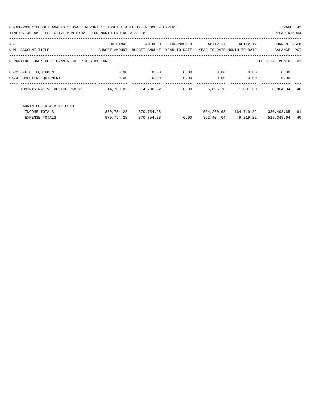03-01-2018\*\*BUDGET ANALYSIS USAGE REPORT \*\* ASSET LIABILITY INCOME & EXPENSE PAGE 42 TIME:07:40 AM - EFFECTIVE MONTH:02 - FOR MONTH ENDING 2-28-18 PREPARER:0004

| ACT |                                               | ORIGINAL      | AMENDED       | ENCUMBERED   | ACTIVITY                   | ACTIVITY   | <b>CURRENT USED</b>  |      |
|-----|-----------------------------------------------|---------------|---------------|--------------|----------------------------|------------|----------------------|------|
| NUM | ACCOUNT-TITLE                                 | BUDGET-AMOUNT | BUDGET-AMOUNT | YEAR-TO-DATE | YEAR-TO-DATE MONTH-TO-DATE |            | BALANCE              | PCT  |
|     | REPORTING FUND: 0021 FANNIN CO. R & B #1 FUND |               |               |              |                            |            | EFFECTIVE MONTH - 02 |      |
|     | 0572 OFFICE EQUIPMENT                         | 0.00          | 0.00          | 0.00         | 0.00                       | 0.00       | 0.00                 |      |
|     | 0574 COMPUTER EOUIPMENT                       | 0.00          | 0.00          | 0.00         | 0.00                       | 0.00       | 0.00                 |      |
|     | ADMINISTRATIVE OFFICE R&B #1                  | 14,700.82     | 14,700.82     | 0.00         | 5,896.78                   | 1,081.60   | 8,804.04             | 40   |
|     | FANNIN CO. R & B #1 FUND                      |               |               |              |                            |            |                      |      |
|     | INCOME TOTALS                                 | 870,754.28    | 870,754.28    |              | 534,260.63                 | 164,719.82 | 336,493.65           | - 61 |
|     | <b>EXPENSE TOTALS</b>                         | 870,754.28    | 870,754.28    | 0.00         | 352,404.64                 | 49,219.22  | 518,349.64           | 40   |
|     |                                               |               |               |              |                            |            |                      |      |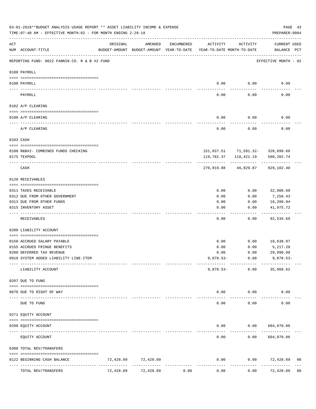|                                                                                                                                                                                                                                                                                                                                                                                              | 03-01-2018**BUDGET ANALYSIS USAGE REPORT ** ASSET LIABILITY INCOME & EXPENSE<br>TIME: 07:40 AM - EFFECTIVE MONTH: 02 - FOR MONTH ENDING 2-28-18 |           |                                                     |            |                                        |           | PREPARER: 0004                          | PAGE 43        |
|----------------------------------------------------------------------------------------------------------------------------------------------------------------------------------------------------------------------------------------------------------------------------------------------------------------------------------------------------------------------------------------------|-------------------------------------------------------------------------------------------------------------------------------------------------|-----------|-----------------------------------------------------|------------|----------------------------------------|-----------|-----------------------------------------|----------------|
| ACT                                                                                                                                                                                                                                                                                                                                                                                          | NUM ACCOUNT-TITLE                                                                                                                               | ORIGINAL  | AMENDED<br>BUDGET-AMOUNT BUDGET-AMOUNT YEAR-TO-DATE | ENCUMBERED | ACTIVITY<br>YEAR-TO-DATE MONTH-TO-DATE | ACTIVITY  | CURRENT USED<br>BALANCE PCT             |                |
|                                                                                                                                                                                                                                                                                                                                                                                              | REPORTING FUND: 0022 FANNIN CO. R & B #2 FUND                                                                                                   |           |                                                     |            |                                        |           | EFFECTIVE MONTH - 02                    |                |
|                                                                                                                                                                                                                                                                                                                                                                                              | 0100 PAYROLL                                                                                                                                    |           |                                                     |            |                                        |           |                                         |                |
|                                                                                                                                                                                                                                                                                                                                                                                              | 0100 PAYROLL                                                                                                                                    |           |                                                     |            | 0.00                                   | 0.00      | 0.00                                    |                |
| $\frac{1}{2} \frac{1}{2} \frac{1}{2} \frac{1}{2} \frac{1}{2} \frac{1}{2} \frac{1}{2} \frac{1}{2} \frac{1}{2} \frac{1}{2} \frac{1}{2} \frac{1}{2} \frac{1}{2} \frac{1}{2} \frac{1}{2} \frac{1}{2} \frac{1}{2} \frac{1}{2} \frac{1}{2} \frac{1}{2} \frac{1}{2} \frac{1}{2} \frac{1}{2} \frac{1}{2} \frac{1}{2} \frac{1}{2} \frac{1}{2} \frac{1}{2} \frac{1}{2} \frac{1}{2} \frac{1}{2} \frac{$ | PAYROLL                                                                                                                                         |           |                                                     |            | 0.00                                   | 0.00      | 0.00                                    |                |
|                                                                                                                                                                                                                                                                                                                                                                                              | 0102 A/P CLEARING                                                                                                                               |           |                                                     |            |                                        |           |                                         |                |
|                                                                                                                                                                                                                                                                                                                                                                                              | 0100 A/P CLEARING                                                                                                                               |           |                                                     |            | 0.00                                   | 0.00      | 0.00                                    |                |
|                                                                                                                                                                                                                                                                                                                                                                                              | A/P CLEARING                                                                                                                                    |           |                                                     |            | 0.00                                   | 0.00      | 0.00                                    |                |
|                                                                                                                                                                                                                                                                                                                                                                                              | 0103 CASH                                                                                                                                       |           |                                                     |            |                                        |           |                                         |                |
|                                                                                                                                                                                                                                                                                                                                                                                              | 0100 R&B#2- COMBINED FUNDS CHECKING                                                                                                             |           |                                                     |            |                                        |           | 151,037.51 71,591.32- 328,899.66        |                |
|                                                                                                                                                                                                                                                                                                                                                                                              | 0175 TEXPOOL                                                                                                                                    |           |                                                     |            |                                        |           | 119, 782.37   118, 421.19   500, 202.74 |                |
|                                                                                                                                                                                                                                                                                                                                                                                              | CASH                                                                                                                                            |           |                                                     |            | 270,819.88                             | 46,829.87 | 829,102.40                              |                |
|                                                                                                                                                                                                                                                                                                                                                                                              | 0120 RECEIVABLES                                                                                                                                |           |                                                     |            |                                        |           |                                         |                |
|                                                                                                                                                                                                                                                                                                                                                                                              | 0311 TAXES RECEIVABLE                                                                                                                           |           |                                                     |            | 0.00                                   | 0.00      | 32,900.60                               |                |
|                                                                                                                                                                                                                                                                                                                                                                                              | 0312 DUE FROM OTHER GOVERNMENT                                                                                                                  |           |                                                     |            | 0.00                                   | 0.00      | 7,258.43                                |                |
|                                                                                                                                                                                                                                                                                                                                                                                              | 0313 DUE FROM OTHER FUNDS                                                                                                                       |           |                                                     |            | 0.00                                   | 0.00      | 10,399.94                               |                |
|                                                                                                                                                                                                                                                                                                                                                                                              | 0315 INVENTORY ASSET                                                                                                                            |           |                                                     |            | 0.00                                   | 0.00      | 41,975.72<br>----------                 |                |
|                                                                                                                                                                                                                                                                                                                                                                                              | RECEIVABLES                                                                                                                                     |           |                                                     |            | 0.00                                   | 0.00      | 92,534.69                               |                |
|                                                                                                                                                                                                                                                                                                                                                                                              | 0200 LIABILITY ACCOUNT                                                                                                                          |           |                                                     |            |                                        |           |                                         |                |
|                                                                                                                                                                                                                                                                                                                                                                                              | 0150 ACCRUED SALARY PAYABLE                                                                                                                     |           |                                                     |            | 0.00                                   | 0.00      | 10,638.97                               |                |
|                                                                                                                                                                                                                                                                                                                                                                                              | 0155 ACCRUED FRINGE BENEFITS                                                                                                                    |           |                                                     |            | 0.00                                   | 0.00      | 5,217.20                                |                |
|                                                                                                                                                                                                                                                                                                                                                                                              | 0200 DEFERRED TAX REVENUE                                                                                                                       |           |                                                     |            | 0.00                                   | 0.00      | 29,990.98                               |                |
|                                                                                                                                                                                                                                                                                                                                                                                              | 0910 SYSTEM ADDED LIABILITY LINE-ITEM                                                                                                           |           |                                                     |            | $9,878.53-$                            | 0.00      | $9,878.53-$                             |                |
|                                                                                                                                                                                                                                                                                                                                                                                              | LIABILITY ACCOUNT                                                                                                                               |           |                                                     |            | $9,878.53-$                            | 0.00      | 35,968.62                               |                |
|                                                                                                                                                                                                                                                                                                                                                                                              | 0207 DUE TO FUND                                                                                                                                |           |                                                     |            |                                        |           |                                         |                |
|                                                                                                                                                                                                                                                                                                                                                                                              | 0070 DUE TO RIGHT OF WAY                                                                                                                        |           |                                                     |            | 0.00                                   | 0.00      | 0.00                                    |                |
| $---$                                                                                                                                                                                                                                                                                                                                                                                        | DUE TO FUND                                                                                                                                     |           |                                                     |            | 0.00                                   | 0.00      | 0.00                                    |                |
|                                                                                                                                                                                                                                                                                                                                                                                              | 0271 EQUITY ACCOUNT                                                                                                                             |           |                                                     |            |                                        |           |                                         |                |
|                                                                                                                                                                                                                                                                                                                                                                                              | 0200 EQUITY ACCOUNT                                                                                                                             |           |                                                     |            | 0.00                                   |           | 0.00 604,970.06                         |                |
|                                                                                                                                                                                                                                                                                                                                                                                              | EQUITY ACCOUNT                                                                                                                                  |           |                                                     |            | 0.00                                   | 0.00      | 604,970.06                              |                |
|                                                                                                                                                                                                                                                                                                                                                                                              | 0300 TOTAL REV/TRANSFERS                                                                                                                        |           |                                                     |            |                                        |           |                                         |                |
|                                                                                                                                                                                                                                                                                                                                                                                              | 0122 BEGINNING CASH BALANCE                                                                                                                     | 72,428.09 | 72,428.09                                           |            | 0.00                                   | 0.00      | 72,428.09                               | 00             |
|                                                                                                                                                                                                                                                                                                                                                                                              | TOTAL REV/TRANSFERS                                                                                                                             | 72,428.09 | 72,428.09                                           | 0.00       | 0.00                                   | 0.00      | 72,428.09                               | 0 <sub>0</sub> |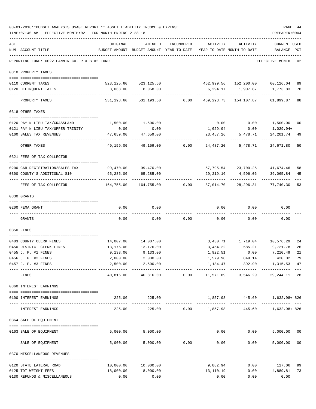|     | 03-01-2018**BUDGET ANALYSIS USAGE REPORT ** ASSET LIABILITY INCOME & EXPENSE<br>TIME: 07:40 AM - EFFECTIVE MONTH: 02 - FOR MONTH ENDING 2-28-18 |                                                                                 |                           |                                                |                  |                                                          | PAGE 44<br>PREPARER: 0004          |    |
|-----|-------------------------------------------------------------------------------------------------------------------------------------------------|---------------------------------------------------------------------------------|---------------------------|------------------------------------------------|------------------|----------------------------------------------------------|------------------------------------|----|
| ACT | NUM ACCOUNT-TITLE                                                                                                                               | ORIGINAL<br>BUDGET-AMOUNT BUDGET-AMOUNT YEAR-TO-DATE YEAR-TO-DATE MONTH-TO-DATE | AMENDED                   | ENCUMBERED                                     | ACTIVITY         | ACTIVITY                                                 | <b>CURRENT USED</b><br>BALANCE PCT |    |
|     | REPORTING FUND: 0022 FANNIN CO. R & B #2 FUND                                                                                                   |                                                                                 |                           |                                                |                  |                                                          | EFFECTIVE MONTH - 02               |    |
|     | 0310 PROPERTY TAXES                                                                                                                             |                                                                                 |                           |                                                |                  |                                                          |                                    |    |
|     | 0110 CURRENT TAXES                                                                                                                              |                                                                                 | 523, 125.60 523, 125.60   |                                                |                  | 462,999.56 152,200.00 60,126.04 89                       |                                    |    |
|     | 0120 DELINQUENT TAXES                                                                                                                           | 8,068.00                                                                        | 8,068.00                  |                                                |                  |                                                          |                                    | 78 |
|     | PROPERTY TAXES                                                                                                                                  | ------------------ --------------                                               | 531, 193.60 531, 193.60   |                                                |                  | $0.00$ $469,293.73$ $154,107.87$                         | ----------<br>61,899.87 88         |    |
|     | 0318 OTHER TAXES                                                                                                                                |                                                                                 |                           |                                                |                  |                                                          |                                    |    |
|     |                                                                                                                                                 |                                                                                 |                           |                                                |                  |                                                          |                                    |    |
|     | 0120 PAY N LIEU TAX/GRASSLAND<br>0121 PAY N LIEU TAX/UPPER TRINITY                                                                              | 1,500.00<br>0.00                                                                | 1,500.00<br>0.00          |                                                | 0.00<br>1,029.94 | 0.00<br>0.00                                             | 1,500.00 00<br>1,029.94+           |    |
|     | 0160 SALES TAX REVENUES                                                                                                                         | 47,659.00                                                                       | 47,659.00                 |                                                | 23,457.26        | 5,478.71                                                 | 24, 201. 74 49                     |    |
|     | OTHER TAXES                                                                                                                                     | -----------<br>49,159.00                                                        | 49,159.00                 | 0.00                                           | 24,487.20        | 5,478.71                                                 | 24,671.80                          | 50 |
|     | 0321 FEES OF TAX COLLECTOR                                                                                                                      |                                                                                 |                           |                                                |                  |                                                          |                                    |    |
|     | 0200 CAR REGISTRATION/SALES TAX                                                                                                                 | 99,470.00                                                                       | 99,470.00                 |                                                |                  | 57,795.54 23,700.25 41,674.46 58                         |                                    |    |
|     | 0300 COUNTY'S ADDITIONAL \$10                                                                                                                   | 65,285.00                                                                       | 65,285.00                 |                                                |                  | 29,219.16 4,596.06 36,065.84                             |                                    | 45 |
|     | FEES OF TAX COLLECTOR                                                                                                                           | -------------<br>164,755.00                                                     |                           |                                                |                  |                                                          | -------------                      | 53 |
|     | 0330 GRANTS                                                                                                                                     |                                                                                 |                           |                                                |                  |                                                          |                                    |    |
|     | 0200 FEMA GRANT                                                                                                                                 | 0.00                                                                            | 0.00                      |                                                | 0.00             | 0.00                                                     | 0.00                               |    |
|     | GRANTS                                                                                                                                          | 0.00                                                                            | 0.00                      | 0.00                                           | 0.00             | 0.00                                                     | 0.00                               |    |
|     | 0350 FINES                                                                                                                                      |                                                                                 |                           |                                                |                  |                                                          |                                    |    |
|     |                                                                                                                                                 |                                                                                 |                           |                                                |                  |                                                          |                                    |    |
|     | 0403 COUNTY CLERK FINES                                                                                                                         |                                                                                 | 14,007.00 14,007.00       |                                                |                  | 3,430.71    1,719.04    10,576.29                        |                                    | 24 |
|     | 0450 DISTRICT CLERK FINES                                                                                                                       | 13,176.00                                                                       | 13,176.00                 |                                                |                  | 3,454.22 585.21 9,721.78                                 |                                    | 26 |
|     | 0455 J. P. #1 FINES                                                                                                                             | 9,133.00                                                                        | 9,133.00                  |                                                | 1,922.51         | 0.00                                                     | 7,210.49                           | 21 |
|     | 0456 J. P. #2 FINES                                                                                                                             | 2,000.00                                                                        | 2,000.00                  |                                                | 1,579.98         | 849.14                                                   | 420.02 79                          |    |
|     | 0457 J. P. #3 FINES<br>--------------------------------                                                                                         | 2,500.00                                                                        | 2,500.00<br>------------- | ------------                                   | 1,184.47         | 392.90                                                   | 1,315.53 47                        |    |
|     | FINES                                                                                                                                           | 40,816.00                                                                       |                           |                                                |                  | 40,816.00   0.00   11,571.89   3,546.29   29,244.11   28 |                                    |    |
|     | 0360 INTEREST EARNINGS                                                                                                                          |                                                                                 |                           |                                                |                  |                                                          |                                    |    |
|     | 0100 INTEREST EARNINGS                                                                                                                          |                                                                                 | 225.00 225.00             |                                                |                  | 1,857.98 445.60 1,632.98+826                             |                                    |    |
|     | INTEREST EARNINGS                                                                                                                               | 225.00                                                                          | 225.00                    |                                                | $0.00$ 1,857.98  |                                                          | 445.60 1,632.98+826                |    |
|     | 0364 SALE OF EQUIPMENT                                                                                                                          |                                                                                 |                           |                                                |                  |                                                          |                                    |    |
|     | 0163 SALE OF EQUIPMENT                                                                                                                          |                                                                                 | 5,000.00 5,000.00         |                                                |                  | $0.00$ $0.00$ $5,000.00$ $00$                            |                                    |    |
|     | SALE OF EQUIPMENT                                                                                                                               | 5,000.00                                                                        | -------------             | -----------------------------<br>5,000.00 0.00 | 0.00             | 0.00                                                     | 5,000.00 00                        |    |
|     | 0370 MISCELLANEOUS REVENUES                                                                                                                     |                                                                                 |                           |                                                |                  |                                                          |                                    |    |
|     |                                                                                                                                                 | 10,000.00                                                                       | 10,000.00                 |                                                |                  | 9,882.94 0.00 117.06                                     |                                    | 99 |
|     | 0120 STATE LATERAL ROAD<br>0125 TDT WEIGHT FEES                                                                                                 | 18,000.00                                                                       | 18,000.00                 |                                                |                  | 13,110.19   0.00   4,889.81                              |                                    | 73 |
|     | 0130 REFUNDS & MISCELLANEOUS                                                                                                                    | 0.00                                                                            | 0.00                      |                                                | 0.00             | 0.00                                                     | 0.00                               |    |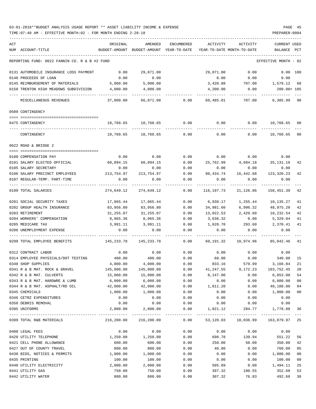## 03-01-2018\*\*BUDGET ANALYSIS USAGE REPORT \*\* ASSET LIABILITY INCOME & EXPENSE PAGE 45 TIME:07:40 AM - EFFECTIVE MONTH:02 - FOR MONTH ENDING 2-28-18 PREPARER:0004

| ACT | NUM ACCOUNT-TITLE                             | ORIGINAL   | AMENDED<br>BUDGET-AMOUNT BUDGET-AMOUNT | ENCUMBERED<br>YEAR-TO-DATE | ACTIVITY<br>YEAR-TO-DATE MONTH-TO-DATE | ACTIVITY                          | <b>CURRENT USED</b><br>BALANCE | PCT    |
|-----|-----------------------------------------------|------------|----------------------------------------|----------------------------|----------------------------------------|-----------------------------------|--------------------------------|--------|
|     |                                               |            |                                        |                            |                                        |                                   |                                |        |
|     | REPORTING FUND: 0022 FANNIN CO. R & B #2 FUND |            |                                        |                            |                                        |                                   | EFFECTIVE MONTH                | - 02   |
|     | 0131 AUTOMOBILE INSURANCE LOSS PAYMENT        | 0.00       | 29,871.00                              |                            | 29,871.00                              | 0.00                              | $0.00$ 100                     |        |
|     | 0140 PROCEEDS OF LOAN                         | 0.00       | 0.00                                   |                            | 0.00                                   | 0.00                              | 0.00                           |        |
|     | 0145 REIMBURSEMENT OF MATERIALS               | 5,000.00   | 5,000.00                               |                            | 3,420.88                               | 707.00                            | 1,579.12 68                    |        |
|     | 0150 TRENTON HIGH MEADOWS SUBDIVISION         | 4,000.00   | 4,000.00                               |                            | 4,200.00                               | 0.00                              | 200.00+ 105                    |        |
|     | MISCELLANEOUS REVENUES                        | 37,000.00  | 66,871.00                              | 0.00                       | 60,485.01                              | 707.00                            | 6,385.99                       | 90     |
|     | 0509 CONTINGENCY                              |            |                                        |                            |                                        |                                   |                                |        |
|     |                                               |            |                                        |                            |                                        |                                   |                                |        |
|     | 0475 CONTINGENCY                              | 10,760.65  | 10,760.65                              | 0.00                       | 0.00                                   | 0.00                              | 10,760.65 00                   |        |
|     | CONTINGENCY                                   | 10,760.65  | 10,760.65                              | 0.00                       | 0.00                                   | 0.00                              | 10,760.65                      | 00     |
|     | 0622 ROAD & BRIDGE 2                          |            |                                        |                            |                                        |                                   |                                |        |
|     | 0100 COMPENSATION PAY                         | 0.00       | 0.00                                   | 0.00                       |                                        | $0.00$ 0.00                       | 0.00                           |        |
|     | 0101 SALARY ELECTED OFFICIAL                  | 60,894.15  | 60,894.15                              | 0.00                       | 25,762.99                              | 4,684.18 35,131.16                |                                | 42     |
|     | 0105 SALARY SECRETARY                         | 0.00       | 0.00                                   | 0.00                       | 0.00                                   | 0.00                              | 0.00                           |        |
|     | 0106 SALARY PRECINCT EMPLOYEES                | 213,754.97 | 213,754.97                             | 0.00                       | 90,434.74                              | 16,442.68                         | 123,320.23                     | 42     |
|     | 0107 REGULAR-TEMP. PART-TIME                  | 0.00       | 0.00                                   | 0.00                       | 0.00                                   | 0.00                              | 0.00                           |        |
|     | 0199 TOTAL SALARIES                           | 274,649.12 | 274,649.12                             | 0.00                       | 116,197.73                             | 21,126.86                         | 158,451.39                     | 42     |
|     | 0201 SOCIAL SECURITY TAXES                    | 17,065.44  | 17,065.44                              | 0.00                       | 6,930.17                               | 1,255.44                          | 10,135.27                      | 41     |
|     | 0202 GROUP HEALTH INSURANCE                   | 83,956.80  | 83,956.80                              | 0.00                       | 34,981.60                              | 6,996.32                          | 48,975.20                      | 42     |
|     | 0203 RETIREMENT                               | 31,255.07  | 31,255.07                              | 0.00                       | 13,022.53                              | 2,429.60                          | 18,232.54                      | 42     |
|     | 0204 WORKERS' COMPENSATION                    | 8,965.36   | 8,965.36                               | 0.00                       | 3,636.32                               | 0.00                              | 5,329.04                       | 41     |
|     | 0205 MEDICARE TAX                             | 3,991.11   | 3,991.11                               | 0.00                       | 1,620.70                               | 293.60                            | 2,370.41                       | 41     |
|     | 0206 UNEMPLOYMENT EXPENSE                     | 0.00       | 0.00                                   | 0.00                       | 0.00                                   | 0.00                              | 0.00                           |        |
|     | 0299 TOTAL EMPLOYEE BENEFITS                  | 145,233.78 | 145,233.78                             | 0.00                       | 60,191.32                              | 10,974.96                         | 85,042.46                      | 41     |
|     | 0312 CONTRACT LABOR                           | 0.00       | 0.00                                   | 0.00                       | 0.00                                   | 0.00                              | 0.00                           |        |
|     | 0314 EMPLOYEE PHYSICALS/DOT TESTING           | 400.00     | 400.00                                 | 0.00                       | 60.00                                  | 0.00                              | 340.00                         | 15     |
|     | 0340 SHOP SUPPLIES                            | 4,000.00   | 4,000.00                               | 0.00                       | 833.16                                 | 579.99                            | 3,166.84                       | 21     |
|     | 0341 R & B MAT. ROCK & GRAVEL                 | 145,000.00 | 145,000.00                             | 0.00                       | 41,247.55                              | 9,172.23                          | 103,752.45                     | 28     |
|     | 0342 R & B MAT. CULVERTS                      | 15,000.00  | 15,000.00                              | 0.00                       | 8,147.00                               | 0.00                              | 6,853.00                       | 54     |
|     | 0343 R & B MAT. HARDWRE & LUMB                | 6,000.00   | 6,000.00                               | 0.00                       | 0.00                                   | 0.00                              | 6,000.00                       | 00     |
|     | 0344 R & B MAT. ASPHALT/RD OIL                | 42,000.00  | 42,000.00                              | 0.00                       | 1,811.20                               | 0.00                              | 40,188.80                      | 04     |
|     | 0345 CHEMICALS                                | 1,000.00   | 1,000.00                               | 0.00                       | 0.00                                   | 0.00                              | 1,000.00                       | $00\,$ |
|     | 0346 CETRZ EXPENDITURES                       | 0.00       | 0.00                                   | 0.00                       | 0.00                                   | 0.00                              | 0.00                           |        |
|     | 0350 DEBRIS REMOVAL                           | 0.00       | 0.00                                   | 0.00                       | 0.00                                   | 0.00                              | 0.00                           |        |
|     | 0395 UNIFORMS                                 | 2,800.00   | 2,800.00                               | 0.00                       | 1,021.12                               | 284.77                            | 1,778.88                       | 36     |
|     | 0399 TOTAL R&B MATERIALS                      |            | 216,200.00 216,200.00                  | 0.00                       |                                        | 53,120.03 10,036.99 163,079.97 25 |                                |        |
|     | 0400 LEGAL FEES                               | 0.00       | 0.00                                   | 0.00                       | 0.00                                   | 0.00                              | 0.00                           |        |
|     | 0420 UTILITY TELEPHONE                        | 1,250.00   | 1,250.00                               | 0.00                       | 698.78                                 | 139.94                            | 551.22                         | 56     |
|     | 0421 CELL PHONE ALLOWANCE                     | 600.00     | 600.00                                 | 0.00                       | 250.00                                 | 50.00                             | 350.00                         | 42     |
|     | 0427 OUT OF COUNTY TRAVEL                     | 800.00     | 800.00                                 | 0.00                       | 40.00                                  | 0.00                              | 760.00                         | 05     |
|     | 0430 BIDS, NOTICES & PERMITS                  | 1,000.00   | 1,000.00                               | 0.00                       | 0.00                                   | 0.00                              | 1,000.00                       | 00     |
|     | 0435 PRINTING                                 | 100.00     | 100.00                                 | 0.00                       | 0.00                                   | 0.00                              | 100.00                         | 00     |
|     | 0440 UTILITY ELECTRICITY                      | 2,000.00   | 2,000.00                               | 0.00                       | 505.89                                 | 0.00                              | 1,494.11                       | 25     |
|     | 0441 UTILITY GAS                              | 750.00     | 750.00                                 | 0.00                       | 397.32                                 | 180.55                            | 352.68                         | 53     |
|     | 0442 UTILITY WATER                            | 800.00     | 800.00                                 | 0.00                       | 307.32                                 | 76.83                             | 492.68                         | 38     |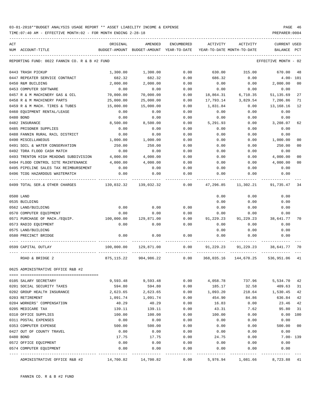| ACT                                                  | ORIGINAL   | AMENDED                                  | ENCUMBERED | ACTIVITY                   | ACTIVITY                         | <b>CURRENT USED</b>  |                |
|------------------------------------------------------|------------|------------------------------------------|------------|----------------------------|----------------------------------|----------------------|----------------|
| NUM ACCOUNT-TITLE                                    |            | BUDGET-AMOUNT BUDGET-AMOUNT YEAR-TO-DATE |            | YEAR-TO-DATE MONTH-TO-DATE |                                  | BALANCE              | $_{\rm PCT}$   |
| REPORTING FUND: 0022 FANNIN CO. R & B #2 FUND        |            |                                          |            |                            |                                  | EFFECTIVE MONTH - 02 |                |
| 0443 TRASH PICKUP                                    | 1,300.00   | 1,300.00                                 | 0.00       | 630.00                     | 315.00                           | 670.00               | 48             |
| 0447 REPEATER SERVICE CONTRACT                       | 682.32     | 682.32                                   | 0.00       | 686.32                     | 0.00                             | $4.00 - 101$         |                |
| 0450 R&M BUILDING                                    | 2,000.00   | 2,000.00                                 | 0.00       | 0.00                       | 0.00                             | 2,000.00             | 0 <sub>0</sub> |
| 0453 COMPUTER SOFTWARE                               | 0.00       | 0.00                                     | 0.00       | 0.00                       | 0.00                             | 0.00                 |                |
| 0457 R & M MACHINERY GAS & OIL                       | 70,000.00  | 70,000.00                                | 0.00       | 18,864.31                  | 6,710.35                         | 51, 135.69           | 27             |
| 0458 R & M MACHINERY PARTS                           | 25,000.00  | 25,000.00                                | 0.00       | 17,793.14                  | 3,829.54                         | 7,206.86             | 71             |
| 0459 R & M MACH. TIRES & TUBES                       | 15,000.00  | 15,000.00                                | 0.00       | 1,831.84                   | 0.00                             | 13,168.16            | 12             |
| 0460 EQUIPMENT RENTAL/LEASE                          | 0.00       | 0.00                                     | 0.00       | 0.00                       | 0.00                             | 0.00                 |                |
| 0480 BOND                                            | 0.00       | 0.00                                     | 0.00       | 0.00                       | 0.00                             | 0.00                 |                |
| 0482 INSURANCE                                       | 8,500.00   | 8,500.00                                 | 0.00       | 5,291.93                   | 0.00                             | 3,208.07             | 62             |
| 0485 PRISONER SUPPLIES                               | 0.00       | 0.00                                     | 0.00       | 0.00                       | 0.00                             | 0.00                 |                |
| 0488 FANNIN RURAL RAIL DISTRICT                      | 0.00       | 0.00                                     | 0.00       | 0.00                       | 0.00                             | 0.00                 |                |
| 0490 MISCELLANEOUS                                   | 1,000.00   | 1,000.00                                 | 0.00       | 0.00                       | 0.00                             | 1,000.00             | 00             |
| 0491 SOIL & WATER CONSERVATION                       | 250.00     | 250.00                                   | 0.00       | 0.00                       | 0.00                             | 250.00               | 00             |
| 0492 TDRA FLOOD CASH MATCH                           | 0.00       | 0.00                                     | 0.00       | 0.00                       | 0.00                             | 0.00                 |                |
| 0493 TRENTON HIGH MEADOWS SUBDIVISION                | 4,000.00   | 4,000.00                                 | 0.00       | 0.00                       | 0.00                             | 4,000.00             | 00             |
| 0494 FLOOD CONTROL SITE MAINTENANCE                  | 4,000.00   | 4,000.00                                 | 0.00       | 0.00                       | 0.00                             | 4,000.00             | 00             |
| 0495 PIPELINE SALES TAX REIMBURSEMENT                | 0.00       | 0.00                                     | 0.00       | 0.00                       | 0.00                             | 0.00                 |                |
| 0496 TCOG HAZARDOUS WASTEMATCH                       | 0.00       | 0.00                                     | 0.00       | 0.00                       | 0.00                             | 0.00                 |                |
| 0499 TOTAL SER.& OTHER CHARGES 139,032.32 139,032.32 |            |                                          | 0.00       | 47,296.85                  | 11,302.21                        | 91,735.47            | -34            |
| 0500 LAND                                            |            |                                          |            | 0.00                       | 0.00                             | 0.00                 |                |
| 0535 BUILDING                                        |            |                                          |            | 0.00                       | 0.00                             | 0.00                 |                |
| 0562 LAND/BUILDING                                   | 0.00       | 0.00                                     | 0.00       | 0.00                       | 0.00                             | 0.00                 |                |
| 0570 COMPUTER EQUIPMENT                              | 0.00       | 0.00                                     | 0.00       | 0.00                       | 0.00                             | 0.00                 |                |
| 0571 PURCHASE OF MACH./EQUIP.                        | 100,000.00 | 129,871.00                               | 0.00       | 91,229.23                  | 91,229.23                        | 38,641.77            | 70             |
| 0573 RADIO EQUIPMENT                                 | 0.00       | 0.00                                     | 0.00       | 0.00                       | 0.00                             | 0.00                 |                |
| 0575 LAND/BUILDING                                   |            |                                          |            | 0.00                       | 0.00                             | 0.00                 |                |
| 0580 PRECINCT BRIDGE                                 | 0.00       | 0.00                                     | 0.00       | 0.00                       | 0.00                             | 0.00                 |                |
| 0599 CAPITAL OUTLAY                                  | 100,000.00 | 129,871.00                               | 0.00       | 91,229.23                  | 91,229.23                        | 38,641.77            | - 70           |
| ROAD & BRIDGE 2                                      | 875,115.22 | 904,986.22                               | 0.00       |                            | 368,035.16 144,670.25 536,951.06 |                      | 41             |
| 0625 ADMINISTRATIVE OFFICE R&B #2                    |            |                                          |            |                            |                                  |                      |                |
|                                                      |            |                                          |            |                            |                                  |                      |                |
| 0105 SALARY SECRETARY                                | 9,593.48   | 9,593.48                                 | 0.00       | 4,058.78                   | 737.96                           | 5,534.70             | 42             |
| 0201 SOCIAL SECURITY TAXES                           | 594.80     | 594.80                                   | 0.00       | 185.17                     | 32.58                            | 409.63               | 31             |
| 0202 GROUP HEALTH INSURANCE                          | 2,623.65   | 2,623.65                                 | 0.00       | 1,093.20                   | 218.64                           | 1,530.45             | 42             |
| 0203 RETIREMENT                                      | 1,091.74   | 1,091.74                                 | 0.00       | 454.90                     | 84.86                            | 636.84               | 42             |
| 0204 WORKERS' COMPENSATION                           | 40.29      | 40.29                                    | 0.00       | 16.83                      | 0.00                             | 23.46                | 42             |
| 0205 MEDICARE TAX                                    | 139.11     | 139.11                                   | 0.00       | 43.31                      | 7.62                             | 95.80                | 31             |
| 0310 OFFICE SUPPLIES                                 | 100.00     | 100.00                                   | 0.00       | 100.00                     | 0.00                             | 0.00                 | 100            |
| 0311 POSTAL EXPENSES                                 | 0.00       | 0.00                                     | 0.00       | 0.00                       | 0.00                             | 0.00                 |                |
| 0353 COMPUTER EXPENSE                                | 500.00     | 500.00                                   | 0.00       | 0.00                       | 0.00                             | 500.00               | 00             |
| 0427 OUT OF COUNTY TRAVEL                            | 0.00       | 0.00                                     | 0.00       | 0.00                       | 0.00                             | 0.00                 |                |
| 0480 BOND                                            | 17.75      | 17.75                                    | 0.00       | 24.75                      | 0.00                             | $7.00 - 139$         |                |
| 0572 OFFICE EQUIPMENT                                | 0.00       | 0.00                                     | 0.00       | 0.00                       | 0.00                             | 0.00                 |                |
| 0574 COMPUTER EQUIPMENT                              | 0.00       | 0.00                                     | 0.00       | 0.00                       | 0.00                             | 0.00                 |                |
|                                                      |            |                                          |            |                            |                                  |                      |                |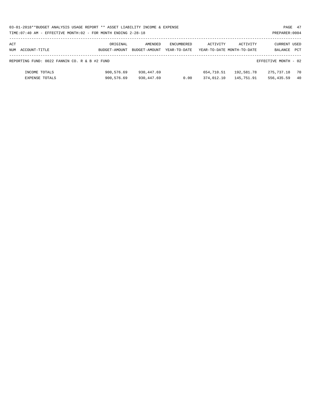| 03-01-2018**BUDGET ANALYSIS USAGE REPORT ** ASSET LIABILITY INCOME & EXPENSE | PAGE 47        |
|------------------------------------------------------------------------------|----------------|
| TIME: 07:40 AM - EFFECTIVE MONTH: 02 - FOR MONTH ENDING 2-28-18              | PREPARER: 0004 |

| ACT |                                               | ORIGINAL      | AMENDED       | ENCUMBERED   | ACTIVITY   | ACTIVITY                   | CURRENT USED         |     |
|-----|-----------------------------------------------|---------------|---------------|--------------|------------|----------------------------|----------------------|-----|
| NUM | ACCOUNT-TITLE                                 | BUDGET-AMOUNT | BUDGET-AMOUNT | YEAR-TO-DATE |            | YEAR-TO-DATE MONTH-TO-DATE | BALANCE              | PCT |
|     |                                               |               |               |              |            |                            |                      |     |
|     | REPORTING FUND: 0022 FANNIN CO. R & B #2 FUND |               |               |              |            |                            | EFFECTIVE MONTH - 02 |     |
|     |                                               |               |               |              |            |                            |                      |     |
|     | INCOME TOTALS                                 | 900,576.69    | 930,447.69    |              | 654,710.51 | 192,581.78                 | 275,737.18           | 70  |
|     | EXPENSE TOTALS                                | 900,576.69    | 930, 447.69   | 0.00         | 374,012.10 | 145,751.91                 | 556,435.59           | 40  |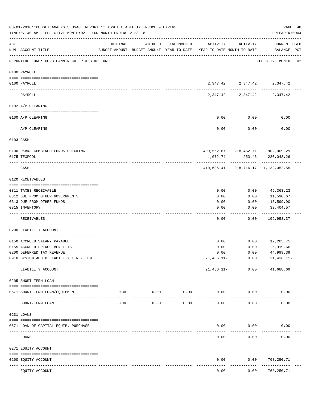|     | 03-01-2018**BUDGET ANALYSIS USAGE REPORT ** ASSET LIABILITY INCOME & EXPENSE<br>TIME: 07:40 AM - EFFECTIVE MONTH: 02 - FOR MONTH ENDING 2-28-18<br>-------------------------------- |                                                                                 |                     |                    |                    |                   | PAGE 48<br>PREPARER: 0004                                          |
|-----|-------------------------------------------------------------------------------------------------------------------------------------------------------------------------------------|---------------------------------------------------------------------------------|---------------------|--------------------|--------------------|-------------------|--------------------------------------------------------------------|
| ACT | NUM ACCOUNT-TITLE                                                                                                                                                                   | ORIGINAL<br>BUDGET-AMOUNT BUDGET-AMOUNT YEAR-TO-DATE YEAR-TO-DATE MONTH-TO-DATE | AMENDED             | ENCUMBERED         | ACTIVITY           | ACTIVITY          | CURRENT USED<br>BALANCE PCT                                        |
|     | REPORTING FUND: 0023 FANNIN CO. R & B #3 FUND                                                                                                                                       |                                                                                 |                     |                    |                    |                   | EFFECTIVE MONTH - 02                                               |
|     | 0100 PAYROLL                                                                                                                                                                        |                                                                                 |                     |                    |                    |                   |                                                                    |
|     |                                                                                                                                                                                     |                                                                                 |                     |                    |                    |                   |                                                                    |
|     | 0100 PAYROLL                                                                                                                                                                        |                                                                                 |                     |                    |                    |                   | $2\,,347\,.42 \qquad \quad 2\,,347\,.42 \qquad \quad 2\,,347\,.42$ |
|     | PAYROLL                                                                                                                                                                             |                                                                                 |                     |                    |                    |                   | 2,347.42 2,347.42 2,347.42                                         |
|     | 0102 A/P CLEARING                                                                                                                                                                   |                                                                                 |                     |                    |                    |                   |                                                                    |
|     | 0100 A/P CLEARING                                                                                                                                                                   |                                                                                 |                     |                    | 0.00               | 0.00              | 0.00                                                               |
|     | A/P CLEARING                                                                                                                                                                        |                                                                                 |                     |                    | ----------<br>0.00 | ---------<br>0.00 | 0.00                                                               |
|     | 0103 CASH                                                                                                                                                                           |                                                                                 |                     |                    |                    |                   |                                                                    |
|     |                                                                                                                                                                                     |                                                                                 |                     |                    |                    |                   |                                                                    |
|     | 0100 R&B#3-COMBINED FUNDS CHECKING                                                                                                                                                  |                                                                                 |                     |                    |                    |                   | 409,562.67 218,462.71 902,009.29                                   |
|     | 0175 TEXPOOL                                                                                                                                                                        |                                                                                 |                     |                    |                    |                   | 1,072.74 253.46 230,043.26                                         |
|     | CASH                                                                                                                                                                                |                                                                                 |                     |                    |                    |                   | 410,635.41 218,716.17 1,132,052.55                                 |
|     | 0120 RECEIVABLES                                                                                                                                                                    |                                                                                 |                     |                    |                    |                   |                                                                    |
|     | 0311 TAXES RECEIVABLE                                                                                                                                                               |                                                                                 |                     |                    | 0.00               | 0.00              | 49,363.23                                                          |
|     | 0312 DUE FROM OTHER GOVERNMENTS                                                                                                                                                     |                                                                                 |                     |                    | 0.00               | 0.00              | 11,590.67                                                          |
|     | 0313 DUE FROM OTHER FUNDS                                                                                                                                                           |                                                                                 |                     |                    | 0.00               | 0.00              | 15,599.90                                                          |
|     | 0315 INVENTORY                                                                                                                                                                      |                                                                                 |                     |                    | 0.00               | 0.00              | 33,404.57                                                          |
|     | RECEIVABLES                                                                                                                                                                         |                                                                                 |                     |                    | 0.00               | 0.00              | . <u>.</u><br>109,958.37                                           |
|     | 0200 LIABILITY ACCOUNT                                                                                                                                                              |                                                                                 |                     |                    |                    |                   |                                                                    |
|     | 0150 ACCRUED SALARY PAYABLE                                                                                                                                                         |                                                                                 |                     |                    |                    |                   |                                                                    |
|     |                                                                                                                                                                                     |                                                                                 |                     |                    | 0.00               |                   | $0.00$ 12,205.75<br>5,919.66                                       |
|     | 0155 ACCRUED FRINGE BENEFITS<br>0200 DEFERRED TAX REVENUE                                                                                                                           |                                                                                 |                     |                    | 0.00<br>0.00       | 0.00<br>0.00      | 44,999.39                                                          |
|     | 0910 SYSTEM ADDED LIABILITY LINE-ITEM                                                                                                                                               |                                                                                 |                     |                    | $21,436.11-$       | 0.00              | 21,436.11-                                                         |
|     |                                                                                                                                                                                     |                                                                                 |                     |                    |                    |                   |                                                                    |
|     | LIABILITY ACCOUNT                                                                                                                                                                   |                                                                                 |                     |                    | 21,436.11-         | 0.00              | 41,688.69                                                          |
|     | 0205 SHORT-TERM LOAN                                                                                                                                                                |                                                                                 |                     |                    |                    |                   |                                                                    |
|     | 0571 SHORT-TERM LOAN/EQUIPMENT                                                                                                                                                      | 0.00                                                                            |                     | 0.00<br>0.00       | 0.00               | 0.00              | 0.00                                                               |
|     | SHORT-TERM LOAN                                                                                                                                                                     | 0.00                                                                            | -----------<br>0.00 | ----------<br>0.00 | 0.00               | 0.00              | 0.00                                                               |
|     | 0231 LOANS                                                                                                                                                                          |                                                                                 |                     |                    |                    |                   |                                                                    |
|     |                                                                                                                                                                                     |                                                                                 |                     |                    |                    |                   |                                                                    |
|     | 0571 LOAN OF CAPITAL EQUIP. PURCHASE<br>------------------------ -----------                                                                                                        |                                                                                 |                     |                    | 0.00               | 0.00              | 0.00                                                               |
|     | LOANS                                                                                                                                                                               |                                                                                 |                     |                    | 0.00               | 0.00              | 0.00                                                               |
|     | 0271 EQUITY ACCOUNT                                                                                                                                                                 |                                                                                 |                     |                    |                    |                   |                                                                    |
|     | 0200 EQUITY ACCOUNT                                                                                                                                                                 |                                                                                 |                     |                    | 0.00               | 0.00              | 768,250.71                                                         |
|     | EQUITY ACCOUNT                                                                                                                                                                      | ------------------ -------------                                                |                     |                    | 0.00               | 0.00              | ----------<br>768,250.71                                           |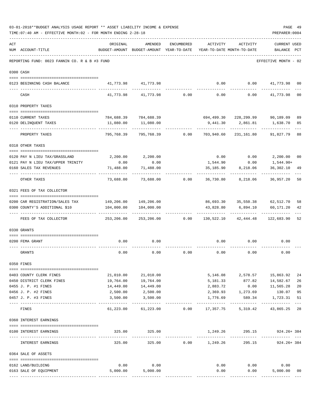|     | TIME: 07:40 AM - EFFECTIVE MONTH: 02 - FOR MONTH ENDING 2-28-18 |                                       |                                                                                |                 |                 |                              | PREPARER: 0004                             |                |
|-----|-----------------------------------------------------------------|---------------------------------------|--------------------------------------------------------------------------------|-----------------|-----------------|------------------------------|--------------------------------------------|----------------|
| ACT | NUM ACCOUNT-TITLE                                               | ORIGINAL                              | AMENDED<br>BUDGET-AMOUNT BUDGET-AMOUNT YEAR-TO-DATE YEAR-TO-DATE MONTH-TO-DATE | ENCUMBERED      | ACTIVITY        | ACTIVITY                     | <b>CURRENT USED</b><br>BALANCE PCT         |                |
|     | REPORTING FUND: 0023 FANNIN CO. R & B #3 FUND                   |                                       |                                                                                |                 |                 |                              | EFFECTIVE MONTH - 02                       |                |
|     | 0300 CASH                                                       |                                       |                                                                                |                 |                 |                              |                                            |                |
|     | 0123 BEGINNING CASH BALANCE                                     |                                       | 41,773.98 41,773.98                                                            |                 | 0.00            |                              | $0.00$ $41,773.98$                         | 0 <sub>0</sub> |
|     | CASH                                                            |                                       | 41,773.98 41,773.98                                                            | 0.00            | 0.00            | 0.00                         | 41,773.98                                  | 0 <sub>0</sub> |
|     | 0310 PROPERTY TAXES                                             |                                       |                                                                                |                 |                 |                              |                                            |                |
|     |                                                                 |                                       |                                                                                |                 |                 |                              |                                            |                |
|     | 0110 CURRENT TAXES                                              |                                       | 784,688.39 784,688.39                                                          |                 |                 |                              | 694,499.30 228,299.99 90,189.09            | 89             |
|     | 0120 DELINQUENT TAXES<br>-------------------                    | 11,080.00                             | 11,080.00                                                                      |                 | 9,441.30        |                              | 2,861.81 1,638.70                          | 85             |
|     | PROPERTY TAXES                                                  | 795,768.39                            | 795,768.39                                                                     | 0.00            | 703,940.60      | 231,161.80                   | 91,827.79                                  | 88             |
|     | 0318 OTHER TAXES                                                |                                       |                                                                                |                 |                 |                              |                                            |                |
|     | 0120 PAY N LIEU TAX/GRASSLAND                                   |                                       | 2,200.00 2,200.00                                                              |                 | 0.00            |                              | $0.00$ 2,200.00                            | 0 <sub>0</sub> |
|     | 0121 PAY N LIEU TAX/UPPER TRINITY                               | 0.00                                  | 0.00                                                                           |                 | 1,544.90        | 0.00                         | 1,544.90+                                  |                |
|     | 0160 SALES TAX REVENUES                                         | 71,488.00                             | 71,488.00                                                                      |                 | 35,185.90       | 8,218.06                     | 36,302.10                                  | 49             |
|     | OTHER TAXES                                                     | 73,688.00                             |                                                                                | 73,688.00 0.00  | 36,730.80       | 8,218.06                     | 36,957.20                                  | 50             |
|     | 0321 FEES OF TAX COLLECTOR                                      |                                       |                                                                                |                 |                 |                              |                                            |                |
|     |                                                                 |                                       |                                                                                |                 |                 |                              |                                            |                |
|     | 0200 CAR REGISTRATION/SALES TAX                                 |                                       | 149,206.00 149,206.00                                                          |                 |                 |                              | 86,693.30 35,550.38 62,512.70              | 58             |
|     | 0300 COUNTY'S ADDITIONAL \$10                                   |                                       | 104,000.00   104,000.00                                                        |                 | 43,828.80       | ------------                 | 6,894.10 60,171.20<br>. <i>.</i> .         | 42             |
|     | FEES OF TAX COLLECTOR                                           | 253,206.00                            |                                                                                | 253,206.00 0.00 |                 | 130,522.10 42,444.48         | 122,683.90                                 | 52             |
|     | 0330 GRANTS                                                     |                                       |                                                                                |                 |                 |                              |                                            |                |
|     |                                                                 |                                       |                                                                                |                 |                 |                              |                                            |                |
|     | 0200 FEMA GRANT                                                 | 0.00                                  | 0.00                                                                           |                 | 0.00            | 0.00                         | 0.00                                       |                |
|     | GRANTS                                                          | 0.00                                  | 0.00                                                                           | 0.00            | 0.00            | 0.00                         | 0.00                                       |                |
|     | 0350 FINES                                                      |                                       |                                                                                |                 |                 |                              |                                            |                |
|     | 0403 COUNTY CLERK FINES                                         | 21,010.00                             | 21,010.00                                                                      |                 |                 |                              | 5, 146.08 2, 578.57 15, 863.92             | 24             |
|     | 0450 DISTRICT CLERK FINES                                       | 19,764.00                             | 19,764.00                                                                      |                 |                 |                              | 5, 181.33 877.82 14, 582.67                | 26             |
|     | 0455 J. P. #1 FINES                                             | 14,449.00                             | 14,449.00                                                                      |                 | 2,883.72        |                              | $0.00$ 11,565.28                           | 20             |
|     | 0456 J. P. #2 FINES                                             | 2,500.00                              | 2,500.00                                                                       |                 |                 | 2,369.93 1,273.69            | 130.07                                     | 95             |
|     | 0457 J. P. #3 FINES                                             | 3,500.00                              | 3,500.00                                                                       |                 | 1,776.69        | 589.34<br>.                  | 1,723.31                                   | 51             |
|     | FINES                                                           | 61,223.00                             |                                                                                |                 |                 |                              | 43,865.25                                  | 28             |
|     | 0360 INTEREST EARNINGS                                          |                                       |                                                                                |                 |                 |                              |                                            |                |
|     | 0100 INTEREST EARNINGS                                          |                                       | 325.00 325.00                                                                  |                 |                 | ---------------------------- | 1,249.26 295.15 924.26+384<br>------------ |                |
|     | INTEREST EARNINGS                                               | ------------- -------------<br>325.00 | -----------<br>325.00                                                          |                 | $0.00$ 1,249.26 | 295.15                       | 924.26+384                                 |                |
|     | 0364 SALE OF ASSETS                                             |                                       |                                                                                |                 |                 |                              |                                            |                |
|     | 0162 LAND/BUILDING                                              | 0.00                                  | 0.00                                                                           |                 |                 | $0.00$ 0.00                  | 0.00                                       |                |
|     | 0163 SALE OF EQUIPMENT                                          |                                       | 5,000.00 5,000.00                                                              |                 | 0.00            | 0.00                         | 5,000.00                                   | 00             |
|     |                                                                 |                                       |                                                                                |                 |                 |                              |                                            |                |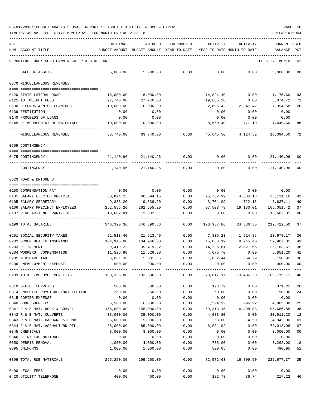| ACT |                                                     | ORIGINAL                                                  | AMENDED                                                             | ENCUMBERED               | ACTIVITY            | ACTIVITY                  | <b>CURRENT USED</b>          |                           |
|-----|-----------------------------------------------------|-----------------------------------------------------------|---------------------------------------------------------------------|--------------------------|---------------------|---------------------------|------------------------------|---------------------------|
|     | NUM ACCOUNT-TITLE                                   |                                                           | BUDGET-AMOUNT BUDGET-AMOUNT YEAR-TO-DATE YEAR-TO-DATE MONTH-TO-DATE |                          |                     |                           | BALANCE PCT                  |                           |
|     | REPORTING FUND: 0023 FANNIN CO. R & B #3 FUND       |                                                           |                                                                     |                          |                     |                           | EFFECTIVE MONTH - 02         |                           |
|     |                                                     |                                                           |                                                                     |                          |                     |                           |                              |                           |
|     | SALE OF ASSETS                                      | 5,000.00                                                  | 5,000.00                                                            | 0.00                     | 0.00                | 0.00                      | 5,000.00                     | 00                        |
|     | 0370 MISCELLANEOUS REVENUES                         |                                                           |                                                                     |                          |                     |                           |                              |                           |
|     | 0120 STATE LATERAL ROAD                             | 16,000.00                                                 | 16,000.00                                                           |                          | 14,824.40           | 0.00                      | 1,175.60                     | 93                        |
|     | 0125 TDT WEIGHT FEES                                | 27,740.00                                                 | 27,740.00                                                           |                          | 19,665.28           | 0.00                      | 8,074.72                     | 71                        |
|     | 0130 REFUNDS & MISCELLANEOUS                        | 10,000.00                                                 | 10,000.00                                                           |                          | 2,605.42            | 2,347.42                  | 7,394.58                     | 26                        |
|     | 0139 RESTITUTION                                    | 0.00                                                      | 0.00                                                                |                          | 0.00                | 0.00                      | 0.00                         |                           |
|     | 0140 PROCEEDS OF LOANS                              | 0.00                                                      | 0.00                                                                |                          | 0.00                | 0.00                      | 0.00                         |                           |
|     | 0145 REIMBURSEMENT OF MATERIALS                     | 10,000.00                                                 | 10,000.00                                                           |                          | 8,550.40            |                           | 1,777.10 1,449.60            | 86                        |
|     | MISCELLANEOUS REVENUES                              | ---------<br>63,740.00                                    |                                                                     | 63,740.00 0.00 45,645.50 | ------------        | -------------<br>4,124.52 | -------------<br>18,094.50   | 72                        |
|     | 0509 CONTINGENCY                                    |                                                           |                                                                     |                          |                     |                           |                              |                           |
|     |                                                     |                                                           |                                                                     |                          |                     |                           |                              |                           |
|     | 0475 CONTINGENCY                                    | 21,140.96                                                 | 21,140.96                                                           | 0.00                     | 0.00                | 0.00                      | 21,140.96                    | 00                        |
|     | CONTINGENCY                                         | 21,140.96                                                 | 21,140.96                                                           | 0.00                     | 0.00                | 0.00                      | 21,140.96                    | 0 <sub>0</sub>            |
|     | 0623 ROAD & BRIDGE 3                                |                                                           |                                                                     |                          |                     |                           |                              |                           |
|     | 0100 COMPENSATION PAY                               | 0.00                                                      | 0.00                                                                | 0.00                     |                     | $0.00$ 0.00               | 0.00                         |                           |
|     | 0101 SALARY ELECTED OFFICIAL                        | 60,894.15                                                 | 60,894.15                                                           | 0.00                     |                     |                           | 25,762.99 4,684.18 35,131.16 | 42                        |
|     | 0105 SALARY SECRETARY                               | 9,338.20                                                  | 9,338.20                                                            | 0.00                     | 3,701.09            | 722.16                    | 5,637.11                     | 40                        |
|     | 0106 SALARY PRECINCT EMPLOYEES                      | 262,555.20                                                | 262,555.20                                                          | 0.00                     | 97,503.78           | 19,130.01                 | 165,051.42                   | 37                        |
|     | 0107 REGULAR-TEMP. PART-TIME                        | 13,602.81                                                 | 13,602.81                                                           | 0.00                     | 0.00                | 0.00                      | 13,602.81                    | 00                        |
|     | --- ------------------------<br>0199 TOTAL SALARIES | ----------<br>346,390.36                                  | ----------------------------<br>346,390.36                          | 0.00                     | 126,967.86          | 24,536.35                 | ------------<br>219,422.50   | 37                        |
|     | 0201 SOCIAL SECURITY TAXES                          | 21,513.40                                                 | 21,513.40                                                           | 0.00                     | 7,835.23            | 1,514.85                  | 13,678.17                    | 36                        |
|     | 0202 GROUP HEALTH INSURANCE                         | 104,946.00                                                | 104,946.00                                                          | 0.00                     | 45,038.19           | 8,745.40                  | 59,907.81                    | 43                        |
|     | 0203 RETIREMENT                                     | 39,419.22                                                 | 39,419.22                                                           | 0.00                     |                     | 14,235.61 2,821.66        | 25,183.61                    | 36                        |
|     | 0204 WORKERS' COMPENSATION                          | 11,526.90                                                 | 11,526.90                                                           | 0.00                     |                     | 4,675.70 0.00             | 6,851,20                     | 41                        |
|     | 0205 MEDICARE TAX                                   | 5,031.36                                                  | 5,031.36                                                            | 0.00                     |                     |                           | 1,832.44 354.29 3,198.92     | 36                        |
|     | 0206 UNEMPLOYMENT EXPENSE                           | 900.00                                                    | 900.00                                                              | 0.00                     | 0.00                | 0.00                      | 900.00                       | 0 <sub>0</sub>            |
|     |                                                     |                                                           |                                                                     |                          |                     |                           |                              |                           |
|     | 0299 TOTAL EMPLOYEE BENEFITS                        | 183,336.88 183,336.88 0.00 73,617.17 13,436.20 109,719.71 |                                                                     |                          |                     |                           |                              | 40                        |
|     | 0310 OFFICE SUPPLIES                                | 500.00                                                    | 500.00                                                              | 0.00                     | 128.79              | 0.00                      | 371.21                       | 26                        |
|     | 0314 EMPLOYEE PHYSICALS/DOT TESTING                 | 250.00                                                    | 250.00                                                              | 0.00                     | 60.00               | 0.00                      | 190.00                       | 24                        |
|     | 0315 COPIER EXPENSE                                 | 0.00                                                      | 0.00                                                                | 0.00                     | 0.00                | 0.00                      | 0.00                         |                           |
|     | 0340 SHOP SUPPLIES                                  | 6,500.00                                                  | 6,500.00                                                            | 0.00                     | 1,594.92            | 296.92                    | 4,905.08                     | 25                        |
|     | 0341 R & B MAT. ROCK & GRAVEL                       | 155,000.00                                                | 155,000.00                                                          | 0.00                     |                     | 59, 313. 15 16, 498. 08   | 95,686.85                    | 38                        |
|     | 0342 R & B MAT. CULVERTS                            | 35,000.00                                                 | 35,000.00                                                           | 0.00                     | 4,088.80            | 0.00                      | 30,911.20                    | 12                        |
|     | 0343 R & B MAT. HARDWRE & LUMB                      | 5,000.00                                                  | 5,000.00                                                            | 0.00                     | 58.00               | 14.50                     | 4,942.00                     | 01                        |
|     | 0344 R & B MAT. ASPHALT/RD OIL                      | 85,000.00                                                 | 85,000.00                                                           | 0.00                     | 6,081.92            | 0.00                      | 78,918.08                    | 07                        |
|     | 0345 CHEMICALS                                      | 3,000.00                                                  | 3,000.00                                                            | 0.00                     | 0.00                | 0.00                      | 3,000.00                     | 0 <sub>0</sub>            |
|     | 0346 CETRZ EXPENDITURES                             | 0.00                                                      | 0.00                                                                | 0.00                     | 0.00                | 0.00                      | 0.00                         |                           |
|     | 0350 DEBRIS REMOVAL                                 | 4,000.00                                                  | 4,000.00                                                            | 0.00                     |                     |                           | 738.00   0.00   3,262.00     | 18                        |
|     | 0395 UNIFORMS                                       | 1,000.00                                                  | 1,000.00<br>----------------------------                            | 0.00                     | 509.05              | 0.00                      | 490.95                       | 51<br>$\qquad \qquad - -$ |
|     | 0399 TOTAL R&B MATERIALS                            | 295,250.00                                                | 295,250.00                                                          | 0.00                     | 72,572.63 16,809.50 |                           | 222,677.37 25                |                           |
|     | 0400 LEGAL FEES                                     | 0.00                                                      | 0.00                                                                | 0.00                     |                     | $0.00$ 0.00               | 0.00                         |                           |
|     | 0420 UTILITY TELEPHONE                              | 400.00                                                    | 400.00                                                              | 0.00                     | 182.78              |                           | 36.74 217.22                 | 46                        |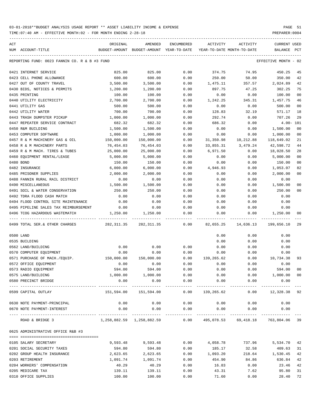TIME:07:40 AM - EFFECTIVE MONTH:02 - FOR MONTH ENDING 2-28-18 PREPARER:0004

| ACT                                           | ORIGINAL                   | AMENDED                     | ENCUMBERED           | ACTIVITY                 | ACTIVITY                                                              | <b>CURRENT USED</b>         |                |
|-----------------------------------------------|----------------------------|-----------------------------|----------------------|--------------------------|-----------------------------------------------------------------------|-----------------------------|----------------|
| NUM ACCOUNT-TITLE                             | BUDGET-AMOUNT              | BUDGET-AMOUNT YEAR-TO-DATE  |                      |                          | YEAR-TO-DATE MONTH-TO-DATE                                            | BALANCE                     | PCT            |
| REPORTING FUND: 0023 FANNIN CO. R & B #3 FUND |                            |                             |                      |                          |                                                                       | EFFECTIVE MONTH - 02        |                |
| 0421 INTERNET SERVICE                         | 825.00                     | 825.00                      | 0.00                 | 374.75                   | 74.95                                                                 | 450.25                      | 45             |
| 0423 CELL PHONE ALLOWANCE                     | 600.00                     | 600.00                      | 0.00                 | 250.00                   | 50.00                                                                 | 350.00                      | 42             |
| 0427 OUT OF COUNTY TRAVEL                     | 3,500.00                   | 3,500.00                    | 0.00                 | 1,475.11                 | 357.57                                                                | 2,024.89                    | 42             |
| 0430 BIDS, NOTICES & PERMITS                  | 1,200.00                   | 1,200.00                    | 0.00                 | 897.75                   | 47.25                                                                 | 302.25                      | 75             |
| 0435 PRINTING                                 | 100.00                     | 100.00                      | 0.00                 | 0.00                     | 0.00                                                                  | 100.00                      | 0 <sub>0</sub> |
| 0440 UTILITY ELECTRICITY                      | 2,700.00                   | 2,700.00                    | 0.00                 | 1,242.25                 | 345.31                                                                | 1,457.75                    | 46             |
| 0441 UTILITY GAS                              | 500.00                     | 500.00                      | 0.00                 | 0.00                     | 0.00                                                                  | 500.00                      | 00             |
| 0442 UTILITY WATER                            | 700.00                     | 700.00                      | 0.00                 | 128.83                   | 32.19                                                                 | 571.17                      | 18             |
| 0443 TRASH DUMPSTER PICKUP                    | 1,000.00                   | 1,000.00                    | 0.00                 | 292.74                   | 0.00                                                                  | 707.26                      | 29             |
| 0447 REPEATER SERVICE CONTRACT                | 682.32                     | 682.32                      | 0.00                 | 686.32                   | 0.00                                                                  | $4.00 - 101$                |                |
| 0450 R&M BUILDING                             | 1,500.00                   | 1,500.00                    | 0.00                 | 0.00                     | 0.00                                                                  | 1,500.00                    | 00             |
| 0453 COMPUTER SOFTWARE                        | 1,000.00                   | 1,000.00                    | 0.00                 | 0.00                     | 0.00                                                                  | 1,000.00                    | 00             |
| 0457 R & M MACHINERY GAS & OIL                | 150,000.00                 | 150,000.00                  | 0.00                 | 31,350.98                | 10,212.88                                                             | 118,649.02                  | 21             |
| 0458 R & M MACHINERY PARTS                    | 76,454.03                  | 76,454.03                   | 0.00                 | 33,855.31                | 3,479.24                                                              | 42,598.72                   | 44             |
| 0459 R & M MACH. TIRES & TUBES                | 25,000.00                  | 25,000.00                   | 0.00                 | 6,971.50                 | 0.00                                                                  | 18,028.50                   | 28             |
| 0460 EQUIPMENT RENTAL/LEASE                   | 5,000.00                   | 5,000.00                    | 0.00                 | 0.00                     | 0.00                                                                  | 5,000.00                    | 00             |
| 0480 BOND                                     | 150.00                     | 150.00                      | 0.00                 | 0.00                     | 0.00                                                                  | 150.00                      | 00             |
| 0482 INSURANCE                                | 6,000.00                   | 6,000.00                    | 0.00                 | 4,946.93                 | 0.00                                                                  | 1,053.07                    | 82             |
| 0485 PRISONER SUPPLIES                        | 2,000.00                   | 2,000.00                    | 0.00                 | 0.00                     | 0.00                                                                  | 2,000.00                    | 00             |
| 0488 FANNIN RURAL RAIL DISTRICT               | 0.00                       | 0.00                        | 0.00                 | 0.00                     | 0.00                                                                  | 0.00                        |                |
| 0490 MISCELLANEOUS                            | 1,500.00                   | 1,500.00                    | 0.00                 | 0.00                     | 0.00                                                                  | 1,500.00                    | 00             |
| 0491 SOIL & WATER CONSERVATION                | 250.00                     | 250.00                      | 0.00                 | 0.00                     | 0.00                                                                  | 250.00                      | 00             |
| 0492 TDRA FLOOD CASH MATCH                    | 0.00                       | 0.00                        | 0.00                 | 0.00                     | 0.00                                                                  | 0.00                        |                |
| 0494 FLOOD CONTROL SITE MAINTENANCE           | 0.00                       | 0.00                        | 0.00                 | 0.00                     | 0.00                                                                  | 0.00                        |                |
| 0495 PIPELINE SALES TAX REIMBURSEMENT         | 0.00                       | 0.00                        | 0.00                 | 0.00                     | 0.00                                                                  | 0.00                        |                |
| 0496 TCOG HAZARDOUS WASTEMATCH                | 1,250.00                   | 1,250.00                    | 0.00                 | 0.00                     | 0.00                                                                  | 1,250.00                    | 00             |
| 0499 TOTAL SER.& OTHER CHARGES                | 282,311.35                 | 282,311.35                  | 0.00                 | 82,655.25                | 14,636.13                                                             | 199,656.10                  | 29             |
| 0500 LAND                                     |                            |                             |                      | 0.00                     | 0.00                                                                  | 0.00                        |                |
| 0535 BUILDING                                 |                            |                             |                      | 0.00                     | 0.00                                                                  | 0.00                        |                |
| 0562 LAND/BUILDING                            | 0.00                       | 0.00                        | 0.00                 | 0.00                     | 0.00                                                                  | 0.00                        |                |
| 0570 COMPUTER EQUIPMENT                       | 0.00                       | 0.00                        | 0.00                 | 0.00                     | 0.00                                                                  | 0.00                        |                |
| 0571 PURCHASE OF MACH./EQUIP.                 | 150,000.00                 | 150,000.00                  | 0.00                 | 139,265.62               | 0.00                                                                  | 10,734.38                   | 93             |
| 0572 OFFICE EQUIPMENT                         | 0.00                       | 0.00                        | 0.00                 | 0.00                     | 0.00                                                                  | 0.00                        |                |
| 0573 RADIO EQUIPMENT                          | 594.00                     | 594.00                      | 0.00                 | 0.00                     | 0.00                                                                  | 594.00                      | 00             |
| 0575 LAND/BUILDING                            | 1,000.00                   | 1,000.00                    | 0.00                 | 0.00                     |                                                                       | 0.00 1,000.00               | 00             |
| 0580 PRECINCT BRIDGE                          | 0.00                       | 0.00                        | 0.00                 | 0.00                     | 0.00                                                                  | 0.00                        |                |
| 0599 CAPITAL OUTLAY                           | ------------<br>151,594.00 | -------------<br>151,594.00 | ------------<br>0.00 | ----------<br>139,265.62 | ------------<br>0.00                                                  | -----------<br>12,328.38 92 |                |
| 0630 NOTE PAYMENT-PRINCIPAL                   | 0.00                       | 0.00                        | 0.00                 | 0.00                     | 0.00                                                                  | 0.00                        |                |
| 0670 NOTE PAYMENT-INTEREST                    | 0.00                       | 0.00                        | 0.00                 | 0.00                     | 0.00                                                                  | 0.00                        |                |
| ROAD & BRIDGE 3                               |                            | ------------                | ------------         |                          | $1,258,882.59$ $1,258,882.59$ 0.00 495,078.53 69,418.18 763,804.06 39 |                             |                |
| 0625 ADMINISTRATIVE OFFICE R&B #3             |                            |                             |                      |                          |                                                                       |                             |                |
| 0105 SALARY SECRETARY                         | 9,593.48                   | 9,593.48                    | 0.00                 | 4,058.78                 | 737.96                                                                | 5,534.70                    | 42             |
| 0201 SOCIAL SECURITY TAXES                    | 594.80                     | 594.80                      | 0.00                 | 185.17                   | 32.58                                                                 | 409.63                      | 31             |
| 0202 GROUP HEALTH INSURANCE                   | 2,623.65                   | 2,623.65                    | 0.00                 | 1,093.20                 | 218.64                                                                | 1,530.45                    | 42             |
| 0203 RETIREMENT                               | 1,091.74                   | 1,091.74                    | 0.00                 | 454.90                   | 84.86                                                                 | 636.84                      | 42             |
| 0204 WORKERS' COMPENSATION                    | 40.29                      | 40.29                       | 0.00                 | 16.83                    | 0.00                                                                  | 23.46                       | 42             |
| 0205 MEDICARE TAX                             | 139.11                     | 139.11                      | 0.00                 | 43.31                    | 7.62                                                                  | 95.80                       | 31             |
|                                               |                            |                             |                      |                          |                                                                       |                             |                |

0310 OFFICE SUPPLIES 100.00 100.00 0.00 71.60 0.00 28.40 72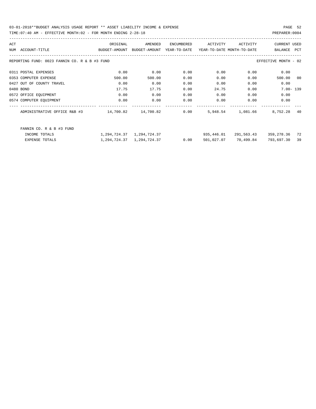03-01-2018\*\*BUDGET ANALYSIS USAGE REPORT \*\* ASSET LIABILITY INCOME & EXPENSE PAGE 52 TIME:07:40 AM - EFFECTIVE MONTH:02 - FOR MONTH ENDING 2-28-18 PREPARER:0004

| ACT                                           | ORIGINAL      | AMENDED       | ENCUMBERED   | ACTIVITY                   | ACTIVITY   | <b>CURRENT USED</b>  |                |
|-----------------------------------------------|---------------|---------------|--------------|----------------------------|------------|----------------------|----------------|
| ACCOUNT-TITLE<br>NUM                          | BUDGET-AMOUNT | BUDGET-AMOUNT | YEAR-TO-DATE | YEAR-TO-DATE MONTH-TO-DATE |            | BALANCE              | <b>PCT</b>     |
| REPORTING FUND: 0023 FANNIN CO. R & B #3 FUND |               |               |              |                            |            | EFFECTIVE MONTH - 02 |                |
| 0311 POSTAL EXPENSES                          | 0.00          | 0.00          | 0.00         | 0.00                       | 0.00       | 0.00                 |                |
| 0353 COMPUTER EXPENSE                         | 500.00        | 500.00        | 0.00         | 0.00                       | 0.00       | 500.00               | 0 <sup>0</sup> |
| 0427 OUT OF COUNTY TRAVEL                     | 0.00          | 0.00          | 0.00         | 0.00                       | 0.00       | 0.00                 |                |
| 0480 BOND                                     | 17.75         | 17.75         | 0.00         | 24.75                      | 0.00       | $7.00 - 139$         |                |
| 0572 OFFICE EQUIPMENT                         | 0.00          | 0.00          | 0.00         | 0.00                       | 0.00       | 0.00                 |                |
| 0574 COMPUTER EQUIPMENT                       | 0.00          | 0.00          | 0.00         | 0.00                       | 0.00       | 0.00                 |                |
| ADMINISTRATIVE OFFICE R&B #3                  | 14,700.82     | 14,700.82     | 0.00         | 5,948.54                   | 1,081.66   | 8,752.28             | 40             |
| FANNIN CO. R & B #3 FUND                      |               |               |              |                            |            |                      |                |
| INCOME TOTALS                                 | 1,294,724.37  | 1,294,724.37  |              | 935,446.01                 | 291,563.43 | 359,278.36           | 72             |
| EXPENSE TOTALS                                | 1,294,724.37  | 1,294,724.37  | 0.00         | 501,027.07                 | 70,499.84  | 793,697.30           | 39             |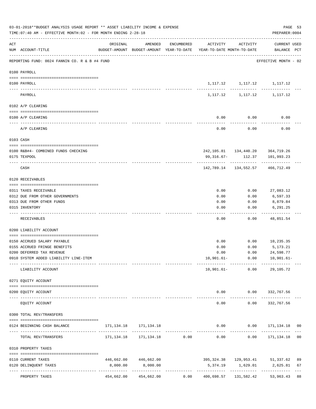|     | TIME: 07:40 AM - EFFECTIVE MONTH: 02 - FOR MONTH ENDING 2-28-18 |                                                                                             |                                      |            |              |                                                  | PREPARER: 0004                    |                |
|-----|-----------------------------------------------------------------|---------------------------------------------------------------------------------------------|--------------------------------------|------------|--------------|--------------------------------------------------|-----------------------------------|----------------|
| ACT | NUM ACCOUNT-TITLE                                               | ORIGINAL<br>BUDGET-AMOUNT BUDGET-AMOUNT YEAR-TO-DATE YEAR-TO-DATE MONTH-TO-DATE BALANCE PCT | AMENDED                              | ENCUMBERED | ACTIVITY     | ACTIVITY                                         | CURRENT USED                      |                |
|     | REPORTING FUND: 0024 FANNIN CO. R & B #4 FUND                   |                                                                                             |                                      |            |              |                                                  | EFFECTIVE MONTH - 02              |                |
|     | 0100 PAYROLL                                                    |                                                                                             |                                      |            |              |                                                  |                                   |                |
|     | 0100 PAYROLL                                                    |                                                                                             |                                      |            |              | 1, 117. 12 1, 117. 12 1, 117. 12                 |                                   |                |
|     | PAYROLL                                                         |                                                                                             |                                      |            |              | . <u>.</u> .<br>1, 117. 12 1, 117. 12 1, 117. 12 |                                   |                |
|     | 0102 A/P CLEARING                                               |                                                                                             |                                      |            |              |                                                  |                                   |                |
|     | 0100 A/P CLEARING                                               |                                                                                             |                                      |            | 0.00         | 0.00                                             | 0.00                              |                |
|     | A/P CLEARING                                                    |                                                                                             |                                      |            | 0.00         | 0.00                                             | 0.00                              |                |
|     | 0103 CASH                                                       |                                                                                             |                                      |            |              |                                                  |                                   |                |
|     |                                                                 |                                                                                             |                                      |            |              |                                                  |                                   |                |
|     | 0100 R&B#4- COMBINED FUNDS CHECKING<br>0175 TEXPOOL             |                                                                                             |                                      |            | 99,316.67-   | 242, 105.81 134, 440.20 364, 719.26<br>112.37    | 101,993.23                        |                |
|     | CASH                                                            |                                                                                             |                                      |            |              | 142,789.14 134,552.57 466,712.49                 |                                   |                |
|     | 0120 RECEIVABLES                                                |                                                                                             |                                      |            |              |                                                  |                                   |                |
|     |                                                                 |                                                                                             |                                      |            |              |                                                  |                                   |                |
|     | 0311 TAXES RECEIVABLE                                           |                                                                                             |                                      |            | 0.00         | 0.00                                             | 27,083.12                         |                |
|     | 0312 DUE FROM OTHER GOVERNMENTS<br>0313 DUE FROM OTHER FUNDS    |                                                                                             |                                      |            | 0.00<br>0.00 | 0.00<br>0.00                                     | 6,597.33<br>8,879.84              |                |
|     | 0315 INVENTORY                                                  |                                                                                             |                                      |            | 0.00         | 0.00                                             | 6,291.25                          |                |
|     | RECEIVABLES                                                     |                                                                                             |                                      |            | 0.00         | 0.00                                             | - - - - - - - -<br>48,851.54      |                |
|     | 0200 LIABILITY ACCOUNT                                          |                                                                                             |                                      |            |              |                                                  |                                   |                |
|     |                                                                 |                                                                                             |                                      |            |              |                                                  |                                   |                |
|     | 0150 ACCRUED SALARY PAYABLE                                     |                                                                                             |                                      |            | 0.00         | 0.00                                             | 10,235.35                         |                |
|     | 0155 ACCRUED FRINGE BENEFITS                                    |                                                                                             |                                      |            | 0.00         | 0.00                                             | 5,173.21                          |                |
|     | 0200 DEFERRED TAX REVENUE                                       |                                                                                             |                                      |            | 0.00         | 0.00                                             | 24,598.77                         |                |
|     | 0910 SYSTEM ADDED LIABILITY LINE-ITEM                           |                                                                                             |                                      |            | 10,901.61-   | 0.00                                             | 10,901.61–                        |                |
|     | LIABILITY ACCOUNT                                               | ------- -------------                                                                       |                                      |            | $10,901.61-$ | ------------<br>0.00                             | 29,105.72                         |                |
|     | 0271 EQUITY ACCOUNT                                             |                                                                                             |                                      |            |              |                                                  |                                   |                |
|     | 0200 EQUITY ACCOUNT                                             |                                                                                             |                                      |            |              | $0.00$ $0.00$ $332,767.56$                       |                                   |                |
|     | EQUITY ACCOUNT                                                  |                                                                                             |                                      |            | .<br>0.00    | -----------<br>0.00                              | -------------<br>332,767.56       |                |
|     | 0300 TOTAL REV/TRANSFERS                                        |                                                                                             |                                      |            |              |                                                  |                                   |                |
|     | 0124 BEGINNING CASH BALANCE                                     |                                                                                             | 171, 134. 18 171, 134. 18            |            |              | 0.00                                             | $0.00$ $171,134.18$ 00            |                |
|     | TOTAL REV/TRANSFERS                                             |                                                                                             | 171, 134. 18    171, 134. 18    0.00 |            | 0.00         | 0.00                                             | 171,134.18                        | 0 <sub>0</sub> |
|     | 0310 PROPERTY TAXES                                             |                                                                                             |                                      |            |              |                                                  |                                   |                |
|     |                                                                 | 446,662.00                                                                                  |                                      |            |              |                                                  | 395,324.38  129,953.41  51,337.62 | 89             |
|     | 0110 CURRENT TAXES<br>0120 DELINQUENT TAXES                     | 8,000.00                                                                                    | 446,662.00<br>8,000.00               |            | 5,374.19     |                                                  | 1,629.01 2,625.81                 | 67             |
|     |                                                                 |                                                                                             | -------------                        |            |              |                                                  |                                   |                |
|     | PROPERTY TAXES                                                  | 454,662.00                                                                                  | 454,662.00                           | 0.00       | 400,698.57   | 131,582.42                                       | 53,963.43 88                      |                |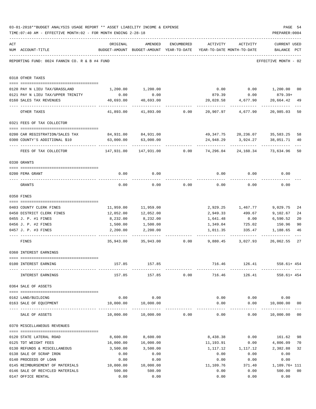|     | 03-01-2018**BUDGET ANALYSIS USAGE REPORT ** ASSET LIABILITY INCOME & EXPENSE<br>TIME: 07:40 AM - EFFECTIVE MONTH: 02 - FOR MONTH ENDING 2-28-18 |           |                                                     |            |           |                                        | PREPARER: 0004                    | PAGE 54 |
|-----|-------------------------------------------------------------------------------------------------------------------------------------------------|-----------|-----------------------------------------------------|------------|-----------|----------------------------------------|-----------------------------------|---------|
| ACT | NUM ACCOUNT-TITLE                                                                                                                               | ORIGINAL  | AMENDED<br>BUDGET-AMOUNT BUDGET-AMOUNT YEAR-TO-DATE | ENCUMBERED | ACTIVITY  | ACTIVITY<br>YEAR-TO-DATE MONTH-TO-DATE | <b>CURRENT USED</b><br>BALANCE    | PCT     |
|     | REPORTING FUND: 0024 FANNIN CO. R & B #4 FUND                                                                                                   |           |                                                     |            |           |                                        | EFFECTIVE MONTH - 02              |         |
|     | 0318 OTHER TAXES                                                                                                                                |           |                                                     |            |           |                                        |                                   |         |
|     | 0120 PAY N LIEU TAX/GRASSLAND                                                                                                                   |           |                                                     |            | 0.00      |                                        | $0.00$ 1,200.00                   | 00      |
|     | 0121 PAY N LIEU TAX/UPPER TRINITY                                                                                                               | 0.00      | 0.00                                                |            | 879.39    | 0.00                                   | $879.39+$                         |         |
|     | 0160 SALES TAX REVENUES                                                                                                                         | 40,693.00 | 40,693.00                                           |            | 20,028.58 | 4,677.90                               | 20,664.42                         | 49      |
|     | OTHER TAXES                                                                                                                                     | 41,893.00 | 41,893.00                                           | 0.00       | 20,907.97 | 4,677.90                               | 20,985.03                         | 50      |
|     | 0321 FEES OF TAX COLLECTOR                                                                                                                      |           |                                                     |            |           |                                        |                                   |         |
|     | 0200 CAR REGISTRATION/SALES TAX                                                                                                                 |           | 84,931.00 84,931.00                                 |            |           |                                        | 49,347.75 20,236.07 35,583.25     | 58      |
|     | 0300 COUNTY'S ADDITIONAL \$10                                                                                                                   | 63,000.00 | 63,000.00                                           |            | 24,948.29 | 3,924.27                               | 38,051.71                         | 40      |
|     | FEES OF TAX COLLECTOR                                                                                                                           |           | 147,931.00 147,931.00                               | 0.00       | 74,296.04 | 24,160.34                              | 73,634.96                         | 50      |
|     | 0330 GRANTS                                                                                                                                     |           |                                                     |            |           |                                        |                                   |         |
|     |                                                                                                                                                 |           |                                                     |            |           |                                        |                                   |         |
|     | 0200 FEMA GRANT                                                                                                                                 | 0.00      | 0.00                                                |            | 0.00      | 0.00                                   | 0.00                              |         |
|     | GRANTS                                                                                                                                          | 0.00      | 0.00                                                | 0.00       | 0.00      | 0.00                                   | 0.00                              |         |
|     | 0350 FINES                                                                                                                                      |           |                                                     |            |           |                                        |                                   |         |
|     | 0403 COUNTY CLERK FINES                                                                                                                         |           | 11,959.00 11,959.00                                 |            |           | 2,929.25 1,467.77                      | 9,029.75                          | 24      |
|     | 0450 DISTRICT CLERK FINES                                                                                                                       | 12,052.00 | 12,052.00                                           |            | 2,949.33  | 499.67                                 | 9,102.67                          | 24      |
|     | 0455 J. P. #1 FINES                                                                                                                             | 8,232.00  | 8,232.00                                            |            | 1,641.48  | 0.00                                   | 6,590.52                          | 20      |
|     | 0456 J. P. #2 FINES                                                                                                                             | 1,500.00  | 1,500.00                                            |            | 1,349.04  | 725.02                                 | 150.96                            | 90      |
|     | 0457 J. P. #3 FINES                                                                                                                             | 2,200.00  | 2,200.00                                            |            | 1,011.35  | 335.47                                 | 1,188.65                          | 46      |
|     | FINES                                                                                                                                           | 35,943.00 | 35,943.00                                           | 0.00       | 9,880.45  | 3,027.93                               | 26,062.55                         | 27      |
|     | 0360 INTEREST EARNINGS                                                                                                                          |           |                                                     |            |           |                                        |                                   |         |
|     | 0100 INTEREST EARNING                                                                                                                           |           | 157.85 157.85                                       |            |           |                                        | 716.46 126.41 558.61+454          |         |
|     | INTEREST EARNINGS                                                                                                                               |           | 157.85 157.85 0.00                                  |            |           | 716.46<br>126.41                       | $558.61+454$                      |         |
|     |                                                                                                                                                 |           |                                                     |            |           |                                        |                                   |         |
|     | 0364 SALE OF ASSETS                                                                                                                             |           |                                                     |            |           |                                        |                                   |         |
|     | 0162 LAND/BUILDING                                                                                                                              |           | $0.00$ 0.00                                         |            |           |                                        | $0.00$ $0.00$ $0.00$ $0.00$       |         |
|     | 0163 SALE OF EQUIPMENT                                                                                                                          |           | 10,000.00  10,000.00                                |            |           |                                        | $0.00$ $0.00$ $10,000.00$ 00      |         |
|     | SALE OF ASSETS                                                                                                                                  |           | $10,000.00$ $10,000.00$ $0.00$                      |            |           | ------------<br>0.00                   | $0.00$ 10,000.00 00               |         |
|     | 0370 MISCELLANEOUS REVENUES                                                                                                                     |           |                                                     |            |           |                                        |                                   |         |
|     | --------------------------------------<br>0120 STATE LATERAL ROAD                                                                               | 8,600.00  | 8,600.00                                            |            |           |                                        | 8,438.38 0.00 161.62              | 98      |
|     | 0125 TDT WEIGHT FEES                                                                                                                            | 16,000.00 | 16,000.00                                           |            | 11,193.91 | 0.00                                   | 4,806.09                          | 70      |
|     | 0130 REFUNDS & MISCELLANEOUS                                                                                                                    | 3,500.00  | 3,500.00                                            |            |           | 1, 117. 12 1, 117. 12                  | 2,382.88                          | 32      |
|     | 0138 SALE OF SCRAP IRON                                                                                                                         | 0.00      | 0.00                                                |            | 0.00      | 0.00                                   | 0.00                              |         |
|     | 0140 PROCEEDS OF LOAN                                                                                                                           | 0.00      | 0.00                                                |            | 0.00      | 0.00                                   | 0.00                              |         |
|     | 0145 REIMBURSEMENT OF MATERIALS 10,000.00                                                                                                       |           | 10,000.00                                           |            |           |                                        | 11, 109.76 371.40 1, 109.76 + 111 |         |
|     | 0146 SALE OF RECYCLED MATERIALS                                                                                                                 | 500.00    | 500.00                                              |            | 0.00      | 0.00                                   | 500.00                            | 00      |
|     | 0147 OFFICE RENTAL                                                                                                                              | 0.00      | 0.00                                                |            | 0.00      | 0.00                                   | 0.00                              |         |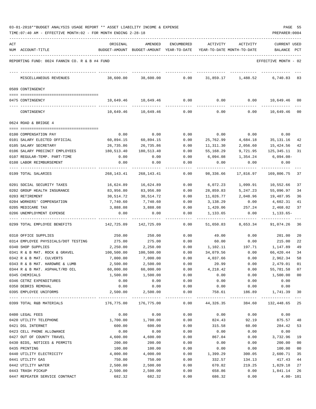| 03-01-2018**BUDGET ANALYSIS USAGE REPORT ** ASSET LIABILITY INCOME & EXPENSE |  |  |  | PAGE |  |
|------------------------------------------------------------------------------|--|--|--|------|--|
|                                                                              |  |  |  |      |  |

|     | TIME: 07:40 AM - EFFECTIVE MONTH: 02 - FOR MONTH ENDING 2-28-18 |            |                                                     |                   |           |                                        | PREPARER: 0004                     |              |
|-----|-----------------------------------------------------------------|------------|-----------------------------------------------------|-------------------|-----------|----------------------------------------|------------------------------------|--------------|
| ACT | NUM ACCOUNT-TITLE                                               | ORIGINAL   | AMENDED<br>BUDGET-AMOUNT BUDGET-AMOUNT YEAR-TO-DATE | <b>ENCUMBERED</b> | ACTIVITY  | ACTIVITY<br>YEAR-TO-DATE MONTH-TO-DATE | <b>CURRENT USED</b><br>BALANCE PCT |              |
|     | REPORTING FUND: 0024 FANNIN CO. R & B #4 FUND                   |            |                                                     |                   |           |                                        | EFFECTIVE MONTH - 02               |              |
|     | MISCELLANEOUS REVENUES                                          | 38,600.00  | 38,600.00                                           | 0.00              | 31,859.17 | 1,488.52                               | 6,740.83 83                        |              |
|     | 0509 CONTINGENCY                                                |            |                                                     |                   |           |                                        |                                    |              |
|     | 0475 CONTINGENCY                                                |            | 10,649.46    10,649.46                              | 0.00              | 0.00      |                                        | $0.00$ 10,649.46 00                |              |
|     | CONTINGENCY                                                     | 10,649.46  | 10,649.46                                           | 0.00              | 0.00      | 0.00                                   | 10,649.46                          | 00           |
|     | 0624 ROAD & BRIDGE 4                                            |            |                                                     |                   |           |                                        |                                    |              |
|     | 0100 COMPENSATION PAY                                           | 0.00       | 0.00                                                | 0.00              | 0.00      | 0.00                                   | 0.00                               |              |
|     | 0101 SALARY ELECTED OFFICIAL                                    | 60,894.15  | 60,894.15                                           | 0.00              | 25,762.99 | 4,684.18                               | 35,131.16                          | 42           |
|     | 0105 SALARY SECRETARY                                           | 26,735.86  | 26,735.86                                           | 0.00              | 11,311.30 | 2,056.60                               | 15,424.56                          | 42           |
|     | 0106 SALARY PRECINCT EMPLOYEES                                  | 180,513.40 | 180,513.40                                          | 0.00              | 55,168.29 | 9,721.95                               | 125,345.11                         | 31           |
|     | 0107 REGULAR-TEMP. PART-TIME                                    | 0.00       | 0.00                                                | 0.00              | 6,094.08  | 1,354.24                               | $6,094.08-$                        |              |
|     | 0108 LABOR REIMBURSEMENT                                        | 0.00       | 0.00                                                | 0.00              | 0.00      | 0.00                                   | 0.00                               |              |
|     |                                                                 |            |                                                     |                   |           |                                        |                                    |              |
|     | 0199 TOTAL SALARIES                                             | 268,143.41 | 268, 143. 41                                        | 0.00              | 98,336.66 | 17,816.97                              | 169,806.75                         | 37           |
|     | 0201 SOCIAL SECURITY TAXES                                      | 16,624.89  | 16,624.89                                           | 0.00              | 6,072.23  | 1,099.91                               | 10,552.66                          | 37           |
|     | 0202 GROUP HEALTH INSURANCE                                     | 83,956.80  | 83,956.80                                           | 0.00              | 28,859.83 | 5,247.23                               | 55,096.97                          | 34           |
|     | 0203 RETIREMENT                                                 | 30,514.72  | 30,514.72                                           | 0.00              | 11,026.77 | 2,048.96                               | 19,487.95                          | 36           |
|     | 0204 WORKERS' COMPENSATION                                      | 7,740.60   | 7,740.60                                            | 0.00              | 3,138.29  | 0.00                                   | 4,602.31                           | 41           |
|     | 0205 MEDICARE TAX                                               | 3,888.08   | 3,888.08                                            | 0.00              | 1,420.06  | 257.24                                 | 2,468.02                           | 37           |
|     | 0206 UNEMPLOYMENT EXPENSE                                       | 0.00       | 0.00                                                | 0.00              | 1,133.65  | 0.00                                   | 1,133.65-                          |              |
|     | 0299 TOTAL EMPLOYEE BENEFITS                                    | 142,725.09 | 142,725.09                                          | 0.00              | 51,650.83 | 8,653.34                               | 91,074.26                          | 36           |
|     | 0310 OFFICE SUPPLIES                                            | 250.00     | 250.00                                              | 0.00              | 49.00     | 0.00                                   | 201.00                             | 20           |
|     | 0314 EMPLOYEE PHYSICALS/DOT TESTING                             | 275.00     | 275.00                                              | 0.00              | 60.00     | 0.00                                   | 215.00                             | 22           |
|     | 0340 SHOP SUPPLIES                                              | 2,250.00   | 2,250.00                                            | 0.00              | 1,102.11  | 197.71                                 | 1,147.89                           | 49           |
|     | 0341 R & B MAT. ROCK & GRAVEL                                   | 100,500.00 | 100,500.00                                          | 0.00              | 34,079.56 | 0.00                                   | 66,420.44                          | 34           |
|     | 0342 R & B MAT. CULVERTS                                        | 7,000.00   | 7,000.00                                            | 0.00              | 4,037.66  | 0.00                                   | 2,962.34                           | 58           |
|     | 0343 R & B MAT. HARDWRE & LUMB                                  | 2,500.00   | 2,500.00                                            | 0.00              | 20.99     | 0.00                                   | 2,479.01                           | 01           |
|     | 0344 R & B MAT. ASPHALT/RD OIL                                  | 60,000.00  | 60,000.00                                           | 0.00              | 4,218.42  | 0.00                                   | 55,781.58                          | 07           |
|     | 0345 CHEMICALS                                                  | 1,500.00   | 1,500.00                                            | 0.00              | 0.00      | 0.00                                   | 1,500.00                           | $00\,$       |
|     | 0346 CETRZ EXPENDITURES                                         | 0.00       | 0.00                                                | 0.00              | 0.00      | 0.00                                   | 0.00                               |              |
|     | 0350 DEBRIS REMOVAL                                             | 0.00       | 0.00                                                | 0.00              | 0.00      | 0.00                                   | 0.00                               |              |
|     | 0395 EMPLOYEE UNIFORMS                                          | 2,500.00   | 2,500.00                                            | 0.00              | 758.61    | 186.89                                 | 1,741.39                           | 30           |
|     | 0399 TOTAL R&B MATERIALS                                        | 176,775.00 | 176,775.00                                          | 0.00              | 44,326.35 | 384.60                                 | 132,448.65                         | 25           |
|     | 0400 LEGAL FEES                                                 | 0.00       | 0.00                                                | 0.00              | 0.00      | 0.00                                   | 0.00                               |              |
|     | 0420 UTILITY TELEPHONE                                          | 1,700.00   | 1,700.00                                            | 0.00              | 824.43    | 92.19                                  | 875.57                             | 48           |
|     | 0421 DSL INTERNET                                               | 600.00     | 600.00                                              | 0.00              | 315.58    | 60.00                                  | 284.42                             | 53           |
|     | 0423 CELL PHONE ALLOWANCE                                       | 0.00       | 0.00                                                | 0.00              | 0.00      | 0.00                                   | 0.00                               |              |
|     | 0427 OUT OF COUNTY TRAVEL                                       | 4,600.00   | 4,600.00                                            | 0.00              | 867.04    | 0.00                                   | 3,732.96                           | 19           |
|     | 0430 BIDS, NOTICES & PERMITS                                    | 200.00     | 200.00                                              | 0.00              | 0.00      | 0.00                                   | 200.00                             | 00           |
|     | 0435 PRINTING                                                   | 100.00     | 100.00                                              | 0.00              | 0.00      | 0.00                                   | 100.00                             | 00           |
|     | 0440 UTILITY ELECTRICITY                                        | 4,000.00   | 4,000.00                                            | 0.00              | 1,399.29  | 300.05                                 | 2,600.71                           | 35           |
|     | 0441 UTILITY GAS                                                | 750.00     | 750.00                                              | 0.00              | 332.57    | 134.13                                 | 417.43                             | 44           |
|     | 0442 UTILITY WATER                                              | 2,500.00   | 2,500.00                                            | 0.00              | 670.82    | 219.25                                 | 1,829.18                           | 27           |
|     | 0443 TRASH PICKUP                                               | 2,500.00   | 2,500.00                                            | 0.00              | 658.86    | 0.00                                   | 1,841.14                           | 26           |
|     | 0447 REPEATER SERVICE CONTRACT                                  | 682.32     | 682.32                                              | 0.00              | 686.32    | 0.00                                   |                                    | $4.00 - 101$ |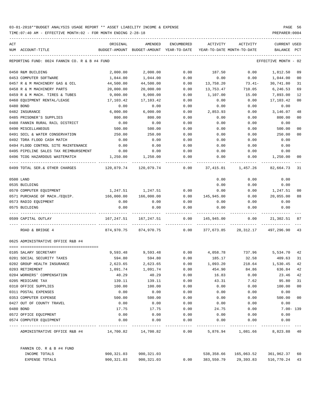| ACT |                                                    | ORIGINAL       | AMENDED                                  | ENCUMBERED   | <b>ACTIVITY</b>            | ACTIVITY          | <b>CURRENT USED</b>  |                 |
|-----|----------------------------------------------------|----------------|------------------------------------------|--------------|----------------------------|-------------------|----------------------|-----------------|
|     | NUM ACCOUNT-TITLE                                  |                | BUDGET-AMOUNT BUDGET-AMOUNT YEAR-TO-DATE |              | YEAR-TO-DATE MONTH-TO-DATE |                   | BALANCE              | PCT             |
|     | REPORTING FUND: 0024 FANNIN CO. R & B #4 FUND      |                |                                          |              |                            |                   | EFFECTIVE MONTH - 02 |                 |
|     | 0450 R&M BUILDING                                  | 2,000.00       | 2,000.00                                 | 0.00         | 187.50                     | 0.00              | 1,812.50             | 09              |
|     | 0453 COMPUTER SOFTWARE                             | 1,044.00       | 1,044.00                                 | 0.00         | 0.00                       | 0.00              | 1,044.00             | 0 <sub>0</sub>  |
|     | 0457 R & M MACHINERY GAS & OIL                     | 44,500.00      | 44,500.00                                | 0.00         | 13,758.20                  | 73.41-            | 30,741.80            | 31              |
|     | 0458 R & M MACHINERY PARTS                         | 20,000.00      | 20,000.00                                | 0.00         | 13,753.47                  | 710.05            | 6,246.53             | 69              |
|     | 0459 R & M MACH. TIRES & TUBES                     | 9,000.00       | 9,000.00                                 | 0.00         | 1,107.00                   | 15.00             | 7,893.00             | 12              |
|     | 0460 EQUIPMENT RENTAL/LEASE                        | 17,103.42      | 17,103.42                                | 0.00         | 0.00                       | 0.00              | 17,103.42            | 0 <sub>0</sub>  |
|     | 0480 BOND                                          | 0.00           | 0.00                                     | 0.00         | 0.00                       | 0.00              | 0.00                 |                 |
|     | 0482 INSURANCE                                     | 6,000.00       | 6,000.00                                 | 0.00         | 2,853.93                   | 0.00              | 3,146.07             | 48              |
|     | 0485 PRISONER'S SUPPLIES                           | 800.00         | 800.00                                   | 0.00         | 0.00                       | 0.00              | 800.00               | 0 <sub>0</sub>  |
|     | 0488 FANNIN RURAL RAIL DISTRICT                    | 0.00           | 0.00                                     | 0.00         | 0.00                       | 0.00              | 0.00                 |                 |
|     | 0490 MISCELLANEOUS                                 | 500.00         | 500.00                                   | 0.00         | 0.00                       | 0.00              | 500.00               | 0 <sub>0</sub>  |
|     | 0491 SOIL & WATER CONSERVATION                     | 250.00         | 250.00                                   | 0.00         | 0.00                       | 0.00              | 250.00               | 0 <sub>0</sub>  |
|     | 0492 TDRA FLOOD CASH MATCH                         | 0.00           | 0.00                                     | 0.00         | 0.00                       | 0.00              | 0.00                 |                 |
|     | 0494 FLOOD CONTROL SITE MAINTENANCE                | 0.00           | 0.00                                     | 0.00         | 0.00                       | 0.00              | 0.00                 |                 |
|     | 0495 PIPELINE SALES TAX REIMBURSEMENT              | 0.00           | 0.00                                     | 0.00         | 0.00                       | 0.00              | 0.00                 |                 |
|     | 0496 TCOG HAZARDOUS WASTEMATCH                     | 1,250.00       | 1,250.00                                 | 0.00         | 0.00                       | 0.00              | 1,250.00             | 00              |
|     | 0499 TOTAL SER. & OTHER CHARGES                    | 120,079.74     | 120,079.74                               | 0.00         | 37,415.01                  | 1,457.26          | 82,664.73            | -31             |
|     | 0500 LAND                                          |                |                                          |              | 0.00                       | 0.00              | 0.00                 |                 |
|     | 0535 BUILDING                                      |                |                                          |              | 0.00                       | 0.00              | 0.00                 |                 |
|     | 0570 COMPUTER EQUIPMENT                            | 1,247.51       | 1,247.51                                 | 0.00         | 0.00                       | 0.00              | 1,247.51             | 0 <sub>0</sub>  |
|     | 0571 PURCHASE OF MACH./EQUIP.                      | 166,000.00     | 166,000.00                               | 0.00         | 145,945.00                 | 0.00              | 20,055.00            | 88              |
|     | 0573 RADIO EQUIPMENT                               | 0.00           | 0.00                                     | 0.00         | 0.00                       | 0.00              | 0.00                 |                 |
|     | 0575 BUILDING                                      | 0.00           | 0.00                                     | 0.00         | 0.00                       | 0.00              | 0.00                 |                 |
|     | 0599 CAPITAL OUTLAY                                | 167,247.51     | 167,247.51                               | 0.00         | 145,945.00                 | 0.00              | 21,302.51            | 87              |
|     | ROAD & BRIDGE 4                                    | 874,970.75     | 874,970.75                               | 0.00         | 377,673.85                 | 28,312.17         | 497,296.90           | 43              |
|     | 0625 ADMINISTRATIVE OFFICE R&B #4                  |                |                                          |              |                            |                   |                      |                 |
|     |                                                    |                |                                          |              |                            |                   |                      |                 |
|     | 0105 SALARY SECRETARY                              | 9,593.48       | 9,593.48                                 | 0.00         | 4,058.78                   | 737.96            | 5,534.70             | 42              |
|     | 0201 SOCIAL SECURITY TAXES                         | 594.80         | 594.80                                   | 0.00         | 185.17                     | 32.58             | 409.63               | 31              |
|     | 0202 GROUP HEALTH INSURANCE                        | 2,623.65       | 2,623.65                                 | 0.00         | 1,093.20                   | 218.64            | 1,530.45             | 42              |
|     | 0203 RETIREMENT                                    | 1,091.74       | 1,091.74                                 | 0.00         | 454.90                     | 84.86             | 636.84               | 42              |
|     | 0204 WORKERS' COMPENSATION                         | 40.29          | 40.29                                    | 0.00         | 16.83                      | 0.00              | 23.46                | 42              |
|     | 0205 MEDICARE TAX                                  | 139.11         | 139.11                                   | 0.00         | 43.31                      | 7.62              | 95.80                | 31              |
|     | 0310 OFFICE SUPPLIES                               | 100.00         | 100.00                                   | 0.00         | 0.00                       | 0.00              | 100.00               | 00 <sub>0</sub> |
|     | 0311 POSTAL EXPENSES                               | 0.00           | 0.00                                     | 0.00         | 0.00                       | 0.00              | 0.00                 |                 |
|     | 0353 COMPUTER EXPENSE<br>0427 OUT OF COUNTY TRAVEL | 500.00<br>0.00 | 500.00<br>0.00                           | 0.00<br>0.00 | 0.00<br>0.00               | 0.00<br>0.00      | 500.00<br>0.00       | 00              |
|     |                                                    |                |                                          |              |                            |                   |                      |                 |
|     | 0480 BOND                                          | 17.75          | 17.75                                    | 0.00         | 24.75                      | 0.00              | $7.00 - 139$         |                 |
|     | 0572 OFFICE EQUIPMENT<br>0574 COMPUTER EQUIPMENT   | 0.00<br>0.00   | 0.00<br>0.00                             | 0.00<br>0.00 | 0.00<br>0.00               | 0.00<br>0.00      | 0.00<br>0.00         |                 |
|     | ADMINISTRATIVE OFFICE R&B #4                       |                |                                          | 0.00         |                            | 5,876.94 1,081.66 | 8,823.88 40          |                 |
|     | FANNIN CO. R & B #4 FUND                           |                |                                          |              |                            |                   |                      |                 |
|     | INCOME TOTALS                                      | 900,321.03     | 900,321.03                               |              | 538,358.66                 | 165,063.52        | 361,962.37           | 60              |
|     | EXPENSE TOTALS                                     | 900,321.03     | 900,321.03                               | 0.00         | 383,550.79                 | 29,393.83         | 516,770.24           | 43              |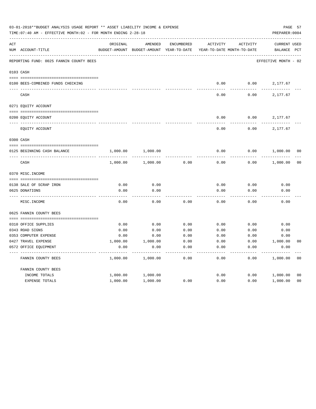|     | 03-01-2018**BUDGET ANALYSIS USAGE REPORT ** ASSET LIABILITY INCOME & EXPENSE<br>TIME: 07:40 AM - EFFECTIVE MONTH: 02 - FOR MONTH ENDING 2-28-18 |               |               |              |                            |          | PREPARER: 0004       | PAGE 57        |
|-----|-------------------------------------------------------------------------------------------------------------------------------------------------|---------------|---------------|--------------|----------------------------|----------|----------------------|----------------|
| ACT |                                                                                                                                                 | ORIGINAL      | AMENDED       | ENCUMBERED   | <b>ACTIVITY</b>            | ACTIVITY | <b>CURRENT USED</b>  |                |
|     | NUM ACCOUNT-TITLE                                                                                                                               | BUDGET-AMOUNT | BUDGET-AMOUNT | YEAR-TO-DATE | YEAR-TO-DATE MONTH-TO-DATE |          | BALANCE              | $_{\rm PCT}$   |
|     | REPORTING FUND: 0025 FANNIN COUNTY BEES                                                                                                         |               |               |              |                            |          | EFFECTIVE MONTH - 02 |                |
|     | 0103 CASH                                                                                                                                       |               |               |              |                            |          |                      |                |
|     |                                                                                                                                                 |               |               |              |                            |          |                      |                |
|     | 0100 BEES-COMBINED FUNDS CHECKING                                                                                                               |               |               |              | 0.00                       | 0.00     | 2,177.67             |                |
|     | CASH                                                                                                                                            |               |               |              | 0.00                       | 0.00     | 2,177.67             |                |
|     | 0271 EQUITY ACCOUNT                                                                                                                             |               |               |              |                            |          |                      |                |
|     |                                                                                                                                                 |               |               |              |                            |          |                      |                |
|     | 0200 EQUITY ACCOUNT                                                                                                                             |               |               |              | 0.00                       | 0.00     | 2,177.67             |                |
|     | EQUITY ACCOUNT                                                                                                                                  |               |               |              | 0.00                       | 0.00     | 2,177.67             |                |
|     | 0300 CASH                                                                                                                                       |               |               |              |                            |          |                      |                |
|     | 0125 BEGINNING CASH BALANCE                                                                                                                     | 1,000.00      | 1,000.00      |              | 0.00                       | 0.00     | 1,000.00             | 00             |
|     | CASH                                                                                                                                            | 1,000.00      | 1,000.00      | 0.00         | 0.00                       | 0.00     | 1,000.00             | 0 <sub>0</sub> |
|     | 0370 MISC. INCOME                                                                                                                               |               |               |              |                            |          |                      |                |
|     |                                                                                                                                                 |               |               |              |                            |          |                      |                |
|     | 0138 SALE OF SCRAP IRON                                                                                                                         | 0.00          | 0.00          |              | 0.00                       | 0.00     | 0.00                 |                |
|     | 0625 DONATIONS                                                                                                                                  | 0.00          | 0.00          |              | 0.00                       | 0.00     | 0.00                 |                |
|     | MISC. INCOME                                                                                                                                    | 0.00          | 0.00          | 0.00         | 0.00                       | 0.00     | 0.00                 |                |
|     | 0625 FANNIN COUNTY BEES                                                                                                                         |               |               |              |                            |          |                      |                |
|     |                                                                                                                                                 |               |               |              |                            |          |                      |                |
|     | 0310 OFFICE SUPPLIES                                                                                                                            | 0.00          | 0.00          | 0.00         | 0.00                       | 0.00     | 0.00                 |                |
|     | 0343 ROAD SIGNS                                                                                                                                 | 0.00          | 0.00          | 0.00         | 0.00                       | 0.00     | 0.00                 |                |
|     | 0353 COMPUTER EXPENSE                                                                                                                           | 0.00          | 0.00          | 0.00         | 0.00                       | 0.00     | 0.00                 |                |
|     | 0427 TRAVEL EXPENSE                                                                                                                             | 1,000.00      | 1,000.00      | 0.00         | 0.00                       | 0.00     | 1,000.00             | 0 <sub>0</sub> |
|     | 0572 OFFICE EQUIPMENT                                                                                                                           | 0.00          | 0.00          | 0.00         | 0.00                       | 0.00     | 0.00                 |                |
|     | FANNIN COUNTY BEES                                                                                                                              | 1,000.00      | 1,000.00      | 0.00         | 0.00                       | 0.00     | 1,000.00             | 0 <sub>0</sub> |
|     | FANNIN COUNTY BEES                                                                                                                              |               |               |              |                            |          |                      |                |
|     | INCOME TOTALS                                                                                                                                   | 1,000.00      | 1,000.00      |              | 0.00                       | 0.00     | 1,000.00             | 0 <sub>0</sub> |
|     | <b>EXPENSE TOTALS</b>                                                                                                                           | 1,000.00      | 1,000.00      | 0.00         | 0.00                       | 0.00     | 1,000.00             | 0 <sub>0</sub> |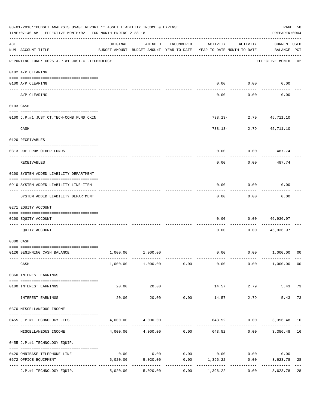|                    | 03-01-2018**BUDGET ANALYSIS USAGE REPORT ** ASSET LIABILITY INCOME & EXPENSE<br>TIME: 07:40 AM - EFFECTIVE MONTH: 02 - FOR MONTH ENDING 2-28-18 |                                                      |                                  |                       |                                                         |                        | PREPARER: 0004                     | PAGE 58        |
|--------------------|-------------------------------------------------------------------------------------------------------------------------------------------------|------------------------------------------------------|----------------------------------|-----------------------|---------------------------------------------------------|------------------------|------------------------------------|----------------|
| $\mathop{\rm ACT}$ | NUM ACCOUNT-TITLE                                                                                                                               | ORIGINAL<br>BUDGET-AMOUNT BUDGET-AMOUNT YEAR-TO-DATE | AMENDED                          | ENCUMBERED            | ACTIVITY<br>YEAR-TO-DATE MONTH-TO-DATE                  | ACTIVITY               | <b>CURRENT USED</b><br>BALANCE PCT |                |
|                    | -------------------------------------<br>REPORTING FUND: 0026 J.P.#1 JUST.CT.TECHNOLOGY                                                         |                                                      |                                  |                       |                                                         |                        | EFFECTIVE MONTH - 02               |                |
|                    | 0102 A/P CLEARING                                                                                                                               |                                                      |                                  |                       |                                                         |                        |                                    |                |
|                    | 0100 A/P CLEARING                                                                                                                               |                                                      |                                  |                       | 0.00                                                    | 0.00                   | 0.00                               |                |
|                    | ---- --------<br>A/P CLEARING                                                                                                                   |                                                      |                                  |                       | 0.00                                                    | 0.00                   | 0.00                               |                |
|                    | 0103 CASH                                                                                                                                       |                                                      |                                  |                       |                                                         |                        |                                    |                |
|                    | 0100 J.P.#1 JUST.CT.TECH-COMB.FUND CKIN                                                                                                         |                                                      |                                  |                       |                                                         | 738.13- 2.79 45,711.10 |                                    |                |
|                    | CASH                                                                                                                                            |                                                      |                                  |                       |                                                         | 738.13- 2.79 45,711.10 |                                    |                |
|                    | 0120 RECEIVABLES                                                                                                                                |                                                      |                                  |                       |                                                         |                        |                                    |                |
|                    | 0313 DUE FROM OTHER FUNDS                                                                                                                       |                                                      |                                  |                       | 0.00                                                    |                        | $0.00$ 487.74<br>----------        |                |
|                    | RECEIVABLES                                                                                                                                     |                                                      |                                  |                       | 0.00                                                    | 0.00                   | 487.74                             |                |
|                    | 0200 SYSTEM ADDED LIABILITY DEPARTMENT                                                                                                          |                                                      |                                  |                       |                                                         |                        |                                    |                |
|                    | 0910 SYSTEM ADDED LIABILITY LINE-ITEM                                                                                                           |                                                      |                                  |                       | 0.00                                                    | 0.00                   | 0.00                               |                |
|                    | SYSTEM ADDED LIABILITY DEPARTMENT                                                                                                               |                                                      |                                  |                       | 0.00                                                    | 0.00                   | 0.00                               |                |
|                    | 0271 EQUITY ACCOUNT                                                                                                                             |                                                      |                                  |                       |                                                         |                        |                                    |                |
|                    | 0200 EQUITY ACCOUNT                                                                                                                             |                                                      |                                  |                       | 0.00                                                    | 0.00                   | 46,936.97                          |                |
|                    | EQUITY ACCOUNT                                                                                                                                  |                                                      |                                  |                       | 0.00                                                    | 0.00                   | 46,936.97                          |                |
|                    | 0300 CASH                                                                                                                                       |                                                      |                                  |                       |                                                         |                        |                                    |                |
|                    | 0126 BEGINNING CASH BALANCE                                                                                                                     |                                                      | 1,000.00 1,000.00                |                       |                                                         |                        | $0.00$ $0.00$ $1,000.00$           | 0 <sup>0</sup> |
|                    | CASH                                                                                                                                            |                                                      | $1,000.00$ $1,000.00$ $0.00$     |                       | 0.00                                                    |                        | $0.00$ 1,000.00 00                 |                |
|                    | 0360 INTEREST EARNINGS                                                                                                                          |                                                      |                                  |                       |                                                         |                        |                                    |                |
|                    | 0100 INTEREST EARNINGS                                                                                                                          | 20.00                                                | 20.00<br>-------------           |                       |                                                         | 14.57 2.79             | 5.43 73                            |                |
|                    | INTEREST EARNINGS                                                                                                                               | 20.00                                                | 20.00                            | 0.00                  | 14.57                                                   | 2.79                   | 5.43                               | 73             |
|                    | 0370 MISCELLANEOUS INCOME                                                                                                                       |                                                      |                                  |                       |                                                         |                        |                                    |                |
|                    | 0455 J.P.#1 TECHNOLOGY FEES                                                                                                                     |                                                      | 4,000.00 4,000.00                |                       |                                                         |                        | 643.52 0.00 3,356.48 16            |                |
|                    | MISCELLANEOUS INCOME                                                                                                                            |                                                      |                                  | ------------          | $4,000.00$ $4,000.00$ $0.00$ $643.52$ $0.00$ $3,356.48$ |                        |                                    | 16             |
|                    | 0455 J.P.#1 TECHNOLOGY EQUIP.                                                                                                                   |                                                      |                                  |                       |                                                         |                        |                                    |                |
|                    | 0420 OMNIBASE TELEPHONE LINE                                                                                                                    | 0.00                                                 |                                  |                       | $0.00$ $0.00$ $0.00$ $0.00$ $0.00$                      |                        | 0.00                               |                |
|                    | 0572 OFFICE EQUIPMENT                                                                                                                           |                                                      | 5,020.00 5,020.00<br>----------- | . _ _ _ _ _ _ _ _ _ _ | $0.00$ 1,396.22<br>-----------                          | 0.00<br>------------   | 3,623.78<br>------------           | 28             |
|                    | J.P.#1 TECHNOLOGY EQUIP.                                                                                                                        | 5,020.00                                             | 5,020.00                         | 0.00                  | 1,396.22                                                | 0.00                   | 3,623.78                           | 28             |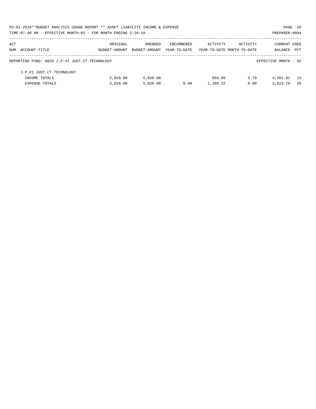|     | 03-01-2018**BUDGET ANALYSIS USAGE REPORT ** ASSET LIABILITY INCOME & EXPENSE |               |               |              |                            |          | PAGE 59              |            |
|-----|------------------------------------------------------------------------------|---------------|---------------|--------------|----------------------------|----------|----------------------|------------|
|     | TIME: 07:40 AM - EFFECTIVE MONTH: 02 - FOR MONTH ENDING 2-28-18              |               |               |              |                            |          | PREPARER: 0004       |            |
| ACT |                                                                              | ORIGINAL      | AMENDED       | ENCUMBERED   | ACTIVITY                   | ACTIVITY | <b>CURRENT USED</b>  |            |
|     | NUM ACCOUNT-TITLE                                                            | BUDGET-AMOUNT | BUDGET-AMOUNT | YEAR-TO-DATE | YEAR-TO-DATE MONTH-TO-DATE |          | <b>BALANCE</b>       | <b>PCT</b> |
|     | REPORTING FUND: 0026 J.P.#1 JUST.CT.TECHNOLOGY                               |               |               |              |                            |          | EFFECTIVE MONTH - 02 |            |
|     | J.P.#1 JUST.CT.TECHNOLOGY                                                    |               |               |              |                            |          |                      |            |
|     | INCOME TOTALS                                                                | 5.020.00      | 5.020.00      |              | 658.09                     | 2.79     | 4,361.91             | 13         |
|     | <b>EXPENSE TOTALS</b>                                                        | 5,020.00      | 5.020.00      | 0.00         | 1,396.22                   | 0.00     | 3,623.78             | -28        |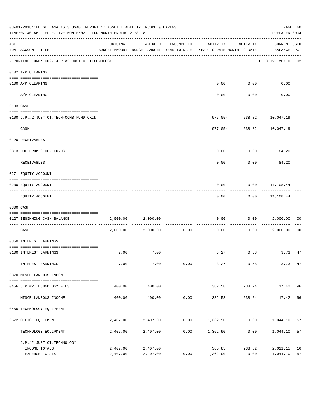|     | 03-01-2018**BUDGET ANALYSIS USAGE REPORT ** ASSET LIABILITY INCOME & EXPENSE<br>TIME:07:40 AM - EFFECTIVE MONTH:02 - FOR MONTH ENDING 2-28-18 |          |                                                     |            |                                                |                            |                                 |    |  |
|-----|-----------------------------------------------------------------------------------------------------------------------------------------------|----------|-----------------------------------------------------|------------|------------------------------------------------|----------------------------|---------------------------------|----|--|
| ACT | NUM ACCOUNT-TITLE                                                                                                                             | ORIGINAL | AMENDED<br>BUDGET-AMOUNT BUDGET-AMOUNT YEAR-TO-DATE | ENCUMBERED | ACTIVITY<br>YEAR-TO-DATE MONTH-TO-DATE         | ACTIVITY                   | CURRENT USED<br>BALANCE PCT     |    |  |
|     | REPORTING FUND: 0027 J.P.#2 JUST.CT.TECHNOLOGY                                                                                                |          |                                                     |            |                                                |                            | EFFECTIVE MONTH - 02            |    |  |
|     | 0102 A/P CLEARING                                                                                                                             |          |                                                     |            |                                                |                            |                                 |    |  |
|     | 0100 A/P CLEARING                                                                                                                             |          |                                                     |            |                                                | $0.00$ $0.00$              | 0.00                            |    |  |
|     | ---- -------<br>A/P CLEARING                                                                                                                  |          |                                                     |            | 0.00                                           | 0.00                       | 0.00                            |    |  |
|     | 0103 CASH                                                                                                                                     |          |                                                     |            |                                                |                            |                                 |    |  |
|     | 0100 J.P.#2 JUST.CT.TECH-COMB.FUND CKIN                                                                                                       |          |                                                     |            |                                                |                            | 977.05-238.82 10,047.19         |    |  |
|     | CASH                                                                                                                                          |          |                                                     |            |                                                | ------------               | 977.05-238.82 10,047.19         |    |  |
|     | 0120 RECEIVABLES                                                                                                                              |          |                                                     |            |                                                |                            |                                 |    |  |
|     | 0313 DUE FROM OTHER FUNDS                                                                                                                     |          |                                                     |            | 0.00                                           |                            | $0.00$ 84.20                    |    |  |
|     | RECEIVABLES                                                                                                                                   |          |                                                     |            | 0.00                                           | 0.00                       | 84.20                           |    |  |
|     | 0271 EQUITY ACCOUNT                                                                                                                           |          |                                                     |            |                                                |                            |                                 |    |  |
|     | 0200 EQUITY ACCOUNT                                                                                                                           |          |                                                     |            | 0.00                                           |                            | $0.00$ 11,108.44                |    |  |
|     | EQUITY ACCOUNT                                                                                                                                |          |                                                     |            | 0.00                                           |                            | -----------<br>$0.00$ 11,108.44 |    |  |
|     | 0300 CASH                                                                                                                                     |          |                                                     |            |                                                |                            |                                 |    |  |
|     | 0127 BEGINNING CASH BALANCE                                                                                                                   |          | 2,000.00 2,000.00                                   |            | 0.00                                           |                            | 0.00 2,000.00                   | 00 |  |
|     | CASH                                                                                                                                          |          | 2,000.00 2,000.00 0.00                              |            | ------------- -------------<br>0.00            | ----------                 | 0.00 2,000.00                   | 00 |  |
|     | 0360 INTEREST EARNINGS                                                                                                                        |          |                                                     |            |                                                |                            |                                 |    |  |
|     | 0100 INTEREST EARNINGS                                                                                                                        | 7.00     | 7.00                                                |            |                                                |                            | 3.27 0.58 3.73 47               |    |  |
|     | INTEREST EARNINGS                                                                                                                             | 7.00     | 7.00                                                | 0.00       | 3.27                                           | 0.58                       | 3.73 47                         |    |  |
|     | 0370 MISCELLANEOUS INCOME                                                                                                                     |          |                                                     |            |                                                |                            |                                 |    |  |
|     | 0456 J.P.#2 TECHNOLOGY FEES                                                                                                                   | 400.00   | 400.00                                              |            | 382.58                                         |                            | 238.24 17.42 96                 |    |  |
|     | MISCELLANEOUS INCOME                                                                                                                          | 400.00   | 400.00                                              | 0.00       | 382.58                                         | 238.24                     | 17.42                           | 96 |  |
|     | 0456 TECHNOLOGY EQUIPMENT                                                                                                                     |          |                                                     |            |                                                |                            |                                 |    |  |
|     | 0572 OFFICE EQUIPMENT                                                                                                                         | 2,407.00 |                                                     |            | $2,407.00$ $0.00$ $1,362.90$ $0.00$ $1,044.10$ |                            |                                 | 57 |  |
|     | ------------------<br>TECHNOLOGY EQUIPMENT                                                                                                    |          | 2,407.00 2,407.00                                   |            | $0.00$ 1,362.90                                | ----- ------------<br>0.00 | 1,044.10                        | 57 |  |
|     | J.P.#2 JUST.CT.TECHNOLOGY                                                                                                                     |          |                                                     |            |                                                |                            |                                 |    |  |
|     | INCOME TOTALS                                                                                                                                 | 2,407.00 | 2,407.00                                            |            | 385.85                                         | 238.82                     | 2,021.15 16                     |    |  |
|     | EXPENSE TOTALS                                                                                                                                | 2,407.00 | 2,407.00                                            |            | $0.00$ 1,362.90                                | 0.00                       | 1,044.10                        | 57 |  |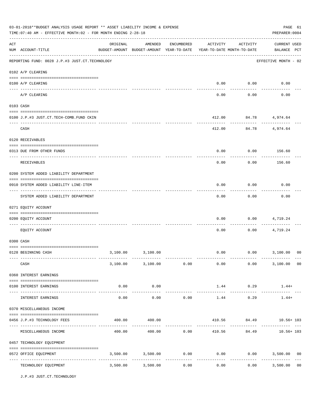|     | 03-01-2018**BUDGET ANALYSIS USAGE REPORT ** ASSET LIABILITY INCOME & EXPENSE<br>TIME: 07:40 AM - EFFECTIVE MONTH: 02 - FOR MONTH ENDING 2-28-18<br>PREPARER: 0004 |                                                                                 |                                                   |            |                 |                            |                                                       |  |  |  |
|-----|-------------------------------------------------------------------------------------------------------------------------------------------------------------------|---------------------------------------------------------------------------------|---------------------------------------------------|------------|-----------------|----------------------------|-------------------------------------------------------|--|--|--|
| ACT | NUM ACCOUNT-TITLE                                                                                                                                                 | ORIGINAL<br>BUDGET-AMOUNT BUDGET-AMOUNT YEAR-TO-DATE YEAR-TO-DATE MONTH-TO-DATE | AMENDED                                           | ENCUMBERED | ACTIVITY        | ACTIVITY                   | <b>CURRENT USED</b><br>BALANCE PCT                    |  |  |  |
|     | REPORTING FUND: 0028 J.P.#3 JUST.CT.TECHNOLOGY                                                                                                                    |                                                                                 |                                                   |            |                 |                            | EFFECTIVE MONTH - 02                                  |  |  |  |
|     | 0102 A/P CLEARING                                                                                                                                                 |                                                                                 |                                                   |            |                 |                            |                                                       |  |  |  |
|     | 0100 A/P CLEARING                                                                                                                                                 |                                                                                 |                                                   |            | 0.00            | 0.00                       | 0.00                                                  |  |  |  |
|     | A/P CLEARING                                                                                                                                                      |                                                                                 |                                                   |            | 0.00            | 0.00                       | 0.00                                                  |  |  |  |
|     | 0103 CASH                                                                                                                                                         |                                                                                 |                                                   |            |                 |                            |                                                       |  |  |  |
|     | 0100 J.P.#3 JUST.CT.TECH-COMB.FUND CKIN                                                                                                                           |                                                                                 |                                                   |            | 412.00          |                            | 84.78 4,974.64                                        |  |  |  |
|     | CASH                                                                                                                                                              |                                                                                 |                                                   |            | 412.00          | ----------<br>84.78        | 4,974.64                                              |  |  |  |
|     | 0120 RECEIVABLES                                                                                                                                                  |                                                                                 |                                                   |            |                 |                            |                                                       |  |  |  |
|     | 0313 DUE FROM OTHER FUNDS                                                                                                                                         |                                                                                 |                                                   |            | 0.00            | 0.00                       | 156.60                                                |  |  |  |
|     | RECEIVABLES                                                                                                                                                       |                                                                                 |                                                   |            | 0.00            | 0.00                       | 156.60                                                |  |  |  |
|     | 0200 SYSTEM ADDED LIABILITY DEPARTMENT                                                                                                                            |                                                                                 |                                                   |            |                 |                            |                                                       |  |  |  |
|     | 0910 SYSTEM ADDED LIABILITY LINE-ITEM                                                                                                                             |                                                                                 |                                                   |            | 0.00            | 0.00                       | 0.00                                                  |  |  |  |
|     | SYSTEM ADDED LIABILITY DEPARTMENT                                                                                                                                 |                                                                                 |                                                   |            | 0.00            | 0.00                       | 0.00                                                  |  |  |  |
|     | 0271 EQUITY ACCOUNT                                                                                                                                               |                                                                                 |                                                   |            |                 |                            |                                                       |  |  |  |
|     | 0200 EQUITY ACCOUNT                                                                                                                                               |                                                                                 |                                                   |            | 0.00            | 0.00                       | 4,719.24                                              |  |  |  |
|     | EQUITY ACCOUNT                                                                                                                                                    |                                                                                 |                                                   |            | 0.00            | 0.00                       | 4,719.24                                              |  |  |  |
|     | 0300 CASH                                                                                                                                                         |                                                                                 |                                                   |            |                 |                            |                                                       |  |  |  |
|     | 0128 BEGINNING CASH                                                                                                                                               | 3,100.00                                                                        | 3,100.00                                          |            | 0.00            |                            | $0.00$ 3,100.00<br>00                                 |  |  |  |
|     | CASH                                                                                                                                                              |                                                                                 | $3,100.00$ $3,100.00$ $0.00$ $0.00$ $0.00$ $0.00$ |            |                 |                            | 3,100.00 00                                           |  |  |  |
|     | 0360 INTEREST EARNINGS                                                                                                                                            |                                                                                 |                                                   |            |                 |                            |                                                       |  |  |  |
|     | 0100 INTEREST EARNINGS                                                                                                                                            | 0.00                                                                            | 0.00<br>-----------                               |            | _______________ | $1.44$ 0.29<br>----------- | $1.44+$                                               |  |  |  |
|     | INTEREST EARNINGS                                                                                                                                                 | 0.00                                                                            | 0.00                                              | 0.00       | 1.44            | 0.29                       | $1.44+$                                               |  |  |  |
|     | 0370 MISCELLANEOUS INCOME                                                                                                                                         |                                                                                 |                                                   |            |                 |                            |                                                       |  |  |  |
|     | 0456 J.P.#3 TECHNOLOGY FEES                                                                                                                                       | 400.00                                                                          | 400.00                                            |            |                 |                            | 410.56 84.49 10.56+103                                |  |  |  |
|     | MISCELLANEOUS INCOME                                                                                                                                              |                                                                                 |                                                   |            |                 |                            | $400.00$ $400.00$ $0.00$ $410.56$ $84.49$ $10.56+103$ |  |  |  |
|     | 0457 TECHNOLOGY EQUIPMENT                                                                                                                                         |                                                                                 |                                                   |            |                 |                            |                                                       |  |  |  |
|     | 0572 OFFICE EQUIPMENT                                                                                                                                             |                                                                                 | 3,500.00 3,500.00                                 | 0.00       | ------------    |                            | $0.00$ $0.00$ $3,500.00$ $00$                         |  |  |  |
|     | TECHNOLOGY EQUIPMENT                                                                                                                                              |                                                                                 | $3,500.00$ $3,500.00$                             | 0.00       |                 | 0.00                       | 0 <sub>0</sub><br>0.00<br>3,500.00                    |  |  |  |

J.P.#3 JUST.CT.TECHNOLOGY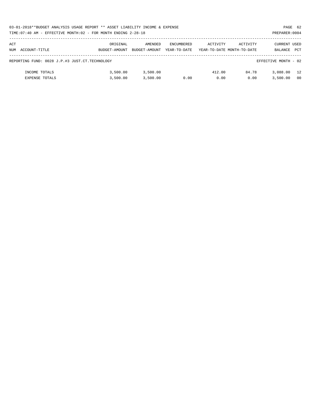|     | 03-01-2018**BUDGET ANALYSIS USAGE REPORT ** ASSET LIABILITY INCOME & EXPENSE<br>PAGE 62 |               |               |                   |                            |          |                      |                |  |  |  |
|-----|-----------------------------------------------------------------------------------------|---------------|---------------|-------------------|----------------------------|----------|----------------------|----------------|--|--|--|
|     | TIME:07:40 AM - EFFECTIVE MONTH:02 - FOR MONTH ENDING 2-28-18                           |               |               |                   |                            |          | PREPARER: 0004       |                |  |  |  |
| ACT |                                                                                         | ORIGINAL      | AMENDED       | <b>ENCUMBERED</b> | ACTIVITY                   | ACTIVITY | CURRENT USED         |                |  |  |  |
|     | NUM ACCOUNT-TITLE                                                                       | BUDGET-AMOUNT | BUDGET-AMOUNT | YEAR-TO-DATE      | YEAR-TO-DATE MONTH-TO-DATE |          | BALANCE              | <b>PCT</b>     |  |  |  |
|     | REPORTING FUND: 0028 J.P.#3 JUST.CT.TECHNOLOGY                                          |               |               |                   |                            |          | EFFECTIVE MONTH - 02 |                |  |  |  |
|     | INCOME TOTALS                                                                           | 3,500.00      | 3,500.00      |                   | 412.00                     | 84.78    | 3,088,00             | 12             |  |  |  |
|     | <b>EXPENSE TOTALS</b>                                                                   | 3,500.00      | 3.500.00      | 0.00              | 0.00                       | 0.00     | 3,500.00             | 0 <sub>0</sub> |  |  |  |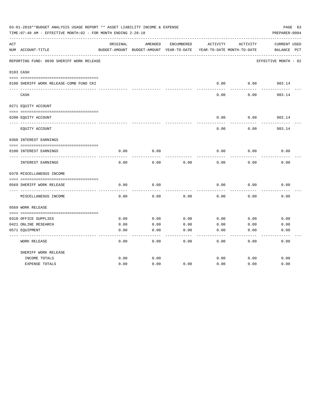|     | 03-01-2018**BUDGET ANALYSIS USAGE REPORT ** ASSET LIABILITY INCOME & EXPENSE<br>TIME: 07:40 AM - EFFECTIVE MONTH: 02 - FOR MONTH ENDING 2-28-18 |          |                                                     |            |          |                                        | PAGE 63<br>PREPARER: 0004          |
|-----|-------------------------------------------------------------------------------------------------------------------------------------------------|----------|-----------------------------------------------------|------------|----------|----------------------------------------|------------------------------------|
| ACT | NUM ACCOUNT-TITLE                                                                                                                               | ORIGINAL | AMENDED<br>BUDGET-AMOUNT BUDGET-AMOUNT YEAR-TO-DATE | ENCUMBERED | ACTIVITY | ACTIVITY<br>YEAR-TO-DATE MONTH-TO-DATE | <b>CURRENT USED</b><br>BALANCE PCT |
|     | REPORTING FUND: 0030 SHERIFF WORK RELEASE                                                                                                       |          |                                                     |            |          |                                        | EFFECTIVE MONTH - 02               |
|     | 0103 CASH                                                                                                                                       |          |                                                     |            |          |                                        |                                    |
|     | 0100 SHERIFF WORK RELEASE-COMB FUND CKI                                                                                                         |          |                                                     |            | 0.00     | 0.00                                   | 983.14                             |
|     | CASH                                                                                                                                            |          |                                                     |            | 0.00     | 0.00                                   | 983.14                             |
|     | 0271 EQUITY ACCOUNT                                                                                                                             |          |                                                     |            |          |                                        |                                    |
|     | 0200 EQUITY ACCOUNT                                                                                                                             |          |                                                     |            | 0.00     | 0.00                                   | 983.14                             |
|     | EQUITY ACCOUNT                                                                                                                                  |          |                                                     |            | 0.00     | 0.00                                   | 983.14                             |
|     | 0360 INTEREST EARNINGS                                                                                                                          |          |                                                     |            |          |                                        |                                    |
|     | 0100 INTEREST EARNINGS                                                                                                                          | 0.00     | 0.00                                                |            | 0.00     | 0.00                                   | 0.00                               |
|     | <b>INTEREST EARNINGS</b>                                                                                                                        | 0.00     | 0.00                                                | 0.00       | 0.00     | 0.00                                   | 0.00                               |
|     | 0370 MISCELLANEOUS INCOME                                                                                                                       |          |                                                     |            |          |                                        |                                    |
|     |                                                                                                                                                 |          |                                                     |            |          |                                        |                                    |
|     | 0569 SHERIFF WORK RELEASE<br>------------                                                                                                       | 0.00     | 0.00                                                |            | 0.00     | 0.00                                   | 0.00                               |
|     | MISCELLANEOUS INCOME                                                                                                                            | 0.00     | 0.00                                                | 0.00       | 0.00     | 0.00                                   | 0.00                               |
|     | 0569 WORK RELEASE                                                                                                                               |          |                                                     |            |          |                                        |                                    |
|     | 0310 OFFICE SUPPLIES                                                                                                                            | 0.00     | 0.00                                                | 0.00       | 0.00     | 0.00                                   | 0.00                               |
|     | 0421 ONLINE RESEARCH                                                                                                                            | 0.00     | 0.00                                                | 0.00       | 0.00     | 0.00                                   | 0.00                               |
|     | 0571 EQUIPMENT                                                                                                                                  | 0.00     | 0.00                                                | 0.00       | 0.00     | 0.00                                   | 0.00                               |
|     | <b>WORK RELEASE</b>                                                                                                                             | 0.00     | 0.00                                                | 0.00       | 0.00     | 0.00                                   | 0.00                               |
|     | SHERIFF WORK RELEASE                                                                                                                            |          |                                                     |            |          |                                        |                                    |
|     | INCOME TOTALS                                                                                                                                   | 0.00     | 0.00                                                |            | 0.00     | 0.00                                   | 0.00                               |
|     | <b>EXPENSE TOTALS</b>                                                                                                                           | 0.00     | 0.00                                                | 0.00       | 0.00     | 0.00                                   | 0.00                               |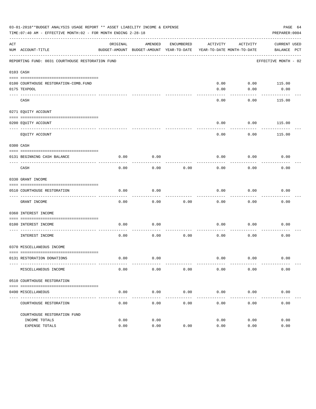|             | 03-01-2018**BUDGET ANALYSIS USAGE REPORT ** ASSET LIABILITY INCOME & EXPENSE<br>PAGE 64<br>TIME: 07:40 AM - EFFECTIVE MONTH: 02 - FOR MONTH ENDING 2-28-18<br>PREPARER: 0004 |          |                                                     |                     |                                        |               |                                    |  |
|-------------|------------------------------------------------------------------------------------------------------------------------------------------------------------------------------|----------|-----------------------------------------------------|---------------------|----------------------------------------|---------------|------------------------------------|--|
| ACT         | NUM ACCOUNT-TITLE                                                                                                                                                            | ORIGINAL | AMENDED<br>BUDGET-AMOUNT BUDGET-AMOUNT YEAR-TO-DATE | ENCUMBERED          | ACTIVITY<br>YEAR-TO-DATE MONTH-TO-DATE | ACTIVITY      | <b>CURRENT USED</b><br>BALANCE PCT |  |
|             | REPORTING FUND: 0031 COURTHOUSE RESTORATION FUND                                                                                                                             |          |                                                     |                     |                                        |               | EFFECTIVE MONTH - 02               |  |
|             | 0103 CASH                                                                                                                                                                    |          |                                                     |                     |                                        |               |                                    |  |
|             |                                                                                                                                                                              |          |                                                     |                     |                                        |               |                                    |  |
|             | 0100 COURTHOUSE RESTORATION-COMB.FUND                                                                                                                                        |          |                                                     |                     | 0.00                                   | $0.00$ 115.00 |                                    |  |
|             | 0175 TEXPOOL                                                                                                                                                                 |          |                                                     |                     | 0.00                                   | 0.00          | 0.00                               |  |
|             | CASH                                                                                                                                                                         |          |                                                     |                     | 0.00                                   | 0.00          | 115.00                             |  |
|             | 0271 EQUITY ACCOUNT                                                                                                                                                          |          |                                                     |                     |                                        |               |                                    |  |
|             | 0200 EQUITY ACCOUNT                                                                                                                                                          |          |                                                     |                     | 0.00                                   | 0.00          | 115.00                             |  |
| $- - - - -$ | EQUITY ACCOUNT                                                                                                                                                               |          |                                                     |                     | 0.00                                   | 0.00          | 115.00                             |  |
|             | 0300 CASH                                                                                                                                                                    |          |                                                     |                     |                                        |               |                                    |  |
|             | 0131 BEGINNING CASH BALANCE                                                                                                                                                  | 0.00     | 0.00                                                |                     | 0.00                                   | 0.00          | 0.00                               |  |
|             | CASH                                                                                                                                                                         | 0.00     | 0.00                                                | 0.00                | 0.00                                   | 0.00          | 0.00                               |  |
|             | 0330 GRANT INCOME                                                                                                                                                            |          |                                                     |                     |                                        |               |                                    |  |
|             | 0510 COURTHOUSE RESTORATION                                                                                                                                                  | 0.00     | 0.00                                                |                     | 0.00                                   | 0.00          | 0.00                               |  |
|             | GRANT INCOME                                                                                                                                                                 | 0.00     | 0.00                                                | 0.00                | 0.00                                   | 0.00          | 0.00                               |  |
|             | 0360 INTEREST INCOME                                                                                                                                                         |          |                                                     |                     |                                        |               |                                    |  |
|             | 0100 INTEREST INCOME                                                                                                                                                         | 0.00     | 0.00                                                |                     | 0.00                                   | 0.00          | 0.00                               |  |
|             | INTEREST INCOME                                                                                                                                                              | 0.00     | 0.00                                                | 0.00                | 0.00                                   | 0.00          | 0.00                               |  |
|             | 0370 MISCELLANEOUS INCOME                                                                                                                                                    |          |                                                     |                     |                                        |               |                                    |  |
|             |                                                                                                                                                                              |          |                                                     |                     |                                        |               |                                    |  |
|             | 0131 RESTORATION DONATIONS                                                                                                                                                   | 0.00     | 0.00                                                |                     | 0.00                                   | 0.00          | 0.00                               |  |
|             | MISCELLANEOUS INCOME                                                                                                                                                         | 0.00     | 0.00                                                | 0.00                | 0.00                                   | 0.00          | 0.00                               |  |
|             | 0510 COURTHOUSE RESTORATION                                                                                                                                                  |          |                                                     |                     |                                        |               |                                    |  |
|             | 0490 MISCELLANEOUS                                                                                                                                                           | 0.00     | 0.00                                                | 0.00<br>$- - - - -$ | 0.00                                   | 0.00          | 0.00                               |  |
|             | COURTHOUSE RESTORATION                                                                                                                                                       | 0.00     | 0.00                                                | 0.00                | 0.00                                   | 0.00          | 0.00                               |  |
|             | COURTHOUSE RESTORATION FUND                                                                                                                                                  |          |                                                     |                     |                                        |               |                                    |  |
|             | INCOME TOTALS                                                                                                                                                                | 0.00     | 0.00                                                |                     | 0.00                                   | 0.00          | 0.00                               |  |
|             | EXPENSE TOTALS                                                                                                                                                               | 0.00     | 0.00                                                | 0.00                | 0.00                                   | 0.00          | 0.00                               |  |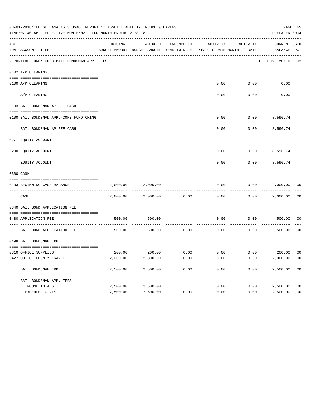| 03-01-2018**BUDGET ANALYSIS USAGE REPORT ** ASSET LIABILITY INCOME & EXPENSE<br>PAGE 65<br>TIME: 07:40 AM - EFFECTIVE MONTH: 02 - FOR MONTH ENDING 2-28-18<br>PREPARER: 0004 |                                              |          |          |            |                                                                                 |                          |                             |                |
|------------------------------------------------------------------------------------------------------------------------------------------------------------------------------|----------------------------------------------|----------|----------|------------|---------------------------------------------------------------------------------|--------------------------|-----------------------------|----------------|
| ACT                                                                                                                                                                          | NUM ACCOUNT-TITLE                            | ORIGINAL | AMENDED  | ENCUMBERED | ACTIVITY<br>BUDGET-AMOUNT BUDGET-AMOUNT YEAR-TO-DATE YEAR-TO-DATE MONTH-TO-DATE | ACTIVITY                 | CURRENT USED<br>BALANCE PCT |                |
|                                                                                                                                                                              | REPORTING FUND: 0033 BAIL BONDSMAN APP. FEES |          |          |            |                                                                                 |                          | EFFECTIVE MONTH - 02        |                |
|                                                                                                                                                                              | 0102 A/P CLEARING                            |          |          |            |                                                                                 |                          |                             |                |
|                                                                                                                                                                              |                                              |          |          |            |                                                                                 |                          |                             |                |
|                                                                                                                                                                              | 0100 A/P CLEARING<br>---- ---------          |          |          |            | 0.00                                                                            | 0.00                     | 0.00                        |                |
|                                                                                                                                                                              | A/P CLEARING                                 |          |          |            | 0.00                                                                            | 0.00                     | 0.00                        |                |
|                                                                                                                                                                              | 0103 BAIL BONDSMAN AP.FEE CASH               |          |          |            |                                                                                 |                          |                             |                |
|                                                                                                                                                                              | 0100 BAIL BONDSMAN APP.-COMB FUND CKING      |          |          |            | 0.00                                                                            | 0.00                     | 8,596.74                    |                |
|                                                                                                                                                                              | BAIL BONDSMAN AP.FEE CASH                    |          |          |            | 0.00                                                                            | 0.00                     | 8,596.74                    |                |
|                                                                                                                                                                              | 0271 EQUITY ACCOUNT                          |          |          |            |                                                                                 |                          |                             |                |
|                                                                                                                                                                              | 0200 EQUITY ACCOUNT                          |          |          |            |                                                                                 | $0.00$ $0.00$ $8,596.74$ |                             |                |
|                                                                                                                                                                              | EOUITY ACCOUNT                               |          |          |            | 0.00                                                                            | 0.00                     | 8,596.74                    |                |
|                                                                                                                                                                              | 0300 CASH                                    |          |          |            |                                                                                 |                          |                             |                |
|                                                                                                                                                                              | 0133 BEGINNING CASH BALANCE                  | 2,000.00 | 2,000.00 |            | 0.00                                                                            | 0.00                     | 2,000.00 00                 |                |
|                                                                                                                                                                              |                                              |          |          |            |                                                                                 |                          |                             |                |
|                                                                                                                                                                              | CASH                                         | 2,000.00 | 2,000.00 | 0.00       | 0.00                                                                            |                          | $0.00$ 2,000.00             | 0 <sub>0</sub> |
|                                                                                                                                                                              | 0340 BAIL BOND APPLICATION FEE               |          |          |            |                                                                                 |                          |                             |                |
|                                                                                                                                                                              | 0480 APPLICATION FEE                         | 500.00   | 500.00   |            | 0.00                                                                            | 0.00                     | 500.00                      | 00             |
|                                                                                                                                                                              | BAIL BOND APPLICATION FEE                    | 500.00   | 500.00   | 0.00       | 0.00                                                                            | 0.00                     | 500.00                      | 0 <sub>0</sub> |
|                                                                                                                                                                              | 0498 BAIL BONDSMAN EXP.                      |          |          |            |                                                                                 |                          |                             |                |
|                                                                                                                                                                              | 0310 OFFICE SUPPLIES                         |          |          |            | $200.00$ $200.00$ $0.00$ $0.00$ $0.00$ $0.00$ $200.00$ $00$                     |                          |                             |                |
|                                                                                                                                                                              | 0427 OUT OF COUNTY TRAVEL                    | 2,300.00 | 2,300.00 | 0.00       | 0.00                                                                            | 0.00                     | 2,300.00                    | - 00           |
|                                                                                                                                                                              | BAIL BONDSMAN EXP.                           | 2,500.00 | 2,500.00 | 0.00       | 0.00                                                                            | 0.00                     | 2,500.00                    | 0 <sub>0</sub> |
|                                                                                                                                                                              | BAIL BONDSMAN APP. FEES                      |          |          |            |                                                                                 |                          |                             |                |
|                                                                                                                                                                              | INCOME TOTALS                                | 2,500.00 | 2,500.00 |            | 0.00                                                                            | 0.00                     | 2,500.00                    | 0 <sub>0</sub> |
|                                                                                                                                                                              | EXPENSE TOTALS                               | 2,500.00 | 2,500.00 | 0.00       | 0.00                                                                            | 0.00                     | 2,500.00                    | 0 <sub>0</sub> |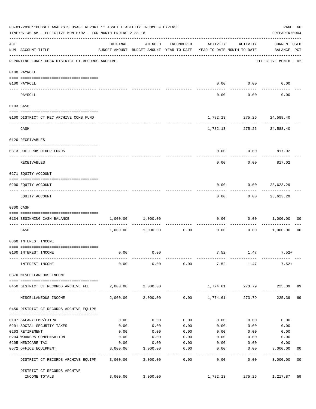|     | 03-01-2018**BUDGET ANALYSIS USAGE REPORT ** ASSET LIABILITY INCOME & EXPENSE<br>TIME: 07:40 AM - EFFECTIVE MONTH: 02 - FOR MONTH ENDING 2-28-18 |          |                                                                                |                   |                  |                             | PAGE 66<br>PREPARER: 0004               |                |
|-----|-------------------------------------------------------------------------------------------------------------------------------------------------|----------|--------------------------------------------------------------------------------|-------------------|------------------|-----------------------------|-----------------------------------------|----------------|
| ACT | NUM ACCOUNT-TITLE                                                                                                                               | ORIGINAL | AMENDED<br>BUDGET-AMOUNT BUDGET-AMOUNT YEAR-TO-DATE YEAR-TO-DATE MONTH-TO-DATE | ENCUMBERED        | ACTIVITY         | ACTIVITY                    | <b>CURRENT USED</b><br>BALANCE PCT      |                |
|     | REPORTING FUND: 0034 DISTRICT CT.RECORDS ARCHIVE                                                                                                |          |                                                                                |                   |                  |                             | ---------------<br>EFFECTIVE MONTH - 02 |                |
|     | 0100 PAYROLL                                                                                                                                    |          |                                                                                |                   |                  |                             |                                         |                |
|     |                                                                                                                                                 |          |                                                                                |                   |                  |                             |                                         |                |
|     | 0100 PAYROLL<br>----- -------                                                                                                                   |          |                                                                                |                   |                  | $0.00$ $0.00$<br>---------- | 0.00                                    |                |
|     | PAYROLL                                                                                                                                         |          |                                                                                |                   | 0.00             | 0.00                        | 0.00                                    |                |
|     | 0103 CASH                                                                                                                                       |          |                                                                                |                   |                  |                             |                                         |                |
|     | 0100 DISTRICT CT.REC.ARCHIVE COMB.FUND                                                                                                          |          |                                                                                |                   |                  | 1,782.13 275.26 24,588.40   |                                         |                |
|     | CASH                                                                                                                                            |          |                                                                                |                   |                  | 1,782.13 275.26 24,588.40   | ------------- --------------            |                |
|     | 0120 RECEIVABLES                                                                                                                                |          |                                                                                |                   |                  |                             |                                         |                |
|     | 0313 DUE FROM OTHER FUNDS                                                                                                                       |          |                                                                                |                   | 0.00             | $0.00$ 817.02               |                                         |                |
|     | RECEIVABLES                                                                                                                                     |          |                                                                                |                   | 0.00             | 0.00                        | 817.02                                  |                |
|     | 0271 EQUITY ACCOUNT                                                                                                                             |          |                                                                                |                   |                  |                             |                                         |                |
|     | 0200 EQUITY ACCOUNT                                                                                                                             |          |                                                                                |                   | 0.00             | $0.00$ 23,623.29            |                                         |                |
|     | EQUITY ACCOUNT                                                                                                                                  |          |                                                                                |                   | --------<br>0.00 | ---------                   | . <u>.</u> .<br>$0.00$ 23,623.29        |                |
|     | 0300 CASH                                                                                                                                       |          |                                                                                |                   |                  |                             |                                         |                |
|     | 0134 BEGINNING CASH BALANCE                                                                                                                     |          | 1,000.00 1,000.00                                                              |                   | 0.00             |                             | 0.00 1,000.00                           | 00             |
|     | CASH                                                                                                                                            |          | $1,000.00$ $1,000.00$                                                          | 0.00              | 0.00             |                             | $0.00$ 1,000.00                         | 0 <sub>0</sub> |
|     | 0360 INTEREST INCOME                                                                                                                            |          |                                                                                |                   |                  |                             |                                         |                |
|     | 0100 INTEREST INCOME                                                                                                                            | 0.00     | 0.00                                                                           |                   |                  | 7.52 1.47                   | $7.52+$                                 |                |
|     | INTEREST INCOME                                                                                                                                 | 0.00     | 0.00                                                                           | 0.00              | 7.52             | 1.47                        | $7.52+$                                 |                |
|     | 0370 MISCELLANEOUS INCOME                                                                                                                       |          |                                                                                |                   |                  |                             |                                         |                |
|     | 0450 DISTRICT CT.RECORDS ARCHIVE FEE                                                                                                            |          | 2,000.00 2,000.00                                                              |                   |                  | 1,774.61 273.79             | 225.39 89                               |                |
|     | MISCELLANEOUS INCOME                                                                                                                            |          | 2,000.00 2,000.00                                                              |                   | $0.00$ 1,774.61  | 273.79                      | 225.39                                  | 89             |
|     | 0450 DISTRICT CT.RECORDS ARCHIVE EQUIPM                                                                                                         |          |                                                                                |                   |                  |                             |                                         |                |
|     | 0107 SALARYTEMP/EXTRA                                                                                                                           | 0.00     | 0.00                                                                           | 0.00              | 0.00             | 0.00                        | 0.00                                    |                |
|     | 0201 SOCIAL SECURITY TAXES                                                                                                                      | 0.00     | 0.00                                                                           | 0.00              | 0.00             | 0.00                        | 0.00                                    |                |
|     | 0203 RETIREMENT                                                                                                                                 | 0.00     | 0.00                                                                           | 0.00              | 0.00             | 0.00                        | 0.00                                    |                |
|     | 0204 WORKERS COMPENSATION                                                                                                                       | 0.00     | 0.00                                                                           | 0.00              | 0.00             | 0.00                        | 0.00                                    |                |
|     | 0205 MEDICARE TAX                                                                                                                               | 0.00     | 0.00                                                                           | 0.00              | 0.00             | 0.00                        | 0.00                                    |                |
|     | 0572 OFFICE EQUIPMENT                                                                                                                           | 3,000.00 | 3,000.00                                                                       | 0.00              | 0.00             | 0.00                        | 3,000.00                                | 00             |
|     | ------------------- -------------<br>DISTRICT CT.RECORDS ARCHIVE EQUIPM                                                                         |          | -----------<br>3,000.00 3,000.00                                               | ---------<br>0.00 | ------<br>0.00   | ---------<br>0.00           | -----------<br>3,000.00                 | 0 <sub>0</sub> |
|     | DISTRICT CT.RECORDS ARCHIVE                                                                                                                     |          |                                                                                |                   |                  |                             |                                         |                |
|     | INCOME TOTALS                                                                                                                                   | 3,000.00 | 3,000.00                                                                       |                   | 1,782.13         | 275.26                      | 1,217.87                                | 59             |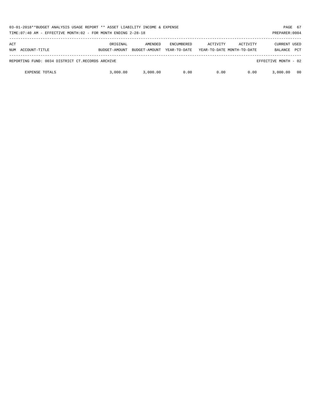| 03-01-2018**BUDGET ANALYSIS USAGE REPORT ** ASSET LIABILITY INCOME & EXPENSE<br>TIME:07:40 AM - EFFECTIVE MONTH:02 - FOR MONTH ENDING 2-28-18 |                           |                          |                                   |          |                                        |                                       |            |
|-----------------------------------------------------------------------------------------------------------------------------------------------|---------------------------|--------------------------|-----------------------------------|----------|----------------------------------------|---------------------------------------|------------|
| ACT<br>ACCOUNT-TITLE<br>NUM                                                                                                                   | ORIGINAL<br>BUDGET-AMOUNT | AMENDED<br>BUDGET-AMOUNT | <b>ENCUMBERED</b><br>YEAR-TO-DATE | ACTIVITY | ACTIVITY<br>YEAR-TO-DATE MONTH-TO-DATE | <b>CURRENT USED</b><br><b>BALANCE</b> | <b>PCT</b> |
| REPORTING FUND: 0034 DISTRICT CT.RECORDS ARCHIVE                                                                                              |                           |                          |                                   |          |                                        | EFFECTIVE MONTH - 02                  |            |
| <b>EXPENSE TOTALS</b>                                                                                                                         | 3,000,00                  | 3,000.00                 | 0.00                              | 0.00     | 0.00                                   | 3,000,00                              | 00         |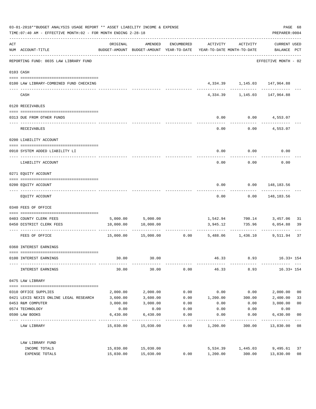| 03-01-2018**BUDGET ANALYSIS USAGE REPORT ** ASSET LIABILITY INCOME & EXPENSE<br>TIME: 07:40 AM - EFFECTIVE MONTH: 02 - FOR MONTH ENDING 2-28-18 |                                                                                 |                      |                                                                     |                    |                  |                                                                                                        |                                    | PAGE 68<br>PREPARER: 0004 |
|-------------------------------------------------------------------------------------------------------------------------------------------------|---------------------------------------------------------------------------------|----------------------|---------------------------------------------------------------------|--------------------|------------------|--------------------------------------------------------------------------------------------------------|------------------------------------|---------------------------|
| ACT                                                                                                                                             | NUM ACCOUNT-TITLE                                                               | ORIGINAL             | BUDGET-AMOUNT BUDGET-AMOUNT YEAR-TO-DATE YEAR-TO-DATE MONTH-TO-DATE | AMENDED ENCUMBERED | ACTIVITY         | ACTIVITY                                                                                               | <b>CURRENT USED</b><br>BALANCE PCT |                           |
|                                                                                                                                                 | --------------------------------------<br>REPORTING FUND: 0035 LAW LIBRARY FUND |                      |                                                                     |                    |                  |                                                                                                        | EFFECTIVE MONTH - 02               |                           |
|                                                                                                                                                 | 0103 CASH                                                                       |                      |                                                                     |                    |                  |                                                                                                        |                                    |                           |
|                                                                                                                                                 | 0100 LAW LIBRARY-COMBINED FUND CHECKING                                         |                      |                                                                     |                    |                  | 4,334.39 1,145.03 147,964.88<br>--------- ------------ ----------                                      |                                    |                           |
|                                                                                                                                                 | CASH                                                                            |                      |                                                                     |                    |                  | 4,334.39 1,145.03 147,964.88                                                                           |                                    |                           |
|                                                                                                                                                 | 0120 RECEIVABLES                                                                |                      |                                                                     |                    |                  |                                                                                                        |                                    |                           |
|                                                                                                                                                 | 0313 DUE FROM OTHER FUNDS                                                       |                      |                                                                     |                    | 0.00             | $0.00$ 4,553.07                                                                                        |                                    |                           |
|                                                                                                                                                 | RECEIVABLES                                                                     |                      |                                                                     |                    | 0.00             |                                                                                                        | $0.00$ 4,553.07                    |                           |
|                                                                                                                                                 | 0200 LIABILITY ACCOUNT                                                          |                      |                                                                     |                    |                  |                                                                                                        |                                    |                           |
|                                                                                                                                                 | 0910 SYSTEM ADDED LIABILITY LI                                                  |                      |                                                                     |                    | 0.00             | 0.00                                                                                                   | 0.00                               |                           |
|                                                                                                                                                 | LIABILITY ACCOUNT                                                               |                      |                                                                     |                    | 0.00             | 0.00                                                                                                   | 0.00                               |                           |
|                                                                                                                                                 | 0271 EQUITY ACCOUNT                                                             |                      |                                                                     |                    |                  |                                                                                                        |                                    |                           |
|                                                                                                                                                 | 0200 EQUITY ACCOUNT                                                             |                      |                                                                     |                    | 0.00             |                                                                                                        | $0.00$ 148,183.56                  |                           |
|                                                                                                                                                 | EQUITY ACCOUNT                                                                  |                      |                                                                     |                    | 0.00             |                                                                                                        | 0.00 148,183.56                    |                           |
|                                                                                                                                                 | 0340 FEES OF OFFICE                                                             |                      |                                                                     |                    |                  |                                                                                                        |                                    |                           |
|                                                                                                                                                 | 0403 COUNTY CLERK FEES                                                          |                      |                                                                     |                    |                  |                                                                                                        |                                    | 31                        |
|                                                                                                                                                 | 0450 DISTRICT CLERK FEES                                                        |                      | 5,000.00 5,000.00<br>10,000.00 10,000.00                            |                    | 3,945.12         | 1,542.94 700.14 3,457.06<br>735.96                                                                     | 6,054.88                           | 39                        |
|                                                                                                                                                 | FEES OF OFFICE                                                                  |                      |                                                                     |                    |                  | ----------- ----------- -----------<br>$15,000.00$ $15,000.00$ $0.00$ $5,488.06$ $1,436.10$ $9,511.94$ |                                    | 37                        |
|                                                                                                                                                 | 0360 INTEREST EARNINGS                                                          |                      |                                                                     |                    |                  |                                                                                                        |                                    |                           |
|                                                                                                                                                 | 0100 INTEREST EARNINGS                                                          | 30.00                | 30.00                                                               |                    | 46.33            | 8.93                                                                                                   | $16.33 + 154$                      |                           |
|                                                                                                                                                 | INTEREST EARNINGS                                                               | 30.00                | 30.00                                                               | 0.00               | 46.33            | 8.93                                                                                                   | $16.33 + 154$                      |                           |
|                                                                                                                                                 | 0475 LAW LIBRARY                                                                |                      |                                                                     |                    |                  |                                                                                                        |                                    |                           |
|                                                                                                                                                 |                                                                                 |                      |                                                                     |                    |                  |                                                                                                        |                                    |                           |
|                                                                                                                                                 | 0310 OFFICE SUPPLIES                                                            | 2,000.00             | 2,000.00                                                            | 0.00               | 0.00             | 0.00                                                                                                   | 2,000.00                           | 0 <sub>0</sub>            |
|                                                                                                                                                 | 0421 LEXIS NEXIS ONLINE LEGAL RESEARCH<br>0453 R&M COMPUTER                     | 3,600.00<br>3,000.00 | 3,600.00<br>3,000.00                                                | 0.00<br>0.00       | 1,200.00<br>0.00 | 300.00<br>0.00                                                                                         | 2,400.00<br>3,000.00               | 33<br>0 <sub>0</sub>      |
|                                                                                                                                                 | 0574 TECHNOLOGY                                                                 | 0.00                 | 0.00                                                                | 0.00               | 0.00             | 0.00                                                                                                   | 0.00                               |                           |
|                                                                                                                                                 | 0590 LAW BOOKS                                                                  | 6,430.00             | 6,430.00                                                            | 0.00               | 0.00             | 0.00                                                                                                   | 6,430.00                           | 0 <sub>0</sub>            |
|                                                                                                                                                 | LAW LIBRARY                                                                     |                      | 15,030.00 15,030.00                                                 | 0.00               | 1,200.00         | 300.00                                                                                                 | 13,830.00 08                       |                           |
|                                                                                                                                                 | LAW LIBRARY FUND                                                                |                      |                                                                     |                    |                  |                                                                                                        |                                    |                           |
|                                                                                                                                                 | INCOME TOTALS                                                                   | 15,030.00            | 15,030.00                                                           |                    | 5,534.39         | 1,445.03                                                                                               | 9,495.61                           | 37                        |
|                                                                                                                                                 | EXPENSE TOTALS                                                                  | 15,030.00            | 15,030.00                                                           | 0.00               | 1,200.00         | 300.00                                                                                                 | 13,830.00                          | 08                        |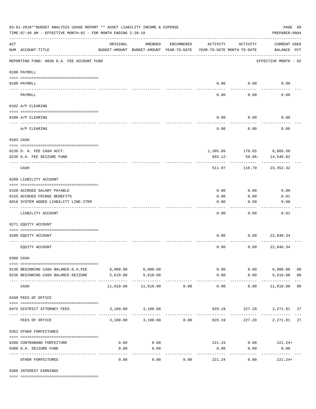|                    | 03-01-2018**BUDGET ANALYSIS USAGE REPORT ** ASSET LIABILITY INCOME & EXPENSE<br>TIME: 07:40 AM - EFFECTIVE MONTH: 02 - FOR MONTH ENDING 2-28-18 |                                                      |                    |            |                       |                                        | PREPARER: 0004                     | PAGE 69        |
|--------------------|-------------------------------------------------------------------------------------------------------------------------------------------------|------------------------------------------------------|--------------------|------------|-----------------------|----------------------------------------|------------------------------------|----------------|
| $\mathop{\rm ACT}$ | NUM ACCOUNT-TITLE                                                                                                                               | ORIGINAL<br>BUDGET-AMOUNT BUDGET-AMOUNT YEAR-TO-DATE | AMENDED            | ENCUMBERED | ACTIVITY              | ACTIVITY<br>YEAR-TO-DATE MONTH-TO-DATE | <b>CURRENT USED</b><br>BALANCE PCT |                |
|                    | REPORTING FUND: 0036 D.A. FEE ACCOUNT FUND                                                                                                      |                                                      |                    |            |                       |                                        | EFFECTIVE MONTH - 02               |                |
|                    | 0100 PAYROLL                                                                                                                                    |                                                      |                    |            |                       |                                        |                                    |                |
|                    | 0100 PAYROLL                                                                                                                                    |                                                      |                    |            |                       | $0.00$ 0.00                            | 0.00                               |                |
| ---- ---           | PAYROLL                                                                                                                                         |                                                      |                    |            | 0.00                  | 0.00                                   | 0.00                               |                |
|                    | 0102 A/P CLEARING                                                                                                                               |                                                      |                    |            |                       |                                        |                                    |                |
|                    | 0100 A/P CLEARING                                                                                                                               |                                                      |                    |            | 0.00                  | 0.00                                   | 0.00                               |                |
|                    |                                                                                                                                                 |                                                      |                    |            |                       |                                        |                                    |                |
|                    | A/P CLEARING                                                                                                                                    |                                                      |                    |            | 0.00                  | 0.00                                   | 0.00                               |                |
|                    | 0103 CASH                                                                                                                                       |                                                      |                    |            |                       |                                        |                                    |                |
|                    | 0136 D. A. FEE CASH ACCT.                                                                                                                       |                                                      |                    |            |                       |                                        | 1,205.09 178.65 8,805.50           |                |
|                    | 0236 D.A. FEE SEIZURE FUND                                                                                                                      |                                                      |                    |            | $693.12 -$            | 59.86-                                 | 14,546.82                          |                |
|                    | CASH                                                                                                                                            |                                                      |                    |            | 511.97                | 118.79                                 | 23,352.32                          |                |
|                    | 0200 LIABILITY ACCOUNT                                                                                                                          |                                                      |                    |            |                       |                                        |                                    |                |
|                    | 0150 ACCRUED SALARY PAYABLE                                                                                                                     |                                                      |                    |            | 0.00                  | 0.00                                   | 0.00                               |                |
|                    | 0155 ACCRUED FRINGE BENEFITS                                                                                                                    |                                                      |                    |            | 0.00                  | 0.00                                   | 0.01                               |                |
|                    | 0910 SYSTEM ADDED LIABILITY LINE-ITEM                                                                                                           |                                                      |                    |            | 0.00                  | 0.00                                   | 0.00                               |                |
|                    | LIABILITY ACCOUNT                                                                                                                               |                                                      |                    |            | 0.00                  | 0.00                                   | 0.01                               |                |
|                    | 0271 EQUITY ACCOUNT                                                                                                                             |                                                      |                    |            |                       |                                        |                                    |                |
|                    | 0200 EQUITY ACCOUNT                                                                                                                             |                                                      |                    |            | 0.00                  | 0.00                                   | 22,840.34                          |                |
|                    | EQUITY ACCOUNT                                                                                                                                  |                                                      |                    |            | 0.00                  | 0.00                                   | 22,840.34                          |                |
|                    | 0300 CASH                                                                                                                                       |                                                      |                    |            |                       |                                        |                                    |                |
|                    | 0136 BEGINNING CASH BALANCE-D.A.FEE                                                                                                             | $6,000.00$ $6,000.00$                                |                    |            |                       | 0.00                                   | $0.00$ 6,000.00                    | 0 <sub>0</sub> |
|                    | 0236 BEGINNING CASH BALANCE-SEIZURE                                                                                                             | 5,610.00                                             | 5,610.00           |            | 0.00                  |                                        | $0.00$ 5,610.00                    | 0 <sub>0</sub> |
|                    | CASH                                                                                                                                            | 11,610.00                                            | 11,610.00          | 0.00       | -------------<br>0.00 | .<br>0.00                              | .<br>11,610.00 00                  |                |
|                    | 0340 FEES OF OFFICE                                                                                                                             |                                                      |                    |            |                       |                                        |                                    |                |
|                    | 0475 DISTRICT ATTORNEY FEES                                                                                                                     |                                                      | 3,100.00 3,100.00  |            |                       |                                        | 828.19 227.20 2,271.81 27          |                |
|                    | FEES OF OFFICE                                                                                                                                  |                                                      | 3,100.00 3,100.00  | 0.00       | 828.19                |                                        | 227.20 2,271.81 27                 |                |
|                    | 0352 OTHER FORFEITURES                                                                                                                          |                                                      |                    |            |                       |                                        |                                    |                |
|                    | 0200 CONTRABAND FORFEITURE                                                                                                                      | 0.00                                                 | 0.00               |            | 221.24                |                                        | $0.00$ 221.24+                     |                |
|                    | 0300 D.A. SEIZURE FUND                                                                                                                          | 0.00                                                 | 0.00               |            | 0.00                  | 0.00                                   | 0.00                               |                |
|                    | OTHER FORFEITURES                                                                                                                               | 0.00                                                 | ----------<br>0.00 | 0.00       | 221.24                | 0.00                                   | -----------<br>$221.24+$           |                |

0360 INTEREST EARNINGS

==== ===================================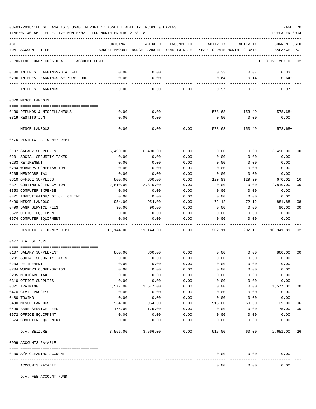TIME:07:40 AM - EFFECTIVE MONTH:02 - FOR MONTH ENDING 2-28-18 PREPARER:0004

| ACT                                          | ORIGINAL     | AMENDED                                  | ENCUMBERED   | ACTIVITY                   | ACTIVITY     | <b>CURRENT USED</b>        |
|----------------------------------------------|--------------|------------------------------------------|--------------|----------------------------|--------------|----------------------------|
| NUM ACCOUNT-TITLE                            |              | BUDGET-AMOUNT BUDGET-AMOUNT YEAR-TO-DATE |              | YEAR-TO-DATE MONTH-TO-DATE |              | BALANCE<br>PCT             |
| REPORTING FUND: 0036 D.A. FEE ACCOUNT FUND   |              |                                          |              |                            |              | EFFECTIVE MONTH - 02       |
|                                              |              |                                          |              |                            |              |                            |
| 0100 INTEREST EARNINGS-D.A. FEE              | 0.00         | 0.00                                     |              | 0.33                       | 0.07         | $0.33+$                    |
| 0236 INTEREST EARNINGS-SEIZURE FUND          | 0.00         | 0.00                                     |              | 0.64                       | 0.14         | $0.64+$                    |
|                                              |              |                                          |              |                            |              |                            |
| INTEREST EARNINGS                            | 0.00         | 0.00                                     | 0.00         | 0.97                       | 0.21         | $0.97+$                    |
|                                              |              |                                          |              |                            |              |                            |
| 0370 MISCELLANEOUS                           |              |                                          |              |                            |              |                            |
| 0130 REFUNDS & MISCELLANEOUS                 | 0.00         | 0.00                                     |              | 578.68                     | 153.49       | $578.68+$                  |
| 0319 RESTITUTION                             | 0.00         | 0.00                                     |              | 0.00                       | 0.00         | 0.00                       |
|                                              |              |                                          |              |                            |              |                            |
| MISCELLANEOUS                                | 0.00         | 0.00                                     | 0.00         | 578.68                     | 153.49       | $578.68+$                  |
| 0475 DISTRICT ATTORNEY DEPT                  |              |                                          |              |                            |              |                            |
|                                              |              |                                          |              |                            |              |                            |
| 0107 SALARY SUPPLEMENT                       | 6,490.00     | 6,490.00                                 | 0.00         | 0.00                       | 0.00         | 6,490.00<br>00             |
| 0201 SOCIAL SECURITY TAXES                   | 0.00         | 0.00                                     | 0.00         | 0.00                       | 0.00         | 0.00                       |
| 0203 RETIREMENT<br>0204 WORKERS COMPENSATION | 0.00<br>0.00 | 0.00<br>0.00                             | 0.00<br>0.00 | 0.00<br>0.00               | 0.00<br>0.00 | 0.00<br>0.00               |
| 0205 MEDICARE TAX                            | 0.00         | 0.00                                     | 0.00         | 0.00                       | 0.00         | 0.00                       |
| 0310 OFFICE SUPPLIES                         | 800.00       | 800.00                                   | 0.00         | 129.99                     | 129.99       | 670.01<br>16               |
| 0321 CONTINUING EDUCATION                    | 2,810.00     | 2,810.00                                 | 0.00         | 0.00                       | 0.00         | 2,810.00<br>0 <sup>0</sup> |
| 0353 COMPUTER EXPENSE                        | 0.00         | 0.00                                     | 0.00         | 0.00                       | 0.00         | 0.00                       |
| 0421 INVESTIGATOR/HOT CK. ONLINE             | 0.00         | 0.00                                     | 0.00         | 0.00                       | 0.00         | 0.00                       |
| 0490 MISCELLANEOUS                           | 954.00       | 954.00                                   | 0.00         | 72.12                      | 72.12        | 881.88<br>08               |
| 0499 BANK SERVICE FEES                       | 90.00        | 90.00                                    | 0.00         | 0.00                       | 0.00         | 90.00<br>0 <sub>0</sub>    |
| 0572 OFFICE EQUIPMENT                        | 0.00         | 0.00                                     | 0.00         | 0.00                       | 0.00         | 0.00                       |
| 0574 COMPUTER EQUIPMENT                      | 0.00         | 0.00                                     | 0.00         | 0.00                       | 0.00         | 0.00                       |
|                                              |              |                                          |              |                            |              |                            |
| DISTRICT ATTORNEY DEPT                       | 11,144.00    | 11,144.00                                | 0.00         | 202.11                     | 202.11       | 10,941.89<br>02            |
| 0477 D.A. SEIZURE                            |              |                                          |              |                            |              |                            |
| 0107 SALARY SUPPLEMENT                       | 860.00       | 860.00                                   | 0.00         | 0.00                       | 0.00         | 0 <sub>0</sub><br>860.00   |
| 0201 SOCIAL SECURITY TAXES                   | 0.00         | 0.00                                     | 0.00         | 0.00                       | 0.00         | 0.00                       |
| 0203 RETIREMENT                              | 0.00         | 0.00                                     | 0.00         | 0.00                       | 0.00         | 0.00                       |
| 0204 WORKERS COMPENSATION                    | 0.00         | 0.00                                     | 0.00         | 0.00                       | 0.00         | 0.00                       |
| 0205 MEDICARE TAX                            | 0.00         | 0.00                                     | 0.00         | 0.00                       | 0.00         | 0.00                       |
| 0310 OFFICE SUPPLIES                         | 0.00         | 0.00                                     | 0.00         | 0.00                       | 0.00         | 0.00                       |
| 0321 TRAINING                                | 1,577.00     | 1,577.00                                 | 0.00         | 0.00                       | 0.00         | 1,577.00<br>00             |
| 0470 CIVIL PROCESS                           | 0.00         | 0.00                                     | 0.00         | 0.00                       | 0.00         | 0.00                       |
| 0480 TOWING                                  | 0.00         | 0.00                                     | 0.00         | 0.00                       | 0.00         | 0.00                       |
| 0490 MISCELLANEOUS                           | 954.00       | 954.00                                   | 0.00         | 915.00                     | 60.00        | 96<br>39.00                |
| 0499 BANK SERVICE FEES                       | 175.00       | 175.00                                   | 0.00         | 0.00                       | 0.00         | 175.00<br>00               |
| 0572 OFFICE EQUIPMENT                        | 0.00         | 0.00                                     | 0.00         | 0.00                       | 0.00         | 0.00                       |
| 0574 COMPUTER EQUIPMENT                      | 0.00         | 0.00                                     | 0.00         | 0.00                       | 0.00         | 0.00                       |
| D.A. SEIZURE                                 | 3,566.00     | 3,566.00                                 | 0.00         | 915.00                     | 60.00        | 2,651.00 26                |
| 0999 ACCOUNTS PAYABLE                        |              |                                          |              |                            |              |                            |
|                                              |              |                                          |              |                            |              |                            |
| 0100 A/P CLEARING ACCOUNT                    |              |                                          |              | 0.00                       | 0.00         | 0.00                       |
| ACCOUNTS PAYABLE                             |              |                                          |              | 0.00                       | 0.00         | 0.00                       |

D.A. FEE ACCOUNT FUND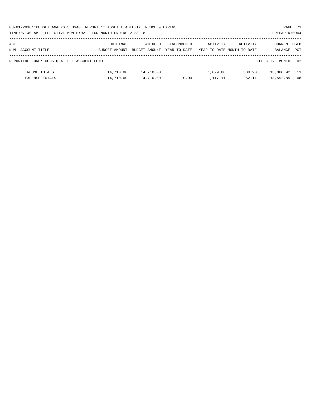| 03-01-2018**BUDGET ANALYSIS USAGE REPORT ** ASSET LIABILITY INCOME & EXPENSE | PAGE 71        |  |
|------------------------------------------------------------------------------|----------------|--|
| TIME: 07:40 AM - EFFECTIVE MONTH: 02 - FOR MONTH ENDING 2-28-18              | PREPARER: 0004 |  |

| ACT<br>NUM | ACCOUNT-TITLE                              | ORIGINAL<br>BUDGET-AMOUNT | AMENDED<br>BUDGET-AMOUNT | ENCUMBERED<br>YEAR-TO-DATE | ACTIVITY | ACTIVITY<br>YEAR-TO-DATE MONTH-TO-DATE | <b>CURRENT USED</b><br>BALANCE | PCT  |
|------------|--------------------------------------------|---------------------------|--------------------------|----------------------------|----------|----------------------------------------|--------------------------------|------|
|            |                                            |                           |                          |                            |          |                                        |                                |      |
|            | REPORTING FUND: 0036 D.A. FEE ACCOUNT FUND |                           |                          |                            |          |                                        | EFFECTIVE MONTH - 02           |      |
|            | INCOME TOTALS                              | 14,710.00                 | 14,710.00                |                            | 1,629.08 | 380.90                                 | 13,080.92                      | - 11 |
|            | EXPENSE TOTALS                             | 14,710.00                 | 14,710.00                | 0.00                       | 1,117.11 | 262.11                                 | 13,592.89                      | 08   |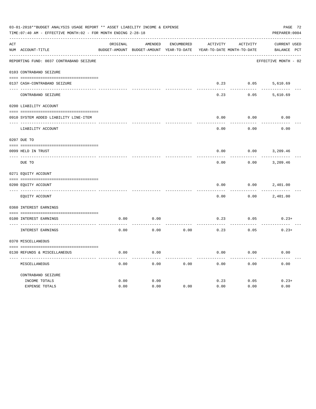| 03-01-2018**BUDGET ANALYSIS USAGE REPORT ** ASSET LIABILITY INCOME & EXPENSE<br>PAGE 72<br>TIME: 07:40 AM - EFFECTIVE MONTH: 02 - FOR MONTH ENDING 2-28-18<br>PREPARER: 0004 |                                         |          |                                          |                   |                            |          |                      |  |  |  |
|------------------------------------------------------------------------------------------------------------------------------------------------------------------------------|-----------------------------------------|----------|------------------------------------------|-------------------|----------------------------|----------|----------------------|--|--|--|
| ACT                                                                                                                                                                          |                                         | ORIGINAL | AMENDED                                  | <b>ENCUMBERED</b> | ACTIVITY                   | ACTIVITY | CURRENT USED         |  |  |  |
|                                                                                                                                                                              | NUM ACCOUNT-TITLE                       |          | BUDGET-AMOUNT BUDGET-AMOUNT YEAR-TO-DATE |                   | YEAR-TO-DATE MONTH-TO-DATE |          | BALANCE PCT          |  |  |  |
|                                                                                                                                                                              | REPORTING FUND: 0037 CONTRABAND SEIZURE |          |                                          |                   |                            |          | EFFECTIVE MONTH - 02 |  |  |  |
|                                                                                                                                                                              | 0103 CONTRABAND SEIZURE                 |          |                                          |                   |                            |          |                      |  |  |  |
|                                                                                                                                                                              | 0137 CASH-CONTRABAND SEIZURE            |          |                                          |                   | 0.23                       | 0.05     | 5,610.69             |  |  |  |
|                                                                                                                                                                              | CONTRABAND SEIZURE                      |          |                                          |                   | 0.23                       | 0.05     | 5,610.69             |  |  |  |
|                                                                                                                                                                              | 0200 LIABILITY ACCOUNT                  |          |                                          |                   |                            |          |                      |  |  |  |
|                                                                                                                                                                              | 0910 SYSTEM ADDED LIABILITY LINE-ITEM   |          |                                          |                   | 0.00                       | 0.00     | 0.00                 |  |  |  |
|                                                                                                                                                                              | LIABILITY ACCOUNT                       |          |                                          |                   | 0.00                       | 0.00     | 0.00                 |  |  |  |
|                                                                                                                                                                              | 0207 DUE TO                             |          |                                          |                   |                            |          |                      |  |  |  |
|                                                                                                                                                                              | 0099 HELD IN TRUST                      |          |                                          |                   | 0.00                       | 0.00     | 3,209.46             |  |  |  |
|                                                                                                                                                                              | DUE TO                                  |          |                                          |                   | 0.00                       | 0.00     | 3,209.46             |  |  |  |
|                                                                                                                                                                              | 0271 EQUITY ACCOUNT                     |          |                                          |                   |                            |          |                      |  |  |  |
|                                                                                                                                                                              | 0200 EQUITY ACCOUNT                     |          |                                          |                   | 0.00                       | 0.00     | 2,401.00             |  |  |  |
|                                                                                                                                                                              | EQUITY ACCOUNT                          |          |                                          |                   | 0.00                       | 0.00     | 2,401.00             |  |  |  |
|                                                                                                                                                                              | 0360 INTEREST EARNINGS                  |          |                                          |                   |                            |          |                      |  |  |  |
|                                                                                                                                                                              | 0100 INTEREST EARNINGS                  | 0.00     | 0.00                                     |                   | 0.23                       | 0.05     | $0.23+$              |  |  |  |
|                                                                                                                                                                              | INTEREST EARNINGS                       | 0.00     | 0.00                                     | 0.00              | 0.23                       | 0.05     | $0.23+$              |  |  |  |
|                                                                                                                                                                              | 0370 MISCELLANEOUS                      |          |                                          |                   |                            |          |                      |  |  |  |
|                                                                                                                                                                              | 0130 REFUNDS & MISCELLANEOUS            | 0.00     | 0.00                                     |                   | 0.00                       | 0.00     | 0.00                 |  |  |  |
|                                                                                                                                                                              | MISCELLANEOUS                           | 0.00     | 0.00                                     | 0.00              | 0.00                       | 0.00     | 0.00                 |  |  |  |
|                                                                                                                                                                              | CONTRABAND SEIZURE                      |          |                                          |                   |                            |          |                      |  |  |  |
|                                                                                                                                                                              | INCOME TOTALS                           | 0.00     | 0.00                                     |                   | 0.23                       | 0.05     | $0.23+$              |  |  |  |
|                                                                                                                                                                              | <b>EXPENSE TOTALS</b>                   | 0.00     | 0.00                                     | 0.00              | 0.00                       | 0.00     | 0.00                 |  |  |  |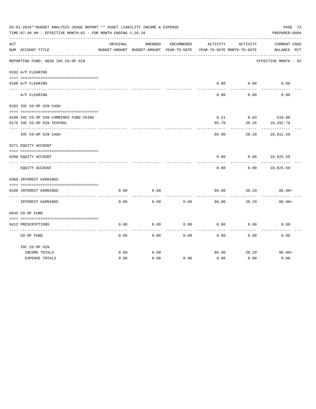|     | 03-01-2018**BUDGET ANALYSIS USAGE REPORT ** ASSET LIABILITY INCOME & EXPENSE<br>TIME: 07:40 AM - EFFECTIVE MONTH: 02 - FOR MONTH ENDING 2-28-18 |          |                                                     |            |          |                                        | PAGE 73<br>PREPARER: 0004          |  |
|-----|-------------------------------------------------------------------------------------------------------------------------------------------------|----------|-----------------------------------------------------|------------|----------|----------------------------------------|------------------------------------|--|
| ACT | NUM ACCOUNT-TITLE                                                                                                                               | ORIGINAL | AMENDED<br>BUDGET-AMOUNT BUDGET-AMOUNT YEAR-TO-DATE | ENCUMBERED | ACTIVITY | ACTIVITY<br>YEAR-TO-DATE MONTH-TO-DATE | <b>CURRENT USED</b><br>BALANCE PCT |  |
|     | REPORTING FUND: 0038 IHC CO-OP GIN                                                                                                              |          |                                                     |            |          |                                        | EFFECTIVE MONTH - 02               |  |
|     | 0102 A/P CLEARING                                                                                                                               |          |                                                     |            |          |                                        |                                    |  |
|     | 0100 A/P CLEARING                                                                                                                               |          |                                                     |            | 0.00     | 0.00                                   | 0.00                               |  |
|     | A/P CLEARING                                                                                                                                    |          |                                                     |            | 0.00     | 0.00                                   | 0.00                               |  |
|     | 0103 IHC CO-OP GIN CASH                                                                                                                         |          |                                                     |            |          |                                        |                                    |  |
|     | 0100 IHC CO-OP GIN-COMBINED FUND CKING                                                                                                          |          |                                                     |            | 0.21     |                                        | $0.03$ 518.80                      |  |
|     | 0175 IHC CO-OP GIN TEXPOOL                                                                                                                      |          |                                                     |            | 85.79    | 20.26                                  | 18,392.79                          |  |
|     | IHC CO-OP GIN CASH                                                                                                                              |          |                                                     |            | 86.00    | 20.29                                  | 18,911.59                          |  |
|     | 0271 EQUITY ACCOUNT                                                                                                                             |          |                                                     |            |          |                                        |                                    |  |
|     |                                                                                                                                                 |          |                                                     |            |          |                                        |                                    |  |
|     | 0200 EQUITY ACCOUNT                                                                                                                             |          |                                                     |            | 0.00     | 0.00                                   | 18,825.59                          |  |
|     | EQUITY ACCOUNT                                                                                                                                  |          |                                                     |            | 0.00     | 0.00                                   | 18,825.59                          |  |
|     | 0360 INTEREST EARNINGS                                                                                                                          |          |                                                     |            |          |                                        |                                    |  |
|     | 0100 INTEREST EARNINGS                                                                                                                          | 0.00     | 0.00                                                |            | 86.00    | 20.29                                  | $86.00+$                           |  |
|     | INTEREST EARNINGS                                                                                                                               | 0.00     | 0.00                                                | 0.00       | 86.00    | 20.29                                  | $86.00+$                           |  |
|     | 0645 CO-OP FUND                                                                                                                                 |          |                                                     |            |          |                                        |                                    |  |
|     |                                                                                                                                                 |          |                                                     |            |          |                                        |                                    |  |
|     | 0412 PRESCRIPTIONS                                                                                                                              | 0.00     | 0.00                                                | 0.00       | 0.00     | 0.00                                   | 0.00                               |  |
|     | CO-OP FUND                                                                                                                                      | 0.00     | 0.00                                                | 0.00       | 0.00     | 0.00                                   | 0.00                               |  |
|     | IHC CO-OP GIN                                                                                                                                   |          |                                                     |            |          |                                        |                                    |  |
|     | INCOME TOTALS                                                                                                                                   | 0.00     | 0.00                                                |            | 86.00    | 20.29                                  | $86.00+$                           |  |
|     | <b>EXPENSE TOTALS</b>                                                                                                                           | 0.00     | 0.00                                                | 0.00       | 0.00     | 0.00                                   | 0.00                               |  |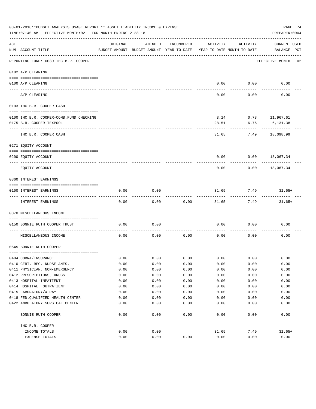|     | 03-01-2018**BUDGET ANALYSIS USAGE REPORT ** ASSET LIABILITY INCOME & EXPENSE<br>TIME: 07:40 AM - EFFECTIVE MONTH: 02 - FOR MONTH ENDING 2-28-18 |          |                                                     |            |                                        |          | PAGE 74<br>PREPARER: 0004   |
|-----|-------------------------------------------------------------------------------------------------------------------------------------------------|----------|-----------------------------------------------------|------------|----------------------------------------|----------|-----------------------------|
| ACT | NUM ACCOUNT-TITLE                                                                                                                               | ORIGINAL | AMENDED<br>BUDGET-AMOUNT BUDGET-AMOUNT YEAR-TO-DATE | ENCUMBERED | ACTIVITY<br>YEAR-TO-DATE MONTH-TO-DATE | ACTIVITY | CURRENT USED<br>BALANCE PCT |
|     | REPORTING FUND: 0039 IHC B.R. COOPER                                                                                                            |          |                                                     |            |                                        |          | EFFECTIVE MONTH - 02        |
|     | 0102 A/P CLEARING                                                                                                                               |          |                                                     |            |                                        |          |                             |
|     |                                                                                                                                                 |          |                                                     |            |                                        |          |                             |
|     | 0100 A/P CLEARING                                                                                                                               |          |                                                     |            | 0.00                                   | 0.00     | 0.00                        |
|     | A/P CLEARING                                                                                                                                    |          |                                                     |            | 0.00                                   | 0.00     | 0.00                        |
|     | 0103 IHC B.R. COOPER CASH                                                                                                                       |          |                                                     |            |                                        |          |                             |
|     | 0100 IHC B.R. COOPER-COMB. FUND CHECKING                                                                                                        |          |                                                     |            | 3.14                                   |          | $0.73$ 11,967.61            |
|     | 0175 B.R. COOPER-TEXPOOL                                                                                                                        |          |                                                     |            | 28.51                                  | 6.76     | 6,131.38                    |
|     | IHC B.R. COOPER CASH                                                                                                                            |          |                                                     |            | 31.65                                  | 7.49     | 18,098.99                   |
|     | 0271 EQUITY ACCOUNT                                                                                                                             |          |                                                     |            |                                        |          |                             |
|     | 0200 EQUITY ACCOUNT                                                                                                                             |          |                                                     |            | 0.00                                   |          | $0.00$ 18,067.34            |
|     | EQUITY ACCOUNT                                                                                                                                  |          |                                                     |            | 0.00                                   | 0.00     | 18,067.34                   |
|     | 0360 INTEREST EARNINGS                                                                                                                          |          |                                                     |            |                                        |          |                             |
|     | 0100 INTEREST EARNINGS                                                                                                                          | 0.00     | 0.00                                                |            | 31.65                                  | 7.49     | $31.65+$                    |
|     | INTEREST EARNINGS                                                                                                                               | 0.00     | 0.00                                                | 0.00       | 31.65                                  | 7.49     | $31.65+$                    |
|     | 0370 MISCELLANEOUS INCOME                                                                                                                       |          |                                                     |            |                                        |          |                             |
|     | 0150 BONNIE RUTH COOPER TRUST                                                                                                                   | 0.00     | 0.00                                                |            | 0.00                                   | 0.00     | 0.00                        |
|     | MISCELLANEOUS INCOME                                                                                                                            | 0.00     | 0.00                                                | 0.00       | 0.00                                   | 0.00     | 0.00                        |
|     | 0645 BONNIE RUTH COOPER                                                                                                                         |          |                                                     |            |                                        |          |                             |
|     | 0404 COBRA/INSURANCE                                                                                                                            | 0.00     | 0.00                                                | 0.00       | 0.00                                   | 0.00     | 0.00                        |
|     | 0410 CERT. REG. NURSE ANES.                                                                                                                     | 0.00     | 0.00                                                | 0.00       | 0.00                                   | 0.00     | 0.00                        |
|     | 0411 PHYSICIAN, NON-EMERGENCY                                                                                                                   | 0.00     | 0.00                                                | 0.00       | 0.00                                   | 0.00     | 0.00                        |
|     | 0412 PRESCRIPTIONS, DRUGS                                                                                                                       | 0.00     | 0.00                                                | 0.00       | 0.00                                   | 0.00     | 0.00                        |
|     | 0413 HOSPITAL-INPATIENT                                                                                                                         | 0.00     | 0.00                                                | 0.00       | 0.00                                   | 0.00     | 0.00                        |
|     | 0414 HOSPITAL, OUTPATIENT                                                                                                                       | 0.00     | 0.00                                                | 0.00       | 0.00                                   | 0.00     | 0.00                        |
|     | 0415 LABORATORY/X-RAY                                                                                                                           | 0.00     | 0.00                                                | 0.00       | 0.00                                   | 0.00     | 0.00                        |
|     | 0418 FED.QUALIFIED HEALTH CENTER                                                                                                                | 0.00     | 0.00                                                | 0.00       | 0.00                                   | 0.00     | 0.00                        |
|     | 0422 AMBULATORY SURGICAL CENTER                                                                                                                 | 0.00     | 0.00                                                | 0.00       | 0.00                                   | 0.00     | 0.00                        |
|     | BONNIE RUTH COOPER                                                                                                                              | 0.00     | 0.00                                                | 0.00       | 0.00                                   | 0.00     | 0.00                        |
|     |                                                                                                                                                 |          |                                                     |            |                                        |          |                             |
|     | IHC B.R. COOPER                                                                                                                                 |          |                                                     |            |                                        |          |                             |
|     | INCOME TOTALS                                                                                                                                   | 0.00     | 0.00                                                |            | 31.65                                  | 7.49     | $31.65+$                    |
|     | EXPENSE TOTALS                                                                                                                                  | 0.00     | 0.00                                                | 0.00       | 0.00                                   | 0.00     | 0.00                        |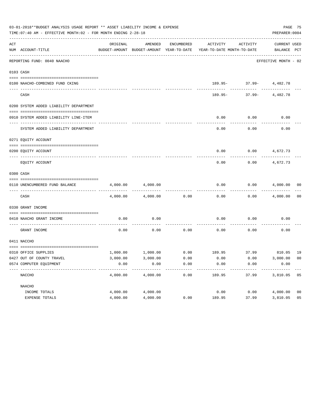|     | 03-01-2018**BUDGET ANALYSIS USAGE REPORT ** ASSET LIABILITY INCOME & EXPENSE<br>TIME: 07:40 AM - EFFECTIVE MONTH: 02 - FOR MONTH ENDING 2-28-18 |          |          |      |                                                                                                     |                                           |                             |                |  |  |  |
|-----|-------------------------------------------------------------------------------------------------------------------------------------------------|----------|----------|------|-----------------------------------------------------------------------------------------------------|-------------------------------------------|-----------------------------|----------------|--|--|--|
| ACT | NUM ACCOUNT-TITLE                                                                                                                               | ORIGINAL | AMENDED  |      | ENCUMBERED ACTIVITY ACTIVITY<br>BUDGET-AMOUNT BUDGET-AMOUNT YEAR-TO-DATE YEAR-TO-DATE MONTH-TO-DATE |                                           | CURRENT USED<br>BALANCE PCT |                |  |  |  |
|     | REPORTING FUND: 0040 NAACHO                                                                                                                     |          |          |      |                                                                                                     |                                           | EFFECTIVE MONTH - 02        |                |  |  |  |
|     | 0103 CASH                                                                                                                                       |          |          |      |                                                                                                     |                                           |                             |                |  |  |  |
|     | 0100 NAACHO-COMBINED FUND CKING                                                                                                                 |          |          |      |                                                                                                     | 189.95- 37.99- 4,482.78                   |                             |                |  |  |  |
|     | CASH                                                                                                                                            |          |          |      |                                                                                                     | ----------<br>$189.95 - 37.99 - 4,482.78$ | ------------                |                |  |  |  |
|     | 0200 SYSTEM ADDED LIABILITY DEPARTMENT                                                                                                          |          |          |      |                                                                                                     |                                           |                             |                |  |  |  |
|     | 0910 SYSTEM ADDED LIABILITY LINE-ITEM                                                                                                           |          |          |      | 0.00                                                                                                | 0.00                                      | 0.00                        |                |  |  |  |
|     | SYSTEM ADDED LIABILITY DEPARTMENT                                                                                                               |          |          |      | 0.00                                                                                                | 0.00                                      | 0.00                        |                |  |  |  |
|     | 0271 EOUITY ACCOUNT                                                                                                                             |          |          |      |                                                                                                     |                                           |                             |                |  |  |  |
|     | 0200 EQUITY ACCOUNT                                                                                                                             |          |          |      |                                                                                                     | $0.00$ $0.00$ $4,672.73$                  |                             |                |  |  |  |
|     | EQUITY ACCOUNT                                                                                                                                  |          |          |      | 0.00                                                                                                | 0.00                                      | 4,672.73                    |                |  |  |  |
|     | 0300 CASH                                                                                                                                       |          |          |      |                                                                                                     |                                           |                             |                |  |  |  |
|     | 0110 UNENCUMBERED FUND BALANCE                                                                                                                  | 4,000.00 | 4,000.00 |      | 0.00                                                                                                |                                           | $0.00$ $4,000.00$ 00        |                |  |  |  |
|     | CASH                                                                                                                                            | 4,000.00 | 4,000.00 | 0.00 | 0.00                                                                                                |                                           | $0.00$ 4,000.00             | 0 <sub>0</sub> |  |  |  |
|     | 0330 GRANT INCOME                                                                                                                               |          |          |      |                                                                                                     |                                           |                             |                |  |  |  |
|     | 0410 NAACHO GRANT INCOME                                                                                                                        | 0.00     | 0.00     |      | 0.00                                                                                                | 0.00                                      | 0.00                        |                |  |  |  |
|     | GRANT INCOME                                                                                                                                    | 0.00     | 0.00     |      | $0.00$ 0.00                                                                                         | 0.00                                      | 0.00                        |                |  |  |  |
|     | 0411 NACCHO                                                                                                                                     |          |          |      |                                                                                                     |                                           |                             |                |  |  |  |
|     | 0310 OFFICE SUPPLIES                                                                                                                            |          |          |      | $1,000.00$ $1,000.00$ $0.00$ $189.95$ $37.99$ $810.05$ $19$                                         |                                           |                             |                |  |  |  |
|     | 0427 OUT OF COUNTY TRAVEL                                                                                                                       | 3,000.00 | 3,000.00 | 0.00 | 0.00                                                                                                | 0.00                                      | 3,000.00 00                 |                |  |  |  |
|     | 0574 COMPUTER EQUIPMENT                                                                                                                         | 0.00     | 0.00     | 0.00 | 0.00                                                                                                | 0.00                                      | 0.00                        |                |  |  |  |
|     | NACCHO                                                                                                                                          | 4,000.00 | 4,000.00 | 0.00 | 189.95                                                                                              | 37.99                                     | 3,810.05 05                 |                |  |  |  |
|     | NAACHO                                                                                                                                          |          |          |      |                                                                                                     |                                           |                             |                |  |  |  |
|     | INCOME TOTALS                                                                                                                                   | 4,000.00 | 4,000.00 |      | 0.00                                                                                                | 0.00                                      | 4,000.00                    | 0 <sub>0</sub> |  |  |  |
|     | EXPENSE TOTALS                                                                                                                                  | 4,000.00 | 4,000.00 | 0.00 | 189.95                                                                                              | 37.99                                     | 3,810.05                    | 05             |  |  |  |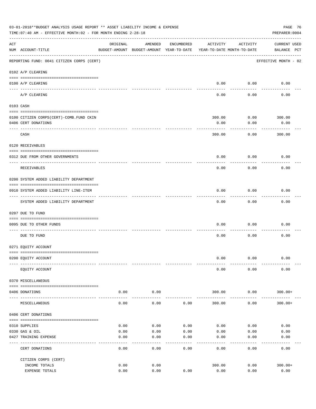|     | 03-01-2018**BUDGET ANALYSIS USAGE REPORT ** ASSET LIABILITY INCOME & EXPENSE<br>TIME: 07:40 AM - EFFECTIVE MONTH: 02 - FOR MONTH ENDING 2-28-18 |          |                                                     |            |                                        |          | PAGE 76<br>PREPARER: 0004          |
|-----|-------------------------------------------------------------------------------------------------------------------------------------------------|----------|-----------------------------------------------------|------------|----------------------------------------|----------|------------------------------------|
| ACT | NUM ACCOUNT-TITLE                                                                                                                               | ORIGINAL | AMENDED<br>BUDGET-AMOUNT BUDGET-AMOUNT YEAR-TO-DATE | ENCUMBERED | ACTIVITY<br>YEAR-TO-DATE MONTH-TO-DATE | ACTIVITY | <b>CURRENT USED</b><br>BALANCE PCT |
|     | REPORTING FUND: 0041 CITIZEN CORPS (CERT)                                                                                                       |          |                                                     |            |                                        |          | EFFECTIVE MONTH - 02               |
|     | 0102 A/P CLEARING                                                                                                                               |          |                                                     |            |                                        |          |                                    |
|     | 0100 A/P CLEARING<br>---- ---------                                                                                                             |          |                                                     |            | 0.00                                   | 0.00     | 0.00                               |
|     | A/P CLEARING                                                                                                                                    |          |                                                     |            | 0.00                                   | 0.00     | 0.00                               |
|     | 0103 CASH                                                                                                                                       |          |                                                     |            |                                        |          |                                    |
|     |                                                                                                                                                 |          |                                                     |            |                                        |          |                                    |
|     | 0100 CITIZEN CORPS (CERT) - COMB. FUND CKIN                                                                                                     |          |                                                     |            | 300.00                                 | 0.00     | 300.00                             |
|     | 0406 CERT DONATIONS                                                                                                                             |          |                                                     |            | 0.00                                   | 0.00     | 0.00<br>------                     |
|     | CASH                                                                                                                                            |          |                                                     |            | 300.00                                 | 0.00     | 300.00                             |
|     | 0120 RECEIVABLES                                                                                                                                |          |                                                     |            |                                        |          |                                    |
|     | 0312 DUE FROM OTHER GOVERNMENTS                                                                                                                 |          |                                                     |            | 0.00                                   | 0.00     | 0.00                               |
|     | RECEIVABLES                                                                                                                                     |          |                                                     |            | 0.00                                   | 0.00     | 0.00                               |
|     | 0200 SYSTEM ADDED LIABILITY DEPARTMENT                                                                                                          |          |                                                     |            |                                        |          |                                    |
|     | 0910 SYSTEM ADDED LIABILITY LINE-ITEM                                                                                                           |          |                                                     |            | 0.00                                   | 0.00     | 0.00                               |
|     |                                                                                                                                                 |          |                                                     |            |                                        | -------  |                                    |
|     | SYSTEM ADDED LIABILITY DEPARTMENT                                                                                                               |          |                                                     |            | 0.00                                   | 0.00     | 0.00                               |
|     | 0207 DUE TO FUND                                                                                                                                |          |                                                     |            |                                        |          |                                    |
|     | 0095 DUE TO OTHER FUNDS                                                                                                                         |          |                                                     |            | 0.00                                   | 0.00     | 0.00                               |
|     | DUE TO FUND                                                                                                                                     |          |                                                     |            | 0.00                                   | 0.00     | 0.00                               |
|     | 0271 EQUITY ACCOUNT                                                                                                                             |          |                                                     |            |                                        |          |                                    |
|     | 0200 EQUITY ACCOUNT                                                                                                                             |          |                                                     |            | 0.00                                   | 0.00     | 0.00                               |
|     | EQUITY ACCOUNT                                                                                                                                  |          |                                                     |            | 0.00                                   | 0.00     | 0.00                               |
|     | 0370 MISCELLANEOUS                                                                                                                              |          |                                                     |            |                                        |          |                                    |
|     |                                                                                                                                                 |          |                                                     |            |                                        |          |                                    |
|     | 0406 DONATIONS                                                                                                                                  | 0.00     | 0.00                                                |            | 300.00                                 | 0.00     | $300.00+$                          |
|     | MISCELLANEOUS                                                                                                                                   | 0.00     | 0.00                                                | 0.00       | 300.00                                 | 0.00     | $300.00+$                          |
|     | 0406 CERT DONATIONS                                                                                                                             |          |                                                     |            |                                        |          |                                    |
|     | 0310 SUPPLIES                                                                                                                                   | 0.00     | 0.00                                                | 0.00       | 0.00                                   | 0.00     | 0.00                               |
|     | 0330 GAS & OIL                                                                                                                                  | 0.00     | 0.00                                                | 0.00       | 0.00                                   | 0.00     | 0.00                               |
|     | 0427 TRAINING EXPENSE                                                                                                                           | 0.00     | 0.00                                                | 0.00       | 0.00                                   | 0.00     | 0.00                               |
|     | CERT DONATIONS                                                                                                                                  | 0.00     | 0.00                                                | 0.00       | 0.00                                   | 0.00     | 0.00                               |
|     | CITIZEN CORPS (CERT)                                                                                                                            |          |                                                     |            |                                        |          |                                    |
|     | INCOME TOTALS                                                                                                                                   | 0.00     | 0.00                                                |            | 300.00                                 | 0.00     | $300.00+$                          |
|     | EXPENSE TOTALS                                                                                                                                  | 0.00     | 0.00                                                | 0.00       | 0.00                                   | 0.00     | 0.00                               |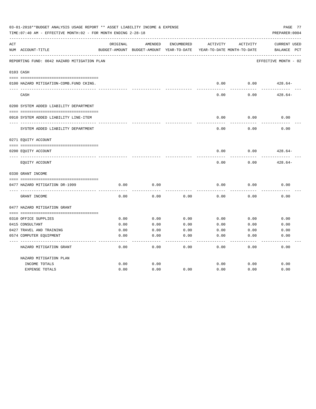|     | 03-01-2018**BUDGET ANALYSIS USAGE REPORT ** ASSET LIABILITY INCOME & EXPENSE<br>TIME: 07:40 AM - EFFECTIVE MONTH: 02 - FOR MONTH ENDING 2-28-18 |          |                                                     |            |          |                                        | PAGE 77<br>PREPARER: 0004             |
|-----|-------------------------------------------------------------------------------------------------------------------------------------------------|----------|-----------------------------------------------------|------------|----------|----------------------------------------|---------------------------------------|
| ACT | NUM ACCOUNT-TITLE                                                                                                                               | ORIGINAL | AMENDED<br>BUDGET-AMOUNT BUDGET-AMOUNT YEAR-TO-DATE | ENCUMBERED | ACTIVITY | ACTIVITY<br>YEAR-TO-DATE MONTH-TO-DATE | <b>CURRENT USED</b><br>PCT<br>BALANCE |
|     | REPORTING FUND: 0042 HAZARD MITIGATION PLAN                                                                                                     |          |                                                     |            |          |                                        | EFFECTIVE MONTH - 02                  |
|     | 0103 CASH                                                                                                                                       |          |                                                     |            |          |                                        |                                       |
|     | 0100 HAZARD MITIGATION-COMB.FUND CKING.                                                                                                         |          |                                                     |            | 0.00     | 0.00                                   | $428.64-$                             |
|     | CASH                                                                                                                                            |          |                                                     |            | 0.00     | 0.00                                   | $428.64-$                             |
|     | 0200 SYSTEM ADDED LIABILITY DEPARTMENT                                                                                                          |          |                                                     |            |          |                                        |                                       |
|     |                                                                                                                                                 |          |                                                     |            |          |                                        |                                       |
|     | 0910 SYSTEM ADDED LIABILITY LINE-ITEM                                                                                                           |          |                                                     |            | 0.00     | 0.00                                   | 0.00                                  |
|     | SYSTEM ADDED LIABILITY DEPARTMENT                                                                                                               |          |                                                     |            | 0.00     | 0.00                                   | 0.00                                  |
|     | 0271 EQUITY ACCOUNT                                                                                                                             |          |                                                     |            |          |                                        |                                       |
|     |                                                                                                                                                 |          |                                                     |            |          |                                        |                                       |
|     | 0200 EQUITY ACCOUNT                                                                                                                             |          |                                                     |            | 0.00     | 0.00                                   | $428.64-$                             |
|     | EQUITY ACCOUNT                                                                                                                                  |          |                                                     |            | 0.00     | 0.00                                   | $428.64-$                             |
|     | 0330 GRANT INCOME                                                                                                                               |          |                                                     |            |          |                                        |                                       |
|     |                                                                                                                                                 |          |                                                     |            |          |                                        |                                       |
|     | 0477 HAZARD MITIGATION DR-1999                                                                                                                  | 0.00     | 0.00                                                |            | 0.00     | 0.00                                   | 0.00                                  |
|     | GRANT INCOME                                                                                                                                    | 0.00     | 0.00                                                | 0.00       | 0.00     | 0.00                                   | 0.00                                  |
|     | 0477 HAZARD MITIGATION GRANT                                                                                                                    |          |                                                     |            |          |                                        |                                       |
|     |                                                                                                                                                 |          |                                                     |            |          |                                        |                                       |
|     | 0310 OFFICE SUPPLIES                                                                                                                            | 0.00     | 0.00                                                | 0.00       | 0.00     | 0.00                                   | 0.00                                  |
|     | 0415 CONSULTANT                                                                                                                                 | 0.00     | 0.00                                                | 0.00       | 0.00     | 0.00                                   | 0.00                                  |
|     | 0427 TRAVEL AND TRAINING                                                                                                                        | 0.00     | 0.00                                                | 0.00       | 0.00     | 0.00                                   | 0.00                                  |
|     | 0574 COMPUTER EQUIPMENT                                                                                                                         | 0.00     | 0.00                                                | 0.00       | 0.00     | 0.00                                   | 0.00                                  |
|     | HAZARD MITIGATION GRANT                                                                                                                         | 0.00     | 0.00                                                | 0.00       | 0.00     | 0.00                                   | 0.00                                  |
|     | HAZARD MITIGATION PLAN                                                                                                                          |          |                                                     |            |          |                                        |                                       |
|     | INCOME TOTALS                                                                                                                                   | 0.00     | 0.00                                                |            | 0.00     | 0.00                                   | 0.00                                  |
|     | <b>EXPENSE TOTALS</b>                                                                                                                           | 0.00     | 0.00                                                | 0.00       | 0.00     | 0.00                                   | 0.00                                  |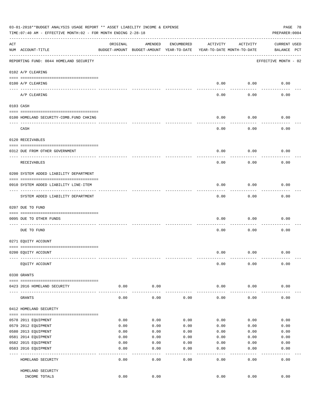|                    | 03-01-2018**BUDGET ANALYSIS USAGE REPORT ** ASSET LIABILITY INCOME & EXPENSE<br>TIME: 07:40 AM - EFFECTIVE MONTH: 02 - FOR MONTH ENDING 2-28-18 |          |                                                     |              |                                        |                   | PAGE 78<br>PREPARER: 0004          |
|--------------------|-------------------------------------------------------------------------------------------------------------------------------------------------|----------|-----------------------------------------------------|--------------|----------------------------------------|-------------------|------------------------------------|
| $\mathop{\rm ACT}$ | NUM ACCOUNT-TITLE                                                                                                                               | ORIGINAL | AMENDED<br>BUDGET-AMOUNT BUDGET-AMOUNT YEAR-TO-DATE | ENCUMBERED   | ACTIVITY<br>YEAR-TO-DATE MONTH-TO-DATE | ACTIVITY          | <b>CURRENT USED</b><br>BALANCE PCT |
|                    | REPORTING FUND: 0044 HOMELAND SECURITY                                                                                                          |          |                                                     |              |                                        |                   | EFFECTIVE MONTH - 02               |
|                    | 0102 A/P CLEARING                                                                                                                               |          |                                                     |              |                                        |                   |                                    |
|                    | 0100 A/P CLEARING                                                                                                                               |          |                                                     |              | 0.00                                   | 0.00              | 0.00                               |
|                    | ---- ---------<br>A/P CLEARING                                                                                                                  |          |                                                     |              | 0.00                                   | 0.00              | 0.00                               |
|                    | 0103 CASH                                                                                                                                       |          |                                                     |              |                                        |                   |                                    |
|                    | 0100 HOMELAND SECURITY-COMB.FUND CHKING                                                                                                         |          |                                                     |              | 0.00                                   | 0.00              | 0.00                               |
|                    | CASH                                                                                                                                            |          |                                                     |              | 0.00                                   | 0.00              | 0.00                               |
|                    | 0120 RECEIVABLES                                                                                                                                |          |                                                     |              |                                        |                   |                                    |
|                    | 0312 DUE FROM OTHER GOVERNMENT                                                                                                                  |          |                                                     |              | 0.00                                   | 0.00              | 0.00                               |
|                    | RECEIVABLES                                                                                                                                     |          |                                                     |              | 0.00                                   | 0.00              | 0.00                               |
|                    | 0200 SYSTEM ADDED LIABILITY DEPARTMENT                                                                                                          |          |                                                     |              |                                        |                   |                                    |
|                    | 0910 SYSTEM ADDED LIABILITY LINE-ITEM                                                                                                           |          |                                                     |              | 0.00                                   | 0.00              | 0.00                               |
|                    | SYSTEM ADDED LIABILITY DEPARTMENT                                                                                                               |          |                                                     |              | 0.00                                   | 0.00              | 0.00                               |
|                    | 0207 DUE TO FUND                                                                                                                                |          |                                                     |              |                                        |                   |                                    |
|                    | 0095 DUE TO OTHER FUNDS                                                                                                                         |          |                                                     |              | 0.00                                   | 0.00              | 0.00                               |
|                    | DUE TO FUND                                                                                                                                     |          |                                                     |              | 0.00                                   | 0.00              | 0.00                               |
|                    | 0271 EQUITY ACCOUNT                                                                                                                             |          |                                                     |              |                                        |                   |                                    |
|                    | 0200 EQUITY ACCOUNT                                                                                                                             |          |                                                     |              | 0.00                                   | 0.00              | 0.00                               |
|                    | EQUITY ACCOUNT                                                                                                                                  |          |                                                     |              | 0.00                                   | 0.00              | 0.00                               |
|                    | 0330 GRANTS                                                                                                                                     |          |                                                     |              |                                        |                   |                                    |
|                    | 0423 2016 HOMELAND SECURITY                                                                                                                     | 0.00     | 0.00                                                |              | 0.00                                   | 0.00              | 0.00                               |
|                    | GRANTS                                                                                                                                          | 0.00     | 0.00                                                | 0.00         | 0.00                                   | 0.00              | 0.00                               |
|                    | 0412 HOMELAND SECURITY                                                                                                                          |          |                                                     |              |                                        |                   |                                    |
|                    | 0578 2011 EQUIPMENT                                                                                                                             | 0.00     | 0.00                                                | 0.00         | 0.00                                   | 0.00              | 0.00                               |
|                    | 0579 2012 EQUIPMENT                                                                                                                             | 0.00     | 0.00                                                | 0.00         | 0.00                                   | 0.00              | 0.00                               |
|                    | 0580 2013 EQUIPMENT                                                                                                                             | 0.00     | 0.00                                                | 0.00         | 0.00                                   | 0.00              | 0.00                               |
|                    | 0581 2014 EQUIPMENT                                                                                                                             | 0.00     | 0.00                                                | 0.00         | 0.00                                   | 0.00              | 0.00                               |
|                    | 0582 2015 EQUIPMENT                                                                                                                             | 0.00     | 0.00                                                | 0.00         | 0.00                                   | 0.00              | 0.00                               |
|                    | 0583 2016 EQUIPMENT                                                                                                                             | 0.00     | 0.00                                                | 0.00         | 0.00                                   | 0.00              | 0.00                               |
|                    | HOMELAND SECURITY                                                                                                                               | 0.00     | ----<br>0.00                                        | ----<br>0.00 | $---$<br>0.00                          | $- - - -$<br>0.00 | 0.00                               |
|                    | HOMELAND SECURITY                                                                                                                               |          |                                                     |              |                                        |                   |                                    |
|                    | INCOME TOTALS                                                                                                                                   | 0.00     | 0.00                                                |              | 0.00                                   | 0.00              | 0.00                               |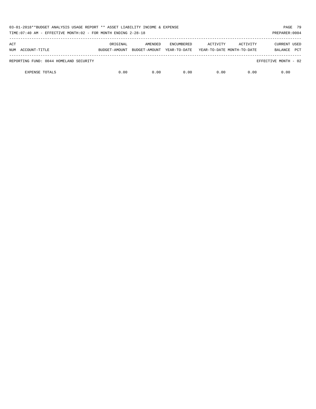| 03-01-2018**BUDGET ANALYSIS USAGE REPORT ** ASSET LIABILITY INCOME & EXPENSE<br>TIME: 07:40 AM - EFFECTIVE MONTH: 02 - FOR MONTH ENDING 2-28-18 |               |               |                   |                            |          | PAGE 79<br>PREPARER: 0004 |
|-------------------------------------------------------------------------------------------------------------------------------------------------|---------------|---------------|-------------------|----------------------------|----------|---------------------------|
| ACT                                                                                                                                             | ORIGINAL      | AMENDED       | <b>ENCUMBERED</b> | ACTIVITY                   | ACTIVITY | <b>CURRENT USED</b>       |
| ACCOUNT-TITLE<br>NUM                                                                                                                            | BUDGET-AMOUNT | BUDGET-AMOUNT | YEAR-TO-DATE      | YEAR-TO-DATE MONTH-TO-DATE |          | <b>PCT</b><br>BALANCE     |
| REPORTING FUND: 0044 HOMELAND SECURITY                                                                                                          |               |               |                   |                            |          | EFFECTIVE MONTH - 02      |
| <b>EXPENSE TOTALS</b>                                                                                                                           | 0.00          | 0.00          | 0.00              | 0.00                       | 0.00     | 0.00                      |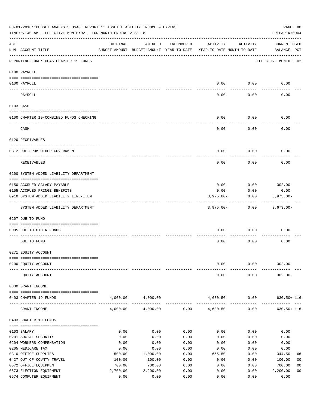|     | 03-01-2018**BUDGET ANALYSIS USAGE REPORT ** ASSET LIABILITY INCOME & EXPENSE<br>TIME: 07:40 AM - EFFECTIVE MONTH: 02 - FOR MONTH ENDING 2-28-18 |                  |                                                     |              |                                        |              | PAGE 80<br>PREPARER: 0004          |                |
|-----|-------------------------------------------------------------------------------------------------------------------------------------------------|------------------|-----------------------------------------------------|--------------|----------------------------------------|--------------|------------------------------------|----------------|
| ACT | NUM ACCOUNT-TITLE                                                                                                                               | ORIGINAL         | AMENDED<br>BUDGET-AMOUNT BUDGET-AMOUNT YEAR-TO-DATE | ENCUMBERED   | ACTIVITY<br>YEAR-TO-DATE MONTH-TO-DATE | ACTIVITY     | <b>CURRENT USED</b><br>BALANCE PCT |                |
|     | REPORTING FUND: 0045 CHAPTER 19 FUNDS                                                                                                           |                  |                                                     |              |                                        |              | EFFECTIVE MONTH - 02               |                |
|     | 0100 PAYROLL                                                                                                                                    |                  |                                                     |              |                                        |              |                                    |                |
|     | 0100 PAYROLL                                                                                                                                    |                  |                                                     |              | 0.00                                   | 0.00         | 0.00                               |                |
|     | ---- ----<br>PAYROLL                                                                                                                            |                  |                                                     |              | 0.00                                   | 0.00         | 0.00                               |                |
|     | 0103 CASH                                                                                                                                       |                  |                                                     |              |                                        |              |                                    |                |
|     | 0100 CHAPTER 19-COMBINED FUNDS CHECKING                                                                                                         |                  |                                                     |              | 0.00                                   | 0.00         | 0.00                               |                |
|     |                                                                                                                                                 |                  |                                                     |              |                                        |              |                                    |                |
|     | CASH                                                                                                                                            |                  |                                                     |              | 0.00                                   | 0.00         | 0.00                               |                |
|     | 0120 RECEIVABLES                                                                                                                                |                  |                                                     |              |                                        |              |                                    |                |
|     | 0312 DUE FROM OTHER GOVERNMENT                                                                                                                  |                  |                                                     |              | 0.00                                   | 0.00         | 0.00                               |                |
|     | RECEIVABLES                                                                                                                                     |                  |                                                     |              | 0.00                                   | 0.00         | 0.00                               |                |
|     | 0200 SYSTEM ADDED LIABILITY DEPARTMENT                                                                                                          |                  |                                                     |              |                                        |              |                                    |                |
|     | 0150 ACCRUED SALARY PAYABLE                                                                                                                     |                  |                                                     |              | 0.00                                   | 0.00         | 302.00                             |                |
|     | 0155 ACCRUED FRINGE BENEFITS                                                                                                                    |                  |                                                     |              | 0.00                                   | 0.00         | 0.00                               |                |
|     | 0910 SYSTEM ADDED LIABILITY LINE-ITEM                                                                                                           |                  |                                                     |              | $3,975.00 -$                           | 0.00         | $3,975.00 -$                       |                |
|     | SYSTEM ADDED LIABILITY DEPARTMENT                                                                                                               |                  |                                                     |              | $3,975.00 -$                           | 0.00         | $3,673.00 -$                       |                |
|     | 0207 DUE TO FUND                                                                                                                                |                  |                                                     |              |                                        |              |                                    |                |
|     |                                                                                                                                                 |                  |                                                     |              |                                        |              |                                    |                |
|     | 0095 DUE TO OTHER FUNDS                                                                                                                         |                  |                                                     |              | 0.00                                   | 0.00         | 0.00                               |                |
|     | DUE TO FUND                                                                                                                                     |                  |                                                     |              | 0.00                                   | 0.00         | 0.00                               |                |
|     | 0271 EQUITY ACCOUNT                                                                                                                             |                  |                                                     |              |                                        |              |                                    |                |
|     |                                                                                                                                                 |                  |                                                     |              |                                        |              |                                    |                |
|     | 0200 EQUITY ACCOUNT                                                                                                                             |                  |                                                     |              | 0.00                                   | 0.00         | $302.00 -$                         |                |
|     | EQUITY ACCOUNT                                                                                                                                  |                  |                                                     |              | 0.00                                   | 0.00         | $302.00 -$                         |                |
|     | 0330 GRANT INCOME                                                                                                                               |                  |                                                     |              |                                        |              |                                    |                |
|     | 0403 CHAPTER 19 FUNDS                                                                                                                           | 4,000.00         | 4,000.00                                            |              | 4,630.50                               | 0.00         | $630.50 + 116$                     |                |
|     | GRANT INCOME                                                                                                                                    | 4,000.00         | 4,000.00                                            | 0.00         | -------------<br>4,630.50              | 0.00         | $630.50 + 116$                     |                |
|     | 0403 CHAPTER 19 FUNDS                                                                                                                           |                  |                                                     |              |                                        |              |                                    |                |
|     | 0103 SALARY                                                                                                                                     | 0.00             | 0.00                                                | 0.00         | 0.00                                   | 0.00         | 0.00                               |                |
|     | 0201 SOCIAL SECURITY                                                                                                                            | 0.00             | 0.00                                                | 0.00         | 0.00                                   | 0.00         | 0.00                               |                |
|     | 0204 WORKERS COMPENSATION                                                                                                                       | 0.00             | 0.00                                                | 0.00         | 0.00                                   | 0.00         | 0.00                               |                |
|     | 0205 MEDICARE TAX                                                                                                                               | 0.00             | 0.00                                                | 0.00         | 0.00                                   | 0.00         | 0.00                               |                |
|     | 0310 OFFICE SUPPLIES<br>0427 OUT OF COUNTY TRAVEL                                                                                               | 500.00<br>100.00 | 1,000.00<br>100.00                                  | 0.00<br>0.00 | 655.50<br>0.00                         | 0.00<br>0.00 | 344.50                             | 66<br>00       |
|     | 0572 OFFICE EQUIPMENT                                                                                                                           | 700.00           | 700.00                                              | 0.00         | 0.00                                   | 0.00         | 100.00<br>700.00                   | 00             |
|     | 0573 ELECTION EQUIPMENT                                                                                                                         | 2,700.00         | 2,200.00                                            | 0.00         | 0.00                                   | 0.00         | 2,200.00                           | 0 <sub>0</sub> |
|     | 0574 COMPUTER EQUIPMENT                                                                                                                         | 0.00             | 0.00                                                | 0.00         | 0.00                                   | 0.00         | 0.00                               |                |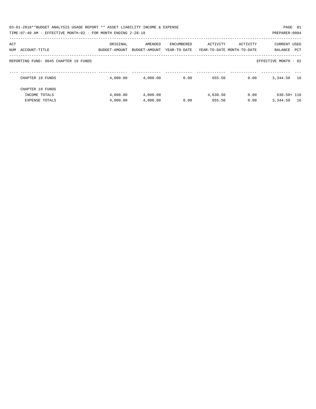| 03-01-2018**BUDGET ANALYSIS USAGE REPORT ** ASSET LIABILITY INCOME & EXPENSE<br>TIME: 07:40 AM - EFFECTIVE MONTH: 02 - FOR MONTH ENDING 2-28-18 |                           |                          |                            |          |                                        | PAGE 81<br>PREPARER: 0004             |
|-------------------------------------------------------------------------------------------------------------------------------------------------|---------------------------|--------------------------|----------------------------|----------|----------------------------------------|---------------------------------------|
| ACT<br>ACCOUNT-TITLE<br>NUM                                                                                                                     | ORIGINAL<br>BUDGET-AMOUNT | AMENDED<br>BUDGET-AMOUNT | ENCUMBERED<br>YEAR-TO-DATE | ACTIVITY | ACTIVITY<br>YEAR-TO-DATE MONTH-TO-DATE | <b>CURRENT USED</b><br>PCT<br>BALANCE |
| REPORTING FUND: 0045 CHAPTER 19 FUNDS                                                                                                           |                           |                          |                            |          |                                        | EFFECTIVE MONTH - 02                  |
| CHAPTER 19 FUNDS                                                                                                                                | 4,000.00                  | 4,000.00                 | 0.00                       | 655.50   | 0.00                                   | 16<br>3,344.50                        |
| CHAPTER 19 FUNDS                                                                                                                                |                           |                          |                            |          |                                        |                                       |
| INCOME TOTALS                                                                                                                                   | 4,000.00                  | 4,000.00                 |                            | 4,630.50 | 0.00                                   | $630.50 + 116$                        |
| <b>EXPENSE TOTALS</b>                                                                                                                           | 4,000.00                  | 4,000.00                 | 0.00                       | 655.50   | 0.00                                   | 3,344.50<br>16                        |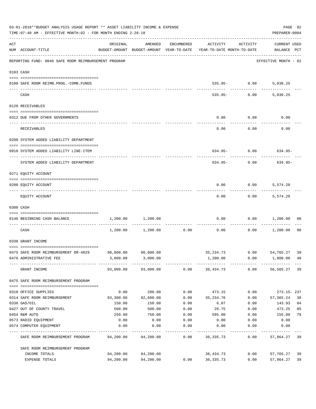|     | 03-01-2018**BUDGET ANALYSIS USAGE REPORT ** ASSET LIABILITY INCOME & EXPENSE<br>TIME: 07:40 AM - EFFECTIVE MONTH: 02 - FOR MONTH ENDING 2-28-18 |           |                        |            |                                                                                 |                              |                                                             |                |  |  |
|-----|-------------------------------------------------------------------------------------------------------------------------------------------------|-----------|------------------------|------------|---------------------------------------------------------------------------------|------------------------------|-------------------------------------------------------------|----------------|--|--|
| ACT | NUM ACCOUNT-TITLE                                                                                                                               | ORIGINAL  | AMENDED                | ENCUMBERED | ACTIVITY<br>BUDGET-AMOUNT BUDGET-AMOUNT YEAR-TO-DATE YEAR-TO-DATE MONTH-TO-DATE | ACTIVITY                     | <b>CURRENT USED</b><br>BALANCE PCT<br>--------------------- |                |  |  |
|     | REPORTING FUND: 0046 SAFE ROOM REIMBURSEMENT PROGRAM                                                                                            |           |                        |            |                                                                                 |                              | EFFECTIVE MONTH - 02                                        |                |  |  |
|     | 0103 CASH                                                                                                                                       |           |                        |            |                                                                                 |                              |                                                             |                |  |  |
|     | 0100 SAFE ROOM REIMB. PROG. - COMB. FUNDS                                                                                                       |           |                        |            |                                                                                 | 535.95- 0.00<br>------------ | 5,038.25<br>--------                                        |                |  |  |
|     | CASH                                                                                                                                            |           |                        |            |                                                                                 | $535.95 - 0.00$              | 5,038.25                                                    |                |  |  |
|     | 0120 RECEIVABLES                                                                                                                                |           |                        |            |                                                                                 |                              |                                                             |                |  |  |
|     | 0312 DUE FROM OTHER GOVERNMENTS                                                                                                                 |           |                        |            | 0.00                                                                            | 0.00                         | 0.00                                                        |                |  |  |
|     | RECEIVABLES                                                                                                                                     |           |                        |            | 0.00                                                                            | ----------<br>0.00           | 0.00                                                        |                |  |  |
|     | 0200 SYSTEM ADDED LIABILITY DEPARTMENT                                                                                                          |           |                        |            |                                                                                 |                              |                                                             |                |  |  |
|     | 0910 SYSTEM ADDED LIABILITY LINE-ITEM                                                                                                           |           |                        |            |                                                                                 |                              | $634.95 - 0.00$ 634.95-                                     |                |  |  |
|     | ---- ------------------------------<br>SYSTEM ADDED LIABILITY DEPARTMENT                                                                        |           |                        |            | $634.95 -$                                                                      | 0.00                         | 634.95-                                                     |                |  |  |
|     | 0271 EQUITY ACCOUNT                                                                                                                             |           |                        |            |                                                                                 |                              |                                                             |                |  |  |
|     | 0200 EQUITY ACCOUNT                                                                                                                             |           |                        |            | 0.00                                                                            | 0.00<br>.                    | 5,574.20                                                    |                |  |  |
|     | EQUITY ACCOUNT                                                                                                                                  |           |                        |            | 0.00                                                                            | 0.00                         | 5,574.20                                                    |                |  |  |
|     | 0300 CASH                                                                                                                                       |           |                        |            |                                                                                 |                              |                                                             |                |  |  |
|     | 0146 BEGINNING CASH BALANCE<br>--------------------------- -----                                                                                |           | 1,200.00 1,200.00      |            |                                                                                 |                              | $0.00$ $0.00$ $1,200.00$                                    | 00             |  |  |
|     | CASH                                                                                                                                            |           | 1,200.00 1,200.00 0.00 |            | 0.00                                                                            |                              | $0.00$ 1,200.00                                             | 0 <sub>0</sub> |  |  |
|     | 0330 GRANT INCOME                                                                                                                               |           |                        |            |                                                                                 |                              |                                                             |                |  |  |
|     | 0475 SAFE ROOM REIMBURSEMENT DR-4029                                                                                                            |           | 90,000.00 90,000.00    |            | 35,234.73 0.00 54,765.27                                                        |                              |                                                             | 39             |  |  |
|     | 0476 ADMINISTRATIVE FEE                                                                                                                         |           | 3,000.00 3,000.00      |            | 1,200.00                                                                        | 0.00                         | 1,800.00 40                                                 |                |  |  |
|     | GRANT INCOME                                                                                                                                    |           | 93,000.00 93,000.00    |            | $0.00$ 36,434.73                                                                | 0.00                         | 56,565.27                                                   | 39             |  |  |
|     | 0475 SAFE ROOM REIMBURSEMENT PROGRAM                                                                                                            |           |                        |            |                                                                                 |                              |                                                             |                |  |  |
|     | 0310 OFFICE SUPPLIES                                                                                                                            | 0.00      | 200.00                 | 0.00       | 473.15                                                                          | 0.00                         | 273.15-237                                                  |                |  |  |
|     | 0314 SAFE ROOM REIMBURSEMENT                                                                                                                    | 93,300.00 | 92,600.00              | 0.00       | 35,234.76                                                                       | 0.00                         | 57,365.24                                                   | 38             |  |  |
|     | 0330 GAS/OIL                                                                                                                                    | 150.00    | 150.00                 | 0.00       | 6.07                                                                            | 0.00                         | 143.93                                                      | 04             |  |  |
|     | 0427 OUT OF COUNTY TRAVEL                                                                                                                       | 500.00    | 500.00                 | 0.00       | 26.75                                                                           | 0.00                         | 473.25                                                      | 05             |  |  |
|     | 0454 R&M AUTO                                                                                                                                   | 250.00    | 750.00                 | 0.00       | 595.00                                                                          | 0.00                         | 155.00                                                      | 79             |  |  |
|     | 0573 RADIO EQUIPMENT                                                                                                                            | 0.00      | 0.00                   | 0.00       | 0.00                                                                            | 0.00                         | 0.00                                                        |                |  |  |
|     | 0574 COMPUTER EQUIPMENT                                                                                                                         | 0.00      | 0.00                   | 0.00       | 0.00                                                                            | 0.00                         | 0.00                                                        |                |  |  |
|     | SAFE ROOM REIMBURSEMENT PROGRAM                                                                                                                 | 94,200.00 | 94,200.00              | 0.00       | 36,335.73                                                                       | 0.00                         | 57,864.27                                                   | 39             |  |  |
|     | SAFE ROOM REIMBURSEMENT PROGRAM                                                                                                                 |           |                        |            |                                                                                 |                              |                                                             |                |  |  |
|     | INCOME TOTALS                                                                                                                                   | 94,200.00 | 94,200.00              |            | 36,434.73                                                                       | 0.00                         | 57,765.27                                                   | 39             |  |  |
|     | EXPENSE TOTALS                                                                                                                                  | 94,200.00 | 94,200.00              | 0.00       | 36,335.73                                                                       | 0.00                         | 57,864.27                                                   | 39             |  |  |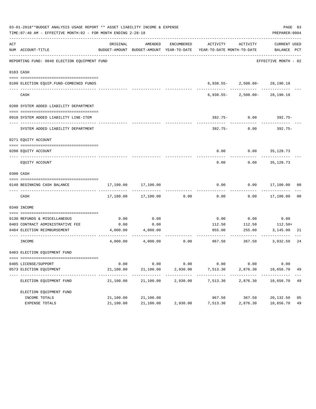|     | 03-01-2018**BUDGET ANALYSIS USAGE REPORT ** ASSET LIABILITY INCOME & EXPENSE<br>TIME: 07:40 AM - EFFECTIVE MONTH: 02 - FOR MONTH ENDING 2-28-18 |                         |                          |          |                                                                                                                 |                                   | PAGE 83<br>PREPARER: 0004 |                |
|-----|-------------------------------------------------------------------------------------------------------------------------------------------------|-------------------------|--------------------------|----------|-----------------------------------------------------------------------------------------------------------------|-----------------------------------|---------------------------|----------------|
| ACT | NUM ACCOUNT-TITLE                                                                                                                               | ORIGINAL                | AMENDED                  |          | ENCUMBERED ACTIVITY ACTIVITY<br>BUDGET-AMOUNT BUDGET-AMOUNT YEAR-TO-DATE YEAR-TO-DATE MONTH-TO-DATE BALANCE PCT |                                   | CURRENT USED              |                |
|     | REPORTING FUND: 0048 ELECTION EQUIPMENT FUND                                                                                                    |                         |                          |          |                                                                                                                 |                                   | EFFECTIVE MONTH - 02      |                |
|     | 0103 CASH                                                                                                                                       |                         |                          |          |                                                                                                                 |                                   |                           |                |
|     | 0100 ELECTION EQUIP.FUND-COMBINED FUNDS                                                                                                         |                         |                          |          |                                                                                                                 | $6,938.55 - 2,508.80 - 28,190.18$ |                           |                |
|     | ---------------------------<br>CASH                                                                                                             |                         |                          |          |                                                                                                                 | $6,938.55 - 2,508.80 - 28,190.18$ |                           |                |
|     | 0200 SYSTEM ADDED LIABILITY DEPARTMENT                                                                                                          |                         |                          |          |                                                                                                                 |                                   |                           |                |
|     | 0910 SYSTEM ADDED LIABILITY LINE-ITEM                                                                                                           |                         |                          |          |                                                                                                                 | 392.75- 0.00                      | 392.75-                   |                |
|     | SYSTEM ADDED LIABILITY DEPARTMENT                                                                                                               |                         |                          |          | 392.75-                                                                                                         | 0.00                              | 392.75-                   |                |
|     | 0271 EOUITY ACCOUNT                                                                                                                             |                         |                          |          |                                                                                                                 |                                   |                           |                |
|     | 0200 EOUITY ACCOUNT                                                                                                                             |                         |                          |          |                                                                                                                 | $0.00$ $0.00$ $35,128.73$         |                           |                |
|     | EQUITY ACCOUNT                                                                                                                                  |                         |                          |          | 0.00                                                                                                            | 0.00                              | 35,128.73                 |                |
|     | 0300 CASH                                                                                                                                       |                         |                          |          |                                                                                                                 |                                   |                           |                |
|     | 0148 BEGINNING CASH BALANCE                                                                                                                     |                         | 17,100.00 17,100.00      |          | 0.00                                                                                                            |                                   | $0.00$ 17,100.00 00       |                |
|     | CASH                                                                                                                                            |                         | 17,100.00 17,100.00      | 0.00     | 0.00                                                                                                            |                                   | $0.00$ 17,100.00          | 0 <sub>0</sub> |
|     | 0340 INCOME                                                                                                                                     |                         |                          |          |                                                                                                                 |                                   |                           |                |
|     | 0130 REFUNDS & MISCELLANEOUS                                                                                                                    | 0.00                    | 0.00                     |          | 0.00                                                                                                            | 0.00                              | 0.00                      |                |
|     | 0403 CONTRACT ADMINISTRATIVE FEE                                                                                                                | 0.00                    | 0.00                     |          | 112.50                                                                                                          | 112.50                            | $112.50+$                 |                |
|     | 0484 ELECTION REIMBURSEMENT                                                                                                                     |                         | 4,000.00 4,000.00        |          |                                                                                                                 | 855.00 255.00 3,145.00            |                           | 21             |
|     | INCOME                                                                                                                                          |                         | 4,000.00 4,000.00        |          | $0.00$ 967.50 367.50 3,032.50                                                                                   |                                   |                           | 24             |
|     | 0403 ELECTION EQUIPMENT FUND                                                                                                                    |                         |                          |          |                                                                                                                 |                                   |                           |                |
|     | 0485 LICENSE/SUPPORT                                                                                                                            | 0.00                    | 0.00                     | 0.00     | 0.00                                                                                                            | 0.00                              | 0.00                      |                |
|     | 0573 ELECTION EQUIPMENT                                                                                                                         | 21,100.00               | 21,100.00                | 2,930.00 | 7,513.30                                                                                                        | 2,876.30                          | 10,656.70                 | 49             |
|     | -------------------------------<br>ELECTION EQUIPMENT FUND                                                                                      | ----------<br>21,100.00 | -----------<br>21,100.00 | 2,930.00 | . <u>.</u> .<br>7,513.30                                                                                        | ----------<br>2,876.30            | -----------<br>10,656.70  | 49             |
|     | ELECTION EQUIPMENT FUND                                                                                                                         |                         |                          |          |                                                                                                                 |                                   |                           |                |
|     | INCOME TOTALS                                                                                                                                   | 21,100.00               | 21,100.00                |          | 967.50                                                                                                          | 367.50                            | 20,132.50                 | 05             |
|     | EXPENSE TOTALS                                                                                                                                  | 21,100.00               | 21,100.00                | 2,930.00 | 7,513.30                                                                                                        | 2,876.30                          | 10,656.70                 | 49             |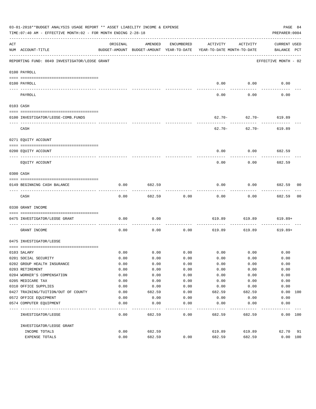|             | 03-01-2018**BUDGET ANALYSIS USAGE REPORT ** ASSET LIABILITY INCOME & EXPENSE<br>PAGE 84<br>TIME:07:40 AM - EFFECTIVE MONTH:02 - FOR MONTH ENDING 2-28-18<br>PREPARER: 0004 |          |         |                   |                                                                                 |                               |                                    |                |  |
|-------------|----------------------------------------------------------------------------------------------------------------------------------------------------------------------------|----------|---------|-------------------|---------------------------------------------------------------------------------|-------------------------------|------------------------------------|----------------|--|
| ACT         | NUM ACCOUNT-TITLE                                                                                                                                                          | ORIGINAL | AMENDED | ENCUMBERED        | ACTIVITY<br>BUDGET-AMOUNT BUDGET-AMOUNT YEAR-TO-DATE YEAR-TO-DATE MONTH-TO-DATE | ACTIVITY                      | <b>CURRENT USED</b><br>BALANCE PCT |                |  |
|             | REPORTING FUND: 0049 INVESTIGATOR/LEOSE GRANT                                                                                                                              |          |         |                   |                                                                                 |                               | EFFECTIVE MONTH - 02               |                |  |
|             | 0100 PAYROLL                                                                                                                                                               |          |         |                   |                                                                                 |                               |                                    |                |  |
|             | 0100 PAYROLL                                                                                                                                                               |          |         |                   | 0.00                                                                            | 0.00                          | 0.00                               |                |  |
| $- - - - -$ | ------------------------ --------<br>PAYROLL                                                                                                                               |          |         |                   | 0.00                                                                            | 0.00                          | 0.00                               |                |  |
|             | 0103 CASH                                                                                                                                                                  |          |         |                   |                                                                                 |                               |                                    |                |  |
|             | 0100 INVESTIGATOR/LEOSE-COMB.FUNDS                                                                                                                                         |          |         |                   |                                                                                 | $62.70 - 62.70 - 619.89$      |                                    |                |  |
|             | CASH                                                                                                                                                                       |          |         |                   | $62.70 -$                                                                       | ---------<br>$62.70 - 619.89$ |                                    |                |  |
|             | 0271 EQUITY ACCOUNT                                                                                                                                                        |          |         |                   |                                                                                 |                               |                                    |                |  |
|             | 0200 EQUITY ACCOUNT                                                                                                                                                        |          |         |                   | 0.00                                                                            | $0.00$ 682.59                 |                                    |                |  |
|             | EOUITY ACCOUNT                                                                                                                                                             |          |         |                   | 0.00                                                                            | 0.00                          | 682.59                             |                |  |
|             | 0300 CASH                                                                                                                                                                  |          |         |                   |                                                                                 |                               |                                    |                |  |
|             | 0149 BEGINNING CASH BALANCE                                                                                                                                                | 0.00     | 682.59  |                   | 0.00                                                                            | 0.00                          | 682.59 00                          |                |  |
|             | CASH                                                                                                                                                                       | 0.00     | 682.59  | 0.00              | 0.00                                                                            | 0.00                          | ----------<br>682.59               | 0 <sub>0</sub> |  |
|             | 0330 GRANT INCOME                                                                                                                                                          |          |         |                   |                                                                                 |                               |                                    |                |  |
|             | 0475 INVESTIGATOR/LEOSE GRANT                                                                                                                                              | 0.00     | 0.00    |                   | 619.89                                                                          | 619.89                        | 619.89+                            |                |  |
|             | GRANT INCOME                                                                                                                                                               | 0.00     | 0.00    | ---------<br>0.00 | 619.89                                                                          | 619.89                        | $619.89+$                          |                |  |
|             | 0475 INVESTIGATOR/LEOSE                                                                                                                                                    |          |         |                   |                                                                                 |                               |                                    |                |  |
|             | 0103 SALARY                                                                                                                                                                | 0.00     |         | $0.00$ 0.00       |                                                                                 | $0.00$ 0.00                   | 0.00                               |                |  |
|             | 0201 SOCIAL SECURITY                                                                                                                                                       | 0.00     | 0.00    | 0.00              | 0.00                                                                            | 0.00                          | 0.00                               |                |  |
|             | 0202 GROUP HEALTH INSURANCE                                                                                                                                                | 0.00     | 0.00    | 0.00              | 0.00                                                                            | 0.00                          | 0.00                               |                |  |
|             | 0203 RETIREMENT                                                                                                                                                            | 0.00     | 0.00    | 0.00              | 0.00                                                                            | 0.00                          | 0.00                               |                |  |
|             | 0204 WORKER'S COMPENSATION                                                                                                                                                 | 0.00     | 0.00    | 0.00              | 0.00                                                                            | 0.00                          | 0.00                               |                |  |
|             | 0205 MEDICARE TAX                                                                                                                                                          | 0.00     | 0.00    | 0.00              | 0.00                                                                            | 0.00                          | 0.00                               |                |  |
|             | 0310 OFFICE SUPPLIES                                                                                                                                                       | 0.00     | 0.00    | 0.00              | 0.00                                                                            | 0.00                          | 0.00                               |                |  |
|             | 0427 TRAINING/TUITION/OUT OF COUNTY                                                                                                                                        | 0.00     | 682.59  | 0.00              | 682.59                                                                          | 682.59                        | 0.00 100                           |                |  |
|             | 0572 OFFICE EQUIPMENT                                                                                                                                                      | 0.00     | 0.00    | 0.00              | 0.00                                                                            | 0.00                          | 0.00                               |                |  |
|             | 0574 COMPUTER EQUIPMENT                                                                                                                                                    | 0.00     | 0.00    | 0.00              | 0.00                                                                            | 0.00                          | 0.00                               |                |  |
|             | INVESTIGATOR/LEOSE                                                                                                                                                         | 0.00     | 682.59  | 0.00              | 682.59                                                                          | 682.59                        | 0.00 100                           |                |  |
|             | INVESTIGATOR/LEOSE GRANT                                                                                                                                                   |          |         |                   |                                                                                 |                               |                                    |                |  |
|             | INCOME TOTALS                                                                                                                                                              | 0.00     | 682.59  |                   | 619.89                                                                          | 619.89                        | 62.70                              | 91             |  |
|             | EXPENSE TOTALS                                                                                                                                                             | 0.00     | 682.59  | 0.00              | 682.59                                                                          | 682.59                        | 0.00 100                           |                |  |
|             |                                                                                                                                                                            |          |         |                   |                                                                                 |                               |                                    |                |  |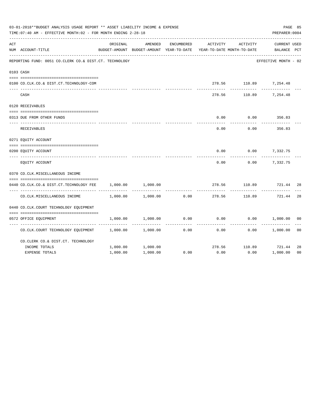|     | 03-01-2018**BUDGET ANALYSIS USAGE REPORT ** ASSET LIABILITY INCOME & EXPENSE<br>TIME: 07:40 AM - EFFECTIVE MONTH: 02 - FOR MONTH ENDING 2-28-18 |          |                                                     |                   |                                        |          |                                    |                |  |  |  |
|-----|-------------------------------------------------------------------------------------------------------------------------------------------------|----------|-----------------------------------------------------|-------------------|----------------------------------------|----------|------------------------------------|----------------|--|--|--|
| ACT | NUM ACCOUNT-TITLE                                                                                                                               | ORIGINAL | AMENDED<br>BUDGET-AMOUNT BUDGET-AMOUNT YEAR-TO-DATE | <b>ENCUMBERED</b> | ACTIVITY<br>YEAR-TO-DATE MONTH-TO-DATE | ACTIVITY | <b>CURRENT USED</b><br>BALANCE PCT |                |  |  |  |
|     | REPORTING FUND: 0051 CO.CLERK CO.& DIST.CT. TECHNOLOGY                                                                                          |          |                                                     |                   |                                        |          | EFFECTIVE MONTH - 02               |                |  |  |  |
|     | 0103 CASH                                                                                                                                       |          |                                                     |                   |                                        |          |                                    |                |  |  |  |
|     |                                                                                                                                                 |          |                                                     |                   |                                        |          |                                    |                |  |  |  |
|     | 0100 CO.CLK.CO.& DIST.CT.TECHNOLOGY-COM                                                                                                         |          |                                                     |                   |                                        |          | 278.56 110.89 7,254.48             |                |  |  |  |
|     | CASH                                                                                                                                            |          |                                                     |                   | 278.56                                 | 110.89   | 7,254.48                           |                |  |  |  |
|     | 0120 RECEIVABLES                                                                                                                                |          |                                                     |                   |                                        |          |                                    |                |  |  |  |
|     | 0313 DUE FROM OTHER FUNDS                                                                                                                       |          |                                                     |                   | 0.00                                   | 0.00     | 356.83                             |                |  |  |  |
|     | RECEIVABLES                                                                                                                                     |          |                                                     |                   | 0.00                                   | 0.00     | 356.83                             |                |  |  |  |
|     | 0271 EQUITY ACCOUNT                                                                                                                             |          |                                                     |                   |                                        |          |                                    |                |  |  |  |
|     |                                                                                                                                                 |          |                                                     |                   |                                        |          |                                    |                |  |  |  |
|     | 0200 EQUITY ACCOUNT                                                                                                                             |          |                                                     |                   | 0.00                                   |          | $0.00$ 7,332.75                    |                |  |  |  |
|     | EQUITY ACCOUNT                                                                                                                                  |          |                                                     |                   | 0.00                                   |          | 0.00<br>7,332.75                   |                |  |  |  |
|     | 0370 CO.CLK.MISCELLANEOUS INCOME                                                                                                                |          |                                                     |                   |                                        |          |                                    |                |  |  |  |
|     | 0440 CO.CLK.CO.& DIST.CT.TECHNOLOGY FEE                                                                                                         | 1,000.00 | 1,000.00                                            |                   | 278.56                                 | 110.89   | 721.44                             | 28             |  |  |  |
|     | CO. CLK. MISCELLANEOUS INCOME                                                                                                                   | 1,000.00 | 1,000.00                                            | 0.00              | 278.56                                 | 110.89   | 721.44                             | 28             |  |  |  |
|     | 0440 CO.CLK.COURT TECHNOLOGY EQUIPMENT                                                                                                          |          |                                                     |                   |                                        |          |                                    |                |  |  |  |
|     |                                                                                                                                                 |          |                                                     |                   |                                        |          |                                    |                |  |  |  |
|     | 0572 OFFICE EQUIPMENT                                                                                                                           | 1,000.00 | 1,000.00                                            | 0.00              | 0.00                                   | 0.00     | 1,000.00                           | 0 <sub>0</sub> |  |  |  |
|     | CO.CLK.COURT TECHNOLOGY EQUIPMENT                                                                                                               | 1,000.00 | 1,000.00                                            | 0.00              | 0.00                                   | 0.00     | 1,000.00                           | 0 <sub>0</sub> |  |  |  |
|     | CO. CLERK CO. & DIST. CT. TECHNOLOGY                                                                                                            |          |                                                     |                   |                                        |          |                                    |                |  |  |  |
|     | INCOME TOTALS                                                                                                                                   | 1,000.00 | 1,000.00                                            |                   | 278.56                                 |          | 110.89 721.44                      | 28             |  |  |  |
|     | <b>EXPENSE TOTALS</b>                                                                                                                           | 1,000.00 | 1,000.00                                            | 0.00              | 0.00                                   | 0.00     | 1,000.00                           | 0 <sub>0</sub> |  |  |  |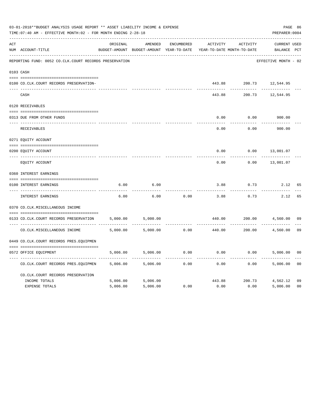|     | 03-01-2018**BUDGET ANALYSIS USAGE REPORT ** ASSET LIABILITY INCOME & EXPENSE<br>TIME: 07:40 AM - EFFECTIVE MONTH: 02 - FOR MONTH ENDING 2-28-18 |          |                                                     |            |          |                                        |                                    |                |  |  |
|-----|-------------------------------------------------------------------------------------------------------------------------------------------------|----------|-----------------------------------------------------|------------|----------|----------------------------------------|------------------------------------|----------------|--|--|
| ACT | NUM ACCOUNT-TITLE                                                                                                                               | ORIGINAL | AMENDED<br>BUDGET-AMOUNT BUDGET-AMOUNT YEAR-TO-DATE | ENCUMBERED | ACTIVITY | ACTIVITY<br>YEAR-TO-DATE MONTH-TO-DATE | <b>CURRENT USED</b><br>BALANCE PCT |                |  |  |
|     | REPORTING FUND: 0052 CO.CLK.COURT RECORDS PRESERVATION                                                                                          |          |                                                     |            |          |                                        | EFFECTIVE MONTH - 02               |                |  |  |
|     | 0103 CASH                                                                                                                                       |          |                                                     |            |          |                                        |                                    |                |  |  |
|     | 0100 CO.CLK.COURT RECORDS PRESERVATION-                                                                                                         |          |                                                     |            | 443.88   |                                        | 200.73 12,544.95                   |                |  |  |
|     | CASH                                                                                                                                            |          |                                                     |            | 443.88   | 200.73                                 | 12,544.95                          |                |  |  |
|     | 0120 RECEIVABLES                                                                                                                                |          |                                                     |            |          |                                        |                                    |                |  |  |
|     | 0313 DUE FROM OTHER FUNDS                                                                                                                       |          |                                                     |            | 0.00     | 0.00                                   | 900.00                             |                |  |  |
|     | RECEIVABLES                                                                                                                                     |          |                                                     |            | 0.00     | 0.00                                   | 900.00                             |                |  |  |
|     | 0271 EQUITY ACCOUNT                                                                                                                             |          |                                                     |            |          |                                        |                                    |                |  |  |
|     | 0200 EQUITY ACCOUNT                                                                                                                             |          |                                                     |            | 0.00     | 0.00                                   | 13,001.07                          |                |  |  |
|     | ---- ------------<br>EQUITY ACCOUNT                                                                                                             |          |                                                     |            | 0.00     | 0.00                                   | 13,001.07                          |                |  |  |
|     | 0360 INTEREST EARNINGS                                                                                                                          |          |                                                     |            |          |                                        |                                    |                |  |  |
|     | 0100 INTEREST EARNINGS                                                                                                                          | 6.00     | 6.00                                                |            | 3.88     | 0.73                                   | 2.12                               | 65             |  |  |
|     | ---- ----------------<br>INTEREST EARNINGS                                                                                                      | 6.00     | 6.00                                                | 0.00       | 3.88     | 0.73                                   | 2.12                               | 65             |  |  |
|     | 0370 CO.CLK.MISCELLANEOUS INCOME                                                                                                                |          |                                                     |            |          |                                        |                                    |                |  |  |
|     | 0133 CO.CLK.COURT RECORDS PRESERVATION                                                                                                          | 5,000.00 | 5,000.00                                            |            | 440.00   | 200.00<br>.                            | 4,560.00                           | 09             |  |  |
|     | CO. CLK. MISCELLANEOUS INCOME                                                                                                                   | 5,000.00 | 5,000.00                                            | 0.00       | 440.00   | 200.00                                 | 4,560.00                           | 09             |  |  |
|     | 0449 CO.CLK.COURT RECORDS PRES.EQUIPMEN                                                                                                         |          |                                                     |            |          |                                        |                                    |                |  |  |
|     | 0572 OFFICE EOUIPMENT                                                                                                                           | 5,006.00 | 5,006.00                                            | 0.00       | 0.00     |                                        | 0.00<br>5,006.00                   | 0 <sub>0</sub> |  |  |
|     | CO.CLK.COURT RECORDS PRES.EQUIPMEN                                                                                                              | 5,006.00 | 5,006.00                                            | 0.00       | 0.00     | 0.00                                   | 5,006.00                           | 0 <sub>0</sub> |  |  |
|     | CO. CLK. COURT RECORDS PRESERVATION                                                                                                             |          |                                                     |            |          |                                        |                                    |                |  |  |
|     | INCOME TOTALS                                                                                                                                   | 5,006.00 | 5,006.00                                            |            | 443.88   | 200.73                                 | 4,562.12                           | 09             |  |  |
|     | <b>EXPENSE TOTALS</b>                                                                                                                           | 5,006.00 | 5,006.00                                            | 0.00       | 0.00     | 0.00                                   | 5,006.00                           | 0 <sub>0</sub> |  |  |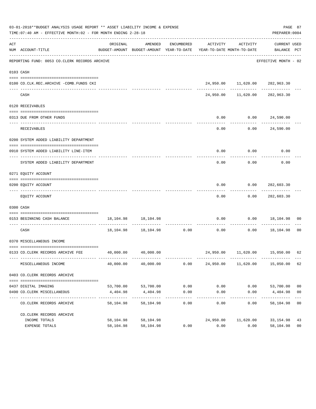|     | 03-01-2018**BUDGET ANALYSIS USAGE REPORT ** ASSET LIABILITY INCOME & EXPENSE<br>TIME: 07:40 AM - EFFECTIVE MONTH: 02 - FOR MONTH ENDING 2-28-18 |                            |                                                                                            |                    |                                       |                                     | PREPARER: 0004        | PAGE 87                          |
|-----|-------------------------------------------------------------------------------------------------------------------------------------------------|----------------------------|--------------------------------------------------------------------------------------------|--------------------|---------------------------------------|-------------------------------------|-----------------------|----------------------------------|
| ACT | NUM ACCOUNT-TITLE                                                                                                                               | ORIGINAL                   | AMENDED<br>BUDGET-AMOUNT BUDGET-AMOUNT YEAR-TO-DATE YEAR-TO-DATE MONTH-TO-DATE BALANCE PCT | ENCUMBERED         | ACTIVITY                              | ACTIVITY                            | CURRENT USED          |                                  |
|     | REPORTING FUND: 0053 CO.CLERK RECORDS ARCHIVE                                                                                                   |                            |                                                                                            |                    |                                       |                                     | EFFECTIVE MONTH - 02  |                                  |
|     | 0103 CASH                                                                                                                                       |                            |                                                                                            |                    |                                       |                                     |                       |                                  |
|     | 0100 CO.CLK.REC.ARCHIVE -COMB.FUNDS CKI                                                                                                         |                            |                                                                                            |                    |                                       | 24,950.00 11,620.00 282,963.30      |                       |                                  |
|     | CASH                                                                                                                                            |                            |                                                                                            |                    |                                       | 24,950.00 11,620.00 282,963.30      |                       |                                  |
|     | 0120 RECEIVABLES                                                                                                                                |                            |                                                                                            |                    |                                       |                                     |                       |                                  |
|     | 0313 DUE FROM OTHER FUNDS                                                                                                                       |                            |                                                                                            |                    | 0.00                                  |                                     | $0.00$ 24,590.00      |                                  |
|     | RECEIVABLES                                                                                                                                     |                            |                                                                                            |                    | 0.00                                  | 0.00                                | 24,590.00             |                                  |
|     | 0200 SYSTEM ADDED LIABILITY DEPARTMENT                                                                                                          |                            |                                                                                            |                    |                                       |                                     |                       |                                  |
|     | 0910 SYSTEM ADDED LIABILITY LINE-ITEM                                                                                                           |                            |                                                                                            |                    | 0.00                                  | 0.00                                | 0.00                  |                                  |
|     | SYSTEM ADDED LIABILITY DEPARTMENT                                                                                                               |                            |                                                                                            |                    | 0.00                                  | 0.00                                | 0.00                  |                                  |
|     | 0271 EQUITY ACCOUNT                                                                                                                             |                            |                                                                                            |                    |                                       |                                     |                       |                                  |
|     | 0200 EQUITY ACCOUNT                                                                                                                             |                            |                                                                                            |                    | 0.00                                  |                                     | 0.0000282,603.30      |                                  |
|     |                                                                                                                                                 |                            |                                                                                            |                    |                                       |                                     |                       |                                  |
|     | EQUITY ACCOUNT                                                                                                                                  |                            |                                                                                            |                    | 0.00                                  |                                     | $0.00$ 282,603.30     |                                  |
|     | 0300 CASH                                                                                                                                       |                            |                                                                                            |                    |                                       |                                     |                       |                                  |
|     | 0153 BEGINNING CASH BALANCE                                                                                                                     |                            | 18, 104. 98   18, 104. 98                                                                  |                    | 0.00<br>----------------------------- |                                     | $0.00$ 18,104.98 00   |                                  |
|     | CASH                                                                                                                                            |                            | 18,104.98 18,104.98 0.00 0.00 0.00 18,104.98                                               |                    |                                       |                                     |                       | 00                               |
|     | 0370 MISCELLANEOUS INCOME                                                                                                                       |                            |                                                                                            |                    |                                       |                                     |                       |                                  |
|     | 0133 CO.CLERK RECORDS ARCHIVE FEE 40,000.00 40,000.00                                                                                           |                            |                                                                                            |                    |                                       | 24,950.00  11,620.00  15,050.00  62 |                       |                                  |
|     |                                                                                                                                                 |                            |                                                                                            |                    |                                       |                                     |                       |                                  |
|     | MISCELLANEOUS INCOME                                                                                                                            | 40,000.00                  | 40,000.00                                                                                  | 0.00               | 24,950.00                             | 11,620.00                           | 15,050.00             | 62                               |
|     | 0403 CO.CLERK RECORDS ARCHIVE                                                                                                                   |                            |                                                                                            |                    |                                       |                                     |                       |                                  |
|     |                                                                                                                                                 |                            |                                                                                            |                    |                                       |                                     |                       |                                  |
|     | 0437 DIGITAL IMAGING<br>0490 CO. CLERK MISCELLANEOUS                                                                                            | 4,404.98                   | 53,700.00 53,700.00<br>4,404.98                                                            | 0.00<br>0.00       | 0.00<br>0.00                          | 0.00<br>0.00                        | 53,700.00<br>4,404.98 | 0 <sub>0</sub><br>0 <sub>0</sub> |
|     | CO. CLERK RECORDS ARCHIVE                                                                                                                       | -------------<br>58,104.98 | -------------<br>58,104.98                                                                 | ----------<br>0.00 | 0.00                                  | $- - - - -$<br>0.00                 | 58,104.98             | 0 <sub>0</sub>                   |
|     |                                                                                                                                                 |                            |                                                                                            |                    |                                       |                                     |                       |                                  |
|     | CO. CLERK RECORDS ARCHIVE<br>INCOME TOTALS                                                                                                      | 58,104.98                  | 58,104.98                                                                                  |                    | 24,950.00                             | 11,620.00                           | 33, 154.98            | 43                               |
|     | EXPENSE TOTALS                                                                                                                                  | 58,104.98                  | 58,104.98                                                                                  | 0.00               | 0.00                                  | 0.00                                | 58,104.98             | 0 <sub>0</sub>                   |
|     |                                                                                                                                                 |                            |                                                                                            |                    |                                       |                                     |                       |                                  |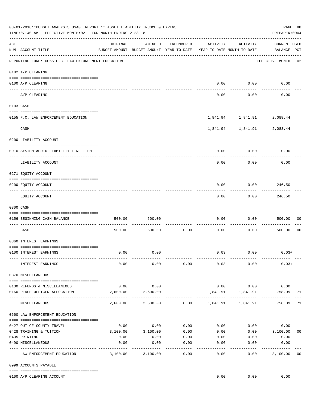|     | 03-01-2018**BUDGET ANALYSIS USAGE REPORT ** ASSET LIABILITY INCOME & EXPENSE<br>TIME: 07:40 AM - EFFECTIVE MONTH: 02 - FOR MONTH ENDING 2-28-18 |                                                      |          |                     |                       |                                        | PREPARER: 0004                     | PAGE 88        |
|-----|-------------------------------------------------------------------------------------------------------------------------------------------------|------------------------------------------------------|----------|---------------------|-----------------------|----------------------------------------|------------------------------------|----------------|
| ACT | NUM ACCOUNT-TITLE                                                                                                                               | ORIGINAL<br>BUDGET-AMOUNT BUDGET-AMOUNT YEAR-TO-DATE | AMENDED  | ENCUMBERED          | ACTIVITY              | ACTIVITY<br>YEAR-TO-DATE MONTH-TO-DATE | <b>CURRENT USED</b><br>BALANCE PCT |                |
|     | REPORTING FUND: 0055 F.C. LAW ENFORCEMENT EDUCATION                                                                                             |                                                      |          |                     |                       |                                        | EFFECTIVE MONTH - 02               |                |
|     | 0102 A/P CLEARING                                                                                                                               |                                                      |          |                     |                       |                                        |                                    |                |
|     | 0100 A/P CLEARING                                                                                                                               |                                                      |          |                     | 0.00                  | 0.00                                   | 0.00                               |                |
|     | ---- ----------<br>----------------------- ------<br>A/P CLEARING                                                                               |                                                      |          |                     | 0.00                  | 0.00                                   | 0.00                               |                |
|     | 0103 CASH                                                                                                                                       |                                                      |          |                     |                       |                                        |                                    |                |
|     | 0155 F.C. LAW ENFORCEMENT EDUCATION                                                                                                             |                                                      |          |                     |                       |                                        | 1,841.94   1,841.91   2,088.44     |                |
|     | CASH                                                                                                                                            |                                                      |          |                     |                       | . <u>.</u> .                           | 1,841.94   1,841.91   2,088.44     |                |
|     | 0200 LIABILITY ACCOUNT                                                                                                                          |                                                      |          |                     |                       |                                        |                                    |                |
|     | 0910 SYSTEM ADDED LIABILITY LINE-ITEM                                                                                                           |                                                      |          |                     | 0.00                  | 0.00                                   | 0.00                               |                |
|     | LIABILITY ACCOUNT                                                                                                                               |                                                      |          |                     | 0.00                  | 0.00                                   | 0.00                               |                |
|     | 0271 EQUITY ACCOUNT                                                                                                                             |                                                      |          |                     |                       |                                        |                                    |                |
|     | 0200 EQUITY ACCOUNT                                                                                                                             |                                                      |          |                     | 0.00                  | 0.00                                   | 246.50                             |                |
|     | EQUITY ACCOUNT                                                                                                                                  |                                                      |          |                     | 0.00                  | 0.00                                   | 246.50                             |                |
|     | 0300 CASH                                                                                                                                       |                                                      |          |                     |                       |                                        |                                    |                |
|     | 0156 BEGINNING CASH BALANCE                                                                                                                     | 500.00                                               | 500.00   |                     | 0.00                  | 0.00                                   | 500.00                             | 00             |
|     | CASH                                                                                                                                            | 500.00                                               | 500.00   | 0.00                | 0.00                  | 0.00                                   | 500.00                             | 0 <sub>0</sub> |
|     | 0360 INTEREST EARNINGS                                                                                                                          |                                                      |          |                     |                       |                                        |                                    |                |
|     | 0100 INTEREST EARNINGS                                                                                                                          | 0.00                                                 | 0.00     |                     |                       | $0.03$ 0.00                            | $0.03+$                            |                |
|     | INTEREST EARNINGS                                                                                                                               | 0.00                                                 | 0.00     | 0.00                | 0.03                  | 0.00                                   | $0.03+$                            |                |
|     | 0370 MISCELLANEOUS                                                                                                                              |                                                      |          |                     |                       |                                        |                                    |                |
|     | 0130 REFUNDS & MISCELLANEOUS                                                                                                                    | 0.00                                                 | 0.00     |                     |                       | $0.00$ $0.00$                          | 0.00                               |                |
|     | 0160 PEACE OFFICER ALLOCATION                                                                                                                   | 2,600.00                                             | 2,600.00 |                     | . _ _ _ _ _ _ _ _ _ _ | 1,841.91   1,841.91<br>----------      | 758.09                             | 71             |
|     | MISCELLANEOUS                                                                                                                                   | 2,600.00                                             | 2,600.00 |                     |                       | $0.00$ 1,841.91 1,841.91               | 758.09                             | 71             |
|     | 0560 LAW ENFORCEMENT EDUCATION                                                                                                                  |                                                      |          |                     |                       |                                        |                                    |                |
|     | 0427 OUT OF COUNTY TRAVEL                                                                                                                       | 0.00                                                 | 0.00     | 0.00                | 0.00                  |                                        | 0.00<br>0.00                       |                |
|     | 0428 TRAINING & TUITION                                                                                                                         | 3,100.00                                             | 3,100.00 | 0.00                | 0.00                  |                                        | $0.00$ 3,100.00                    | 0 <sub>0</sub> |
|     | 0435 PRINTING                                                                                                                                   | 0.00                                                 | 0.00     | 0.00                | 0.00                  | 0.00                                   | 0.00                               |                |
|     | 0490 MISCELLANEOUS                                                                                                                              | 0.00                                                 | 0.00     | 0.00<br>$- - - - -$ | 0.00                  | 0.00                                   | 0.00                               |                |
|     | LAW ENFORCEMENT EDUCATION                                                                                                                       | 3,100.00                                             | 3,100.00 | 0.00                | 0.00                  | 0.00                                   | 3,100.00                           | 00             |
|     | 0999 ACCOUNTS PAYABLE                                                                                                                           |                                                      |          |                     |                       |                                        |                                    |                |
|     | 0100 A/P CLEARING ACCOUNT                                                                                                                       |                                                      |          |                     | 0.00                  | 0.00                                   | 0.00                               |                |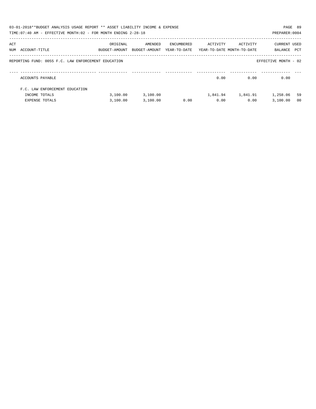|     | 03-01-2018**BUDGET ANALYSIS USAGE REPORT ** ASSET LIABILITY INCOME & EXPENSE<br>PAGE 89<br>TIME: 07:40 AM - EFFECTIVE MONTH: 02 - FOR MONTH ENDING 2-28-18<br>PREPARER: 0004 |                                                                                 |          |            |          |          |                             |                |  |
|-----|------------------------------------------------------------------------------------------------------------------------------------------------------------------------------|---------------------------------------------------------------------------------|----------|------------|----------|----------|-----------------------------|----------------|--|
| ACT | NUM ACCOUNT-TITLE                                                                                                                                                            | ORIGINAL<br>BUDGET-AMOUNT BUDGET-AMOUNT YEAR-TO-DATE YEAR-TO-DATE_MONTH-TO-DATE | AMENDED  | ENCUMBERED | ACTIVITY | ACTIVITY | CURRENT USED<br>BALANCE PCT |                |  |
|     | REPORTING FUND: 0055 F.C. LAW ENFORCEMENT EDUCATION                                                                                                                          |                                                                                 |          |            |          |          | EFFECTIVE MONTH - 02        |                |  |
|     | ACCOUNTS PAYABLE                                                                                                                                                             |                                                                                 |          |            | 0.00     | 0.00     | 0.00                        |                |  |
|     | F.C. LAW ENFORCEMENT EDUCATION                                                                                                                                               |                                                                                 |          |            |          |          |                             |                |  |
|     | INCOME TOTALS                                                                                                                                                                | 3.100.00                                                                        | 3,100.00 |            | 1,841.94 | 1,841.91 | 1,258.06                    | 59             |  |
|     | EXPENSE TOTALS                                                                                                                                                               | 3,100.00                                                                        | 3,100.00 | 0.00       | 0.00     | 0.00     | 3.100.00                    | 0 <sub>0</sub> |  |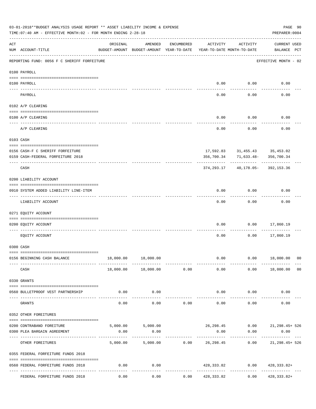| 03-01-2018**BUDGET ANALYSIS USAGE REPORT ** ASSET LIABILITY INCOME & EXPENSE<br>PAGE 90<br>TIME: 07:40 AM - EFFECTIVE MONTH: 02 - FOR MONTH ENDING 2-28-18<br>PREPARER: 0004 |                                             |          |                                                     |               |                                        |                      |                                                |                |  |  |
|------------------------------------------------------------------------------------------------------------------------------------------------------------------------------|---------------------------------------------|----------|-----------------------------------------------------|---------------|----------------------------------------|----------------------|------------------------------------------------|----------------|--|--|
| ACT                                                                                                                                                                          | NUM ACCOUNT-TITLE                           | ORIGINAL | AMENDED<br>BUDGET-AMOUNT BUDGET-AMOUNT YEAR-TO-DATE | ENCUMBERED    | ACTIVITY<br>YEAR-TO-DATE MONTH-TO-DATE | ACTIVITY             | <b>CURRENT USED</b><br>BALANCE PCT             |                |  |  |
|                                                                                                                                                                              | REPORTING FUND: 0056 F C SHERIFF FORFEITURE |          |                                                     |               |                                        |                      | EFFECTIVE MONTH - 02                           |                |  |  |
|                                                                                                                                                                              | 0100 PAYROLL                                |          |                                                     |               |                                        |                      |                                                |                |  |  |
|                                                                                                                                                                              | 0100 PAYROLL                                |          |                                                     |               | 0.00                                   | 0.00                 | 0.00                                           |                |  |  |
| ---- ---                                                                                                                                                                     | PAYROLL                                     |          |                                                     |               | 0.00                                   | 0.00                 | 0.00                                           |                |  |  |
|                                                                                                                                                                              | 0102 A/P CLEARING                           |          |                                                     |               |                                        |                      |                                                |                |  |  |
|                                                                                                                                                                              | 0100 A/P CLEARING                           |          |                                                     |               | 0.00                                   | 0.00                 | 0.00                                           |                |  |  |
|                                                                                                                                                                              | A/P CLEARING                                |          |                                                     |               | 0.00                                   | 0.00                 | 0.00                                           |                |  |  |
|                                                                                                                                                                              | 0103 CASH                                   |          |                                                     |               |                                        |                      |                                                |                |  |  |
|                                                                                                                                                                              | 0156 CASH-F C SHERIFF FORFEITURE            |          |                                                     |               |                                        |                      | 17,592.83 31,455.43 35,453.02                  |                |  |  |
|                                                                                                                                                                              | 0159 CASH-FEDERAL FORFEITURE 2018           |          |                                                     |               | 356,700.34                             |                      | 71,633.48-356,700.34                           |                |  |  |
|                                                                                                                                                                              | CASH                                        |          |                                                     |               | 374,293.17                             |                      | 40,178.05- 392,153.36                          |                |  |  |
|                                                                                                                                                                              | 0200 LIABILITY ACCOUNT                      |          |                                                     |               |                                        |                      |                                                |                |  |  |
|                                                                                                                                                                              | 0910 SYSTEM ADDED LIABILITY LINE-ITEM       |          |                                                     |               | 0.00                                   | 0.00                 | 0.00                                           |                |  |  |
|                                                                                                                                                                              | LIABILITY ACCOUNT                           |          |                                                     |               | 0.00                                   | 0.00                 | 0.00                                           |                |  |  |
|                                                                                                                                                                              | 0271 EQUITY ACCOUNT                         |          |                                                     |               |                                        |                      |                                                |                |  |  |
|                                                                                                                                                                              | 0200 EQUITY ACCOUNT                         |          |                                                     |               | 0.00                                   | 0.00                 | 17,860.19                                      |                |  |  |
|                                                                                                                                                                              | EQUITY ACCOUNT                              |          |                                                     |               | 0.00                                   | 0.00                 | 17,860.19                                      |                |  |  |
|                                                                                                                                                                              | 0300 CASH                                   |          |                                                     |               |                                        |                      |                                                |                |  |  |
|                                                                                                                                                                              | 0156 BEGINNING CASH BALANCE                 |          | 18,000.00   18,000.00                               |               | 0.00                                   |                      | $0.00$ 18,000.00 00                            |                |  |  |
|                                                                                                                                                                              | CASH                                        |          | 18,000.00 18,000.00                                 | 0.00          | 0.00                                   |                      | $0.00$ 18,000.00                               | 0 <sub>0</sub> |  |  |
|                                                                                                                                                                              | 0330 GRANTS                                 |          |                                                     |               |                                        |                      |                                                |                |  |  |
|                                                                                                                                                                              | 0560 BULLETPROOF VEST PARTNERSHIP           | 0.00     | 0.00                                                |               |                                        | $0.00$ 0.00          | 0.00                                           |                |  |  |
| $---$                                                                                                                                                                        | GRANTS                                      | 0.00     | . <u>.</u> .<br>0.00                                | 0.00          | 0.00                                   | 0.00                 | 0.00                                           |                |  |  |
|                                                                                                                                                                              | 0352 OTHER FOREITURES                       |          |                                                     |               |                                        |                      |                                                |                |  |  |
|                                                                                                                                                                              | 0200 CONTRABAND FOREITURE                   |          |                                                     |               |                                        |                      | 5,000.00 5,000.00 26,298.45 0.00 21,298.45 526 |                |  |  |
|                                                                                                                                                                              | 0300 PLEA BARGAIN AGREEMENT                 | 0.00     | 0.00                                                |               | 0.00<br>-------------                  | 0.00<br>------------ | 0.00                                           |                |  |  |
|                                                                                                                                                                              | OTHER FOREITURES                            | 5,000.00 |                                                     | 5,000.00 0.00 |                                        |                      | 26,298.45  0.00  21,298.45+ 526                |                |  |  |
|                                                                                                                                                                              | 0355 FEDERAL FORFEITURE FUNDS 2018          |          |                                                     |               |                                        |                      |                                                |                |  |  |
|                                                                                                                                                                              | 0560 FEDERAL FORFEITURE FUNDS 2018          | 0.00     | 0.00                                                |               | -------------                          | ------------         | 428,333.82 0.00 428,333.82+<br>-------------   |                |  |  |
|                                                                                                                                                                              | FEDERAL FORFEITURE FUNDS 2018               | 0.00     | 0.00                                                |               | $0.00$ $428,333.82$                    | 0.00                 | 428, 333.82+                                   |                |  |  |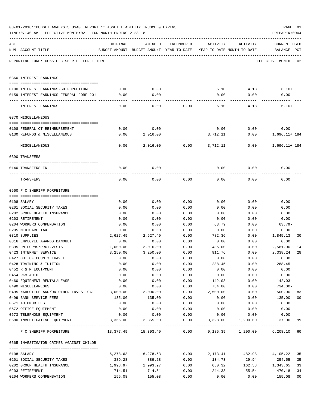|     | TIME:07:40 AM - EFFECTIVE MONTH:02 - FOR MONTH ENDING 2-28-18 |                  |                                                                                |              |                  |                   | PREPARER: 0004                     |                |
|-----|---------------------------------------------------------------|------------------|--------------------------------------------------------------------------------|--------------|------------------|-------------------|------------------------------------|----------------|
| ACT | NUM ACCOUNT-TITLE                                             | ORIGINAL         | AMENDED<br>BUDGET-AMOUNT BUDGET-AMOUNT YEAR-TO-DATE YEAR-TO-DATE MONTH-TO-DATE | ENCUMBERED   | ACTIVITY         | ACTIVITY          | <b>CURRENT USED</b><br>BALANCE PCT |                |
|     | REPORTING FUND: 0056 F C SHERIFF FORFEITURE                   |                  |                                                                                |              |                  |                   | EFFECTIVE MONTH - 02               |                |
|     | 0360 INTEREST EARNINGS                                        |                  |                                                                                |              |                  |                   |                                    |                |
|     | 0100 INTEREST EARNINGS-SO FORFEITURE                          | 0.00             | 0.00                                                                           |              |                  | 6.10 4.18         | $6.10+$                            |                |
|     | 0159 INTEREST EARNINGS-FEDERAL FORF 201                       | 0.00             | 0.00                                                                           |              | 0.00             | 0.00              | 0.00                               |                |
|     |                                                               |                  |                                                                                |              |                  |                   |                                    |                |
|     | INTEREST EARNINGS                                             | 0.00             | 0.00                                                                           | 0.00         | 6.10             | 4.18              | $6.10+$                            |                |
|     | 0370 MISCELLANEOUS                                            |                  |                                                                                |              |                  |                   |                                    |                |
|     |                                                               |                  |                                                                                |              |                  |                   |                                    |                |
|     | 0108 FEDERAL OT REIMBURSEMENT                                 | 0.00             | 0.00                                                                           |              | 0.00             | 0.00              | 0.00                               |                |
|     | 0130 REFUNDS & MISCELLANEOUS                                  | 0.00             | 2,016.00                                                                       |              | 3,712.11         | 0.00              | 1,696.11+ 184                      |                |
|     | MISCELLANEOUS                                                 | 0.00             | 2,016.00                                                                       | 0.00         | 3,712.11         | 0.00              | 1,696.11+ 184                      |                |
|     | 0390 TRANSFERS                                                |                  |                                                                                |              |                  |                   |                                    |                |
|     |                                                               |                  |                                                                                |              |                  |                   |                                    |                |
|     | 0140 TRANSFERS IN                                             | 0.00             | 0.00                                                                           |              | 0.00             | 0.00              | 0.00                               |                |
|     | TRANSFERS                                                     | 0.00             | 0.00                                                                           | 0.00         | 0.00             | 0.00              | 0.00                               |                |
|     | 0560 F C SHERIFF FORFEITURE                                   |                  |                                                                                |              |                  |                   |                                    |                |
|     |                                                               |                  |                                                                                |              |                  |                   |                                    |                |
|     | 0108 SALARY                                                   | 0.00             | 0.00                                                                           | 0.00         | 0.00             | 0.00              | 0.00                               |                |
|     | 0201 SOCIAL SECURITY TAXES                                    | 0.00             | 0.00                                                                           | 0.00         | 0.00             | 0.00              | 0.00                               |                |
|     | 0202 GROUP HEALTH INSURANCE                                   | 0.00             | 0.00                                                                           | 0.00         | 0.00             | 0.00              | 0.00                               |                |
|     | 0203 RETIREMENT                                               | 0.00             | 0.00                                                                           | 0.00         | 0.00             | 0.00              | 0.00                               |                |
|     | 0204 WORKERS COMPENSATION                                     | 0.00             | 0.00                                                                           | 0.00         | 63.79            | 0.00              | $63.79-$                           |                |
|     | 0205 MEDICARE TAX                                             | 0.00             | 0.00                                                                           | 0.00         | 0.00             | 0.00              | 0.00                               |                |
|     | 0310 SUPPLIES                                                 | 2,627.49         | 2,627.49                                                                       | 0.00         | 782.36           | 0.00              | 1,845.13                           | 30             |
|     | 0316 EMPLOYEE AWARDS BANQUET<br>0395 UNIFORMS/PROT.VESTS      | 0.00             | 0.00                                                                           | 0.00         | 0.00             | 0.00              | 0.00                               |                |
|     | 0423 INTERNET SERVICE                                         | 1,000.00         | 3,016.00                                                                       | 0.00<br>0.00 | 435.00<br>911.76 | 0.00              | 2,581.00<br>2,338.24               | 14<br>28       |
|     | 0427 OUT OF COUNTY TRAVEL                                     | 3,250.00<br>0.00 | 3,250.00<br>0.00                                                               | 0.00         | 0.00             | 0.00<br>0.00      | 0.00                               |                |
|     | 0428 TRAINING & TUITION                                       | 0.00             | 0.00                                                                           | 0.00         | 288.45           | 0.00              | $288.45-$                          |                |
|     | 0452 R & M EQUIPMENT                                          | 0.00             | 0.00                                                                           | 0.00         | 0.00             | 0.00              | 0.00                               |                |
|     | 0454 R&M AUTO                                                 | 0.00             | 0.00                                                                           | 0.00         | 0.00             | 0.00              | 0.00                               |                |
|     | 0460 EQUIPMENT RENTAL/LEASE                                   | 0.00             | 0.00                                                                           | 0.00         | 142.03           | 0.00              | $142.03-$                          |                |
|     | 0490 MISCELLANEOUS                                            | 0.00             | 0.00                                                                           | 0.00         | 734.00           | 0.00              | $734.00 -$                         |                |
|     | 0495 NARCOTICS AND/OR OTHER INVESTIGATI                       | 3,000.00         | 3,000.00                                                                       | 0.00         | 2,500.00         | 0.00              | 500.00                             | 83             |
|     | 0499 BANK SERVICE FEES                                        | 135.00           | 135.00                                                                         | 0.00         | 0.00             | 0.00              | 135.00                             | 00             |
|     | 0571 AUTOMOBILES                                              | 0.00             | 0.00                                                                           | 0.00         | 0.00             | 0.00              | 0.00                               |                |
|     | 0572 OFFICE EQUIPMENT                                         | 0.00             | 0.00                                                                           | 0.00         | 0.00             | 0.00              | 0.00                               |                |
|     | 0573 TELEPHONE EQUIPMENT                                      | 0.00             | 0.00                                                                           | 0.00         | 0.00             | 0.00              | 0.00                               |                |
|     | 0580 INVESTIGATIVE EQUIPMENT                                  | 3,365.00         | 3,365.00                                                                       | 0.00         | 3,328.00         | 1,200.00          | 37.00                              | 99             |
|     | F C SHERIFF FORFEITURE                                        |                  | 13,377.49    15,393.49                                                         | 0.00         |                  | 9,185.39 1,200.00 | 6, 208.10 60                       |                |
|     | 0565 INVESTIGATOR CRIMES AGAINST CHILDR                       |                  |                                                                                |              |                  |                   |                                    |                |
|     | 0108 SALARY                                                   | 6,278.63         | 6,278.63                                                                       | 0.00         | 2,173.41         | 482.98            | 4,105.22                           | 35             |
|     | 0201 SOCIAL SECURITY TAXES                                    | 389.28           | 389.28                                                                         | 0.00         | 134.73           | 29.94             | 254.55                             | 35             |
|     | 0202 GROUP HEALTH INSURANCE                                   | 1,993.97         | 1,993.97                                                                       | 0.00         | 650.32           | 162.58            | 1,343.65                           | 33             |
|     | 0203 RETIREMENT                                               | 714.51           | 714.51                                                                         | 0.00         | 244.33           | 55.54             | 470.18                             | 34             |
|     | 0204 WORKERS COMPENSATION                                     | 155.08           | 155.08                                                                         | 0.00         | 0.00             | 0.00              | 155.08                             | 0 <sub>0</sub> |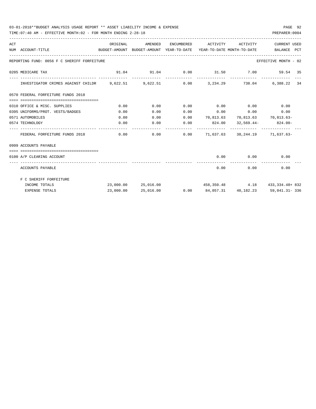## 03-01-2018\*\*BUDGET ANALYSIS USAGE REPORT \*\* ASSET LIABILITY INCOME & EXPENSE PAGE 92

TIME:07:40 AM - EFFECTIVE MONTH:02 - FOR MONTH ENDING 2-28-18 PREPARER:0004

| ACT | BUDGET-AMOUNT BUDGET-AMOUNT YEAR-TO-DATE YEAR-TO-DATE MONTH-TO-DATE BALANCE PCT<br>NUM ACCOUNT-TITLE |           |           |                                    |               |                                                                |  |
|-----|------------------------------------------------------------------------------------------------------|-----------|-----------|------------------------------------|---------------|----------------------------------------------------------------|--|
|     | REPORTING FUND: 0056 F C SHERIFF FORFEITURE                                                          |           |           |                                    |               | EFFECTIVE MONTH - 02                                           |  |
|     | 0205 MEDICARE TAX                                                                                    |           |           |                                    |               | 91.04 91.04 0.00 31.50 7.00 59.54 35                           |  |
|     | INVESTIGATOR CRIMES AGAINST CHILDR 9,622.51 9,622.51 0.00 3,234.29 738.04 6,388.22 34                |           |           |                                    |               |                                                                |  |
|     | 0570 FEDERAL FORFEITURE FUNDS 2018                                                                   |           |           |                                    |               |                                                                |  |
|     | =================================<br>0310 OFFICE & MISC. SUPPLIES                                    | 0.00      | 0.00      | $0.00$ $0.00$ $0.00$ $0.00$ $0.00$ |               |                                                                |  |
|     | 0395 UNIFORMS/PROT. VESTS/BADGES                                                                     | 0.00      | 0.00      | $0.00$ $0.00$ $0.00$ $0.00$ $0.00$ |               |                                                                |  |
|     | 0571 AUTOMOBILES                                                                                     | 0.00      | 0.00      |                                    |               | $0.00$ $70,813.63$ $70,813.63$ $70,813.63$                     |  |
|     | 0574 TECHNOLOGY                                                                                      | 0.00      | 0.00      | $0.00$ 824.00                      |               | $32,569.44 - 824.00 -$                                         |  |
|     | FEDERAL FORFEITURE FUNDS 2018                                                                        | 0.00      |           |                                    |               | $0.00$ $0.00$ $71,637.63$ $38,244.19$ $71,637.63$              |  |
|     | 0999 ACCOUNTS PAYABLE                                                                                |           |           |                                    |               |                                                                |  |
|     |                                                                                                      |           |           |                                    |               |                                                                |  |
|     | 0100 A/P CLEARING ACCOUNT                                                                            |           |           |                                    |               | $0.00$ $0.00$ $0.00$ $0.00$                                    |  |
|     | ACCOUNTS PAYABLE                                                                                     |           |           |                                    | $0.00$ $0.00$ | 0.00                                                           |  |
|     | F C SHERIFF FORFEITURE                                                                               |           |           |                                    |               |                                                                |  |
|     | INCOME TOTALS                                                                                        |           |           |                                    |               | $23,000.00$ $25,016.00$ $458,350.48$ $4.18$ $433,334.48 + 832$ |  |
|     | <b>EXPENSE TOTALS</b>                                                                                | 23,000.00 | 25,016.00 |                                    |               | $0.00$ $84,057.31$ $40,182.23$ $59,041.31 - 336$               |  |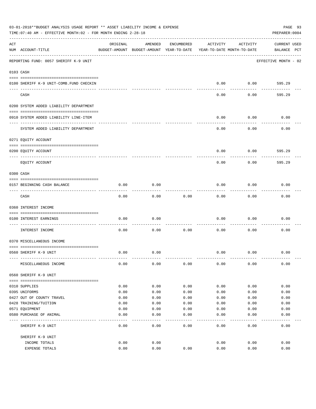|     | 03-01-2018**BUDGET ANALYSIS USAGE REPORT ** ASSET LIABILITY INCOME & EXPENSE<br>PAGE 93<br>TIME: 07:40 AM - EFFECTIVE MONTH: 02 - FOR MONTH ENDING 2-28-18<br>PREPARER: 0004 |          |                                                     |            |          |                                        |                                    |  |  |  |
|-----|------------------------------------------------------------------------------------------------------------------------------------------------------------------------------|----------|-----------------------------------------------------|------------|----------|----------------------------------------|------------------------------------|--|--|--|
| ACT | NUM ACCOUNT-TITLE                                                                                                                                                            | ORIGINAL | AMENDED<br>BUDGET-AMOUNT BUDGET-AMOUNT YEAR-TO-DATE | ENCUMBERED | ACTIVITY | ACTIVITY<br>YEAR-TO-DATE MONTH-TO-DATE | <b>CURRENT USED</b><br>BALANCE PCT |  |  |  |
|     | REPORTING FUND: 0057 SHERIFF K-9 UNIT                                                                                                                                        |          |                                                     |            |          |                                        | EFFECTIVE MONTH - 02               |  |  |  |
|     | 0103 CASH                                                                                                                                                                    |          |                                                     |            |          |                                        |                                    |  |  |  |
|     | 0100 SHERIFF K-9 UNIT-COMB.FUND CHECKIN                                                                                                                                      |          |                                                     |            | 0.00     | 0.00                                   | 595.29                             |  |  |  |
|     | CASH                                                                                                                                                                         |          |                                                     |            | 0.00     | 0.00                                   | 595.29                             |  |  |  |
|     | 0200 SYSTEM ADDED LIABILITY DEPARTMENT                                                                                                                                       |          |                                                     |            |          |                                        |                                    |  |  |  |
|     | 0910 SYSTEM ADDED LIABILITY LINE-ITEM                                                                                                                                        |          |                                                     |            | 0.00     | 0.00                                   | 0.00                               |  |  |  |
|     | SYSTEM ADDED LIABILITY DEPARTMENT                                                                                                                                            |          |                                                     |            | 0.00     | 0.00                                   | 0.00                               |  |  |  |
|     | 0271 EQUITY ACCOUNT                                                                                                                                                          |          |                                                     |            |          |                                        |                                    |  |  |  |
|     | 0200 EQUITY ACCOUNT                                                                                                                                                          |          |                                                     |            | 0.00     | 0.00                                   | 595.29                             |  |  |  |
|     | ---- ----------<br>EQUITY ACCOUNT                                                                                                                                            |          |                                                     |            | 0.00     | 0.00                                   | 595.29                             |  |  |  |
|     | 0300 CASH                                                                                                                                                                    |          |                                                     |            |          |                                        |                                    |  |  |  |
|     | 0157 BEGINNING CASH BALANCE                                                                                                                                                  | 0.00     | 0.00                                                |            | 0.00     | 0.00                                   | 0.00                               |  |  |  |
|     | CASH                                                                                                                                                                         | 0.00     | 0.00                                                | 0.00       | 0.00     | 0.00                                   | 0.00                               |  |  |  |
|     | 0360 INTEREST INCOME                                                                                                                                                         |          |                                                     |            |          |                                        |                                    |  |  |  |
|     | 0100 INTEREST EARNINGS                                                                                                                                                       | 0.00     | 0.00                                                |            | 0.00     | 0.00                                   | 0.00                               |  |  |  |
|     | INTEREST INCOME                                                                                                                                                              | 0.00     | 0.00                                                | 0.00       | 0.00     | 0.00                                   | 0.00                               |  |  |  |
|     | 0370 MISCELLANEOUS INCOME                                                                                                                                                    |          |                                                     |            |          |                                        |                                    |  |  |  |
|     | 0560 SHERIFF K-9 UNIT                                                                                                                                                        | 0.00     | 0.00                                                |            | 0.00     | 0.00                                   | 0.00                               |  |  |  |
|     | MISCELLANEOUS INCOME                                                                                                                                                         | 0.00     | 0.00                                                | 0.00       | 0.00     | 0.00                                   | 0.00                               |  |  |  |
|     | 0560 SHERIFF K-9 UNIT                                                                                                                                                        |          |                                                     |            |          |                                        |                                    |  |  |  |
|     | 0310 SUPPLIES                                                                                                                                                                | 0.00     | 0.00                                                | 0.00       | 0.00     | 0.00                                   | 0.00                               |  |  |  |
|     | 0395 UNIFORMS                                                                                                                                                                | 0.00     | 0.00                                                | 0.00       | 0.00     | 0.00                                   | 0.00                               |  |  |  |
|     | 0427 OUT OF COUNTY TRAVEL                                                                                                                                                    | 0.00     | 0.00                                                | 0.00       | 0.00     | 0.00                                   | 0.00                               |  |  |  |
|     | 0428 TRAINING/TUITION                                                                                                                                                        | 0.00     | 0.00                                                | 0.00       | 0.00     | 0.00                                   | 0.00                               |  |  |  |
|     | 0571 EQUIPMENT                                                                                                                                                               | 0.00     | 0.00                                                | 0.00       | 0.00     | 0.00                                   | 0.00                               |  |  |  |
|     | 0580 PURCHASE OF ANIMAL                                                                                                                                                      | 0.00     | 0.00                                                | 0.00       | 0.00     | 0.00                                   | 0.00                               |  |  |  |
|     | SHERIFF K-9 UNIT                                                                                                                                                             | 0.00     | 0.00                                                | 0.00       | 0.00     | 0.00                                   | 0.00                               |  |  |  |
|     | SHERIFF K-9 UNIT                                                                                                                                                             |          |                                                     |            |          |                                        |                                    |  |  |  |
|     | INCOME TOTALS                                                                                                                                                                | 0.00     | 0.00                                                |            | 0.00     | 0.00                                   | 0.00                               |  |  |  |
|     | EXPENSE TOTALS                                                                                                                                                               | 0.00     | 0.00                                                | 0.00       | 0.00     | 0.00                                   | 0.00                               |  |  |  |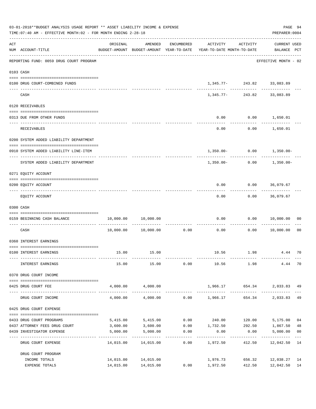| 03-01-2018**BUDGET ANALYSIS USAGE REPORT ** ASSET LIABILITY INCOME & EXPENSE<br>TIME: 07:40 AM - EFFECTIVE MONTH: 02 - FOR MONTH ENDING 2-28-18 |                                                               |          |                                            |                                       |                                                                                 |                                                |                                    |                           |  |
|-------------------------------------------------------------------------------------------------------------------------------------------------|---------------------------------------------------------------|----------|--------------------------------------------|---------------------------------------|---------------------------------------------------------------------------------|------------------------------------------------|------------------------------------|---------------------------|--|
| ACT                                                                                                                                             | NUM ACCOUNT-TITLE                                             | ORIGINAL | AMENDED                                    | ENCUMBERED                            | ACTIVITY<br>BUDGET-AMOUNT BUDGET-AMOUNT YEAR-TO-DATE YEAR-TO-DATE MONTH-TO-DATE | ACTIVITY                                       | <b>CURRENT USED</b><br>BALANCE PCT |                           |  |
|                                                                                                                                                 | REPORTING FUND: 0059 DRUG COURT PROGRAM                       |          |                                            |                                       |                                                                                 |                                                | EFFECTIVE MONTH - 02               |                           |  |
|                                                                                                                                                 | 0103 CASH                                                     |          |                                            |                                       |                                                                                 |                                                |                                    |                           |  |
|                                                                                                                                                 | 0100 DRUG COURT-COMBINED FUNDS                                |          |                                            |                                       |                                                                                 | $1,345.77 - 243.82 33,083.89$                  |                                    |                           |  |
|                                                                                                                                                 | CASH                                                          |          |                                            |                                       |                                                                                 | -------------<br>$1,345.77 - 243.82$ 33,083.89 |                                    |                           |  |
|                                                                                                                                                 | 0120 RECEIVABLES                                              |          |                                            |                                       |                                                                                 |                                                |                                    |                           |  |
|                                                                                                                                                 | 0313 DUE FROM OTHER FUNDS                                     |          |                                            |                                       | 0.00                                                                            | $0.00$ 1,650.01                                |                                    |                           |  |
|                                                                                                                                                 | RECEIVABLES                                                   |          |                                            |                                       | 0.00                                                                            |                                                | $0.00$ 1,650.01                    |                           |  |
|                                                                                                                                                 | 0200 SYSTEM ADDED LIABILITY DEPARTMENT                        |          |                                            |                                       |                                                                                 |                                                |                                    |                           |  |
|                                                                                                                                                 | 0910 SYSTEM ADDED LIABILITY LINE-ITEM                         |          |                                            |                                       |                                                                                 |                                                | $1,350.00 - 0.00 - 1,350.00 -$     |                           |  |
|                                                                                                                                                 | SYSTEM ADDED LIABILITY DEPARTMENT                             |          |                                            |                                       | 1,350.00-                                                                       | . <u>.</u> .                                   | $0.00$ 1,350.00-                   |                           |  |
|                                                                                                                                                 | 0271 EQUITY ACCOUNT                                           |          |                                            |                                       |                                                                                 |                                                |                                    |                           |  |
|                                                                                                                                                 | 0200 EQUITY ACCOUNT                                           |          |                                            |                                       | 0.00                                                                            | $0.00$ 36,079.67                               |                                    |                           |  |
|                                                                                                                                                 | EQUITY ACCOUNT                                                |          |                                            |                                       | 0.00                                                                            |                                                | $0.00$ 36,079.67                   |                           |  |
|                                                                                                                                                 | 0300 CASH                                                     |          |                                            |                                       |                                                                                 |                                                |                                    |                           |  |
|                                                                                                                                                 | 0159 BEGINNING CASH BALANCE                                   |          | 10,000.00 10,000.00                        |                                       | 0.00                                                                            |                                                | 0.00 10,000.00                     | 00                        |  |
|                                                                                                                                                 | CASH                                                          |          | 10,000.00    10,000.00                     | -----------------------------<br>0.00 | 0.00                                                                            | ---------<br>0.00                              | 10,000.00                          | 0 <sub>0</sub>            |  |
|                                                                                                                                                 | 0360 INTEREST EARNINGS                                        |          |                                            |                                       |                                                                                 |                                                |                                    |                           |  |
|                                                                                                                                                 | 0100 INTEREST EARNINGS                                        |          | 15.00 15.00                                |                                       |                                                                                 | 10.56 1.98                                     | 4.44                               | 70                        |  |
|                                                                                                                                                 | INTEREST EARNINGS                                             | 15.00    | 15.00                                      | 0.00                                  | 10.56 1.98                                                                      |                                                | 4.44                               | 70                        |  |
|                                                                                                                                                 | 0370 DRUG COURT INCOME                                        |          |                                            |                                       |                                                                                 |                                                |                                    |                           |  |
|                                                                                                                                                 | --------------------------------------<br>0425 DRUG COURT FEE |          | 4,000.00 4,000.00                          |                                       | 1,966.17 654.34                                                                 |                                                | 2,033.83 49                        |                           |  |
|                                                                                                                                                 | DRUG COURT INCOME                                             | 4,000.00 | 4,000.00                                   |                                       | $0.00$ 1,966.17 654.34                                                          |                                                | 2,033.83                           | 49                        |  |
|                                                                                                                                                 | 0425 DRUG COURT EXPENSE                                       |          |                                            |                                       |                                                                                 |                                                |                                    |                           |  |
|                                                                                                                                                 | 0433 DRUG COURT PROGRAMS                                      |          | 5,415.00 5,415.00                          |                                       | $0.00$ 240.00 120.00                                                            |                                                | 5,175.00                           | 04                        |  |
|                                                                                                                                                 | 0437 ATTORNEY FEES DRUG COURT                                 | 3,600.00 | 3,600.00                                   |                                       | $0.00$ 1,732.50                                                                 |                                                | 292.50 1,867.50                    | 48                        |  |
|                                                                                                                                                 | 0439 INVESTIGATOR EXPENSE                                     | 5,000.00 | 5,000.00<br>-------------                  | 0.00<br>-------------                 | 0.00                                                                            | 0.00<br>------------                           | 5,000.00<br>-------------          | 0 <sub>0</sub><br>$- - -$ |  |
|                                                                                                                                                 | DRUG COURT EXPENSE                                            |          | 14,015.00  14,015.00                       | 0.00                                  | 1,972.50                                                                        | 412.50                                         | 12,042.50                          | 14                        |  |
|                                                                                                                                                 | DRUG COURT PROGRAM                                            |          |                                            |                                       |                                                                                 |                                                |                                    |                           |  |
|                                                                                                                                                 | INCOME TOTALS<br>EXPENSE TOTALS                               |          | 14,015.00 14,015.00<br>14,015.00 14,015.00 |                                       | 1,976.73<br>$0.00$ 1,972.50                                                     | 656.32<br>412.50                               | 12,038.27<br>12,042.50             | 14<br>14                  |  |
|                                                                                                                                                 |                                                               |          |                                            |                                       |                                                                                 |                                                |                                    |                           |  |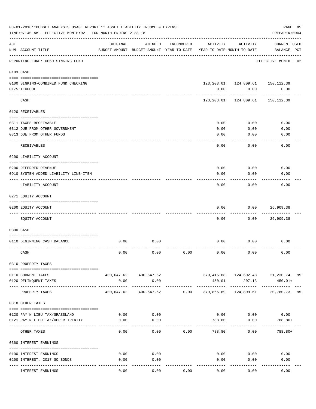|                | 03-01-2018**BUDGET ANALYSIS USAGE REPORT ** ASSET LIABILITY INCOME & EXPENSE<br>PAGE 95<br>TIME: 07:40 AM - EFFECTIVE MONTH: 02 - FOR MONTH ENDING 2-28-18<br>PREPARER: 0004 |                        |                                                     |            |                            |                                               |                                                  |    |  |  |
|----------------|------------------------------------------------------------------------------------------------------------------------------------------------------------------------------|------------------------|-----------------------------------------------------|------------|----------------------------|-----------------------------------------------|--------------------------------------------------|----|--|--|
| $\mathtt{ACT}$ | NUM ACCOUNT-TITLE                                                                                                                                                            | ORIGINAL               | AMENDED<br>BUDGET-AMOUNT BUDGET-AMOUNT YEAR-TO-DATE | ENCUMBERED | ACTIVITY                   | ACTIVITY<br>YEAR-TO-DATE MONTH-TO-DATE        | <b>CURRENT USED</b><br>BALANCE PCT               |    |  |  |
|                | REPORTING FUND: 0060 SINKING FUND                                                                                                                                            | ---------------------- |                                                     |            |                            |                                               | EFFECTIVE MONTH - 02                             |    |  |  |
|                | 0103 CASH                                                                                                                                                                    |                        |                                                     |            |                            |                                               |                                                  |    |  |  |
|                | 0100 SINKING-COMBINED FUND CHECKING<br>0175 TEXPOOL                                                                                                                          |                        |                                                     |            | 0.00                       | 123, 203.01  124, 809.61  150, 112.39<br>0.00 | 0.00                                             |    |  |  |
|                | CASH                                                                                                                                                                         |                        |                                                     |            |                            | 123, 203.01 124, 809.61                       | 150,112.39                                       |    |  |  |
|                | 0120 RECEIVABLES                                                                                                                                                             |                        |                                                     |            |                            |                                               |                                                  |    |  |  |
|                | 0311 TAXES RECEIVABLE                                                                                                                                                        |                        |                                                     |            | 0.00                       | 0.00                                          | 0.00                                             |    |  |  |
|                | 0312 DUE FROM OTHER GOVERNMENT                                                                                                                                               |                        |                                                     |            | 0.00                       | 0.00                                          | 0.00                                             |    |  |  |
|                | 0313 DUE FROM OTHER FUNDS                                                                                                                                                    |                        |                                                     |            | 0.00                       | 0.00                                          | 0.00                                             |    |  |  |
|                | <b>RECEIVABLES</b>                                                                                                                                                           |                        |                                                     |            | 0.00                       | 0.00                                          | 0.00                                             |    |  |  |
|                | 0200 LIABILITY ACCOUNT                                                                                                                                                       |                        |                                                     |            |                            |                                               |                                                  |    |  |  |
|                | 0200 DEFERRED REVENUE                                                                                                                                                        |                        |                                                     |            | 0.00                       | 0.00                                          | 0.00                                             |    |  |  |
|                | 0910 SYSTEM ADDED LIABILITY LINE-ITEM                                                                                                                                        |                        |                                                     |            | 0.00                       | 0.00                                          | 0.00                                             |    |  |  |
|                | LIABILITY ACCOUNT                                                                                                                                                            |                        |                                                     |            | 0.00                       | 0.00                                          | 0.00                                             |    |  |  |
|                | 0271 EQUITY ACCOUNT                                                                                                                                                          |                        |                                                     |            |                            |                                               |                                                  |    |  |  |
|                |                                                                                                                                                                              |                        |                                                     |            |                            |                                               |                                                  |    |  |  |
|                | 0200 EQUITY ACCOUNT                                                                                                                                                          |                        |                                                     |            | 0.00                       | 0.00                                          | 26,909.38                                        |    |  |  |
|                | EQUITY ACCOUNT                                                                                                                                                               |                        |                                                     |            | 0.00                       | 0.00                                          | 26,909.38                                        |    |  |  |
|                | 0300 CASH                                                                                                                                                                    |                        |                                                     |            |                            |                                               |                                                  |    |  |  |
|                | 0110 BEGINNING CASH BALANCE                                                                                                                                                  | 0.00                   | 0.00                                                |            | 0.00                       | 0.00                                          | 0.00                                             |    |  |  |
|                |                                                                                                                                                                              |                        |                                                     |            |                            |                                               |                                                  |    |  |  |
|                | CASH                                                                                                                                                                         | 0.00                   | 0.00                                                | 0.00       | 0.00                       | 0.00                                          | 0.00                                             |    |  |  |
|                | 0310 PROPERTY TAXES                                                                                                                                                          |                        |                                                     |            |                            |                                               |                                                  |    |  |  |
|                |                                                                                                                                                                              |                        | 400,647.62 400,647.62                               |            |                            |                                               |                                                  |    |  |  |
|                | 0110 CURRENT TAXES<br>0120 DELINQUENT TAXES                                                                                                                                  | 0.00                   | 0.00                                                |            | 450.01                     | 207.13                                        | 379,416.88  124,602.48  21,230.74  95<br>450.01+ |    |  |  |
|                | PROPERTY TAXES                                                                                                                                                               | -----------            | -------------<br>400,647.62 400,647.62 0.00         |            | ------------<br>379,866.89 | ----------------------------<br>124,809.61    | 20,780.73                                        | 95 |  |  |
|                | 0318 OTHER TAXES                                                                                                                                                             |                        |                                                     |            |                            |                                               |                                                  |    |  |  |
|                |                                                                                                                                                                              |                        |                                                     |            |                            |                                               |                                                  |    |  |  |
|                | 0120 PAY N LIEU TAX/GRASSLAND                                                                                                                                                | 0.00                   | 0.00                                                |            |                            | $0.00$ $0.00$ $0.00$                          |                                                  |    |  |  |
|                | 0121 PAY N LIEU TAX/UPPER TRINITY                                                                                                                                            | 0.00                   | 0.00                                                |            | 788.80                     | 0.00<br>---------                             | $788.80+$                                        |    |  |  |
|                | OTHER TAXES                                                                                                                                                                  | 0.00                   | 0.00                                                | 0.00       | 788.80                     | 0.00                                          | 788.80+                                          |    |  |  |
|                | 0360 INTEREST EARNINGS                                                                                                                                                       |                        |                                                     |            |                            |                                               |                                                  |    |  |  |
|                | 0100 INTEREST EARNINGS                                                                                                                                                       | 0.00                   | 0.00                                                |            |                            | 0.00<br>0.00                                  | 0.00                                             |    |  |  |
|                | 0200 INTEREST, 2017 GO BONDS                                                                                                                                                 | 0.00                   | 0.00                                                |            | 0.00                       | 0.00                                          | 0.00                                             |    |  |  |
|                |                                                                                                                                                                              |                        | ---------                                           |            | ----------                 |                                               |                                                  |    |  |  |
|                | INTEREST EARNINGS                                                                                                                                                            | 0.00                   | 0.00                                                | 0.00       | 0.00                       | 0.00                                          | 0.00                                             |    |  |  |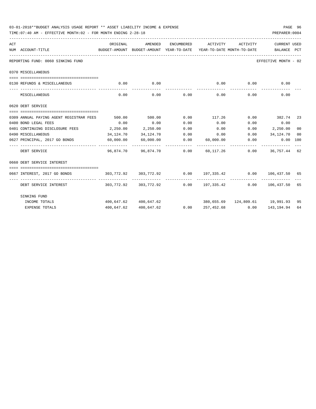| 03-01-2018**BUDGET ANALYSIS USAGE REPORT ** ASSET LIABILITY INCOME & EXPENSE<br>TIME: 07:40 AM - EFFECTIVE MONTH: 02 - FOR MONTH ENDING 2-28-18 |           |                       |               |                                                                        |          | PREPARER: 0004       | PAGE 96 |
|-------------------------------------------------------------------------------------------------------------------------------------------------|-----------|-----------------------|---------------|------------------------------------------------------------------------|----------|----------------------|---------|
| ACT                                                                                                                                             | ORIGINAL  | AMENDED               | ENCUMBERED    | ACTIVITY                                                               | ACTIVITY | <b>CURRENT USED</b>  |         |
| NUM ACCOUNT-TITLE<br>BUDGET-AMOUNT BUDGET-AMOUNT YEAR-TO-DATE YEAR-TO-DATE MONTH-TO-DATE BALANCE PCT                                            |           |                       |               |                                                                        |          |                      |         |
| REPORTING FUND: 0060 SINKING FUND                                                                                                               |           |                       |               |                                                                        |          | EFFECTIVE MONTH - 02 |         |
| 0370 MISCELLANEOUS                                                                                                                              |           |                       |               |                                                                        |          |                      |         |
| 0130 REFUNDS & MISCELLANEOUS                                                                                                                    |           | $0.00$ 0.00           |               | 0.00                                                                   | 0.00     | 0.00                 |         |
| MISCELLANEOUS                                                                                                                                   | 0.00      | -----------           | $0.00$ $0.00$ | 0.00                                                                   | 0.00     | 0.00                 |         |
| 0620 DEBT SERVICE                                                                                                                               |           |                       |               |                                                                        |          |                      |         |
| 0309 ANNUAL PAYING AGENT REGISTRAR FEES                                                                                                         | 500.00    | 500.00                |               | $0.00$ 117.26 $0.00$ 382.74 23                                         |          |                      |         |
| 0400 BOND LEGAL FEES                                                                                                                            | 0.00      | 0.00                  | 0.00          | 0.00                                                                   | 0.00     | 0.00                 |         |
| 0401 CONTINUING DISCLOSURE FEES 2,250.00                                                                                                        |           | 2,250.00              | 0.00          | 0.00                                                                   |          | $0.00$ $2,250.00$    | 00      |
| 0490 MISCELLANEOUS                                                                                                                              | 34,124.70 | 34,124.70             |               | $0.00$ $0.00$ $0.00$ $34,124.70$                                       |          |                      | 00      |
| 0627 PRINCIPAL, 2017 GO BONDS 60,000.00                                                                                                         |           | 60,000.00             |               | $0.00$ $60,000.00$ $0.00$ $0.00$ $0.00$ $100$                          |          |                      |         |
| ----------------- --------------<br>DEBT SERVICE                                                                                                |           |                       |               | 96,874.70  96,874.70  0.00  60,117.26  0.00  36,757.44  62             |          |                      |         |
| 0660 DEBT SERVICE INTEREST                                                                                                                      |           |                       |               |                                                                        |          |                      |         |
|                                                                                                                                                 |           |                       |               |                                                                        |          |                      |         |
| 0667 INTEREST, 2017 GO BONDS                                                                                                                    |           |                       |               | $303,772.92$ $303,772.92$ $0.00$ $197,335.42$ $0.00$ $106,437.50$ $65$ |          |                      |         |
| DEBT SERVICE INTEREST                                                                                                                           |           |                       |               | $303,772.92$ $303,772.92$ $0.00$ $197,335.42$ $0.00$ $106,437.50$ $65$ |          |                      |         |
| SINKING FUND                                                                                                                                    |           |                       |               |                                                                        |          |                      |         |
| INCOME TOTALS                                                                                                                                   |           | 400,647.62 400,647.62 |               | $380,655.69$ $124,809.61$ 19,991.93 95                                 |          |                      |         |
| <b>EXPENSE TOTALS</b>                                                                                                                           |           | 400,647.62 400,647.62 |               | $0.00$ $257,452.68$ $0.00$ $143,194.94$ 64                             |          |                      |         |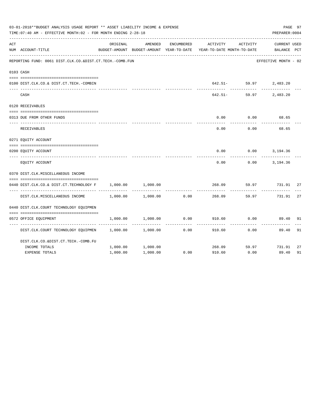|     | 03-01-2018**BUDGET ANALYSIS USAGE REPORT ** ASSET LIABILITY INCOME & EXPENSE<br>TIME: 07:40 AM - EFFECTIVE MONTH: 02 - FOR MONTH ENDING 2-28-18 |          |                                                     |            |                                        |                        | PAGE 97<br>PREPARER: 0004          |    |
|-----|-------------------------------------------------------------------------------------------------------------------------------------------------|----------|-----------------------------------------------------|------------|----------------------------------------|------------------------|------------------------------------|----|
| ACT | NUM ACCOUNT-TITLE                                                                                                                               | ORIGINAL | AMENDED<br>BUDGET-AMOUNT BUDGET-AMOUNT YEAR-TO-DATE | ENCUMBERED | ACTIVITY<br>YEAR-TO-DATE MONTH-TO-DATE | ACTIVITY               | <b>CURRENT USED</b><br>BALANCE PCT |    |
|     | REPORTING FUND: 0061 DIST.CLK.CO.&DIST.CT.TECH.-COMB.FUN                                                                                        |          |                                                     |            |                                        |                        | EFFECTIVE MONTH - 02               |    |
|     | 0103 CASH                                                                                                                                       |          |                                                     |            |                                        |                        |                                    |    |
|     | 0100 DIST.CLK.CO.& DIST.CT.TECH.-COMBIN                                                                                                         |          |                                                     |            |                                        | 642.51- 59.97 2,483.20 |                                    |    |
|     | CASH                                                                                                                                            |          |                                                     |            | 642.51-                                | 59.97                  | 2,483.20                           |    |
|     | 0120 RECEIVABLES                                                                                                                                |          |                                                     |            |                                        |                        |                                    |    |
|     | 0313 DUE FROM OTHER FUNDS                                                                                                                       |          |                                                     |            | 0.00                                   | 0.00                   | 68.65                              |    |
|     | RECEIVABLES                                                                                                                                     |          |                                                     |            | 0.00                                   | 0.00                   | 68.65                              |    |
|     | 0271 EQUITY ACCOUNT                                                                                                                             |          |                                                     |            |                                        |                        |                                    |    |
|     | 0200 EQUITY ACCOUNT                                                                                                                             |          |                                                     |            | 0.00                                   |                        | $0.00$ 3, 194.36                   |    |
|     | EOUITY ACCOUNT                                                                                                                                  |          |                                                     |            | 0.00                                   |                        | $0.00$ 3, 194.36                   |    |
|     | 0370 DIST.CLK.MISCELLANEOUS INCOME                                                                                                              |          |                                                     |            |                                        |                        |                                    |    |
|     | 0440 DIST.CLK.CO.& DIST.CT.TECHNOLOGY F                                                                                                         | 1,000.00 | 1,000.00                                            |            | 268.09                                 | 59.97                  | 731.91                             | 27 |
|     | DIST.CLK.MISCELLANEOUS INCOME                                                                                                                   | 1,000.00 | 1,000.00                                            | 0.00       | 268.09                                 | 59.97                  | 731.91                             | 27 |
|     | 0440 DIST.CLK.COURT TECHNOLOGY EQUIPMEN                                                                                                         |          |                                                     |            |                                        |                        |                                    |    |
|     | 0572 OFFICE EQUIPMENT                                                                                                                           | 1,000.00 | 1,000.00                                            | 0.00       | 910.60                                 | 0.00                   | 89.40                              | 91 |
|     | DIST.CLK.COURT TECHNOLOGY EQUIPMEN 1,000.00                                                                                                     |          | 1,000.00                                            | 0.00       | 910.60                                 | 0.00                   | 89.40                              | 91 |
|     | DIST.CLK.CO.&DIST.CT.TECH.-COMB.FU                                                                                                              |          |                                                     |            |                                        |                        |                                    |    |
|     | INCOME TOTALS                                                                                                                                   | 1,000.00 | 1,000.00                                            |            | 268.09                                 |                        | 59.97 731.91                       | 27 |
|     | <b>EXPENSE TOTALS</b>                                                                                                                           | 1,000.00 | 1,000.00                                            | 0.00       | 910.60                                 | 0.00                   | 89.40                              | 91 |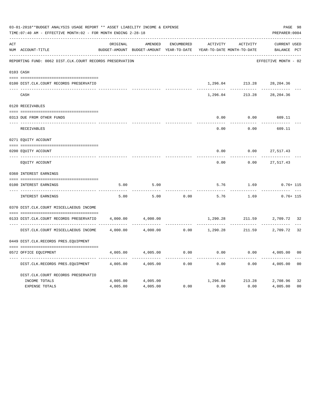|     | 03-01-2018**BUDGET ANALYSIS USAGE REPORT ** ASSET LIABILITY INCOME & EXPENSE<br>TIME: 07:40 AM - EFFECTIVE MONTH: 02 - FOR MONTH ENDING 2-28-18 |          |                                          |            |               |                            | PREPARER: 0004       | PAGE 98        |
|-----|-------------------------------------------------------------------------------------------------------------------------------------------------|----------|------------------------------------------|------------|---------------|----------------------------|----------------------|----------------|
| ACT |                                                                                                                                                 | ORIGINAL | AMENDED                                  | ENCUMBERED | ACTIVITY      | ACTIVITY                   | <b>CURRENT USED</b>  |                |
|     | NUM ACCOUNT-TITLE                                                                                                                               |          | BUDGET-AMOUNT BUDGET-AMOUNT YEAR-TO-DATE |            |               | YEAR-TO-DATE MONTH-TO-DATE | BALANCE PCT          |                |
|     | REPORTING FUND: 0062 DIST.CLK.COURT RECORDS PRESERVATION                                                                                        |          |                                          |            |               |                            | EFFECTIVE MONTH - 02 |                |
|     | 0103 CASH                                                                                                                                       |          |                                          |            |               |                            |                      |                |
|     | 0100 DIST.CLK.COURT RECORDS PRESERVATIO                                                                                                         |          |                                          |            | 1,296.04      | 213.28                     | 28,204.36            |                |
|     | CASH                                                                                                                                            |          |                                          |            | 1,296.04      | 213.28                     | 28,204.36            |                |
|     | 0120 RECEIVABLES                                                                                                                                |          |                                          |            |               |                            |                      |                |
|     | 0313 DUE FROM OTHER FUNDS                                                                                                                       |          |                                          |            | 0.00          | 0.00                       | 609.11               |                |
|     | <b>RECEIVABLES</b>                                                                                                                              |          |                                          |            | 0.00          | 0.00                       | 609.11               |                |
|     | 0271 EQUITY ACCOUNT                                                                                                                             |          |                                          |            |               |                            |                      |                |
|     | 0200 EQUITY ACCOUNT                                                                                                                             |          |                                          |            | 0.00          | 0.00                       | 27,517.43            |                |
|     | ---- -----------------                                                                                                                          |          |                                          |            | $- - - - - -$ |                            |                      |                |
|     | EOUITY ACCOUNT                                                                                                                                  |          |                                          |            | 0.00          | 0.00                       | 27,517.43            |                |
|     | 0360 INTEREST EARNINGS                                                                                                                          |          |                                          |            |               |                            |                      |                |
|     |                                                                                                                                                 |          |                                          |            |               |                            |                      |                |
|     | 0100 INTEREST EARNINGS<br>_____________________                                                                                                 | 5.00     | 5.00                                     |            | 5.76          | 1.69                       | $0.76 + 115$         |                |
|     | <b>INTEREST EARNINGS</b>                                                                                                                        | 5.00     | 5.00                                     | 0.00       | 5.76          | 1.69                       | $0.76 + 115$         |                |
|     | 0370 DIST.CLK.COURT MISCELLAEOUS INCOME                                                                                                         |          |                                          |            |               |                            |                      |                |
|     | 0133 DIST.CLK.COURT RECORDS PRESERVATIO                                                                                                         | 4,000.00 | 4,000.00                                 |            | 1,290.28      | 211.59                     | 2,709.72 32          |                |
|     |                                                                                                                                                 |          |                                          |            |               |                            |                      |                |
|     | DIST.CLK.COURT MISCELLAEOUS INCOME                                                                                                              | 4,000.00 | 4,000.00                                 | 0.00       | 1,290.28      |                            | 211.59 2,709.72      | 32             |
|     | 0449 DIST.CLK.RECORDS PRES.EQUIPMENT                                                                                                            |          |                                          |            |               |                            |                      |                |
|     |                                                                                                                                                 |          |                                          |            |               |                            |                      |                |
|     | 0572 OFFICE EQUIPMENT                                                                                                                           | 4,005.00 | 4,005.00                                 | 0.00       | 0.00          | 0.00                       | 4,005.00             | 0 <sub>0</sub> |
|     | DIST.CLK.RECORDS PRES.EQUIPMENT                                                                                                                 | 4,005.00 | 4,005.00                                 | 0.00       | 0.00          | 0.00                       | 4,005.00             | 0 <sub>0</sub> |
|     | DIST.CLK.COURT RECORDS PRESERVATIO                                                                                                              |          |                                          |            |               |                            |                      |                |
|     | INCOME TOTALS                                                                                                                                   | 4,005.00 | 4,005.00                                 |            |               | 1,296.04 213.28            | 2,708.96             | 32             |
|     | <b>EXPENSE TOTALS</b>                                                                                                                           | 4,005.00 | 4,005.00                                 | 0.00       | 0.00          | 0.00                       | 4,005.00             | 0 <sub>0</sub> |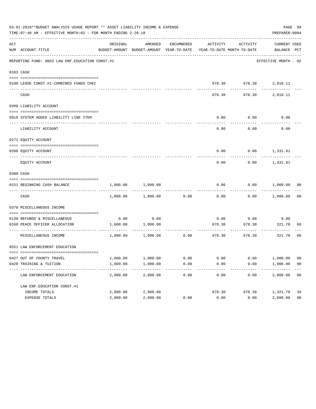|     | 03-01-2018**BUDGET ANALYSIS USAGE REPORT ** ASSET LIABILITY INCOME & EXPENSE<br>TIME: 07:40 AM - EFFECTIVE MONTH: 02 - FOR MONTH ENDING 2-28-18 |                      |                                                                                            |              |              |                                | PREPARER: 0004         | PAGE 99              |
|-----|-------------------------------------------------------------------------------------------------------------------------------------------------|----------------------|--------------------------------------------------------------------------------------------|--------------|--------------|--------------------------------|------------------------|----------------------|
| ACT | NUM ACCOUNT-TITLE                                                                                                                               | ORIGINAL             | AMENDED<br>BUDGET-AMOUNT BUDGET-AMOUNT YEAR-TO-DATE YEAR-TO-DATE MONTH-TO-DATE BALANCE PCT | ENCUMBERED   |              | ACTIVITY ACTIVITY              | CURRENT USED           |                      |
|     | REPORTING FUND: 0063 LAW ENF. EDUCATION CONST. #1                                                                                               |                      |                                                                                            |              |              |                                | EFFECTIVE MONTH - 02   |                      |
|     | 0103 CASH                                                                                                                                       |                      |                                                                                            |              |              |                                |                        |                      |
|     | 0100 LEOSE CONST.#1-COMBINED FUNDS CHEC                                                                                                         |                      |                                                                                            |              |              |                                | 678.30 678.30 2,010.11 |                      |
|     | CASH                                                                                                                                            |                      |                                                                                            |              | 678.30       |                                | 678.30 2,010.11        |                      |
|     | 0200 LIABILITY ACCOUNT                                                                                                                          |                      |                                                                                            |              |              |                                |                        |                      |
|     | 0910 SYSTEM ADDED LIABILITY LINE ITEM                                                                                                           |                      |                                                                                            |              | 0.00         | 0.00                           | 0.00                   |                      |
|     | LIABILITY ACCOUNT                                                                                                                               |                      |                                                                                            |              | 0.00         | 0.00                           | 0.00                   |                      |
|     | 0271 EQUITY ACCOUNT                                                                                                                             |                      |                                                                                            |              |              |                                |                        |                      |
|     | 0200 EQUITY ACCOUNT                                                                                                                             |                      |                                                                                            |              | 0.00         |                                | $0.00$ 1,331.81        |                      |
|     | EQUITY ACCOUNT                                                                                                                                  |                      |                                                                                            |              | 0.00         | 0.00                           | 1,331.81               |                      |
|     | 0300 CASH                                                                                                                                       |                      |                                                                                            |              |              |                                |                        |                      |
|     | 0151 BEGINNING CASH BALANCE                                                                                                                     | 1,000.00             | 1,000.00                                                                                   |              | 0.00         |                                | $0.00$ 1,000.00 00     |                      |
|     | CASH                                                                                                                                            | 1,000.00             | 1,000.00                                                                                   | 0.00         | 0.00         |                                | $0.00$ 1,000.00 00     |                      |
|     | 0370 MISCELLANEOUS INCOME                                                                                                                       |                      |                                                                                            |              |              |                                |                        |                      |
|     | 0130 REFUNDS & MISCELLANEOUS                                                                                                                    |                      | 0.00                                                                                       |              | 0.00         | 0.00                           |                        |                      |
|     | 0160 PEACE OFFICER ALLOCATION                                                                                                                   | 0.00<br>1,000.00     | 1,000.00                                                                                   |              | 678.30       | 678.30                         | 0.00<br>321.70<br>.    | 68                   |
|     | MISCELLANEOUS INCOME                                                                                                                            |                      | ------------<br>1,000.00 1,000.00                                                          | 0.00         |              | ----------<br>678.30<br>678.30 | 321.70                 | 68                   |
|     | 0551 LAW ENFORCEMENT EDUCATION                                                                                                                  |                      |                                                                                            |              |              |                                |                        |                      |
|     |                                                                                                                                                 |                      |                                                                                            |              |              |                                |                        |                      |
|     | 0427 OUT OF COUNTY TRAVEL<br>0428 TRAINING & TUITION                                                                                            | 1,000.00<br>1,000.00 | 1,000.00<br>1,000.00                                                                       | 0.00<br>0.00 | 0.00<br>0.00 | 0.00<br>0.00                   | 1,000.00<br>1,000.00   | 00<br>0 <sub>0</sub> |
|     | LAW ENFORCEMENT EDUCATION                                                                                                                       | 2,000.00             | 2,000.00                                                                                   | 0.00         | 0.00         | 0.00                           | 2,000.00               | 0 <sub>0</sub>       |
|     | LAW ENF. EDUCATION CONST. #1                                                                                                                    |                      |                                                                                            |              |              |                                |                        |                      |
|     | INCOME TOTALS                                                                                                                                   | 2,000.00             | 2,000.00                                                                                   |              | 678.30       | 678.30                         | 1,321.70               | 34                   |
|     | EXPENSE TOTALS                                                                                                                                  | 2,000.00             | 2,000.00                                                                                   | 0.00         | 0.00         | 0.00                           | 2,000.00               | 0 <sub>0</sub>       |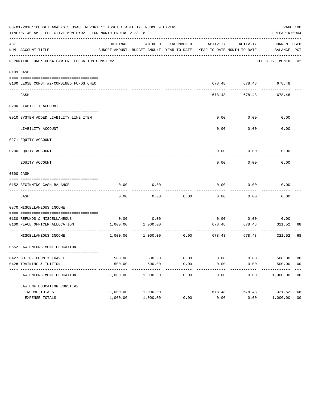|     | 03-01-2018**BUDGET ANALYSIS USAGE REPORT ** ASSET LIABILITY INCOME & EXPENSE<br>TIME: 07:40 AM - EFFECTIVE MONTH: 02 - FOR MONTH ENDING 2-28-18 |                  |                   |            |                |                                  | PREPARER: 0004                                                                                  | PAGE 100       |
|-----|-------------------------------------------------------------------------------------------------------------------------------------------------|------------------|-------------------|------------|----------------|----------------------------------|-------------------------------------------------------------------------------------------------|----------------|
| ACT | NUM ACCOUNT-TITLE                                                                                                                               | ORIGINAL         | AMENDED           | ENCUMBERED | ACTIVITY       | ACTIVITY                         | CURRENT USED<br>BUDGET-AMOUNT BUDGET-AMOUNT YEAR-TO-DATE YEAR-TO-DATE MONTH-TO-DATE BALANCE PCT |                |
|     | REPORTING FUND: 0064 LAW ENF. EDUCATION CONST. #2                                                                                               |                  |                   |            |                |                                  | EFFECTIVE MONTH - 02                                                                            |                |
|     | 0103 CASH                                                                                                                                       |                  |                   |            |                |                                  |                                                                                                 |                |
|     | 0100 LEOSE CONST.#2-COMBINED FUNDS CHEC                                                                                                         |                  |                   |            |                |                                  | 678.48 678.48 678.48                                                                            |                |
|     | CASH                                                                                                                                            |                  |                   |            | 678.48         | 678.48                           | 678.48                                                                                          |                |
|     | 0200 LIABILITY ACCOUNT                                                                                                                          |                  |                   |            |                |                                  |                                                                                                 |                |
|     | 0910 SYSTEM ADDED LIABILITY LINE ITEM                                                                                                           |                  |                   |            | 0.00           | 0.00                             | 0.00                                                                                            |                |
|     | LIABILITY ACCOUNT                                                                                                                               |                  |                   |            | 0.00           | 0.00                             | 0.00                                                                                            |                |
|     | 0271 EQUITY ACCOUNT                                                                                                                             |                  |                   |            |                |                                  |                                                                                                 |                |
|     | 0200 EOUITY ACCOUNT                                                                                                                             |                  |                   |            | 0.00           | 0.00                             | 0.00                                                                                            |                |
|     | EQUITY ACCOUNT                                                                                                                                  |                  |                   |            | 0.00           | 0.00                             | 0.00                                                                                            |                |
|     | 0300 CASH                                                                                                                                       |                  |                   |            |                |                                  |                                                                                                 |                |
|     | 0152 BEGINNING CASH BALANCE                                                                                                                     | 0.00             | 0.00              |            | 0.00           | 0.00                             | 0.00                                                                                            |                |
|     | CASH                                                                                                                                            | 0.00             | 0.00              | 0.00       | 0.00           | 0.00                             | 0.00                                                                                            |                |
|     | 0370 MISCELLANEOUS INCOME                                                                                                                       |                  |                   |            |                |                                  |                                                                                                 |                |
|     |                                                                                                                                                 |                  |                   |            |                |                                  |                                                                                                 |                |
|     | 0130 REFUNDS & MISCELLANEOUS<br>0160 PEACE OFFICER ALLOCATION                                                                                   | 0.00<br>1,000.00 | 0.00<br>1,000.00  |            | 0.00<br>678.48 | 0.00<br>678.48                   | 0.00<br>321.52                                                                                  | 68             |
|     | MISCELLANEOUS INCOME                                                                                                                            |                  | 1,000.00 1,000.00 | 0.00       |                | . <u>.</u> .<br>678.48<br>678.48 | ----------<br>321.52                                                                            | 68             |
|     | 0552 LAW ENFORCEMENT EDUCATION                                                                                                                  |                  |                   |            |                |                                  |                                                                                                 |                |
|     |                                                                                                                                                 |                  |                   |            |                |                                  |                                                                                                 |                |
|     | 0427 OUT OF COUNTY TRAVEL                                                                                                                       | 500.00           | 500.00            | 0.00       | 0.00           | 0.00                             | 500.00                                                                                          | 00             |
|     | 0428 TRAINING & TUITION                                                                                                                         | 500.00           | 500.00            | 0.00       | 0.00           | 0.00                             | 500.00                                                                                          | 0 <sub>0</sub> |
|     | LAW ENFORCEMENT EDUCATION                                                                                                                       | 1,000.00         | 1,000.00          | 0.00       | 0.00           | 0.00                             | 1,000.00                                                                                        | 0 <sub>0</sub> |
|     | LAW ENF. EDUCATION CONST. #2                                                                                                                    |                  |                   |            |                |                                  |                                                                                                 |                |
|     | INCOME TOTALS                                                                                                                                   | 1,000.00         | 1,000.00          |            | 678.48         | 678.48                           | 321.52                                                                                          | 68             |
|     | EXPENSE TOTALS                                                                                                                                  | 1,000.00         | 1,000.00          | 0.00       | 0.00           | 0.00                             | 1,000.00                                                                                        | 0 <sub>0</sub> |
|     |                                                                                                                                                 |                  |                   |            |                |                                  |                                                                                                 |                |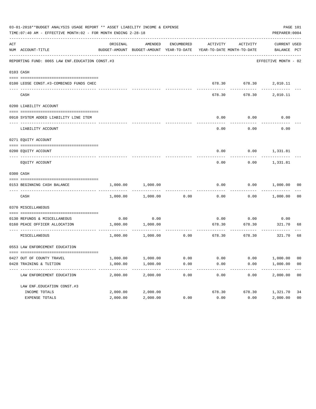|     | 03-01-2018**BUDGET ANALYSIS USAGE REPORT ** ASSET LIABILITY INCOME & EXPENSE<br>TIME: 07:40 AM - EFFECTIVE MONTH: 02 - FOR MONTH ENDING 2-28-18 |                  |                                                                                            |            |                |                   | PREPARER: 0004         | PAGE 101       |
|-----|-------------------------------------------------------------------------------------------------------------------------------------------------|------------------|--------------------------------------------------------------------------------------------|------------|----------------|-------------------|------------------------|----------------|
| ACT | NUM ACCOUNT-TITLE                                                                                                                               | ORIGINAL         | AMENDED<br>BUDGET-AMOUNT BUDGET-AMOUNT YEAR-TO-DATE YEAR-TO-DATE MONTH-TO-DATE BALANCE PCT | ENCUMBERED |                | ACTIVITY ACTIVITY | CURRENT USED           |                |
|     | --------------------------------------<br>REPORTING FUND: 0065 LAW ENF. EDUCATION CONST.#3                                                      |                  |                                                                                            |            |                |                   | EFFECTIVE MONTH - 02   |                |
|     | 0103 CASH                                                                                                                                       |                  |                                                                                            |            |                |                   |                        |                |
|     | 0100 LEOSE CONST.#3-COMBINED FUNDS CHEC                                                                                                         |                  |                                                                                            |            |                |                   | 678.30 678.30 2,010.11 |                |
|     | CASH                                                                                                                                            |                  |                                                                                            |            | 678.30         | . <u>.</u>        | 678.30 2,010.11        |                |
|     | 0200 LIABILITY ACCOUNT                                                                                                                          |                  |                                                                                            |            |                |                   |                        |                |
|     | 0910 SYSTEM ADDED LIABILITY LINE ITEM                                                                                                           |                  |                                                                                            |            | 0.00           | 0.00              | 0.00                   |                |
|     | LIABILITY ACCOUNT                                                                                                                               |                  |                                                                                            |            | 0.00           | 0.00              | 0.00                   |                |
|     | 0271 EQUITY ACCOUNT                                                                                                                             |                  |                                                                                            |            |                |                   |                        |                |
|     | 0200 EOUITY ACCOUNT                                                                                                                             |                  |                                                                                            |            | 0.00           |                   | $0.00$ 1,331.81        |                |
|     | EQUITY ACCOUNT                                                                                                                                  |                  |                                                                                            |            | 0.00           | 0.00              | 1,331.81               |                |
|     | 0300 CASH                                                                                                                                       |                  |                                                                                            |            |                |                   |                        |                |
|     | 0153 BEGINNING CASH BALANCE                                                                                                                     | 1,000.00         | 1,000.00                                                                                   |            | 0.00           |                   | $0.00$ $1,000.00$ 00   |                |
|     | CASH                                                                                                                                            | 1,000.00         | 1,000.00                                                                                   | 0.00       | 0.00           |                   | $0.00$ 1,000.00 00     |                |
|     | 0370 MISCELLANEOUS                                                                                                                              |                  |                                                                                            |            |                |                   |                        |                |
|     |                                                                                                                                                 |                  |                                                                                            |            |                |                   |                        |                |
|     | 0130 REFUNDS & MISCELLANEOUS<br>0160 PEACE OFFICER ALLOCATION                                                                                   | 0.00<br>1,000.00 | 0.00<br>1,000.00                                                                           |            | 0.00<br>678.30 | 0.00<br>678.30    | 0.00<br>321.70         | 68             |
|     | -------------------------------- -----<br>MISCELLANEOUS                                                                                         |                  | 1,000.00 1,000.00                                                                          | 0.00       |                | 678.30<br>678.30  | . <u>.</u><br>321.70   | 68             |
|     | 0553 LAW ENFORCEMENT EDUCATION                                                                                                                  |                  |                                                                                            |            |                |                   |                        |                |
|     |                                                                                                                                                 |                  |                                                                                            |            |                |                   |                        |                |
|     | 0427 OUT OF COUNTY TRAVEL                                                                                                                       | 1,000.00         | 1,000.00                                                                                   | 0.00       | 0.00           | 0.00              | 1,000.00               | 00             |
|     | 0428 TRAINING & TUITION                                                                                                                         | 1,000.00         | 1,000.00                                                                                   | 0.00       | 0.00           | 0.00              | 1,000.00               | 0 <sub>0</sub> |
|     | LAW ENFORCEMENT EDUCATION                                                                                                                       | 2,000.00         | 2,000.00                                                                                   | 0.00       | 0.00           | 0.00              | 2,000.00               | 0 <sub>0</sub> |
|     | LAW ENF. EDUCATION CONST. #3                                                                                                                    |                  |                                                                                            |            |                |                   |                        |                |
|     | INCOME TOTALS                                                                                                                                   | 2,000.00         | 2,000.00                                                                                   |            | 678.30         | 678.30            | 1,321.70               | 34             |
|     | EXPENSE TOTALS                                                                                                                                  | 2,000.00         | 2,000.00                                                                                   | 0.00       | 0.00           | 0.00              | 2,000.00               | 0 <sub>0</sub> |
|     |                                                                                                                                                 |                  |                                                                                            |            |                |                   |                        |                |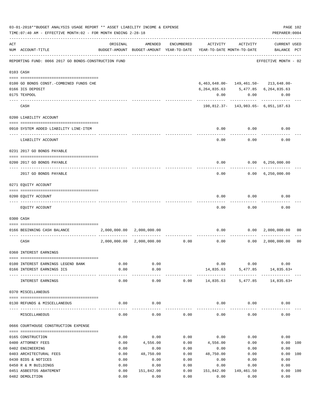|     | 03-01-2018**BUDGET ANALYSIS USAGE REPORT ** ASSET LIABILITY INCOME & EXPENSE<br>TIME: 07:40 AM - EFFECTIVE MONTH: 02 - FOR MONTH ENDING 2-28-18 |              |                           |              |                                                                                 |                  | PAGE 102<br>PREPARER: 0004                 |                |
|-----|-------------------------------------------------------------------------------------------------------------------------------------------------|--------------|---------------------------|--------------|---------------------------------------------------------------------------------|------------------|--------------------------------------------|----------------|
| ACT | NUM ACCOUNT-TITLE                                                                                                                               | ORIGINAL     | AMENDED                   | ENCUMBERED   | ACTIVITY<br>BUDGET-AMOUNT BUDGET-AMOUNT YEAR-TO-DATE YEAR-TO-DATE MONTH-TO-DATE | ACTIVITY         | CURRENT USED<br>BALANCE PCT                |                |
|     | REPORTING FUND: 0066 2017 GO BONDS-CONSTRUCTION FUND                                                                                            |              |                           |              |                                                                                 |                  | EFFECTIVE MONTH - 02                       |                |
|     | 0103 CASH                                                                                                                                       |              |                           |              |                                                                                 |                  |                                            |                |
|     | 0100 GO BONDS CONST. - COMBINED FUNDS CHE                                                                                                       |              |                           |              |                                                                                 |                  | $6,463,648.00 - 149,461.50 - 213,648.00 -$ |                |
|     | 0166 ICS DEPOSIT                                                                                                                                |              |                           |              | 6, 264, 835.63 5, 477.85 6, 264, 835.63                                         |                  |                                            |                |
|     | 0175 TEXPOOL                                                                                                                                    |              |                           |              | 0.00                                                                            | 0.00             | 0.00                                       |                |
|     | CASH                                                                                                                                            |              |                           |              |                                                                                 |                  | 198,812.37- 143,983.65- 6,051,187.63       |                |
|     | 0200 LIABILITY ACCOUNT                                                                                                                          |              |                           |              |                                                                                 |                  |                                            |                |
|     | 0910 SYSTEM ADDED LIABILITY LINE-ITEM                                                                                                           |              |                           |              | 0.00                                                                            | 0.00             | 0.00                                       |                |
|     | LIABILITY ACCOUNT                                                                                                                               |              |                           |              | $\frac{1}{2}$<br>0.00                                                           | --------<br>0.00 | 0.00                                       |                |
|     | 0231 2017 GO BONDS PAYABLE                                                                                                                      |              |                           |              |                                                                                 |                  |                                            |                |
|     |                                                                                                                                                 |              |                           |              |                                                                                 |                  |                                            |                |
|     | 0200 2017 GO BONDS PAYABLE                                                                                                                      |              |                           |              | 0.00                                                                            |                  | 0.00 6,250,000.00                          |                |
|     | 2017 GO BONDS PAYABLE                                                                                                                           |              |                           |              | 0.00                                                                            |                  | $0.00 \quad 6,250,000.00$                  |                |
|     | 0271 EQUITY ACCOUNT                                                                                                                             |              |                           |              |                                                                                 |                  |                                            |                |
|     | 0200 EQUITY ACCOUNT                                                                                                                             |              |                           |              | 0.00                                                                            | 0.00             | 0.00                                       |                |
|     | EQUITY ACCOUNT                                                                                                                                  |              |                           |              | 0.00                                                                            | 0.00             | 0.00                                       |                |
|     | 0300 CASH                                                                                                                                       |              |                           |              |                                                                                 |                  |                                            |                |
|     | 0166 BEGINNING CASH BALANCE                                                                                                                     |              | 2,000,000.00 2,000,000.00 |              |                                                                                 |                  | $0.00$ $0.00$ $2,000,000.00$ 00            |                |
|     | CASH                                                                                                                                            | 2,000,000.00 |                           |              | $2,000,000.00$ $0.00$ $0.00$ $0.00$                                             |                  | $0.00 \quad 2,000,000.00$                  | 0 <sub>0</sub> |
|     | 0360 INTEREST EARNINGS                                                                                                                          |              |                           |              |                                                                                 |                  |                                            |                |
|     |                                                                                                                                                 | 0.00         | 0.00                      |              |                                                                                 | 0.00             | 0.00<br>0.00                               |                |
|     | 0100 INTEREST EARNINGS LEGEND BANK<br>0166 INTEREST EARNINGS ICS                                                                                | 0.00         | 0.00                      |              | 14,835.63                                                                       |                  | 5,477.85 14,835.63+                        |                |
|     | INTEREST EARNINGS                                                                                                                               | 0.00         | ----------<br>0.00        |              | $0.00$ 14,835.63 5,477.85 14,835.63+                                            |                  |                                            |                |
|     | 0370 MISCELLANEOUS                                                                                                                              |              |                           |              |                                                                                 |                  |                                            |                |
|     | 0130 REFUNDS & MISCELLANEOUS                                                                                                                    | 0.00         | 0.00                      |              |                                                                                 | $0.00$ 0.00      | 0.00                                       |                |
|     | MISCELLANEOUS                                                                                                                                   | 0.00         | 0.00                      | 0.00         | 0.00                                                                            | 0.00             | 0.00                                       |                |
|     | 0666 COURTHOUSE CONSTRUCTION EXPENSE                                                                                                            |              |                           |              |                                                                                 |                  |                                            |                |
|     |                                                                                                                                                 |              |                           |              |                                                                                 |                  |                                            |                |
|     | 0165 CONSTRUCTION                                                                                                                               | 0.00         | 0.00                      | 0.00         | 0.00                                                                            | 0.00             | 0.00                                       |                |
|     | 0400 ATTORNEY FEES<br>0402 ENGINEERING                                                                                                          | 0.00<br>0.00 | 4,556.00<br>0.00          | 0.00<br>0.00 | 4,556.00<br>0.00                                                                | 0.00<br>0.00     | 0.00 100<br>0.00                           |                |
|     | 0403 ARCHITECTURAL FEES                                                                                                                         | 0.00         | 48,750.00                 | 0.00         | 48,750.00                                                                       | 0.00             | 0.00 100                                   |                |
|     | 0430 BIDS & NOTICES                                                                                                                             | 0.00         | 0.00                      | 0.00         | 0.00                                                                            | 0.00             | 0.00                                       |                |
|     | 0450 R & M BUILDINGS                                                                                                                            | 0.00         | 0.00                      | 0.00         | 0.00                                                                            | 0.00             | 0.00                                       |                |
|     | 0451 ASBESTOS ABATEMENT                                                                                                                         | 0.00         | 151,842.00                | 0.00         | 151,842.00                                                                      | 149,461.50       | 0.00 100                                   |                |
|     | 0482 DEMOLITION                                                                                                                                 | 0.00         | 0.00                      | 0.00         | 0.00                                                                            | 0.00             | 0.00                                       |                |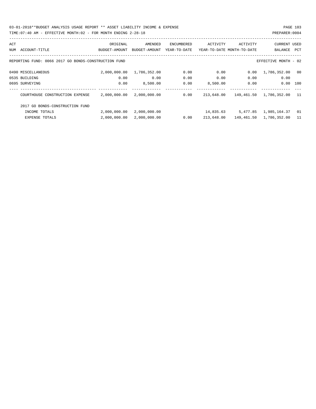03-01-2018\*\*BUDGET ANALYSIS USAGE REPORT \*\* ASSET LIABILITY INCOME & EXPENSE PAGE 103 TIME:07:40 AM - EFFECTIVE MONTH:02 - FOR MONTH ENDING 2-28-18 PREPARER:0004

| ACT |                                                      | ORIGINAL      | AMENDED       | ENCUMBERED   | ACTIVITY   | ACTIVITY                   | <b>CURRENT USED</b>     |      |
|-----|------------------------------------------------------|---------------|---------------|--------------|------------|----------------------------|-------------------------|------|
| NUM | ACCOUNT-TITLE                                        | BUDGET-AMOUNT | BUDGET-AMOUNT | YEAR-TO-DATE |            | YEAR-TO-DATE MONTH-TO-DATE | BALANCE                 | PCT  |
|     |                                                      |               |               |              |            |                            |                         |      |
|     | REPORTING FUND: 0066 2017 GO BONDS-CONSTRUCTION FUND |               |               |              |            |                            | EFFECTIVE MONTH - 02    |      |
|     | 0490 MISCELLANEOUS                                   | 2,000,000.00  | 1,786,352.00  | 0.00         | 0.00       | 0.00                       | 1,786,352.00            | - 00 |
|     | 0535 BUILDING                                        | 0.00          | 0.00          | 0.00         | 0.00       | 0.00                       | 0.00                    |      |
|     | 0695 SURVEYING                                       | 0.00          | 8,500.00      | 0.00         | 8,500.00   | 0.00                       | 0.00                    | 100  |
|     | COURTHOUSE CONSTRUCTION EXPENSE                      | 2,000,000.00  | 2,000,000.00  | 0.00         | 213,648.00 | 149,461.50                 | 1,786,352.00            | - 11 |
|     | 2017 GO BONDS-CONSTRUCTION FUND                      |               |               |              |            |                            |                         |      |
|     | INCOME TOTALS                                        | 2,000,000.00  | 2,000,000.00  |              | 14,835.63  | 5,477.85                   | 1,985,164.37            | 01   |
|     | <b>EXPENSE TOTALS</b>                                | 2,000,000.00  | 2,000,000.00  | 0.00         | 213,648.00 |                            | 149,461.50 1,786,352.00 | 11   |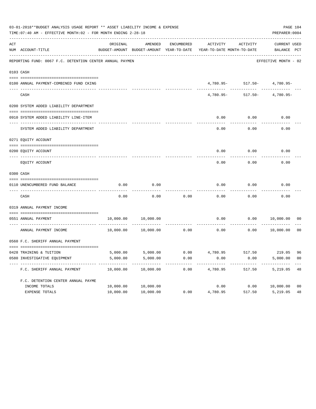|     | 03-01-2018**BUDGET ANALYSIS USAGE REPORT ** ASSET LIABILITY INCOME & EXPENSE<br>TIME: 07:40 AM - EFFECTIVE MONTH: 02 - FOR MONTH ENDING 2-28-18 |           |                                                     |            |                                                  |                                  | PAGE 104<br>PREPARER: 0004  |                |
|-----|-------------------------------------------------------------------------------------------------------------------------------------------------|-----------|-----------------------------------------------------|------------|--------------------------------------------------|----------------------------------|-----------------------------|----------------|
| ACT | NUM ACCOUNT-TITLE                                                                                                                               | ORIGINAL  | AMENDED<br>BUDGET-AMOUNT BUDGET-AMOUNT YEAR-TO-DATE | ENCUMBERED | ACTIVITY<br>YEAR-TO-DATE MONTH-TO-DATE           | ACTIVITY                         | CURRENT USED<br>BALANCE PCT |                |
|     | REPORTING FUND: 0067 F.C. DETENTION CENTER ANNUAL PAYMEN                                                                                        |           |                                                     |            |                                                  |                                  | EFFECTIVE MONTH - 02        |                |
|     | 0103 CASH                                                                                                                                       |           |                                                     |            |                                                  |                                  |                             |                |
|     |                                                                                                                                                 |           |                                                     |            |                                                  |                                  |                             |                |
|     | 0100 ANNUAL PAYMENT-COMBINED FUND CKING                                                                                                         |           |                                                     |            |                                                  | $4,780.95 - 517.50 - 4,780.95 -$ |                             |                |
|     | CASH                                                                                                                                            |           |                                                     |            | 4,780.95-                                        |                                  | $517.50 - 4,780.95 -$       |                |
|     | 0200 SYSTEM ADDED LIABILITY DEPARTMENT                                                                                                          |           |                                                     |            |                                                  |                                  |                             |                |
|     | 0910 SYSTEM ADDED LIABILITY LINE-ITEM                                                                                                           |           |                                                     |            | 0.00                                             | 0.00                             | 0.00                        |                |
|     | SYSTEM ADDED LIABILITY DEPARTMENT                                                                                                               |           |                                                     |            | 0.00                                             | 0.00                             | 0.00                        |                |
|     | 0271 EQUITY ACCOUNT                                                                                                                             |           |                                                     |            |                                                  |                                  |                             |                |
|     | 0200 EQUITY ACCOUNT                                                                                                                             |           |                                                     |            | 0.00                                             | 0.00                             | 0.00                        |                |
|     | EQUITY ACCOUNT                                                                                                                                  |           |                                                     |            | 0.00                                             | 0.00                             | 0.00                        |                |
|     | 0300 CASH                                                                                                                                       |           |                                                     |            |                                                  |                                  |                             |                |
|     |                                                                                                                                                 |           |                                                     |            |                                                  |                                  |                             |                |
|     | 0110 UNENCUMBERED FUND BALANCE                                                                                                                  | 0.00      | 0.00                                                |            | 0.00                                             | 0.00                             | 0.00                        |                |
|     | CASH                                                                                                                                            | 0.00      | 0.00                                                | 0.00       | 0.00                                             | 0.00                             | 0.00                        |                |
|     | 0319 ANNUAL PAYMENT INCOME                                                                                                                      |           |                                                     |            |                                                  |                                  |                             |                |
|     | 0551 ANNUAL PAYMENT                                                                                                                             | 10,000.00 | 10,000.00                                           |            | 0.00                                             |                                  | 0.00 10,000.00              | 00             |
|     | ANNUAL PAYMENT INCOME                                                                                                                           | 10,000.00 | 10,000.00                                           | 0.00       | 0.00                                             | 0.00                             | 10,000.00                   | 0 <sup>0</sup> |
|     | 0560 F.C. SHERIFF ANNUAL PAYMENT                                                                                                                |           |                                                     |            |                                                  |                                  |                             |                |
|     | 0428 TRAINING & TUITION                                                                                                                         |           |                                                     |            | 5,000.00 5,000.00 0.00 4,780.95 517.50 219.05 96 |                                  |                             |                |
|     | 0580 INVESTIGATIVE EQUIPMENT                                                                                                                    | 5,000.00  | 5,000.00                                            | 0.00       | 0.00                                             | 0.00                             | 5,000.00                    | 00             |
|     | F.C. SHERIFF ANNUAL PAYMENT                                                                                                                     | 10,000.00 | 10,000.00                                           | 0.00       | 4,780.95                                         | 517.50                           | 5,219.05                    | 48             |
|     |                                                                                                                                                 |           |                                                     |            |                                                  |                                  |                             |                |
|     | F.C. DETENTION CENTER ANNUAL PAYME<br>INCOME TOTALS                                                                                             | 10,000.00 | 10,000.00                                           |            | 0.00                                             | 0.00                             | 10,000.00                   | 0 <sub>0</sub> |
|     | EXPENSE TOTALS                                                                                                                                  | 10,000.00 | 10,000.00                                           | 0.00       | 4,780.95                                         | 517.50                           | 5,219.05                    | 48             |
|     |                                                                                                                                                 |           |                                                     |            |                                                  |                                  |                             |                |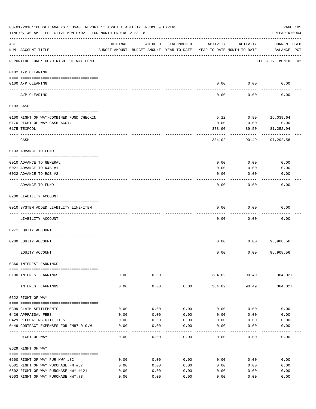|     | 03-01-2018**BUDGET ANALYSIS USAGE REPORT ** ASSET LIABILITY INCOME & EXPENSE<br>TIME: 07:40 AM - EFFECTIVE MONTH: 02 - FOR MONTH ENDING 2-28-18 |             |                                                     |            |                                        |          | PAGE 105<br>PREPARER: 0004         |
|-----|-------------------------------------------------------------------------------------------------------------------------------------------------|-------------|-----------------------------------------------------|------------|----------------------------------------|----------|------------------------------------|
| ACT | NUM ACCOUNT-TITLE                                                                                                                               | ORIGINAL    | AMENDED<br>BUDGET-AMOUNT BUDGET-AMOUNT YEAR-TO-DATE | ENCUMBERED | ACTIVITY<br>YEAR-TO-DATE MONTH-TO-DATE | ACTIVITY | <b>CURRENT USED</b><br>BALANCE PCT |
|     | REPORTING FUND: 0070 RIGHT OF WAY FUND                                                                                                          |             |                                                     |            |                                        |          | EFFECTIVE MONTH - 02               |
|     | 0102 A/P CLEARING                                                                                                                               |             |                                                     |            |                                        |          |                                    |
|     | 0100 A/P CLEARING                                                                                                                               |             |                                                     |            | 0.00                                   | 0.00     | 0.00                               |
|     | ---- ----------<br>A/P CLEARING                                                                                                                 |             |                                                     |            | 0.00                                   | 0.00     | 0.00                               |
|     | 0103 CASH                                                                                                                                       |             |                                                     |            |                                        |          |                                    |
|     | 0100 RIGHT OF WAY-COMBINED FUND CHECKIN                                                                                                         |             |                                                     |            | 5.12                                   | 0.99     | 16,039.64                          |
|     | 0170 RIGHT OF WAY CASH ACCT.                                                                                                                    |             |                                                     |            | 0.00                                   | 0.00     | 0.00                               |
|     | 0175 TEXPOOL                                                                                                                                    |             |                                                     |            | 378.90                                 | 89.50    | 81,252.94                          |
|     | CASH                                                                                                                                            |             |                                                     |            | 384.02                                 | 90.49    | 97,292.58                          |
|     | 0133 ADVANCE TO FUND                                                                                                                            |             |                                                     |            |                                        |          |                                    |
|     | 0010 ADVANCE TO GENERAL                                                                                                                         |             |                                                     |            | 0.00                                   | 0.00     | 0.00                               |
|     | 0021 ADVANCE TO R&B #1                                                                                                                          |             |                                                     |            | 0.00                                   | 0.00     | 0.00                               |
|     | 0022 ADVANCE TO R&B #2                                                                                                                          |             |                                                     |            | 0.00                                   | 0.00     | 0.00                               |
|     | ADVANCE TO FUND                                                                                                                                 |             |                                                     |            | 0.00                                   | 0.00     | 0.00                               |
|     | 0200 LIABILITY ACCOUNT                                                                                                                          |             |                                                     |            |                                        |          |                                    |
|     |                                                                                                                                                 |             |                                                     |            |                                        |          |                                    |
|     | 0910 SYSTEM ADDED LIABILITY LINE-ITEM                                                                                                           |             |                                                     |            | 0.00                                   | 0.00     | 0.00                               |
|     | LIABILITY ACCOUNT                                                                                                                               |             |                                                     |            | 0.00                                   | 0.00     | 0.00                               |
|     | 0271 EQUITY ACCOUNT                                                                                                                             |             |                                                     |            |                                        |          |                                    |
|     | 0200 EQUITY ACCOUNT                                                                                                                             |             |                                                     |            | 0.00                                   | 0.00     | 96,908.56                          |
|     | EQUITY ACCOUNT                                                                                                                                  |             |                                                     |            | 0.00                                   | 0.00     | 96,908.56                          |
|     | 0360 INTEREST EARNINGS                                                                                                                          |             |                                                     |            |                                        |          |                                    |
|     |                                                                                                                                                 |             |                                                     |            |                                        |          |                                    |
|     | 0100 INTEREST EARNINGS<br>----------------------------------                                                                                    | ----------- | $0.00$ 0.00<br>----------                           |            | . <u>.</u> .                           |          | $384.02$ 90.49 $384.02+$           |
|     | INTEREST EARNINGS                                                                                                                               | 0.00        | 0.00                                                | 0.00       | 384.02                                 | 90.49    | 384.02+                            |
|     | 0622 RIGHT OF WAY                                                                                                                               |             |                                                     |            |                                        |          |                                    |
|     | 0399 CLAIM SETTLEMENTS                                                                                                                          | 0.00        | 0.00                                                | 0.00       | 0.00                                   | 0.00     | 0.00                               |
|     | 0426 APPRAISAL FEES                                                                                                                             | 0.00        | 0.00                                                | 0.00       | 0.00                                   | 0.00     | 0.00                               |
|     | 0429 RELOCATING UTILITIES                                                                                                                       | 0.00        | 0.00                                                | 0.00       | 0.00                                   | 0.00     | 0.00                               |
|     | 0449 CONTRACT EXPENSES FOR FM87 R.O.W.                                                                                                          | 0.00        | 0.00                                                | 0.00       | 0.00                                   | 0.00     | 0.00                               |
|     | RIGHT OF WAY                                                                                                                                    | 0.00        | 0.00                                                | 0.00       | 0.00                                   | 0.00     | 0.00                               |
|     | 0629 RIGHT OF WAY                                                                                                                               |             |                                                     |            |                                        |          |                                    |
|     | 0500 RIGHT OF WAY PUR HWY #82                                                                                                                   | 0.00        | 0.00                                                | 0.00       | 0.00                                   | 0.00     | 0.00                               |
|     | 0501 RIGHT OF WAY PURCHASE FM #87                                                                                                               | 0.00        | 0.00                                                | 0.00       | 0.00                                   | 0.00     | 0.00                               |
|     | 0502 RIGHT OF WAY PURCHASE HWY #121                                                                                                             | 0.00        | 0.00                                                | 0.00       | 0.00                                   | 0.00     | 0.00                               |
|     | 0503 RIGHT OF WAY PURCHASE HWY.78                                                                                                               | 0.00        | 0.00                                                | 0.00       | 0.00                                   | 0.00     | 0.00                               |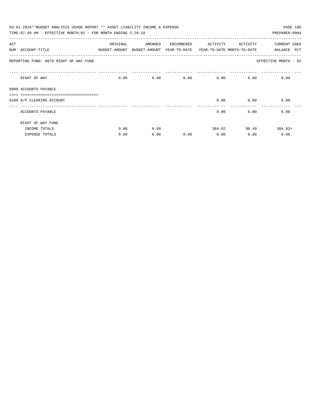|     | 03-01-2018**BUDGET ANALYSIS USAGE REPORT ** ASSET LIABILITY INCOME & EXPENSE<br>TIME: 07:40 AM - EFFECTIVE MONTH: 02 - FOR MONTH ENDING 2-28-18 |          |                                                                     |            |                   |                   | PAGE 106<br>PREPARER: 0004 |
|-----|-------------------------------------------------------------------------------------------------------------------------------------------------|----------|---------------------------------------------------------------------|------------|-------------------|-------------------|----------------------------|
| ACT |                                                                                                                                                 | ORIGINAL | AMENDED                                                             | ENCUMBERED | ACTIVITY ACTIVITY |                   | CURRENT USED               |
|     | NUM ACCOUNT-TITLE                                                                                                                               |          | BUDGET-AMOUNT BUDGET-AMOUNT YEAR-TO-DATE YEAR-TO-DATE MONTH-TO-DATE |            |                   |                   | <b>PCT</b><br>BALANCE      |
|     | REPORTING FUND: 0070 RIGHT OF WAY FUND                                                                                                          |          |                                                                     |            |                   |                   | EFFECTIVE MONTH - 02       |
|     | RIGHT OF WAY                                                                                                                                    | 0.00     |                                                                     | 0.00       | 0.00              | $0.00$ and $0.00$ | 0.00<br>0.00               |
|     | 0999 ACCOUNTS PAYABLE                                                                                                                           |          |                                                                     |            |                   |                   |                            |
|     |                                                                                                                                                 |          |                                                                     |            |                   |                   |                            |
|     | 0100 A/P CLEARING ACCOUNT                                                                                                                       |          |                                                                     |            | 0.00              | 0.00              | 0.00                       |
|     | ACCOUNTS PAYABLE                                                                                                                                |          |                                                                     |            | 0.00              | 0.00              | 0.00                       |
|     | RIGHT OF WAY FUND                                                                                                                               |          |                                                                     |            |                   |                   |                            |
|     | INCOME TOTALS                                                                                                                                   | 0.00     | 0.00                                                                |            | 384.02            |                   | $384.02+$<br>90.49         |
|     | <b>EXPENSE TOTALS</b>                                                                                                                           | 0.00     | 0.00                                                                | 0.00       | 0.00              | 0.00              | 0.00                       |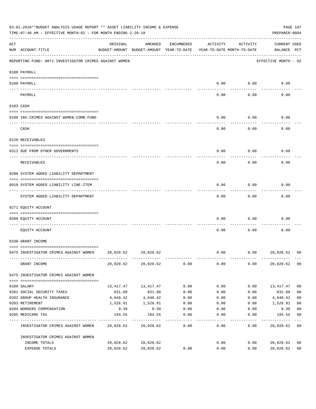|     | 03-01-2018**BUDGET ANALYSIS USAGE REPORT ** ASSET LIABILITY INCOME & EXPENSE<br>TIME: 07:40 AM - EFFECTIVE MONTH: 02 - FOR MONTH ENDING 2-28-18 |                                                      |                         |            |                                        |          | PREPARER: 0004                     | PAGE 107       |
|-----|-------------------------------------------------------------------------------------------------------------------------------------------------|------------------------------------------------------|-------------------------|------------|----------------------------------------|----------|------------------------------------|----------------|
| ACT | NUM ACCOUNT-TITLE                                                                                                                               | ORIGINAL<br>BUDGET-AMOUNT BUDGET-AMOUNT YEAR-TO-DATE | AMENDED                 | ENCUMBERED | ACTIVITY<br>YEAR-TO-DATE MONTH-TO-DATE | ACTIVITY | <b>CURRENT USED</b><br>BALANCE PCT |                |
|     | REPORTING FUND: 0071 INVESTIGATOR CRIMES AGAINST WOMEN                                                                                          |                                                      |                         |            |                                        |          | EFFECTIVE MONTH - 02               |                |
|     | 0100 PAYROLL                                                                                                                                    |                                                      |                         |            |                                        |          |                                    |                |
|     | 0100 PAYROLL                                                                                                                                    |                                                      |                         |            | 0.00                                   | 0.00     | 0.00                               |                |
|     | PAYROLL                                                                                                                                         |                                                      |                         |            | 0.00                                   | 0.00     | 0.00                               |                |
|     | 0103 CASH                                                                                                                                       |                                                      |                         |            |                                        |          |                                    |                |
|     | 0100 INV. CRIMES AGAINST WOMEN-COMB. FUND                                                                                                       |                                                      |                         |            | 0.00                                   | 0.00     | 0.00                               |                |
|     | CASH                                                                                                                                            |                                                      |                         |            | 0.00                                   | 0.00     | 0.00                               |                |
|     | 0120 RECEIVABLES                                                                                                                                |                                                      |                         |            |                                        |          |                                    |                |
|     | 0312 DUE FROM OTHER GOVERNMENTS                                                                                                                 |                                                      |                         |            | 0.00                                   | 0.00     | 0.00                               |                |
|     | RECEIVABLES                                                                                                                                     |                                                      |                         |            | 0.00                                   | 0.00     | 0.00                               |                |
|     | 0200 SYSTEM ADDED LIABILITY DEPARTMENT                                                                                                          |                                                      |                         |            |                                        |          |                                    |                |
|     | 0910 SYSTEM ADDED LIABILITY LINE-ITEM                                                                                                           |                                                      |                         |            | 0.00                                   | 0.00     | 0.00                               |                |
|     | SYSTEM ADDED LIABILITY DEPARTMENT                                                                                                               |                                                      |                         |            | 0.00                                   | 0.00     | 0.00                               |                |
|     | 0271 EQUITY ACCOUNT                                                                                                                             |                                                      |                         |            |                                        |          |                                    |                |
|     | 0200 EQUITY ACCOUNT                                                                                                                             |                                                      |                         |            | 0.00                                   | 0.00     | 0.00                               |                |
|     | EOUITY ACCOUNT                                                                                                                                  |                                                      |                         |            | 0.00                                   | 0.00     | 0.00                               |                |
|     | 0330 GRANT INCOME                                                                                                                               |                                                      |                         |            |                                        |          |                                    |                |
|     | 0475 INVESTIGATOR CRIMES AGAINST WOMEN 20,020.62                                                                                                |                                                      | 20,020.62               |            | 0.00                                   | 0.00     | 20,020.62                          | 00             |
|     | GRANT INCOME                                                                                                                                    |                                                      | 20,020.62 20,020.62     | 0.00       | 0.00                                   |          | $0.00$ 20,020.62 00                |                |
|     | 0475 INVESTIGATOR CRIMES AGAINST WOMEN                                                                                                          |                                                      |                         |            |                                        |          |                                    |                |
|     | 0108 SALARY                                                                                                                                     |                                                      | 13, 417. 47 13, 417. 47 | 0.00       | 0.00                                   | 0.00     | 13,417.47                          | 0 <sub>0</sub> |
|     | 0201 SOCIAL SECURITY TAXES                                                                                                                      | 831.88                                               | 831.88                  | 0.00       | 0.00                                   | 0.00     | 831.88                             | 0 <sub>0</sub> |
|     | 0202 GROUP HEALTH INSURANCE                                                                                                                     |                                                      | $4,040.42$ $4,040.42$   | 0.00       | 0.00                                   | 0.00     | 4,040.42                           | 0 <sub>0</sub> |
|     | 0203 RETIREMENT                                                                                                                                 | 1,526.91                                             | 1,526.91                | 0.00       | 0.00                                   | 0.00     | 1,526.91                           | 0 <sub>0</sub> |
|     | 0204 WORKERS COMPENSATION                                                                                                                       | 9.39                                                 | 9.39                    | 0.00       | 0.00                                   | 0.00     | 9.39                               | 0 <sub>0</sub> |
|     | 0205 MEDICARE TAX                                                                                                                               | 194.55                                               | 194.55                  | 0.00       | 0.00                                   | 0.00     | 194.55                             | 0 <sub>0</sub> |
|     | INVESTIGATOR CRIMES AGAINST WOMEN                                                                                                               |                                                      | 20,020.62 20,020.62     | 0.00       | 0.00                                   | 0.00     | 20,020.62 00                       |                |
|     | INVESTIGATOR CRIMES AGAINST WOMEN                                                                                                               |                                                      |                         |            |                                        |          |                                    |                |
|     | INCOME TOTALS                                                                                                                                   |                                                      | $20,020.62$ $20,020.62$ |            | 0.00                                   | 0.00     | 20,020.62                          | 0 <sub>0</sub> |
|     | EXPENSE TOTALS                                                                                                                                  | 20,020.62                                            | 20,020.62               | 0.00       | 0.00                                   | 0.00     | 20,020.62                          | 0 <sub>0</sub> |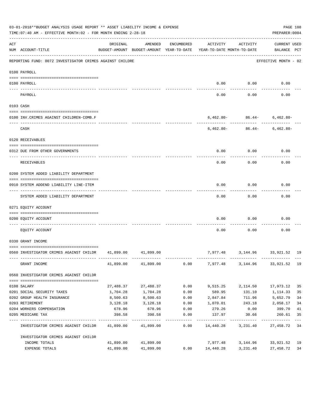|                                                                                                                                                                                                                                                                                                                                                                                              | 03-01-2018**BUDGET ANALYSIS USAGE REPORT ** ASSET LIABILITY INCOME & EXPENSE<br>TIME: 07:40 AM - EFFECTIVE MONTH: 02 - FOR MONTH ENDING 2-28-18 |           |                     |                    |                                                                                 |                                 |                             |                           |  |  |
|----------------------------------------------------------------------------------------------------------------------------------------------------------------------------------------------------------------------------------------------------------------------------------------------------------------------------------------------------------------------------------------------|-------------------------------------------------------------------------------------------------------------------------------------------------|-----------|---------------------|--------------------|---------------------------------------------------------------------------------|---------------------------------|-----------------------------|---------------------------|--|--|
| ACT                                                                                                                                                                                                                                                                                                                                                                                          | NUM ACCOUNT-TITLE                                                                                                                               | ORIGINAL  | AMENDED             | ENCUMBERED         | ACTIVITY<br>BUDGET-AMOUNT BUDGET-AMOUNT YEAR-TO-DATE YEAR-TO-DATE MONTH-TO-DATE | ACTIVITY                        | CURRENT USED<br>BALANCE PCT |                           |  |  |
|                                                                                                                                                                                                                                                                                                                                                                                              | REPORTING FUND: 0072 INVESTIGATOR CRIMES AGAINST CHILDRE                                                                                        |           |                     |                    |                                                                                 |                                 | EFFECTIVE MONTH - 02        |                           |  |  |
|                                                                                                                                                                                                                                                                                                                                                                                              | 0100 PAYROLL                                                                                                                                    |           |                     |                    |                                                                                 |                                 |                             |                           |  |  |
|                                                                                                                                                                                                                                                                                                                                                                                              | 0100 PAYROLL                                                                                                                                    |           |                     |                    |                                                                                 | $0.00$ $0.00$                   | 0.00                        |                           |  |  |
| $\frac{1}{2} \frac{1}{2} \frac{1}{2} \frac{1}{2} \frac{1}{2} \frac{1}{2} \frac{1}{2} \frac{1}{2} \frac{1}{2} \frac{1}{2} \frac{1}{2} \frac{1}{2} \frac{1}{2} \frac{1}{2} \frac{1}{2} \frac{1}{2} \frac{1}{2} \frac{1}{2} \frac{1}{2} \frac{1}{2} \frac{1}{2} \frac{1}{2} \frac{1}{2} \frac{1}{2} \frac{1}{2} \frac{1}{2} \frac{1}{2} \frac{1}{2} \frac{1}{2} \frac{1}{2} \frac{1}{2} \frac{$ | ------------------------ --------<br>PAYROLL                                                                                                    |           |                     |                    | 0.00                                                                            | 0.00                            | 0.00                        |                           |  |  |
|                                                                                                                                                                                                                                                                                                                                                                                              | 0103 CASH                                                                                                                                       |           |                     |                    |                                                                                 |                                 |                             |                           |  |  |
|                                                                                                                                                                                                                                                                                                                                                                                              | 0100 INV.CRIMES AGAINST CHILDREN-COMB.F                                                                                                         |           |                     |                    |                                                                                 | $6,462.80 - 86.44 - 6,462.80 -$ |                             |                           |  |  |
|                                                                                                                                                                                                                                                                                                                                                                                              | CASH                                                                                                                                            |           |                     |                    |                                                                                 | $6,462.80 - 86.44 - 6,462.80 -$ |                             |                           |  |  |
|                                                                                                                                                                                                                                                                                                                                                                                              | 0120 RECEIVABLES                                                                                                                                |           |                     |                    |                                                                                 |                                 |                             |                           |  |  |
|                                                                                                                                                                                                                                                                                                                                                                                              | 0312 DUE FROM OTHER GOVERNMENTS                                                                                                                 |           |                     |                    | 0.00                                                                            | 0.00                            | 0.00                        |                           |  |  |
|                                                                                                                                                                                                                                                                                                                                                                                              | RECEIVABLES                                                                                                                                     |           |                     |                    | 0.00                                                                            | 0.00                            | 0.00                        |                           |  |  |
|                                                                                                                                                                                                                                                                                                                                                                                              | 0200 SYSTEM ADDED LIABILITY DEPARTMENT                                                                                                          |           |                     |                    |                                                                                 |                                 |                             |                           |  |  |
|                                                                                                                                                                                                                                                                                                                                                                                              | 0910 SYSTEM ADDEND LIABILITY LINE-ITEM                                                                                                          |           |                     |                    | 0.00                                                                            | 0.00                            | 0.00                        |                           |  |  |
|                                                                                                                                                                                                                                                                                                                                                                                              | SYSTEM ADDED LIABILITY DEPARTMENT                                                                                                               |           |                     |                    | 0.00                                                                            | 0.00                            | 0.00                        |                           |  |  |
|                                                                                                                                                                                                                                                                                                                                                                                              | 0271 EQUITY ACCOUNT                                                                                                                             |           |                     |                    |                                                                                 |                                 |                             |                           |  |  |
|                                                                                                                                                                                                                                                                                                                                                                                              | 0200 EQUITY ACCOUNT                                                                                                                             |           |                     |                    | 0.00                                                                            | 0.00                            | 0.00                        |                           |  |  |
|                                                                                                                                                                                                                                                                                                                                                                                              | EQUITY ACCOUNT                                                                                                                                  |           |                     |                    | 0.00                                                                            | 0.00                            | 0.00                        |                           |  |  |
|                                                                                                                                                                                                                                                                                                                                                                                              | 0330 GRANT INCOME                                                                                                                               |           |                     |                    |                                                                                 |                                 |                             |                           |  |  |
|                                                                                                                                                                                                                                                                                                                                                                                              | 0560 INVESTIGATOR CRIMES AGAINST CHILDR 41,899.00 41,899.00                                                                                     |           |                     |                    |                                                                                 | 7,977.48 3,144.96 33,921.52 19  |                             |                           |  |  |
|                                                                                                                                                                                                                                                                                                                                                                                              | GRANT INCOME                                                                                                                                    |           | 41,899.00 41,899.00 |                    | $0.00$ 7,977.48 3,144.96 33,921.52 19                                           |                                 |                             |                           |  |  |
|                                                                                                                                                                                                                                                                                                                                                                                              | 0560 INVESTIGATOR CRIMES AGAINST CHILDR                                                                                                         |           |                     |                    |                                                                                 |                                 |                             |                           |  |  |
|                                                                                                                                                                                                                                                                                                                                                                                              | 0108 SALARY                                                                                                                                     | 27,488.37 | 27,488.37           | 0.00               | 9,515.25                                                                        | 2,114.50                        | 17,973.12                   | 35                        |  |  |
|                                                                                                                                                                                                                                                                                                                                                                                              | 0201 SOCIAL SECURITY TAXES                                                                                                                      | 1,704.28  | 1,704.28            | 0.00               | 589.95                                                                          | 131.10                          | 1,114.33                    | 35                        |  |  |
|                                                                                                                                                                                                                                                                                                                                                                                              | 0202 GROUP HEALTH INSURANCE                                                                                                                     | 8,500.63  | 8,500.63            | 0.00               | 2,847.84                                                                        | 711.96                          | 5,652.79                    | 34                        |  |  |
|                                                                                                                                                                                                                                                                                                                                                                                              | 0203 RETIREMENT                                                                                                                                 | 3,128.18  | 3,128.18            | 0.00               | 1,070.01                                                                        | 243.18                          | 2,058.17                    | 34                        |  |  |
|                                                                                                                                                                                                                                                                                                                                                                                              | 0204 WORKERS COMPENSATION                                                                                                                       | 678.96    | 678.96              | 0.00               | 279.26                                                                          | 0.00                            | 399.70                      | 41                        |  |  |
|                                                                                                                                                                                                                                                                                                                                                                                              | 0205 MEDICARE TAX                                                                                                                               | 398.58    | 398.58              | 0.00<br>---------- | 137.97                                                                          | 30.66                           | 260.61<br>----------        | 35<br>$\qquad \qquad - -$ |  |  |
|                                                                                                                                                                                                                                                                                                                                                                                              | INVESTIGATOR CRIMES AGAINST CHILDR                                                                                                              |           | 41,899.00 41,899.00 | 0.00               | 14,440.28                                                                       | 3,231.40                        | 27,458.72 34                |                           |  |  |
|                                                                                                                                                                                                                                                                                                                                                                                              | INVESTIGATOR CRIMES AGAINST CHILDR                                                                                                              |           |                     |                    |                                                                                 |                                 |                             |                           |  |  |
|                                                                                                                                                                                                                                                                                                                                                                                              | INCOME TOTALS                                                                                                                                   |           | 41,899.00 41,899.00 |                    | 7,977.48                                                                        | 3,144.96                        | 33,921.52 19                |                           |  |  |
|                                                                                                                                                                                                                                                                                                                                                                                              | EXPENSE TOTALS                                                                                                                                  | 41,899.00 | 41,899.00           | 0.00               | 14,440.28                                                                       | 3,231.40                        | 27, 458. 72 34              |                           |  |  |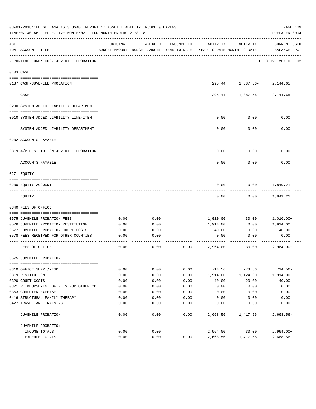|     | 03-01-2018**BUDGET ANALYSIS USAGE REPORT ** ASSET LIABILITY INCOME & EXPENSE<br>TIME: 07:40 AM - EFFECTIVE MONTH: 02 - FOR MONTH ENDING 2-28-18 |          |                                                     |            |                                        |                           | PAGE 109<br>PREPARER: 0004         |
|-----|-------------------------------------------------------------------------------------------------------------------------------------------------|----------|-----------------------------------------------------|------------|----------------------------------------|---------------------------|------------------------------------|
| ACT | NUM ACCOUNT-TITLE                                                                                                                               | ORIGINAL | AMENDED<br>BUDGET-AMOUNT BUDGET-AMOUNT YEAR-TO-DATE | ENCUMBERED | ACTIVITY<br>YEAR-TO-DATE MONTH-TO-DATE | ACTIVITY                  | <b>CURRENT USED</b><br>BALANCE PCT |
|     | REPORTING FUND: 0087 JUVENILE PROBATION                                                                                                         |          |                                                     |            |                                        |                           | EFFECTIVE MONTH - 02               |
|     | 0103 CASH                                                                                                                                       |          |                                                     |            |                                        |                           |                                    |
|     | 0187 CASH-JUVENILE PROBATION                                                                                                                    |          |                                                     |            |                                        | 295.44 1,387.56- 2,144.65 |                                    |
|     | CASH                                                                                                                                            |          |                                                     |            | 295.44                                 |                           | 1,387.56-2,144.65                  |
|     | 0200 SYSTEM ADDED LIABILITY DEPARTMENT                                                                                                          |          |                                                     |            |                                        |                           |                                    |
|     | 0910 SYSTEM ADDED LIABILITY LINE-ITEM                                                                                                           |          |                                                     |            | 0.00                                   | 0.00                      | 0.00                               |
|     | SYSTEM ADDED LIABILITY DEPARTMENT                                                                                                               |          |                                                     |            | 0.00                                   | 0.00                      | 0.00                               |
|     | 0202 ACCOUNTS PAYABLE                                                                                                                           |          |                                                     |            |                                        |                           |                                    |
|     | 0319 A/P RESTITUTION-JUVENILE PROBATION                                                                                                         |          |                                                     |            | 0.00                                   | 0.00                      | 0.00                               |
|     | ACCOUNTS PAYABLE                                                                                                                                |          |                                                     |            | 0.00                                   | 0.00                      | 0.00                               |
|     | 0271 EQUITY                                                                                                                                     |          |                                                     |            |                                        |                           |                                    |
|     | 0200 EQUITY ACCOUNT                                                                                                                             |          |                                                     |            | 0.00                                   | 0.00                      | 1,849.21                           |
|     | EQUITY                                                                                                                                          |          |                                                     |            | 0.00                                   | 0.00                      | 1,849.21                           |
|     | 0340 FEES OF OFFICE                                                                                                                             |          |                                                     |            |                                        |                           |                                    |
|     | 0575 JUVENILE PROBATION FEES                                                                                                                    | 0.00     | 0.00                                                |            | 1,010.00                               | 30.00                     | 1,010.00+                          |
|     | 0576 JUVENILE PROBATION RESTITUTION                                                                                                             | 0.00     | 0.00                                                |            | 1,914.00                               | 0.00                      | 1,914.00+                          |
|     | 0577 JUVENILE PROBATION COURT COSTS                                                                                                             | 0.00     | 0.00                                                |            | 40.00                                  | 0.00                      | $40.00+$                           |
|     | 0578 FEES RECEIVED FOR OTHER COUNTIES                                                                                                           | 0.00     | 0.00                                                |            | 0.00                                   | 0.00                      | 0.00                               |
|     | FEES OF OFFICE                                                                                                                                  | 0.00     | 0.00                                                | 0.00       | 2,964.00                               | 30.00                     | $2,964.00+$                        |
|     | 0575 JUVENILE PROBATION                                                                                                                         |          |                                                     |            |                                        |                           |                                    |
|     |                                                                                                                                                 |          |                                                     |            |                                        |                           |                                    |
|     | 0310 OFFICE SUPP./MISC.                                                                                                                         | 0.00     | 0.00                                                | 0.00       | 714.56                                 | 273.56                    | $714.56-$                          |
|     | 0319 RESTITUTION                                                                                                                                | 0.00     | 0.00                                                | 0.00       | 1,914.00                               | 1,124.00                  | $1,914.00-$                        |
|     | 0320 COURT COSTS                                                                                                                                | 0.00     | 0.00                                                | 0.00       | 40.00                                  | 20.00                     | $40.00 -$                          |
|     | 0321 REIMBURSEMENT OF FEES FOR OTHER CO                                                                                                         | 0.00     | 0.00                                                | 0.00       | 0.00                                   | 0.00                      | 0.00                               |
|     | 0353 COMPUTER EXPENSE                                                                                                                           | 0.00     | 0.00                                                | 0.00       | 0.00                                   | 0.00                      | 0.00                               |
|     | 0416 STRUCTURAL FAMILY THERAPY                                                                                                                  | 0.00     | 0.00                                                | 0.00       | 0.00                                   | 0.00                      | 0.00                               |
|     | 0427 TRAVEL AND TRAINING                                                                                                                        | 0.00     | 0.00                                                | 0.00       | 0.00                                   | 0.00                      | 0.00                               |
|     | JUVENILE PROBATION                                                                                                                              | 0.00     | 0.00                                                | 0.00       | 2,668.56                               | 1,417.56                  | $2,668.56-$                        |
|     | JUVENILE PROBATION                                                                                                                              |          |                                                     |            |                                        |                           |                                    |
|     | INCOME TOTALS                                                                                                                                   | 0.00     | 0.00                                                |            | 2,964.00                               | 30.00                     | $2,964.00+$                        |
|     | EXPENSE TOTALS                                                                                                                                  | 0.00     | 0.00                                                | 0.00       | 2,668.56                               | 1,417.56                  | $2,668.56-$                        |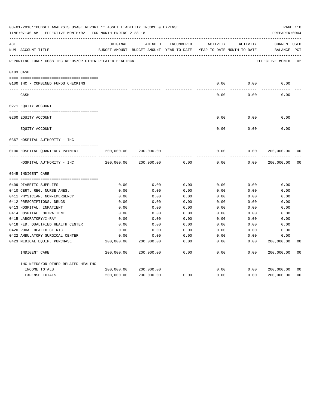|     | 03-01-2018**BUDGET ANALYSIS USAGE REPORT ** ASSET LIABILITY INCOME & EXPENSE<br>TIME: 07:40 AM - EFFECTIVE MONTH: 02 - FOR MONTH ENDING 2-28-18 |            |                                                                                |                     |                     |                     | PREPARER: 0004                     | PAGE 110       |
|-----|-------------------------------------------------------------------------------------------------------------------------------------------------|------------|--------------------------------------------------------------------------------|---------------------|---------------------|---------------------|------------------------------------|----------------|
| ACT | NUM ACCOUNT-TITLE                                                                                                                               | ORIGINAL   | AMENDED<br>BUDGET-AMOUNT BUDGET-AMOUNT YEAR-TO-DATE YEAR-TO-DATE MONTH-TO-DATE | ENCUMBERED          | ACTIVITY            | ACTIVITY            | <b>CURRENT USED</b><br>BALANCE PCT |                |
|     | REPORTING FUND: 0088 IHC NEEDS/OR OTHER RELATED HEALTHCA                                                                                        |            |                                                                                |                     |                     |                     | EFFECTIVE MONTH - 02               |                |
|     | 0103 CASH                                                                                                                                       |            |                                                                                |                     |                     |                     |                                    |                |
|     | 0100 IHC - COMBINED FUNDS CHECKING                                                                                                              |            |                                                                                |                     | 0.00                | 0.00                | 0.00                               |                |
|     | CASH                                                                                                                                            |            |                                                                                |                     | -----<br>0.00       | --------<br>0.00    | 0.00                               |                |
|     | 0271 EQUITY ACCOUNT                                                                                                                             |            |                                                                                |                     |                     |                     |                                    |                |
|     | 0200 EQUITY ACCOUNT                                                                                                                             |            |                                                                                |                     | 0.00                | 0.00                | 0.00                               |                |
|     | EQUITY ACCOUNT                                                                                                                                  |            |                                                                                |                     | 0.00                | 0.00                | 0.00                               |                |
|     | 0367 HOSPITAL AUTHORITY - IHC                                                                                                                   |            |                                                                                |                     |                     |                     |                                    |                |
|     |                                                                                                                                                 |            |                                                                                |                     |                     |                     |                                    |                |
|     | 0100 HOSPITAL QUARTERLY PAYMENT                                                                                                                 | 200,000.00 | 200,000.00                                                                     |                     | 0.00                | 0.00                | 200,000.00                         | 0 <sub>0</sub> |
|     |                                                                                                                                                 |            |                                                                                |                     | $- - - - -$         |                     |                                    |                |
|     | HOSPITAL AUTHORITY - IHC                                                                                                                        | 200,000.00 | 200,000.00                                                                     | 0.00                | 0.00                | 0.00                | 200,000.00                         | 0 <sub>0</sub> |
|     | 0645 INDIGENT CARE                                                                                                                              |            |                                                                                |                     |                     |                     |                                    |                |
|     |                                                                                                                                                 |            |                                                                                |                     |                     |                     |                                    |                |
|     | 0409 DIABETIC SUPPLIES                                                                                                                          | 0.00       | 0.00                                                                           | 0.00                | 0.00                | 0.00                | 0.00                               |                |
|     | 0410 CERT. REG. NURSE ANES.                                                                                                                     | 0.00       | 0.00                                                                           | 0.00                | 0.00                | 0.00                | 0.00                               |                |
|     | 0411 PHYSICIAN, NON-EMERGENCY                                                                                                                   | 0.00       | 0.00                                                                           | 0.00                | 0.00                | 0.00                | 0.00                               |                |
|     | 0412 PRESCRIPTIONS, DRUGS                                                                                                                       | 0.00       | 0.00                                                                           | 0.00                | 0.00                | 0.00                | 0.00                               |                |
|     | 0413 HOSPITAL, INPATIENT                                                                                                                        | 0.00       | 0.00                                                                           | 0.00                | 0.00                | 0.00                | 0.00                               |                |
|     | 0414 HOSPITAL, OUTPATIENT                                                                                                                       | 0.00       | 0.00                                                                           | 0.00                | 0.00                | 0.00                | 0.00                               |                |
|     | 0415 LABORATORY/X-RAY                                                                                                                           | 0.00       | 0.00                                                                           | 0.00                | 0.00                | 0.00                | 0.00                               |                |
|     | 0418 FED. QUALIFIED HEALTH CENTER                                                                                                               | 0.00       | 0.00                                                                           | 0.00                | 0.00                | 0.00                | 0.00                               |                |
|     | 0420 RURAL HEALTH CLINIC                                                                                                                        | 0.00       | 0.00                                                                           | 0.00                | 0.00                | 0.00                | 0.00                               |                |
|     | 0422 AMBULATORY SURGICAL CENTER                                                                                                                 | 0.00       | 0.00                                                                           | 0.00                | 0.00                | 0.00                | 0.00                               |                |
|     | 0423 MEDICAL EQUIP. PURCHASE                                                                                                                    | 200,000.00 | 200,000.00<br>---------- --------------                                        | 0.00<br>$- - - - -$ | 0.00<br>$- - - - -$ | 0.00<br>$- - - - -$ | 200,000.00<br>-----------          | 0 <sub>0</sub> |
|     | INDIGENT CARE                                                                                                                                   | 200,000.00 | 200,000.00                                                                     | 0.00                | 0.00                | 0.00                | 200,000.00                         | 0 <sub>0</sub> |
|     | IHC NEEDS/OR OTHER RELATED HEALTHC                                                                                                              |            |                                                                                |                     |                     |                     |                                    |                |
|     | INCOME TOTALS                                                                                                                                   | 200,000.00 | 200,000.00                                                                     |                     | 0.00                | 0.00                | 200,000.00                         | 0 <sub>0</sub> |
|     | EXPENSE TOTALS                                                                                                                                  | 200,000.00 | 200,000.00                                                                     | 0.00                | 0.00                | 0.00                | 200,000.00                         | 0 <sub>0</sub> |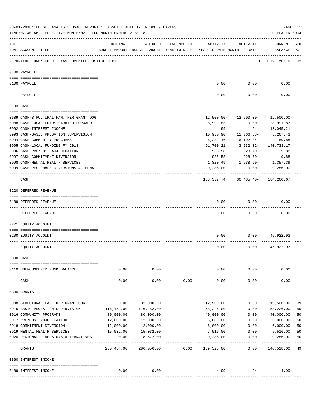|     | 03-01-2018**BUDGET ANALYSIS USAGE REPORT ** ASSET LIABILITY INCOME & EXPENSE<br>TIME: 07:40 AM - EFFECTIVE MONTH: 02 - FOR MONTH ENDING 2-28-18 |            |            |            |                                                                                 |                                         | PAGE 111<br>PREPARER: 0004         |    |
|-----|-------------------------------------------------------------------------------------------------------------------------------------------------|------------|------------|------------|---------------------------------------------------------------------------------|-----------------------------------------|------------------------------------|----|
| ACT | NUM ACCOUNT-TITLE                                                                                                                               | ORIGINAL   | AMENDED    | ENCUMBERED | ACTIVITY<br>BUDGET-AMOUNT BUDGET-AMOUNT YEAR-TO-DATE YEAR-TO-DATE MONTH-TO-DATE | ACTIVITY                                | <b>CURRENT USED</b><br>BALANCE PCT |    |
|     | REPORTING FUND: 0089 TEXAS JUVENILE JUSTICE DEPT.                                                                                               |            |            |            |                                                                                 |                                         | EFFECTIVE MONTH - 02               |    |
|     | 0100 PAYROLL                                                                                                                                    |            |            |            |                                                                                 |                                         |                                    |    |
|     |                                                                                                                                                 |            |            |            |                                                                                 |                                         |                                    |    |
|     | 0100 PAYROLL<br>---- ----                                                                                                                       |            |            |            | 0.00                                                                            | 0.00                                    | 0.00                               |    |
|     | PAYROLL                                                                                                                                         |            |            |            | 0.00                                                                            | 0.00                                    | 0.00                               |    |
|     | 0103 CASH                                                                                                                                       |            |            |            |                                                                                 |                                         |                                    |    |
|     | 0689 CASH-STRUCTURAL FAM.THER.GRANT OOG                                                                                                         |            |            |            | 12,500.00-                                                                      | 12,500.00-                              | 12,500.00-                         |    |
|     | 0988 CASH-LOCAL FUNDS CARRIED FORWARD                                                                                                           |            |            |            | 28,991.83                                                                       | 0.00                                    | 28,991.83                          |    |
|     | 0992 CASH-INTEREST INCOME                                                                                                                       |            |            |            | 4.99                                                                            | 1.94                                    | 13,045.21                          |    |
|     |                                                                                                                                                 |            |            |            | 10,930.90                                                                       | 11,066.68-                              | 3,267.43                           |    |
|     | 0993 CASH-BASIC PROBATION SUPERVISION                                                                                                           |            |            |            |                                                                                 |                                         |                                    |    |
|     | 0994 CASH-COMMUNITY PROGRAMS                                                                                                                    |            |            |            | 6,232.16                                                                        | 6,192.34-                               | 59.88                              |    |
|     | 0995 CASH-LOCAL FUNDING FY 2018                                                                                                                 |            |            |            | 91,700.21                                                                       | 3,232.32-                               | 140,733.17                         |    |
|     | 0996 CASH-PRE/POST ADJUDICATION                                                                                                                 |            |            |            | 935.58                                                                          | 928.70-                                 | 9.88                               |    |
|     | 0997 CASH-COMMITMENT DIVERSION                                                                                                                  |            |            |            | 935.58                                                                          | 928.70-                                 | 9.88                               |    |
|     | 0998 CASH-MENTAL HEALTH SERVICES                                                                                                                |            |            |            | 1,820.49                                                                        | 1,638.60-                               | 1,357.39                           |    |
|     | 0999 CASH-REGIONALS DIVERSIONS ALTERNAT                                                                                                         |            |            |            | 9,286.00                                                                        | 0.00<br>-----------                     | 9,286.00                           |    |
|     | CASH                                                                                                                                            |            |            |            | ----------                                                                      | 138, 337. 74 36, 485. 40 - 184, 260. 67 | ------------                       |    |
|     | 0220 DEFERRED REVENUE                                                                                                                           |            |            |            |                                                                                 |                                         |                                    |    |
|     |                                                                                                                                                 |            |            |            |                                                                                 |                                         |                                    |    |
|     | 0189 DEFERRED REVENUE<br>---- -------------                                                                                                     |            |            |            | 0.00                                                                            | 0.00                                    | 0.00                               |    |
|     | DEFERRED REVENUE                                                                                                                                |            |            |            | 0.00                                                                            | 0.00                                    | 0.00                               |    |
|     | 0271 EQUITY ACCOUNT                                                                                                                             |            |            |            |                                                                                 |                                         |                                    |    |
|     | 0200 EQUITY ACCOUNT                                                                                                                             |            |            |            | 0.00                                                                            | 0.00                                    | 45,922.93                          |    |
|     |                                                                                                                                                 |            |            |            |                                                                                 |                                         |                                    |    |
|     | EQUITY ACCOUNT                                                                                                                                  |            |            |            | 0.00                                                                            | 0.00                                    | 45,922.93                          |    |
|     | 0300 CASH                                                                                                                                       |            |            |            |                                                                                 |                                         |                                    |    |
|     | 0110 UNENCUMBERED FUND BALANCE                                                                                                                  | 0.00       | 0.00       |            | 0.00                                                                            | 0.00                                    | 0.00                               |    |
|     |                                                                                                                                                 |            |            |            |                                                                                 |                                         |                                    |    |
|     | CASH                                                                                                                                            | 0.00       | 0.00       | 0.00       | 0.00                                                                            | 0.00                                    | 0.00                               |    |
|     | 0330 GRANTS                                                                                                                                     |            |            |            |                                                                                 |                                         |                                    |    |
|     | 0908 STRUCTURAL FAM.THER.GRANT OOG                                                                                                              | 0.00       | 32,000.00  |            | 12,500.00                                                                       | 0.00                                    | 19,500.00                          | 39 |
|     | 0915 BASIC PROBATION SUPERVISION                                                                                                                | 116,452.00 | 116,452.00 |            | 58,226.00                                                                       | 0.00                                    | 58,226.00                          | 50 |
|     | 0916 COMMUNITY PROGRAMS                                                                                                                         | 80,000.00  | 80,000.00  |            | 40,000.00                                                                       | 0.00                                    | 40,000.00                          | 50 |
|     | 0917 PRE/POST ADJUDICATION                                                                                                                      | 12,000.00  | 12,000.00  |            | 6,000.00                                                                        | 0.00                                    | 6,000.00                           | 50 |
|     | 0918 COMMITMENT DIVERSION                                                                                                                       | 12,000.00  | 12,000.00  |            | 6,000.00                                                                        | 0.00                                    | 6,000.00                           | 50 |
|     | 0919 MENTAL HEALTH SERVICES                                                                                                                     | 15,032.00  | 15,032.00  |            | 7,516.00                                                                        | 0.00                                    | 7,516.00                           | 50 |
|     | 0920 REGIONAL DIVERSIONS ALTERNATIVES                                                                                                           | 0.00       | 18,572.00  |            | 9,286.00                                                                        | 0.00                                    | 9,286.00                           | 50 |
|     |                                                                                                                                                 | __________ |            |            |                                                                                 |                                         |                                    |    |
|     | GRANTS                                                                                                                                          | 235,484.00 | 286,056.00 | 0.00       | 139,528.00                                                                      | 0.00                                    | 146,528.00                         | 49 |
|     | 0360 INTEREST INCOME                                                                                                                            |            |            |            |                                                                                 |                                         |                                    |    |
|     | 0189 INTEREST INCOME                                                                                                                            | 0.00       | 0.00       |            | 4.99                                                                            | 1.94                                    | $4.99+$                            |    |
|     |                                                                                                                                                 |            |            |            |                                                                                 |                                         |                                    |    |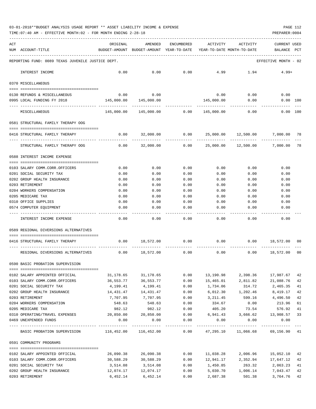TIME:07:40 AM - EFFECTIVE MONTH:02 - FOR MONTH ENDING 2-28-18 PREPARER:0004

| ACT |                                                                                                                                                                                                                                                                                                                                                                                                                                     | ORIGINAL                                                            | AMENDED                                     | ENCUMBERED   | ACTIVITY                                        | ACTIVITY                           | CURRENT USED         |          |
|-----|-------------------------------------------------------------------------------------------------------------------------------------------------------------------------------------------------------------------------------------------------------------------------------------------------------------------------------------------------------------------------------------------------------------------------------------|---------------------------------------------------------------------|---------------------------------------------|--------------|-------------------------------------------------|------------------------------------|----------------------|----------|
|     | NUM ACCOUNT-TITLE                                                                                                                                                                                                                                                                                                                                                                                                                   | BUDGET-AMOUNT BUDGET-AMOUNT YEAR-TO-DATE YEAR-TO-DATE MONTH-TO-DATE |                                             |              |                                                 |                                    | BALANCE PCT          |          |
|     | REPORTING FUND: 0089 TEXAS JUVENILE JUSTICE DEPT.                                                                                                                                                                                                                                                                                                                                                                                   |                                                                     |                                             |              |                                                 |                                    | EFFECTIVE MONTH - 02 |          |
|     | INTEREST INCOME                                                                                                                                                                                                                                                                                                                                                                                                                     | 0.00                                                                | 0.00                                        | 0.00         | 4.99                                            | 1.94                               | $4.99+$              |          |
|     | 0370 MISCELLANEOUS                                                                                                                                                                                                                                                                                                                                                                                                                  |                                                                     |                                             |              |                                                 |                                    |                      |          |
|     | 0130 REFUNDS & MISCELLANEOUS                                                                                                                                                                                                                                                                                                                                                                                                        | 0.00                                                                | 0.00                                        |              | 0.00                                            | 0.00                               | 0.00                 |          |
|     | 0995 LOCAL FUNDING FY 2018                                                                                                                                                                                                                                                                                                                                                                                                          | 145,000.00                                                          | 145,000.00                                  |              | 145,000.00                                      | 0.00                               | $0.00$ 100           |          |
|     | MISCELLANEOUS                                                                                                                                                                                                                                                                                                                                                                                                                       |                                                                     | $145,000.00$ $145,000.00$ 0.00 $145,000.00$ |              |                                                 | 0.00                               | $0.00$ 100           |          |
|     | 0581 STRUCTURAL FAMILY THERAPY OOG                                                                                                                                                                                                                                                                                                                                                                                                  |                                                                     |                                             |              |                                                 |                                    |                      |          |
|     | 0416 STRUCTURAL FAMILY THERAPY                                                                                                                                                                                                                                                                                                                                                                                                      | 0.00                                                                | 32,000.00                                   | 0.00         |                                                 | 25,000.00    12,500.00    7,000.00 |                      | 78       |
|     | STRUCTURAL FAMILY THERAPY OOG                                                                                                                                                                                                                                                                                                                                                                                                       | 0.00                                                                |                                             |              | $32,000.00$ 0.00 $25,000.00$ 12,500.00 7,000.00 |                                    |                      | 78       |
|     | 0588 INTEREST INCOME EXPENSE                                                                                                                                                                                                                                                                                                                                                                                                        |                                                                     |                                             |              |                                                 |                                    |                      |          |
|     | 0103 SALARY COMM.CORR.OFFICERS                                                                                                                                                                                                                                                                                                                                                                                                      | 0.00                                                                | 0.00                                        | 0.00         | 0.00                                            | 0.00                               | 0.00                 |          |
|     | 0201 SOCIAL SECURITY TAX                                                                                                                                                                                                                                                                                                                                                                                                            | 0.00                                                                | 0.00                                        | 0.00         | 0.00                                            | 0.00                               | 0.00                 |          |
|     | 0202 GROUP HEALTH INSURANCE                                                                                                                                                                                                                                                                                                                                                                                                         | 0.00                                                                | 0.00                                        | 0.00         | 0.00                                            | 0.00                               | 0.00                 |          |
|     | 0203 RETIREMENT                                                                                                                                                                                                                                                                                                                                                                                                                     | 0.00                                                                | 0.00                                        | 0.00         | 0.00                                            | 0.00                               | 0.00                 |          |
|     | 0204 WORKERS COMPENSATION                                                                                                                                                                                                                                                                                                                                                                                                           | 0.00                                                                | 0.00                                        | 0.00         | 0.00                                            | 0.00                               | 0.00                 |          |
|     | 0205 MEDICARE TAX                                                                                                                                                                                                                                                                                                                                                                                                                   | 0.00                                                                | 0.00                                        | 0.00         | 0.00                                            | 0.00                               | 0.00                 |          |
|     | 0310 OFFICE SUPPLIES                                                                                                                                                                                                                                                                                                                                                                                                                | 0.00                                                                | 0.00                                        | 0.00         | 0.00                                            | 0.00                               | 0.00                 |          |
|     | 0574 COMPUTER EQUIPMENT                                                                                                                                                                                                                                                                                                                                                                                                             | 0.00                                                                | 0.00                                        | 0.00         | 0.00                                            | 0.00                               | 0.00                 |          |
|     | INTEREST INCOME EXPENSE                                                                                                                                                                                                                                                                                                                                                                                                             | 0.00                                                                | 0.00                                        | 0.00         | 0.00                                            | 0.00                               | 0.00                 |          |
|     | 0589 REGIONAL DIVERSIONS ALTERNATIVES                                                                                                                                                                                                                                                                                                                                                                                               |                                                                     |                                             |              |                                                 |                                    |                      |          |
|     |                                                                                                                                                                                                                                                                                                                                                                                                                                     |                                                                     | 0.00 18,572.00                              | 0.00         |                                                 | 0.00<br>0.00                       | 18,572.00            |          |
|     | 0416 STRUCTURAL FAMILY THERAPY                                                                                                                                                                                                                                                                                                                                                                                                      |                                                                     |                                             |              |                                                 |                                    |                      | 00       |
|     | REGIONAL DIVERSIONS ALTERNATIVES                                                                                                                                                                                                                                                                                                                                                                                                    |                                                                     | $0.00$ 18,572.00                            | 0.00         | 0.00                                            | 0.00                               | 18,572.00            | 00       |
|     | 0590 BASIC PROBATION SUPERVISION                                                                                                                                                                                                                                                                                                                                                                                                    |                                                                     |                                             |              |                                                 |                                    |                      |          |
|     | $\begin{minipage}{0.03\textwidth} \begin{tabular}{l} \textbf{1} & \textbf{2} & \textbf{3} & \textbf{5} & \textbf{5} & \textbf{6} & \textbf{6} & \textbf{7} & \textbf{8} & \textbf{8} & \textbf{9} & \textbf{9} & \textbf{1} & \textbf{1} & \textbf{1} & \textbf{1} & \textbf{1} & \textbf{1} & \textbf{1} & \textbf{1} & \textbf{1} & \textbf{1} & \textbf{1} & \textbf{1} & \textbf{1} & \textbf{1} & \textbf{1} & \textbf{1} & \$ |                                                                     |                                             |              |                                                 |                                    |                      |          |
|     | 0102 SALARY APPOINTED OFFICIAL                                                                                                                                                                                                                                                                                                                                                                                                      | 31,178.65                                                           | 31,178.65                                   | 0.00         | 13,190.98                                       |                                    | 2,398.36 17,987.67   | 42       |
|     | 0103 SALARY COMM.CORR.OFFICERS                                                                                                                                                                                                                                                                                                                                                                                                      | 36,553.77                                                           | 36,553.77                                   | 0.00         | 15,465.01                                       | 2,811.82                           | 21,088.76            | 42       |
|     | 0201 SOCIAL SECURITY TAX                                                                                                                                                                                                                                                                                                                                                                                                            | 4,199.41<br>14,431.47                                               | 4,199.41<br>14, 431. 47                     | 0.00<br>0.00 | 1,734.06                                        | 314.72<br>1,202.46                 | 2,465.35<br>8,419.17 | 41<br>42 |
|     | 0202 GROUP HEALTH INSURANCE<br>0203 RETIREMENT                                                                                                                                                                                                                                                                                                                                                                                      | 7,707.95                                                            | 7,707.95                                    | 0.00         | 6,012.30<br>3,211.45                            |                                    | 599.16 4,496.50      | 42       |
|     | 0204 WORKERS COMPENSATION                                                                                                                                                                                                                                                                                                                                                                                                           | 548.63                                                              | 548.63                                      | 0.00         | 334.67                                          | 0.00                               | 213.96               | 61       |
|     | 0205 MEDICARE TAX                                                                                                                                                                                                                                                                                                                                                                                                                   | 982.12                                                              | 982.12                                      | 0.00         | 405.20                                          | 73.54                              | 576.92               | 41       |
|     | 0310 OPERATING/TRAVEL EXPENSES                                                                                                                                                                                                                                                                                                                                                                                                      |                                                                     | 20,850.00 20,850.00                         | 0.00         |                                                 | 6,941.43 3,666.62 13,908.57        |                      | 33       |
|     | 0469 UNEXPENDED FUNDS                                                                                                                                                                                                                                                                                                                                                                                                               | 0.00                                                                | 0.00                                        | 0.00         | 0.00                                            | 0.00                               | 0.00                 |          |
|     |                                                                                                                                                                                                                                                                                                                                                                                                                                     |                                                                     | ---------------                             | ------------ |                                                 | ------------                       |                      |          |
|     | BASIC PROBATION SUPERVISION 116,452.00 116,452.00 0.00 47,295.10 11,066.68 69,156.90 41                                                                                                                                                                                                                                                                                                                                             |                                                                     |                                             |              |                                                 |                                    |                      |          |
|     | 0591 COMMUNITY PROGRAMS                                                                                                                                                                                                                                                                                                                                                                                                             |                                                                     |                                             |              |                                                 |                                    |                      |          |
|     | 0102 SALARY APPOINTED OFFICIAL                                                                                                                                                                                                                                                                                                                                                                                                      | 26,090.38                                                           | 26,090.38                                   | 0.00         | 11,038.28                                       | 2,006.96                           | 15,052.10            | 42       |
|     | 0103 SALARY COMM.CORR.OFFICERS                                                                                                                                                                                                                                                                                                                                                                                                      | 30,588.29                                                           | 30,588.29                                   | 0.00         |                                                 | 12,941.17 2,352.94 17,647.12       |                      | 42       |
|     | 0201 SOCIAL SECURITY TAX                                                                                                                                                                                                                                                                                                                                                                                                            | 3,514.08                                                            | 3,514.08                                    | 0.00         |                                                 | 1,450.85 263.32 2,063.23           |                      | 41       |
|     | 0202 GROUP HEALTH INSURANCE                                                                                                                                                                                                                                                                                                                                                                                                         | 12,074.17                                                           | 12,074.17                                   | 0.00         |                                                 |                                    |                      | 42       |

0203 RETIREMENT 6,452.14 6,452.14 0.00 2,687.38 501.38 3,764.76 42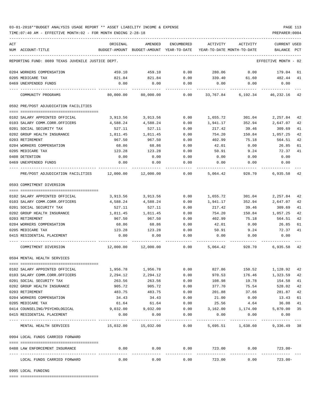TIME:07:40 AM - EFFECTIVE MONTH:02 - FOR MONTH ENDING 2-28-18 PREPARER:0004

| ACT |                                                            | ORIGINAL                                                            | AMENDED                      | ENCUMBERED           | ACTIVITY                 | ACTIVITY                        | CURRENT USED         |          |
|-----|------------------------------------------------------------|---------------------------------------------------------------------|------------------------------|----------------------|--------------------------|---------------------------------|----------------------|----------|
|     | NUM ACCOUNT-TITLE                                          | BUDGET-AMOUNT BUDGET-AMOUNT YEAR-TO-DATE YEAR-TO-DATE MONTH-TO-DATE |                              |                      |                          |                                 | BALANCE PCT          |          |
|     | REPORTING FUND: 0089 TEXAS JUVENILE JUSTICE DEPT.          |                                                                     |                              |                      |                          |                                 | EFFECTIVE MONTH - 02 |          |
|     | 0204 WORKERS COMPENSATION                                  | 459.10                                                              | 459.10                       | 0.00                 | 280.06                   | 0.00                            | 179.04               | 61       |
|     | 0205 MEDICARE TAX                                          | 821.84                                                              | 821.84                       |                      |                          | $0.00$ 339.40 61.60             | 482.44               | 41       |
|     | 0469 UNEXPENDED FUNDS                                      | 0.00                                                                | 0.00                         | 0.00                 | 0.00                     | 0.00                            | 0.00                 |          |
|     | COMMUNITY PROGRAMS                                         | 80,000.00                                                           | 80,000.00                    | 0.00                 |                          | 33,767.84 6,192.34 46,232.16 42 |                      |          |
|     | 0592 PRE/POST ADJUDICATION FACILITIES                      |                                                                     |                              |                      |                          |                                 |                      |          |
|     | 0102 SALARY APPOINTED OFFICIAL                             | 3,913.56                                                            | 3,913.56                     | 0.00                 |                          | 1,655.72 301.04                 | 2,257.84             | 42       |
|     | 0103 SALARY COMM.CORR.OFFICERS                             | 4,588.24                                                            | 4,588.24                     | 0.00                 | 1,941.17                 | 352.94                          | 2,647.07             | 42       |
|     | 0201 SOCIAL SECURITY TAX                                   | 527.11                                                              | 527.11                       | 0.00                 | 217.42                   | 39.46                           | 309.69               | 41       |
|     | 0202 GROUP HEALTH INSURANCE                                | 1,811.45                                                            | 1,811.45                     | 0.00                 | 754.20                   | 150.84                          | 1,057.25             | 42       |
|     | 0203 RETIREMENT                                            | 967.50                                                              | 967.50                       | 0.00                 | 402.99                   | 75.18                           | 564.51               | 42       |
|     | 0204 WORKERS COMPENSATION                                  | 68.86                                                               | 68.86                        | 0.00                 | 42.01                    | 0.00                            | 26.85                | 61       |
|     | 0205 MEDICARE TAX                                          | 123.28                                                              | 123.28                       | 0.00                 | 50.91                    | 9.24                            | 72.37                | 41       |
|     | 0408 DETENTION                                             | 0.00                                                                | 0.00                         | 0.00                 | 0.00                     | 0.00                            | 0.00                 |          |
|     | 0469 UNEXPENDED FUNDS                                      | 0.00                                                                | 0.00                         | 0.00                 | 0.00                     | 0.00                            | 0.00                 |          |
|     | PRE/POST ADJUDICATION FACILITIES 12,000.00 12,000.00       |                                                                     |                              | 0.00                 | 5,064.42                 | 928.70                          | 6,935.58             | 42       |
|     | 0593 COMMITMENT DIVERSION                                  |                                                                     |                              |                      |                          |                                 |                      |          |
|     |                                                            |                                                                     |                              |                      |                          |                                 |                      |          |
|     | 0102 SALARY APPOINTED OFFICIAL                             | 3,913.56                                                            | 3,913.56                     | 0.00                 | 1,655.72                 | 301.04                          | 2,257.84             | 42       |
|     | 0103 SALARY COMM.CORR.OFFICERS                             | 4,588.24                                                            | 4,588.24                     | 0.00                 | 1,941.17                 | 352.94                          | 2,647.07             | 42       |
|     | 0201 SOCIAL SECURITY TAX                                   | 527.11                                                              | 527.11                       | 0.00                 | 217.42                   | 39.46                           | 309.69               | 41       |
|     | 0202 GROUP HEALTH INSURANCE                                | 1,811.45                                                            | 1,811.45                     | 0.00                 | 754.20                   | 150.84                          | 1,057.25             | 42       |
|     | 0203 RETIREMENT                                            | 967.50                                                              | 967.50                       | 0.00                 | 402.99                   | 75.18                           | 564.51               | 42       |
|     | 0204 WORKERS COMPENSATION                                  | 68.86                                                               | 68.86                        | 0.00                 | 42.01                    | 0.00                            | 26.85                | 61       |
|     | 0205 MEDICARE TAX                                          | 123.28                                                              | 123.28                       | 0.00                 | 50.91                    | 9.24                            | 72.37                | 41       |
|     | 0415 RESIDENTIAL PLACEMENT                                 | 0.00                                                                | 0.00                         | 0.00                 | 0.00                     | 0.00                            | 0.00                 |          |
|     | COMMITMENT DIVERSION                                       | 12,000.00                                                           | $12,000.00$ 0.00             |                      |                          | 5,064.42 928.70                 | 6,935.58 42          |          |
|     | 0594 MENTAL HEALTH SERVICES                                |                                                                     |                              |                      |                          |                                 |                      |          |
|     |                                                            |                                                                     |                              |                      |                          |                                 |                      |          |
|     | 0102 SALARY APPOINTED OFFICIAL                             | 1,956.78<br>2,294.12                                                | 1,956.78<br>2,294.12         | 0.00<br>0.00         | 827.86<br>970.53         | 150.52<br>176.46                | 1,128.92<br>1,323.59 | 42<br>42 |
|     | 0103 SALARY COMM.CORR.OFFICERS<br>0201 SOCIAL SECURITY TAX | 263.56                                                              | 263.56                       | 0.00                 | 108.98                   | 19.78                           | 154.58               | 41       |
|     | 0202 GROUP HEALTH INSURANCE                                | 905.72                                                              | 905.72                       | 0.00                 | 377.70                   | 75.54                           | 528.02               | 42       |
|     | 0203 RETIREMENT                                            | 483.75                                                              | 483.75                       | 0.00                 | 201.88                   | 37.66                           | 281.87               | 42       |
|     | 0204 WORKERS COMPENSATION                                  | 34.43                                                               | 34.43                        | 0.00                 | 21.00                    | 0.00                            | 13.43                | 61       |
|     | 0205 MEDICARE TAX                                          | 61.64                                                               | 61.64                        | 0.00                 | 25.56                    | 4.64                            | 36.08                | 41       |
|     | 0414 COUNSELING/PSYCHOLOGICAL                              | 9,032.00                                                            | 9,032.00                     | 0.00                 | 3,162.00                 | 1,174.00                        | 5,870.00             | 35       |
|     | 0415 RESIDENTIAL PLACEMENT                                 | 0.00                                                                | 0.00                         | 0.00                 | 0.00                     | 0.00                            | 0.00                 |          |
|     | MENTAL HEALTH SERVICES                                     | 15,032.00    15,032.00                                              |                              | -----------<br>0.00  |                          | 5,695.51 1,638.60 9,336.49 38   |                      |          |
|     | 0994 LOCAL FUNDS CARRIED FORWARD                           |                                                                     |                              |                      |                          |                                 |                      |          |
|     | 0488 LAW ENFORCEMENT INSURANCE                             | 0.00                                                                |                              | $0.00$ 0.00          |                          | 723.00 0.00                     | 723.00-              |          |
|     | LOCAL FUNDS CARRIED FORWARD                                | ---------- -------------                                            | ------------<br>0.00<br>0.00 | ------------<br>0.00 | --------------<br>723.00 | ------------<br>0.00            | $723.00 -$           |          |
|     |                                                            |                                                                     |                              |                      |                          |                                 |                      |          |

0995 LOCAL FUNDING

==== ===================================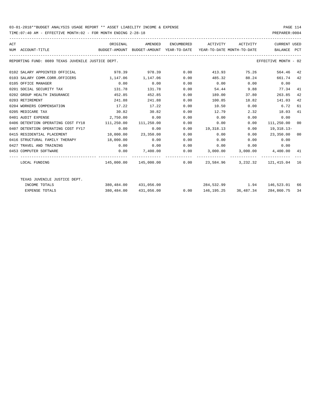TIME:07:40 AM - EFFECTIVE MONTH:02 - FOR MONTH ENDING 2-28-18 PREPARER:0004

| ACT | NUM ACCOUNT-TITLE                                 | ORIGINAL<br>BUDGET-AMOUNT BUDGET-AMOUNT YEAR-TO-DATE YEAR-TO-DATE MONTH-TO-DATE |                                                                 |      | AMENDED ENCUMBERED ACTIVITY ACTIVITY |                  | CURRENT USED<br>BALANCE PCT |    |
|-----|---------------------------------------------------|---------------------------------------------------------------------------------|-----------------------------------------------------------------|------|--------------------------------------|------------------|-----------------------------|----|
|     | REPORTING FUND: 0089 TEXAS JUVENILE JUSTICE DEPT. |                                                                                 |                                                                 |      |                                      |                  | EFFECTIVE MONTH - 02        |    |
|     | 0102 SALARY APPOINTED OFFICIAL                    |                                                                                 | 978.39 978.39 0.00                                              |      |                                      | 413.93 75.26     | 564.46 42                   |    |
|     | 0103 SALARY COMM.CORR.OFFICERS                    | 1, 147.06 1, 147.06                                                             |                                                                 | 0.00 | 485.32                               | 88.24            | 661.74 42                   |    |
|     | 0105 OFFICE MANAGER                               | 0.00                                                                            | 0.00                                                            | 0.00 | $0.00$ $0.00$ $0.00$ $0.00$          |                  |                             |    |
|     | 0201 SOCIAL SECURITY TAX                          | 131.78                                                                          | 131.78                                                          | 0.00 |                                      | 54.44 9.88 77.34 |                             | 41 |
|     | 0202 GROUP HEALTH INSURANCE                       | 452.85                                                                          | 452.85                                                          | 0.00 | 189.00                               | 37.80            | 263.85                      | 42 |
|     | 0203 RETIREMENT                                   | 241.88                                                                          | 241.88                                                          | 0.00 | 100.85                               | 18.82            | 141.03                      | 42 |
|     | 0204 WORKERS COMPENSATION                         | 17.22                                                                           | 17.22                                                           | 0.00 | 10.50                                | 0.00             | 6.72                        | 61 |
|     | 0205 MEDICARE TAX                                 | 30.82                                                                           | 30.82                                                           | 0.00 | 12.79                                | 2.32             | 18.03                       | 41 |
|     | 0401 AUDIT EXPENSE                                | 2,750.00                                                                        | 0.00                                                            | 0.00 | 0.00                                 | 0.00             | 0.00                        |    |
|     | 0406 DETENTION OPERATING COST FY18                | 111,250.00 111,250.00                                                           |                                                                 | 0.00 |                                      | 0.00<br>0.00     | 111,250.00 00               |    |
|     | 0407 DETENTION OPERATING COST FY17                | 0.00                                                                            | 0.00                                                            | 0.00 | 19,318.13                            | 0.00             | 19,318.13-                  |    |
|     | 0415 RESIDENTIAL PLACEMENT                        |                                                                                 | 10,000.00 23,350.00                                             | 0.00 | 0.00                                 | 0.00             | 23,350.00 00                |    |
|     | 0416 STRUCTURAL FAMILY THERAPY 18,000.00          |                                                                                 | 0.00                                                            | 0.00 | $0.00$ 0.00                          |                  | 0.00                        |    |
|     | 0427 TRAVEL AND TRAINING                          | 0.00                                                                            | 0.00                                                            | 0.00 | $0.00$ 0.00 0.00                     |                  |                             |    |
|     | 0453 COMPUTER SOFTWARE                            |                                                                                 | $0.00$ $7,400.00$ $0.00$ $3,000.00$ $3,000.00$ $4,400.00$ $41$  |      |                                      |                  |                             |    |
|     |                                                   |                                                                                 |                                                                 |      |                                      |                  |                             |    |
|     | LOCAL FUNDING                                     |                                                                                 | $145,000.00$ $145,000.00$ 0.00 23,584.96 3,232.32 121,415.04 16 |      |                                      |                  |                             |    |
|     | TEXAS JUVENILE JUSTICE DEPT.                      |                                                                                 |                                                                 |      |                                      |                  |                             |    |
|     | INCOME TOTALS                                     |                                                                                 | $380,484.00$ $431,056.00$ $284,532.99$ $1.94$ $146,523.01$ 66   |      |                                      |                  |                             |    |
|     | <b>EXPENSE TOTALS</b>                             |                                                                                 | 380,484.00 431,056.00                                           |      | $0.00$ 146, 195. 25 36, 487. 34      |                  | 284,860.75                  | 34 |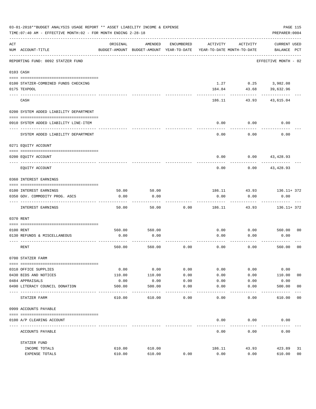|     | 03-01-2018**BUDGET ANALYSIS USAGE REPORT ** ASSET LIABILITY INCOME & EXPENSE<br>TIME: 07:40 AM - EFFECTIVE MONTH: 02 - FOR MONTH ENDING 2-28-18 |                |                                                     |              |              |                                        | PAGE 115<br>PREPARER: 0004         |
|-----|-------------------------------------------------------------------------------------------------------------------------------------------------|----------------|-----------------------------------------------------|--------------|--------------|----------------------------------------|------------------------------------|
| ACT | NUM ACCOUNT-TITLE                                                                                                                               | ORIGINAL       | AMENDED<br>BUDGET-AMOUNT BUDGET-AMOUNT YEAR-TO-DATE | ENCUMBERED   | ACTIVITY     | ACTIVITY<br>YEAR-TO-DATE MONTH-TO-DATE | <b>CURRENT USED</b><br>BALANCE PCT |
|     | REPORTING FUND: 0092 STATZER FUND                                                                                                               |                |                                                     |              |              |                                        | EFFECTIVE MONTH - 02               |
|     | 0103 CASH                                                                                                                                       |                |                                                     |              |              |                                        |                                    |
|     | 0100 STATZER-COMBINED FUNDS CHECKING                                                                                                            |                |                                                     |              | 1.27         |                                        | $0.25$ 3,982.08                    |
|     | 0175 TEXPOOL                                                                                                                                    |                |                                                     |              | 184.84       | 43.68                                  | 39,632.96                          |
|     | CASH                                                                                                                                            |                |                                                     |              | 186.11       | 43.93                                  | 43,615.04                          |
|     | 0200 SYSTEM ADDED LIABILITY DEPARTMENT                                                                                                          |                |                                                     |              |              |                                        |                                    |
|     |                                                                                                                                                 |                |                                                     |              |              |                                        |                                    |
|     | 0910 SYSTEM ADDED LIABILITY LINE-ITEM                                                                                                           |                |                                                     |              | 0.00         | 0.00                                   | 0.00                               |
|     | SYSTEM ADDED LIABILITY DEPARTMENT                                                                                                               |                |                                                     |              | 0.00         | 0.00                                   | 0.00                               |
|     | 0271 EQUITY ACCOUNT                                                                                                                             |                |                                                     |              |              |                                        |                                    |
|     | 0200 EQUITY ACCOUNT                                                                                                                             |                |                                                     |              | 0.00         | 0.00                                   | 43,428.93                          |
|     | EQUITY ACCOUNT                                                                                                                                  |                |                                                     |              | 0.00         | 0.00                                   | 43,428.93                          |
|     | 0360 INTEREST EARNINGS                                                                                                                          |                |                                                     |              |              |                                        |                                    |
|     | 0100 INTEREST EARNINGS                                                                                                                          | 50.00          | 50.00                                               |              | 186.11       | 43.93                                  | $136.11+372$                       |
|     | 0350 GOV. COMMODITY PROG. ASCS                                                                                                                  | 0.00           | 0.00                                                |              | 0.00         | 0.00                                   | 0.00                               |
|     | INTEREST EARNINGS                                                                                                                               | 50.00          | 50.00                                               | 0.00         | 186.11       | 43.93                                  | $136.11 + 372$                     |
|     | 0370 RENT                                                                                                                                       |                |                                                     |              |              |                                        |                                    |
|     |                                                                                                                                                 |                |                                                     |              |              |                                        | 00                                 |
|     | 0100 RENT<br>0130 REFUNDS & MISCELLANEOUS                                                                                                       | 560.00<br>0.00 | 560.00<br>0.00                                      |              | 0.00<br>0.00 | 0.00<br>0.00                           | 560.00<br>0.00                     |
|     | RENT                                                                                                                                            | 560.00         | 560.00                                              | 0.00         | 0.00         | 0.00                                   | 0 <sub>0</sub><br>560.00           |
|     | 0700 STATZER FARM                                                                                                                               |                |                                                     |              |              |                                        |                                    |
|     |                                                                                                                                                 |                |                                                     |              |              |                                        |                                    |
|     | 0310 OFFICE SUPPLIES<br>0430 BIDS AND NOTICES                                                                                                   | 0.00<br>110.00 | 0.00<br>110.00                                      | 0.00<br>0.00 | 0.00<br>0.00 | 0.00<br>0.00                           | 0.00<br>110.00<br>0 <sub>0</sub>   |
|     | 0484 APPRAISALS                                                                                                                                 | 0.00           | 0.00                                                | 0.00         | 0.00         | 0.00                                   | 0.00                               |
|     | 0490 LITERACY COUNCIL DONATION                                                                                                                  | 500.00         | 500.00                                              | 0.00         | 0.00         | 0.00                                   | 500.00<br>0 <sub>0</sub>           |
|     | ---- -----------<br>STATZER FARM                                                                                                                | 610.00         | 610.00                                              | 0.00         | 0.00         | 0.00                                   | 610.00<br>00                       |
|     | 0999 ACCOUNTS PAYABLE                                                                                                                           |                |                                                     |              |              |                                        |                                    |
|     | 0100 A/P CLEARING ACCOUNT                                                                                                                       |                |                                                     |              | 0.00         | 0.00                                   | 0.00                               |
|     | ACCOUNTS PAYABLE                                                                                                                                |                |                                                     |              | 0.00         | 0.00                                   | 0.00                               |
|     | STATZER FUND                                                                                                                                    |                |                                                     |              |              |                                        |                                    |
|     | INCOME TOTALS                                                                                                                                   | 610.00         | 610.00                                              |              | 186.11       | 43.93                                  | 423.89<br>31                       |
|     | EXPENSE TOTALS                                                                                                                                  | 610.00         | 610.00                                              | 0.00         | 0.00         | 0.00                                   | 0 <sub>0</sub><br>610.00           |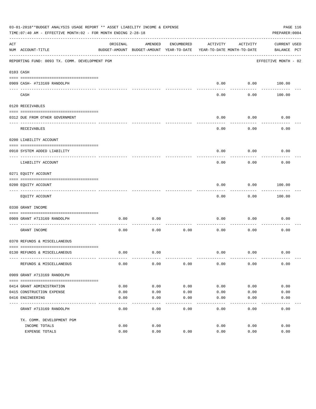|     | 03-01-2018**BUDGET ANALYSIS USAGE REPORT ** ASSET LIABILITY INCOME & EXPENSE<br>TIME: 07:40 AM - EFFECTIVE MONTH: 02 - FOR MONTH ENDING 2-28-18 |              |                                                     |              |                                        |                   | PREPARER: 0004              | PAGE 116 |
|-----|-------------------------------------------------------------------------------------------------------------------------------------------------|--------------|-----------------------------------------------------|--------------|----------------------------------------|-------------------|-----------------------------|----------|
| ACT | NUM ACCOUNT-TITLE                                                                                                                               | ORIGINAL     | AMENDED<br>BUDGET-AMOUNT BUDGET-AMOUNT YEAR-TO-DATE | ENCUMBERED   | ACTIVITY<br>YEAR-TO-DATE MONTH-TO-DATE | ACTIVITY          | CURRENT USED<br>BALANCE PCT |          |
|     | REPORTING FUND: 0093 TX. COMM. DEVELOPMENT PGM                                                                                                  |              |                                                     |              |                                        |                   | EFFECTIVE MONTH - 02        |          |
|     | 0103 CASH                                                                                                                                       |              |                                                     |              |                                        |                   |                             |          |
|     | 0909 CASH- #713169 RANDOLPH                                                                                                                     |              |                                                     |              | 0.00                                   |                   | $0.00$ 100.00               |          |
|     | CASH                                                                                                                                            |              |                                                     |              | -----<br>0.00                          | ---------<br>0.00 | 100.00                      |          |
|     | 0120 RECEIVABLES                                                                                                                                |              |                                                     |              |                                        |                   |                             |          |
|     | 0312 DUE FROM OTHER GOVERNMENT                                                                                                                  |              |                                                     |              | 0.00                                   | 0.00              | 0.00                        |          |
|     | RECEIVABLES                                                                                                                                     |              |                                                     |              | 0.00                                   | ---------<br>0.00 | 0.00                        |          |
|     | 0200 LIABILITY ACCOUNT                                                                                                                          |              |                                                     |              |                                        |                   |                             |          |
|     | 0910 SYSTEM ADDED LIABILITY                                                                                                                     |              |                                                     |              | 0.00                                   | 0.00              | 0.00                        |          |
|     | LIABILITY ACCOUNT                                                                                                                               |              |                                                     |              | 0.00                                   | 0.00              | 0.00                        |          |
|     | 0271 EQUITY ACCOUNT                                                                                                                             |              |                                                     |              |                                        |                   |                             |          |
|     | 0200 EQUITY ACCOUNT<br>---------------------------------                                                                                        |              |                                                     |              | 0.00                                   | 0.00<br>--------- | 100.00<br>. <u>.</u> .      |          |
|     | EQUITY ACCOUNT                                                                                                                                  |              |                                                     |              | 0.00                                   | 0.00              | 100.00                      |          |
|     | 0330 GRANT INCOME                                                                                                                               |              |                                                     |              |                                        |                   |                             |          |
|     | 0909 GRANT #713169 RANDOLPH                                                                                                                     | 0.00         | 0.00                                                |              | 0.00                                   | 0.00              | 0.00                        |          |
|     | -----------------------<br>GRANT INCOME                                                                                                         | 0.00         | 0.00                                                | 0.00         | 0.00                                   | 0.00              | 0.00                        |          |
|     | 0370 REFUNDS & MISCELLANEOUS                                                                                                                    |              |                                                     |              |                                        |                   |                             |          |
|     | 0130 REFUNDS & MISCELLANEOUS                                                                                                                    | 0.00         | 0.00                                                |              | 0.00                                   | 0.00              | 0.00                        |          |
|     | REFUNDS & MISCELLANEOUS                                                                                                                         | 0.00         | 0.00                                                | 0.00         | 0.00                                   | 0.00              | 0.00                        |          |
|     | 0909 GRANT #713169 RANDOLPH                                                                                                                     |              |                                                     |              |                                        |                   |                             |          |
|     |                                                                                                                                                 |              |                                                     |              |                                        |                   |                             |          |
|     | 0414 GRANT ADMINISTRATION                                                                                                                       | 0.00         | 0.00                                                | 0.00         | 0.00                                   | 0.00              | 0.00                        |          |
|     | 0415 CONSTRUCTION EXPENSE<br>0416 ENGINEERING                                                                                                   | 0.00<br>0.00 | 0.00<br>0.00                                        | 0.00<br>0.00 | 0.00<br>0.00                           | 0.00<br>0.00      | 0.00<br>0.00                |          |
|     | GRANT #713169 RANDOLPH                                                                                                                          | 0.00         | 0.00                                                | 0.00         | -----<br>0.00                          | 0.00              | 0.00                        |          |
|     |                                                                                                                                                 |              |                                                     |              |                                        |                   |                             |          |
|     | TX. COMM. DEVELOPMENT PGM<br>INCOME TOTALS                                                                                                      | 0.00         | 0.00                                                |              | 0.00                                   | 0.00              | 0.00                        |          |
|     | EXPENSE TOTALS                                                                                                                                  | 0.00         | 0.00                                                | 0.00         | 0.00                                   | 0.00              | 0.00                        |          |
|     |                                                                                                                                                 |              |                                                     |              |                                        |                   |                             |          |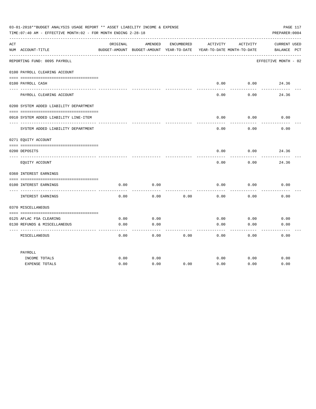|           | 03-01-2018**BUDGET ANALYSIS USAGE REPORT ** ASSET LIABILITY INCOME & EXPENSE<br>TIME: 07:40 AM - EFFECTIVE MONTH: 02 - FOR MONTH ENDING 2-28-18 |              |                                                     |            |                                        |              | PAGE 117<br>PREPARER: 0004         |
|-----------|-------------------------------------------------------------------------------------------------------------------------------------------------|--------------|-----------------------------------------------------|------------|----------------------------------------|--------------|------------------------------------|
| ACT       | NUM ACCOUNT-TITLE                                                                                                                               | ORIGINAL     | AMENDED<br>BUDGET-AMOUNT BUDGET-AMOUNT YEAR-TO-DATE | ENCUMBERED | ACTIVITY<br>YEAR-TO-DATE MONTH-TO-DATE | ACTIVITY     | <b>CURRENT USED</b><br>BALANCE PCT |
| $- - - -$ | ____________________________<br>REPORTING FUND: 0095 PAYROLL                                                                                    |              |                                                     |            |                                        |              | EFFECTIVE MONTH - 02               |
|           | 0100 PAYROLL CLEARING ACCOUNT                                                                                                                   |              |                                                     |            |                                        |              |                                    |
|           | 0100 PAYROLL CASH                                                                                                                               |              |                                                     |            | 0.00                                   | 0.00         | 24.36                              |
|           |                                                                                                                                                 |              |                                                     |            | ------                                 | -------      |                                    |
|           | PAYROLL CLEARING ACCOUNT                                                                                                                        |              |                                                     |            | 0.00                                   | 0.00         | 24.36                              |
|           | 0200 SYSTEM ADDED LIABILITY DEPARTMENT                                                                                                          |              |                                                     |            |                                        |              |                                    |
|           | 0910 SYSTEM ADDED LIABILITY LINE-ITEM                                                                                                           |              |                                                     |            | 0.00                                   | 0.00         | 0.00                               |
|           | SYSTEM ADDED LIABILITY DEPARTMENT                                                                                                               |              |                                                     |            | 0.00                                   | .<br>0.00    | 0.00                               |
|           | 0271 EQUITY ACCOUNT                                                                                                                             |              |                                                     |            |                                        |              |                                    |
|           | 0200 DEPOSITS                                                                                                                                   |              |                                                     |            | 0.00                                   | 0.00         | 24.36                              |
|           | EQUITY ACCOUNT                                                                                                                                  |              |                                                     |            | 0.00                                   | 0.00         | 24.36                              |
|           | 0360 INTEREST EARNINGS                                                                                                                          |              |                                                     |            |                                        |              |                                    |
|           | 0100 INTEREST EARNINGS                                                                                                                          | 0.00         | 0.00                                                |            | 0.00                                   | 0.00         | 0.00                               |
|           | INTEREST EARNINGS                                                                                                                               | 0.00         | 0.00                                                | 0.00       | 0.00                                   | 0.00         | 0.00                               |
|           | 0370 MISCELLANEOUS                                                                                                                              |              |                                                     |            |                                        |              |                                    |
|           |                                                                                                                                                 |              |                                                     |            |                                        |              |                                    |
|           | 0125 AFLAC FSA CLEARING<br>0130 REFUNDS & MISCELLANEOUS                                                                                         | 0.00<br>0.00 | 0.00<br>0.00                                        |            | 0.00<br>0.00                           | 0.00<br>0.00 | 0.00<br>0.00                       |
|           |                                                                                                                                                 |              |                                                     |            |                                        |              |                                    |
|           | MISCELLANEOUS                                                                                                                                   | 0.00         | 0.00                                                | 0.00       | 0.00                                   | 0.00         | 0.00                               |
|           | PAYROLL                                                                                                                                         |              |                                                     |            |                                        |              |                                    |
|           | INCOME TOTALS                                                                                                                                   | 0.00         | 0.00                                                |            | 0.00                                   | 0.00         | 0.00                               |
|           | <b>EXPENSE TOTALS</b>                                                                                                                           | 0.00         | 0.00                                                | 0.00       | 0.00                                   | 0.00         | 0.00                               |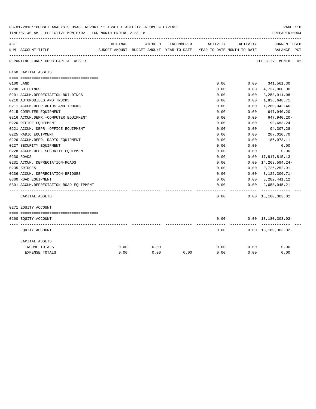|     | 03-01-2018**BUDGET ANALYSIS USAGE REPORT ** ASSET LIABILITY INCOME & EXPENSE<br>PAGE TTR<br>TIME: 07:40 AM - EFFECTIVE MONTH: 02 - FOR MONTH ENDING 2-28-18<br>PREPARER: 0004 |          |         |            |                                                                     |           |                                             |  |  |  |  |
|-----|-------------------------------------------------------------------------------------------------------------------------------------------------------------------------------|----------|---------|------------|---------------------------------------------------------------------|-----------|---------------------------------------------|--|--|--|--|
| ACT |                                                                                                                                                                               | ORIGINAL | AMENDED | ENCUMBERED | ACTIVITY                                                            | ACTIVITY  | <b>CURRENT USED</b>                         |  |  |  |  |
|     | NUM ACCOUNT-TITLE                                                                                                                                                             |          |         |            | BUDGET-AMOUNT BUDGET-AMOUNT YEAR-TO-DATE YEAR-TO-DATE MONTH-TO-DATE |           | BALANCE PCT                                 |  |  |  |  |
|     | REPORTING FUND: 0098 CAPITAL ASSETS                                                                                                                                           |          |         |            |                                                                     |           | EFFECTIVE MONTH - 02                        |  |  |  |  |
|     | 0160 CAPITAL ASSETS                                                                                                                                                           |          |         |            |                                                                     |           |                                             |  |  |  |  |
|     |                                                                                                                                                                               |          |         |            |                                                                     |           |                                             |  |  |  |  |
|     | 0100 LAND<br>0200 BUILDINGS                                                                                                                                                   |          |         |            | 0.00<br>0.00                                                        | 0.00      | $0.00$ 341,561.30<br>4,737,000.00           |  |  |  |  |
|     | 0201 ACCUM.DEPRECIATION-BUILDINGS                                                                                                                                             |          |         |            | 0.00                                                                | 0.00      | $3,258,911.08-$                             |  |  |  |  |
|     | 0210 AUTOMOBILES AND TRUCKS                                                                                                                                                   |          |         |            | 0.00                                                                | 0.00      | 1,836,648.71                                |  |  |  |  |
|     | 0211 ACCUM.DEPR.AUTOS AND TRUCKS                                                                                                                                              |          |         |            | 0.00                                                                | 0.00      | 1,280,042.46-                               |  |  |  |  |
|     | 0215 COMPUTER EQUIPMENT                                                                                                                                                       |          |         |            | 0.00                                                                | 0.00      | 647,940.20                                  |  |  |  |  |
|     | 0216 ACCUM.DEPR.-COMPUTER EQUIPMENT                                                                                                                                           |          |         |            | 0.00                                                                | 0.00      | 647,940.20-                                 |  |  |  |  |
|     | 0220 OFFICE EQUIPMENT                                                                                                                                                         |          |         |            | 0.00                                                                | 0.00      | 99,653.24                                   |  |  |  |  |
|     | 0221 ACCUM. DEPR. - OFFICE EQUIPMENT                                                                                                                                          |          |         |            | 0.00                                                                | 0.00      | 94,307.28-                                  |  |  |  |  |
|     | 0225 RADIO EQUIPMENT                                                                                                                                                          |          |         |            | 0.00                                                                | 0.00      | 207,010.70                                  |  |  |  |  |
|     | 0226 ACCUM.DEPR.-RADIO EQUIPMENT                                                                                                                                              |          |         |            | 0.00                                                                | 0.00      | 186,973.11-                                 |  |  |  |  |
|     | 0227 SECURITY EQUIPMENT                                                                                                                                                       |          |         |            | 0.00                                                                | 0.00      | 0.00                                        |  |  |  |  |
|     | 0228 ACCUM.DEP. - SECURITY EQUIPMENT                                                                                                                                          |          |         |            | 0.00                                                                | 0.00      | 0.00                                        |  |  |  |  |
|     | 0230 ROADS                                                                                                                                                                    |          |         |            | 0.00                                                                | 0.00      | 17,817,815.13                               |  |  |  |  |
|     | 0231 ACCUM. DEPRECIATION-ROADS                                                                                                                                                |          |         |            | 0.00                                                                | 0.00      | 14, 263, 594. 24-                           |  |  |  |  |
|     | 0235 BRIDGES                                                                                                                                                                  |          |         |            | 0.00                                                                |           | $0.00$ 9,726,252.91                         |  |  |  |  |
|     | 0236 ACCUM. DEPRECIATION-BRIDGES                                                                                                                                              |          |         |            | 0.00                                                                | 0.00      | $3,125,306.71-$                             |  |  |  |  |
|     | 0300 ROAD EQUIPMENT                                                                                                                                                           |          |         |            | 0.00                                                                |           | $0.00 \quad 3,282,441.12$                   |  |  |  |  |
|     | 0301 ACCUM.DEPRECIATION-ROAD EQUIPMENT                                                                                                                                        |          |         |            | 0.00                                                                | 0.00      | $2,658,945.21-$                             |  |  |  |  |
|     | CAPITAL ASSETS                                                                                                                                                                |          |         |            | 0.00                                                                | --------- | -------------<br>$0.00 \quad 13,180,303.02$ |  |  |  |  |
|     | 0271 EQUITY ACCOUNT                                                                                                                                                           |          |         |            |                                                                     |           |                                             |  |  |  |  |
|     |                                                                                                                                                                               |          |         |            |                                                                     |           |                                             |  |  |  |  |
|     | 0200 EQUITY ACCOUNT                                                                                                                                                           |          |         |            | 0.00                                                                |           | $0.00 \quad 13,180,303.02 -$                |  |  |  |  |
|     | EQUITY ACCOUNT                                                                                                                                                                |          |         |            | 0.00                                                                |           | $0.00 \quad 13,180,303.02 -$                |  |  |  |  |
|     | CAPITAL ASSETS                                                                                                                                                                |          |         |            |                                                                     |           |                                             |  |  |  |  |
|     | INCOME TOTALS                                                                                                                                                                 | 0.00     | 0.00    |            | 0.00                                                                | 0.00      | 0.00                                        |  |  |  |  |
|     | EXPENSE TOTALS                                                                                                                                                                | 0.00     | 0.00    | 0.00       | 0.00                                                                | 0.00      | 0.00                                        |  |  |  |  |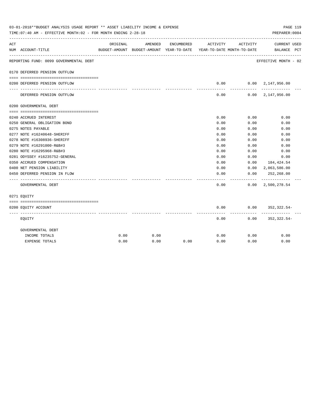|     | 03-01-2018**BUDGET ANALYSIS USAGE REPORT ** ASSET LIABILITY INCOME & EXPENSE<br>TIME: 07:40 AM - EFFECTIVE MONTH: 02 - FOR MONTH ENDING 2-28-18 |          |                                                     |            |                                        |            | PAGE 119<br>PREPARER: 0004                 |  |
|-----|-------------------------------------------------------------------------------------------------------------------------------------------------|----------|-----------------------------------------------------|------------|----------------------------------------|------------|--------------------------------------------|--|
| ACT | NUM ACCOUNT-TITLE                                                                                                                               | ORIGINAL | AMENDED<br>BUDGET-AMOUNT BUDGET-AMOUNT YEAR-TO-DATE | ENCUMBERED | ACTIVITY<br>YEAR-TO-DATE MONTH-TO-DATE | ACTIVITY   | CURRENT USED<br>BALANCE PCT                |  |
|     | REPORTING FUND: 0099 GOVERNMENTAL DEBT                                                                                                          |          |                                                     |            |                                        |            | EFFECTIVE MONTH - 02                       |  |
|     | 0170 DEFERRED PENSION OUTFLOW                                                                                                                   |          |                                                     |            |                                        |            |                                            |  |
|     | 0200 DEFERRED PENSION OUTFLOW                                                                                                                   |          |                                                     |            | 0.00                                   |            | 0.00 2,147,956.00                          |  |
|     | DEFERRED PENSION OUTFLOW                                                                                                                        |          |                                                     |            | ---------<br>0.00                      | ---------- | -------------<br>$0.00 \quad 2,147,956.00$ |  |
|     | 0200 GOVERNMENTAL DEBT                                                                                                                          |          |                                                     |            |                                        |            |                                            |  |
|     |                                                                                                                                                 |          |                                                     |            |                                        |            |                                            |  |
|     | 0240 ACCRUED INTEREST                                                                                                                           |          |                                                     |            | 0.00                                   | 0.00       | 0.00                                       |  |
|     | 0250 GENERAL OBLIGATION BOND                                                                                                                    |          |                                                     |            | 0.00                                   | 0.00       | 0.00                                       |  |
|     | 0275 NOTES PAYABLE                                                                                                                              |          |                                                     |            | 0.00                                   | 0.00       | 0.00                                       |  |
|     | 0277 NOTE #16240648-SHERIFF                                                                                                                     |          |                                                     |            | 0.00                                   | 0.00       | 0.00                                       |  |
|     | 0278 NOTE #16308936-SHERIFF                                                                                                                     |          |                                                     |            | 0.00                                   | 0.00       | 0.00                                       |  |
|     | 0279 NOTE #16291000-R&B#3                                                                                                                       |          |                                                     |            | 0.00                                   | 0.00       | 0.00                                       |  |
|     | 0280 NOTE #16295968-R&B#3                                                                                                                       |          |                                                     |            | 0.00                                   | 0.00       | 0.00                                       |  |
|     | 0281 ODYSSEY #16235752-GENERAL                                                                                                                  |          |                                                     |            | 0.00                                   | 0.00       | 0.00                                       |  |
|     | 0350 ACCRUED COMPENSATION                                                                                                                       |          |                                                     |            | 0.00                                   | 0.00       | 184,424.54                                 |  |
|     | 0400 NET PENSION LIABILITY                                                                                                                      |          |                                                     |            | 0.00                                   |            | $0.00 \quad 2,063,586.00$                  |  |
|     | 0450 DEFERRED PENSION IN FLOW                                                                                                                   |          |                                                     |            | 0.00                                   | 0.00       | 252,268.00                                 |  |
|     | GOVERNMENTAL DEBT                                                                                                                               |          |                                                     |            | 0.00                                   |            | $0.00 \quad 2,500,278.54$                  |  |
|     | 0271 EOUITY                                                                                                                                     |          |                                                     |            |                                        |            |                                            |  |
|     |                                                                                                                                                 |          |                                                     |            |                                        |            |                                            |  |
|     | 0200 EQUITY ACCOUNT                                                                                                                             |          |                                                     |            | 0.00<br>--------                       | ---------  | $0.00$ $352,322.54$ -                      |  |
|     | EQUITY                                                                                                                                          |          |                                                     |            | 0.00                                   |            | $0.00$ $352,322.54-$                       |  |
|     | GOVERNMENTAL DEBT                                                                                                                               |          |                                                     |            |                                        |            |                                            |  |
|     | INCOME TOTALS                                                                                                                                   | 0.00     | 0.00                                                |            | 0.00                                   | 0.00       | 0.00                                       |  |
|     | <b>EXPENSE TOTALS</b>                                                                                                                           | 0.00     | 0.00                                                | 0.00       | 0.00                                   | 0.00       | 0.00                                       |  |